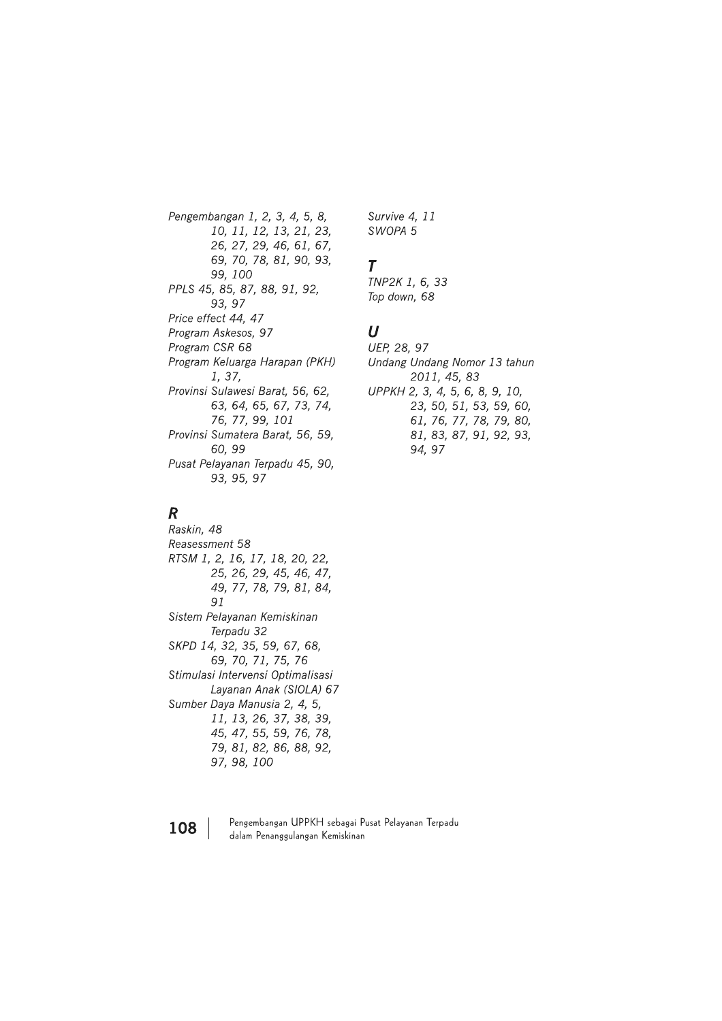Pengembangan 1, 2, 3, 4, 5, 8, 10, 11, 12, 13, 21, 23, 26, 27, 29, 46, 61, 67, 69, 70, 78, 81, 90, 93, 99, 100 PPLS 45, 85, 87, 88, 91, 92, 93.97 Price effect 44, 47 Program Askesos, 97 Program CSR 68 Program Keluarga Harapan (PKH) 1, 37, Provinsi Sulawesi Barat, 56, 62, 63, 64, 65, 67, 73, 74, 76, 77, 99, 101 Provinsi Sumatera Barat, 56, 59, 60.99 Pusat Pelayanan Terpadu 45, 90, 93, 95, 97

### $\boldsymbol{R}$

Raskin, 48 Reasessment 58 RTSM 1, 2, 16, 17, 18, 20, 22, 25, 26, 29, 45, 46, 47, 49, 77, 78, 79, 81, 84, 91 Sistem Pelayanan Kemiskinan Terpadu 32 SKPD 14, 32, 35, 59, 67, 68, 69, 70, 71, 75, 76 Stimulasi Intervensi Optimalisasi Layanan Anak (SIOLA) 67 Sumber Daya Manusia 2, 4, 5, 11, 13, 26, 37, 38, 39, 45, 47, 55, 59, 76, 78, 79, 81, 82, 86, 88, 92, 97, 98, 100

Survive 4, 11 SWOPA 5

### Τ

TNP2K 1, 6, 33 Top down, 68

### $\boldsymbol{U}$

UEP, 28, 97 Undang Undang Nomor 13 tahun 2011, 45, 83 UPPKH 2, 3, 4, 5, 6, 8, 9, 10, 23, 50, 51, 53, 59, 60, 61, 76, 77, 78, 79, 80, 81, 83, 87, 91, 92, 93, 94.97

108

Pengembangan UPPKH sebagai Pusat Pelayanan Terpadu dalam Penanggulangan Kemiskinan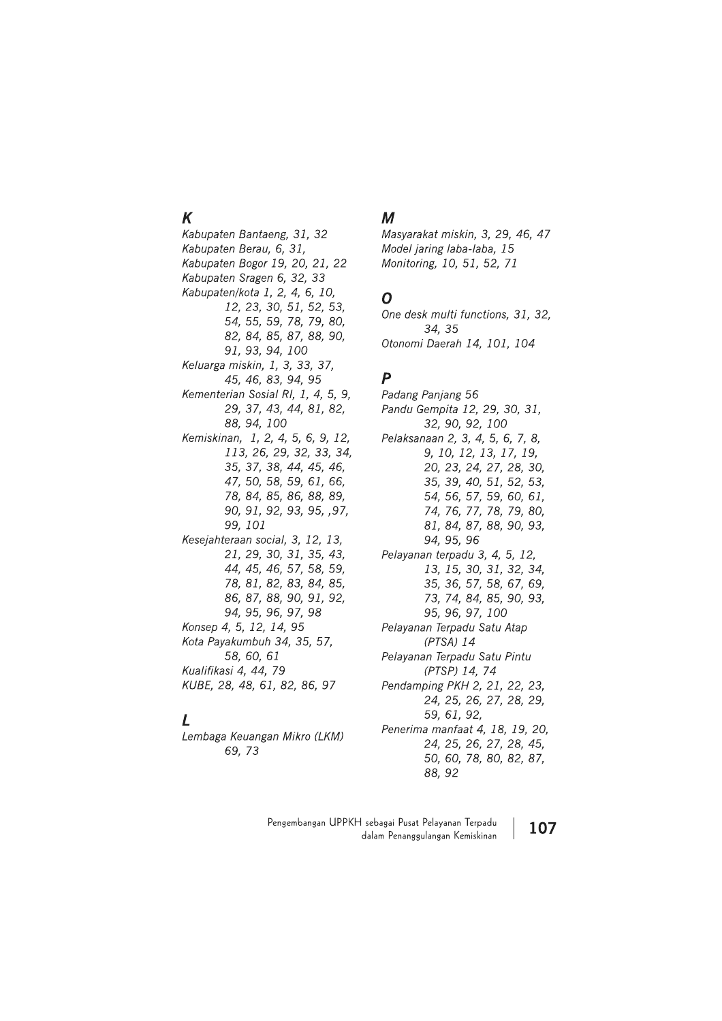## $\boldsymbol{K}$

Kabupaten Bantaeng, 31, 32 Kabupaten Berau, 6, 31, Kabupaten Bogor 19, 20, 21, 22 Kabupaten Sragen 6, 32, 33 Kabupaten/kota 1, 2, 4, 6, 10, 12, 23, 30, 51, 52, 53, 54, 55, 59, 78, 79, 80, 82, 84, 85, 87, 88, 90, 91, 93, 94, 100 Keluarga miskin, 1, 3, 33, 37, 45, 46, 83, 94, 95 Kementerian Sosial RI, 1, 4, 5, 9, 29, 37, 43, 44, 81, 82, 88, 94, 100 Kemiskinan, 1, 2, 4, 5, 6, 9, 12, 113, 26, 29, 32, 33, 34, 35, 37, 38, 44, 45, 46, 47, 50, 58, 59, 61, 66, 78, 84, 85, 86, 88, 89, 90, 91, 92, 93, 95, ,97, 99, 101 Kesejahteraan social, 3, 12, 13, 21, 29, 30, 31, 35, 43, 44, 45, 46, 57, 58, 59, 78, 81, 82, 83, 84, 85, 86, 87, 88, 90, 91, 92, 94, 95, 96, 97, 98 Konsep 4, 5, 12, 14, 95 Kota Payakumbuh 34, 35, 57, 58, 60, 61 Kualifikasi 4, 44, 79 KUBE, 28, 48, 61, 82, 86, 97

### $\mathbf{L}$

Lembaga Keuangan Mikro (LKM) 69.73

### $\boldsymbol{M}$

Masyarakat miskin, 3, 29, 46, 47 Model jaring laba-laba, 15 Monitoring, 10, 51, 52, 71

### O

One desk multi functions, 31, 32, 34, 35 Otonomi Daerah 14, 101, 104

# $\boldsymbol{P}$

Padang Paniang 56 Pandu Gempita 12, 29, 30, 31, 32, 90, 92, 100 Pelaksanaan 2, 3, 4, 5, 6, 7, 8, 9, 10, 12, 13, 17, 19, 20, 23, 24, 27, 28, 30, 35, 39, 40, 51, 52, 53, 54, 56, 57, 59, 60, 61, 74, 76, 77, 78, 79, 80, 81, 84, 87, 88, 90, 93, 94, 95, 96 Pelavanan terpadu 3, 4, 5, 12, 13, 15, 30, 31, 32, 34, 35, 36, 57, 58, 67, 69, 73, 74, 84, 85, 90, 93, 95, 96, 97, 100 Pelayanan Terpadu Satu Atap  $(PTSA)$  14 Pelayanan Terpadu Satu Pintu (PTSP) 14, 74 Pendamping PKH 2, 21, 22, 23, 24, 25, 26, 27, 28, 29, 59.61.92. Penerima manfaat 4, 18, 19, 20, 24, 25, 26, 27, 28, 45, 50, 60, 78, 80, 82, 87, 88, 92

Pengembangan UPPKH sebagai Pusat Pelayanan Terpadu 107 dalam Penanggulangan Kemiskinan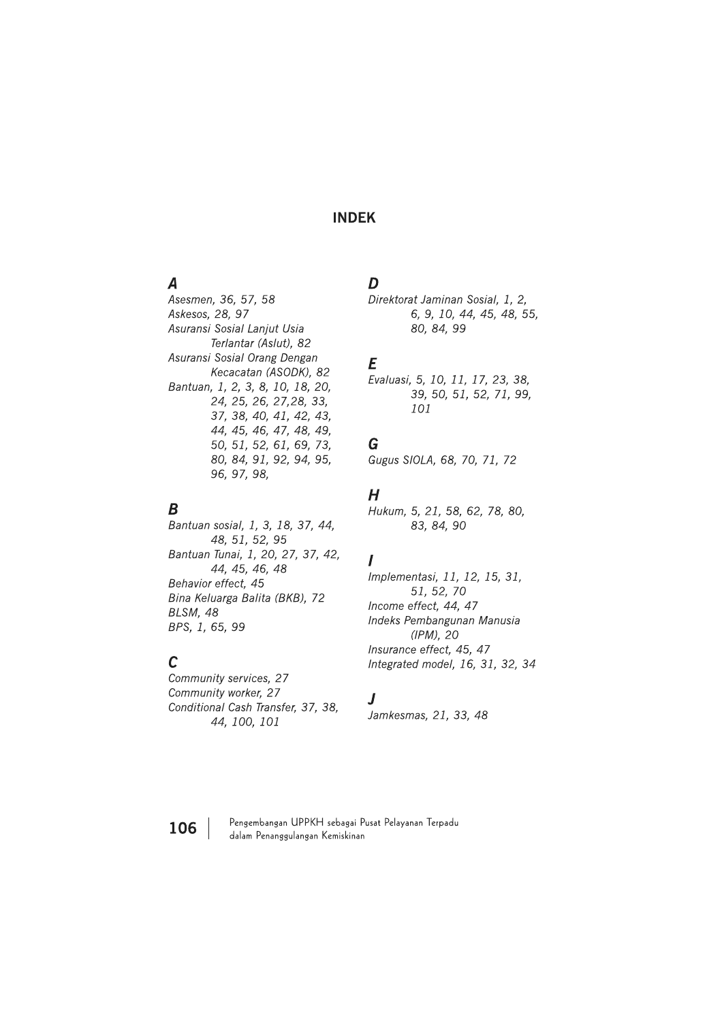### **INDEK**

### $\boldsymbol{A}$

Asesmen, 36, 57, 58 Askesos, 28, 97 Asuransi Sosial Lanjut Usia Terlantar (Aslut), 82 Asuransi Sosial Orang Dengan Kecacatan (ASODK), 82 Bantuan, 1, 2, 3, 8, 10, 18, 20, 24, 25, 26, 27, 28, 33, 37, 38, 40, 41, 42, 43, 44, 45, 46, 47, 48, 49, 50, 51, 52, 61, 69, 73, 80, 84, 91, 92, 94, 95, 96, 97, 98,

### $\boldsymbol{B}$

Bantuan sosial, 1, 3, 18, 37, 44, 48, 51, 52, 95 Bantuan Tunai, 1, 20, 27, 37, 42, 44, 45, 46, 48 Behavior effect, 45 Bina Keluarga Balita (BKB), 72 BLSM, 48 BPS, 1, 65, 99

### $\mathcal{C}$

Community services, 27 Community worker, 27 Conditional Cash Transfer, 37, 38, 44, 100, 101

### D

Direktorat Jaminan Sosial, 1, 2, 6, 9, 10, 44, 45, 48, 55, 80, 84, 99

### E

Evaluasi, 5, 10, 11, 17, 23, 38, 39, 50, 51, 52, 71, 99, 101

### G

Gugus SIOLA, 68, 70, 71, 72

### $H$

Hukum, 5, 21, 58, 62, 78, 80, 83, 84, 90

### $\prime$

Implementasi, 11, 12, 15, 31, 51, 52, 70 Income effect, 44, 47 Indeks Pembangunan Manusia  $(IPM)$ , 20 Insurance effect, 45, 47 Integrated model, 16, 31, 32, 34

### $\overline{\mathbf{J}}$

Jamkesmas, 21, 33, 48



Pengembangan UPPKH sebagai Pusat Pelayanan Terpadu dalam Penanggulangan Kemiskinan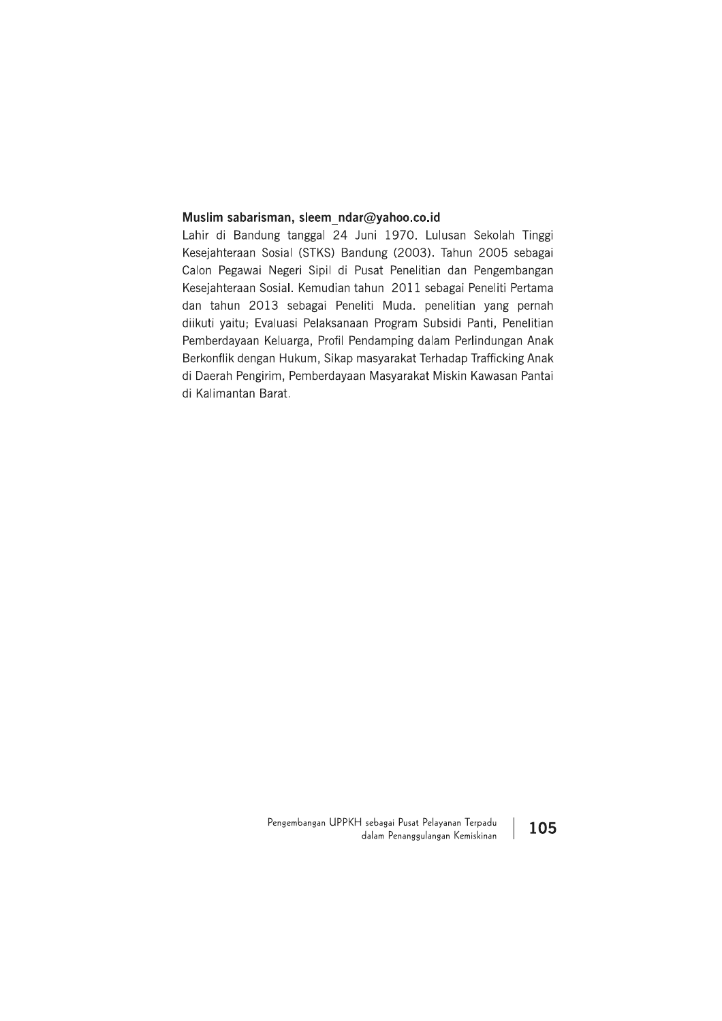**Muslim sabarisman, sleem\_ndar@yahoo.co.id**<br>Lahir di Bandung tanggal 24 Juni 1970. Lulusan Sekolah Tinggi<br>Kesejahteraan Sosial (STKS) Bandung (2003). Tahun 2005 sebagai<br>Calon Pegawai Negeri Sipil di Pusat Penelitian dan Pe Berkonflik dengan Hukum, Sikap masyarakat Terhadap Trafficking Anak di Daerah Pengirim, Pemberdayaan Masyarakat Miskin Kawasan Pantai di Kalimantan Barat.

> Pengembangan UPPKH sebagai Pusat Pelayanan Terpadu  $\vert$  105 dalam Penanggulangan Kemiskinan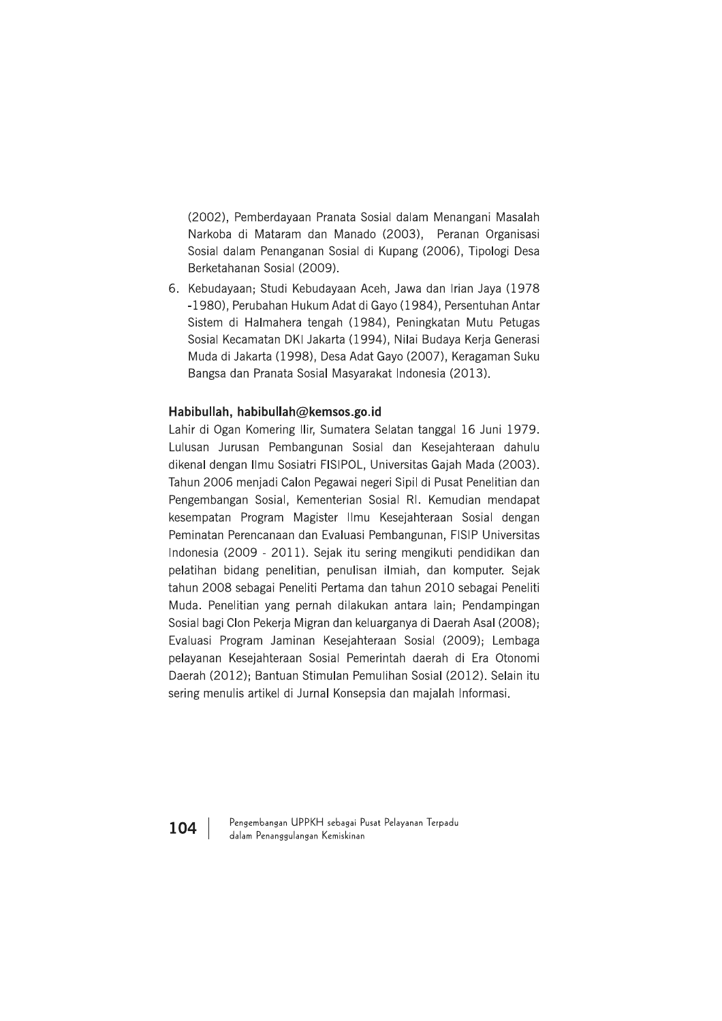(2002), Pemberdayaan Pranata Sosial dalam Menangani Masalah Narkoba di Mataram dan Manado (2003), Peranan Organisasi Sosial dalam Penanganan Sosial di Kupang (2006), Tipologi Desa Berketahanan Sosial (2009).

6. Kebudayaan; Studi Kebudayaan Aceh, Jawa dan Irian Jaya (1978) -1980), Perubahan Hukum Adat di Gayo (1984), Persentuhan Antar Sistem di Halmahera tengah (1984), Peningkatan Mutu Petugas Sosial Kecamatan DKI Jakarta (1994), Nilai Budaya Kerja Generasi Muda di Jakarta (1998), Desa Adat Gayo (2007), Keragaman Suku Bangsa dan Pranata Sosial Masyarakat Indonesia (2013).

### Habibullah, habibullah@kemsos.go.id

Lahir di Ogan Komering Ilir, Sumatera Selatan tanggal 16 Juni 1979. Lulusan Jurusan Pembangunan Sosial dan Kesejahteraan dahulu dikenal dengan Ilmu Sosiatri FISIPOL, Universitas Gajah Mada (2003). Tahun 2006 menjadi Calon Pegawai negeri Sipil di Pusat Penelitian dan Pengembangan Sosial, Kementerian Sosial RI. Kemudian mendapat kesempatan Program Magister Ilmu Kesejahteraan Sosial dengan Peminatan Perencanaan dan Evaluasi Pembangunan, FISIP Universitas Indonesia (2009 - 2011). Sejak itu sering mengikuti pendidikan dan pelatihan bidang penelitian, penulisan ilmiah, dan komputer. Sejak tahun 2008 sebagai Peneliti Pertama dan tahun 2010 sebagai Peneliti Muda, Penelitian yang pernah dilakukan antara lain; Pendampingan Sosial bagi Clon Pekerja Migran dan keluarganya di Daerah Asal (2008); Evaluasi Program Jaminan Kesejahteraan Sosial (2009); Lembaga pelayanan Kesejahteraan Sosial Pemerintah daerah di Era Otonomi Daerah (2012); Bantuan Stimulan Pemulihan Sosial (2012). Selain itu sering menulis artikel di Jurnal Konsepsia dan majalah Informasi.

104

Pengembangan UPPKH sebagai Pusat Pelayanan Terpadu dalam Penanggulangan Kemiskinan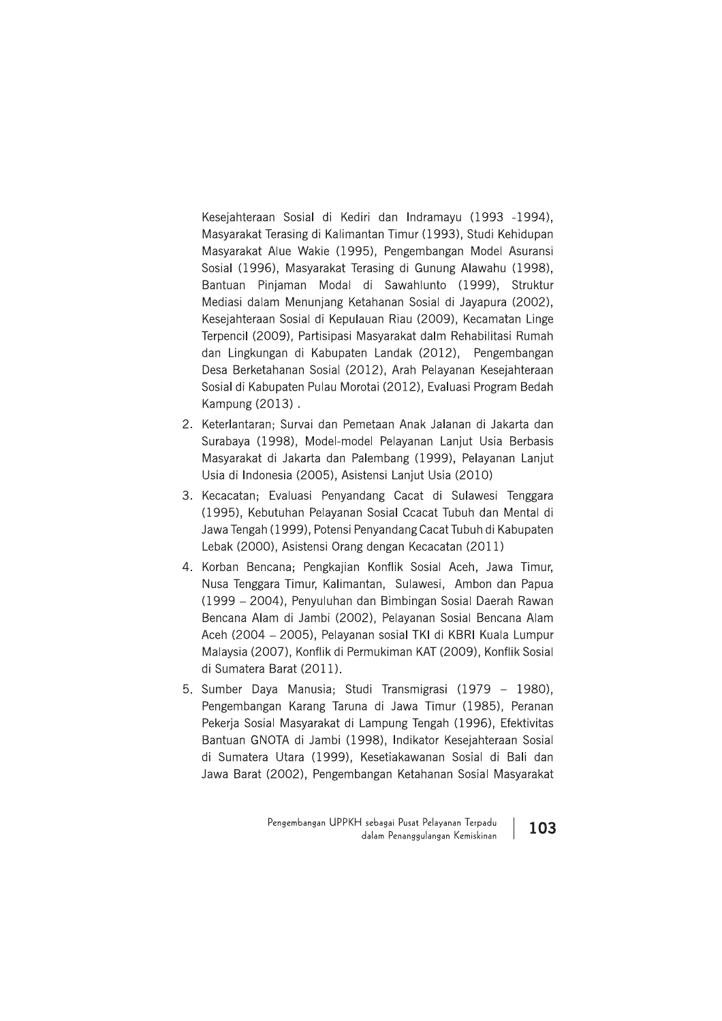Kesejahteraan Sosial di Kediri dan Indramayu (1993 -1994), Masyarakat Terasing di Kalimantan Timur (1993), Studi Kehidupan Masyarakat Alue Wakie (1995), Pengembangan Model Asuransi Sosial (1996), Masyarakat Terasing di Gunung Alawahu (1998), Bantuan Pinjaman Modal di Sawahlunto (1999), Struktur Mediasi dalam Menunjang Ketahanan Sosial di Jayapura (2002), Kesejahteraan Sosial di Kepulauan Riau (2009), Kecamatan Linge Terpencil (2009), Partisipasi Masyarakat dalm Rehabilitasi Rumah dan Lingkungan di Kabupaten Landak (2012), Pengembangan Desa Berketahanan Sosial (2012), Arah Pelayanan Kesejahteraan Sosial di Kabupaten Pulau Morotai (2012), Evaluasi Program Bedah Kampung (2013).

- 2. Keterlantaran; Survai dan Pemetaan Anak Jalanan di Jakarta dan Surabaya (1998), Model-model Pelayanan Lanjut Usia Berbasis Masyarakat di Jakarta dan Palembang (1999), Pelayanan Lanjut Usia di Indonesia (2005), Asistensi Lanjut Usia (2010)
- 3. Kecacatan; Evaluasi Penyandang Cacat di Sulawesi Tenggara (1995), Kebutuhan Pelayanan Sosial Ccacat Tubuh dan Mental di Jawa Tengah (1999), Potensi Penyandang Cacat Tubuh di Kabupaten Lebak (2000), Asistensi Orang dengan Kecacatan (2011)
- 4. Korban Bencana: Pengkajian Konflik Sosial Aceh, Jawa Timur, Nusa Tenggara Timur, Kalimantan, Sulawesi, Ambon dan Papua (1999 – 2004), Penyuluhan dan Bimbingan Sosial Daerah Rawan Bencana Alam di Jambi (2002), Pelayanan Sosial Bencana Alam Aceh (2004 – 2005), Pelayanan sosial TKI di KBRI Kuala Lumpur Malaysia (2007), Konflik di Permukiman KAT (2009), Konflik Sosial di Sumatera Barat (2011).
- 5. Sumber Daya Manusia; Studi Transmigrasi (1979 1980), Pengembangan Karang Taruna di Jawa Timur (1985), Peranan Pekerja Sosial Masyarakat di Lampung Tengah (1996), Efektivitas Bantuan GNOTA di Jambi (1998), Indikator Kesejahteraan Sosial di Sumatera Utara (1999), Kesetiakawanan Sosial di Bali dan Jawa Barat (2002), Pengembangan Ketahanan Sosial Masyarakat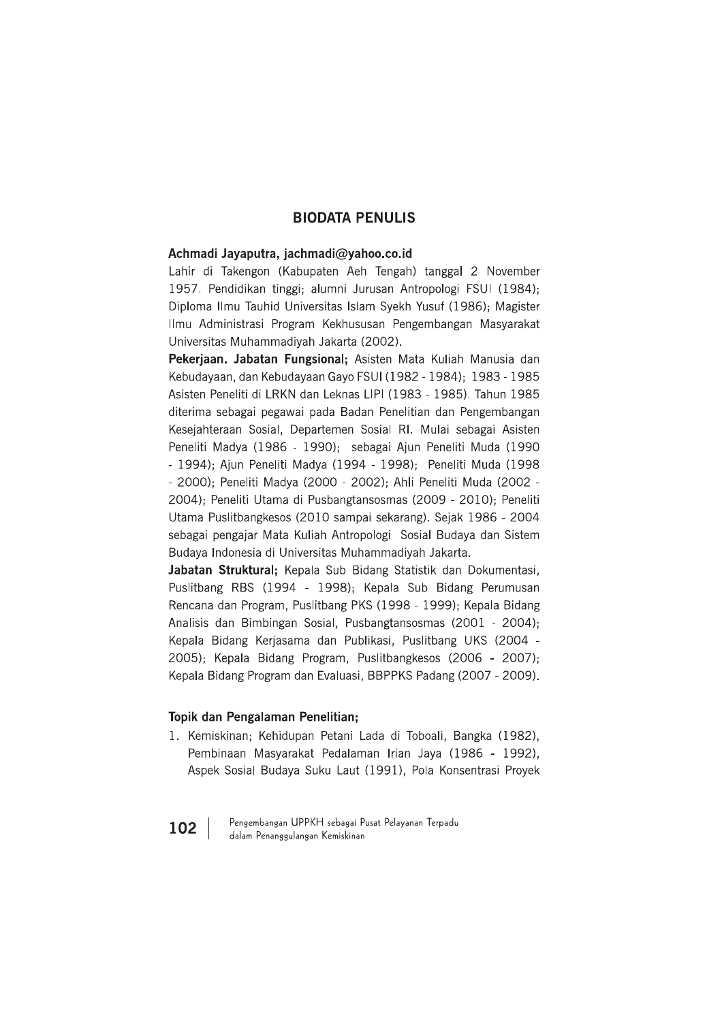### **BIODATA PENULIS**

### Achmadi Jayaputra, jachmadi@yahoo.co.id

Lahir di Takengon (Kabupaten Aeh Tengah) tanggal 2 November 1957. Pendidikan tinggi: alumni Jurusan Antropologi FSUI (1984): Diploma Ilmu Tauhid Universitas Islam Syekh Yusuf (1986); Magister Ilmu Administrasi Program Kekhususan Pengembangan Masyarakat Universitas Muhammadivah Jakarta (2002).

Pekerjaan. Jabatan Fungsional; Asisten Mata Kuliah Manusia dan Kebudayaan, dan Kebudayaan Gayo FSUI (1982 - 1984); 1983 - 1985 Asisten Peneliti di LRKN dan Leknas LIPI (1983 - 1985). Tahun 1985 diterima sebagai pegawai pada Badan Penelitian dan Pengembangan Kesejahteraan Sosial, Departemen Sosial RI. Mulai sebagai Asisten Peneliti Madya (1986 - 1990); sebagai Ajun Peneliti Muda (1990 - 1994); Ajun Peneliti Madya (1994 - 1998); Peneliti Muda (1998 - 2000); Peneliti Madya (2000 - 2002); Ahli Peneliti Muda (2002 -2004); Peneliti Utama di Pusbangtansosmas (2009 - 2010); Peneliti Utama Puslitbangkesos (2010 sampai sekarang). Sejak 1986 - 2004 sebagai pengajar Mata Kuliah Antropologi Sosial Budaya dan Sistem Budava Indonesia di Universitas Muhammadivah Jakarta.

Jabatan Struktural; Kepala Sub Bidang Statistik dan Dokumentasi, Puslitbang RBS (1994 - 1998); Kepala Sub Bidang Perumusan Rencana dan Program, Puslitbang PKS (1998 - 1999); Kepala Bidang Analisis dan Bimbingan Sosial, Pusbangtansosmas (2001 - 2004); Kepala Bidang Kerjasama dan Publikasi, Puslitbang UKS (2004 -2005); Kepala Bidang Program, Puslitbangkesos (2006 - 2007); Kepala Bidang Program dan Evaluasi, BBPPKS Padang (2007 - 2009).

### Topik dan Pengalaman Penelitian;

1. Kemiskinan; Kehidupan Petani Lada di Toboali, Bangka (1982), Pembinaan Masyarakat Pedalaman Irian Jaya (1986 - 1992), Aspek Sosial Budaya Suku Laut (1991), Pola Konsentrasi Proyek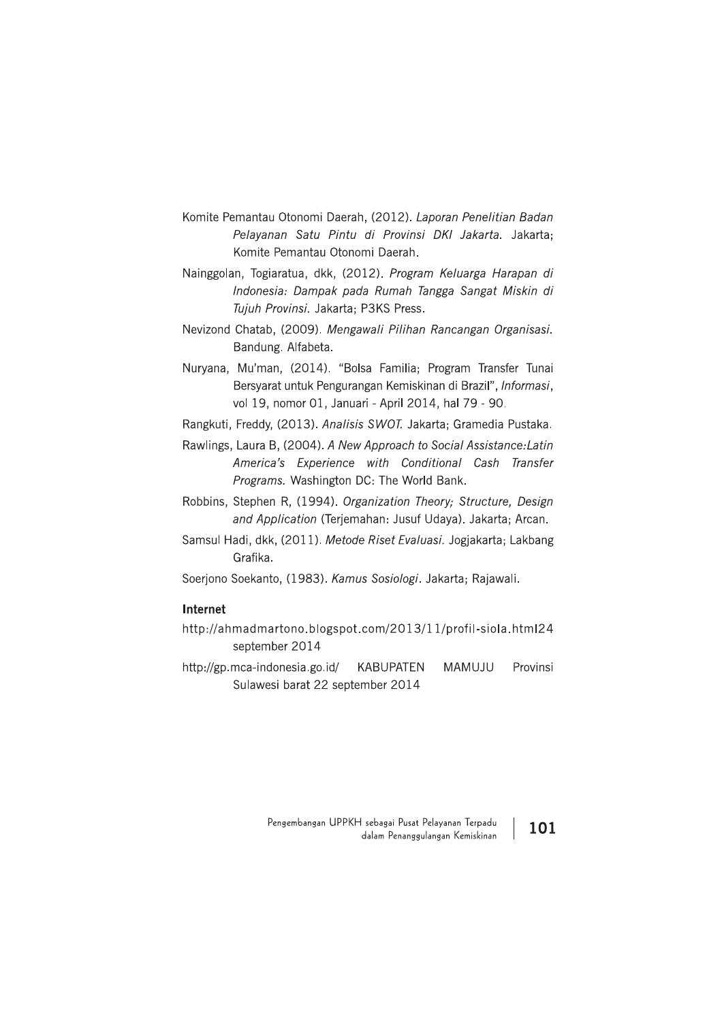- Komite Pemantau Otonomi Daerah, (2012). Laporan Penelitian Badan Pelavanan Satu Pintu di Provinsi DKI Jakarta. Jakarta: Komite Pemantau Otonomi Daerah.
- Nainggolan, Togiaratua, dkk, (2012). Program Keluarga Harapan di Indonesia: Dampak pada Rumah Tangga Sangat Miskin di Tujuh Provinsi. Jakarta; P3KS Press.
- Nevizond Chatab, (2009). Mengawali Pilihan Rancangan Organisasi. Bandung. Alfabeta.
- Nuryana, Mu'man, (2014). "Bolsa Familia; Program Transfer Tunai Bersyarat untuk Pengurangan Kemiskinan di Brazil", Informasi, vol 19, nomor 01, Januari - April 2014, hal 79 - 90.
- Rangkuti, Freddy, (2013). Analisis SWOT. Jakarta; Gramedia Pustaka.
- Rawlings, Laura B, (2004). A New Approach to Social Assistance: Latin America's Experience with Conditional Cash Transfer Programs. Washington DC: The World Bank.
- Robbins, Stephen R, (1994). Organization Theory; Structure, Design and Application (Terjemahan: Jusuf Udaya). Jakarta; Arcan.
- Samsul Hadi, dkk, (2011). Metode Riset Evaluasi. Jogjakarta; Lakbang Grafika.
- Soeriono Soekanto, (1983). Kamus Sosiologi. Jakarta; Rajawali.

### Internet

- http://ahmadmartono.blogspot.com/2013/11/profil-siola.html24 september 2014
- http://gp.mca-indonesia.go.id/ **KABUPATEN MAMUJU** Provinsi Sulawesi barat 22 september 2014

Pengembangan UPPKH sebagai Pusat Pelayanan Terpadu 101 dalam Penanggulangan Kemiskinan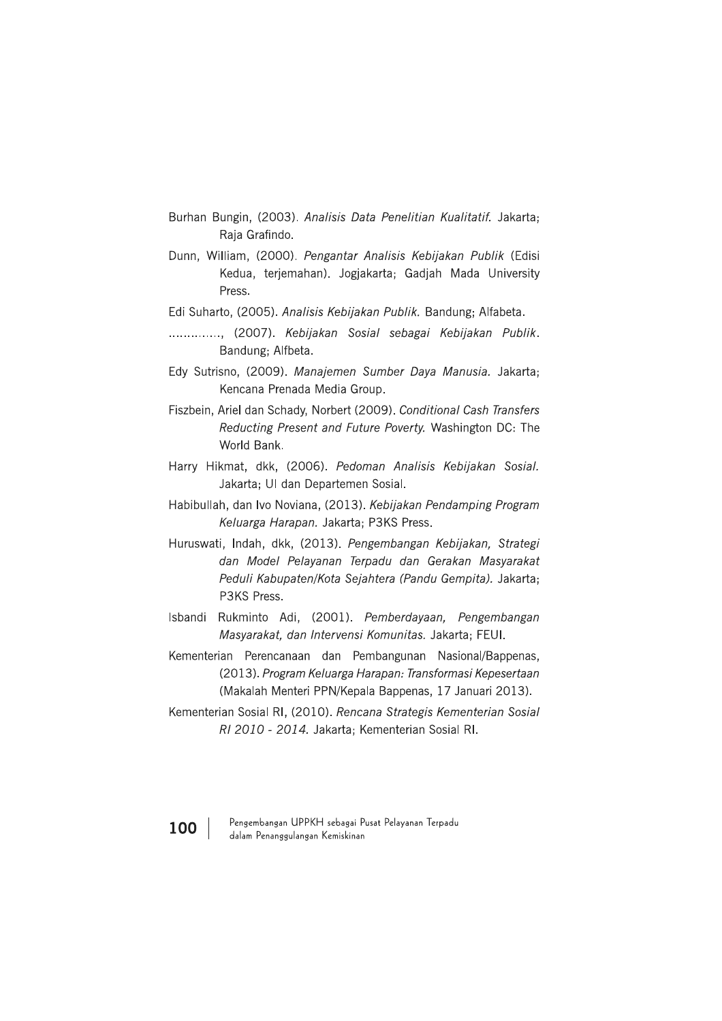- Burhan Bungin, (2003). Analisis Data Penelitian Kualitatif. Jakarta; Raja Grafindo.
- Dunn, William, (2000). Pengantar Analisis Kebijakan Publik (Edisi Kedua, terjemahan). Jogjakarta; Gadjah Mada University Press.
- Edi Suharto, (2005). Analisis Kebijakan Publik. Bandung; Alfabeta.
- ............., (2007). Kebijakan Sosial sebagai Kebijakan Publik. Bandung; Alfbeta.
- Edy Sutrisno, (2009). Manajemen Sumber Daya Manusia. Jakarta; Kencana Prenada Media Group.
- Fiszbein, Ariel dan Schady, Norbert (2009). Conditional Cash Transfers Reducting Present and Future Poverty. Washington DC: The World Bank.
- Harry Hikmat, dkk, (2006). Pedoman Analisis Kebijakan Sosial. Jakarta; UI dan Departemen Sosial.
- Habibullah, dan Ivo Noviana, (2013). Kebijakan Pendamping Program Keluarga Harapan. Jakarta; P3KS Press.
- Huruswati, Indah, dkk, (2013). Pengembangan Kebijakan, Strategi dan Model Pelayanan Terpadu dan Gerakan Masyarakat Peduli Kabupaten/Kota Sejahtera (Pandu Gempita). Jakarta; P3KS Press.
- Isbandi Rukminto Adi, (2001). Pemberdayaan, Pengembangan Masyarakat, dan Intervensi Komunitas. Jakarta; FEUI.
- Kementerian Perencanaan dan Pembangunan Nasional/Bappenas, (2013). Program Keluarga Harapan: Transformasi Kepesertaan (Makalah Menteri PPN/Kepala Bappenas, 17 Januari 2013).
- Kementerian Sosial RI, (2010). Rencana Strategis Kementerian Sosial RI 2010 - 2014. Jakarta; Kementerian Sosial RI.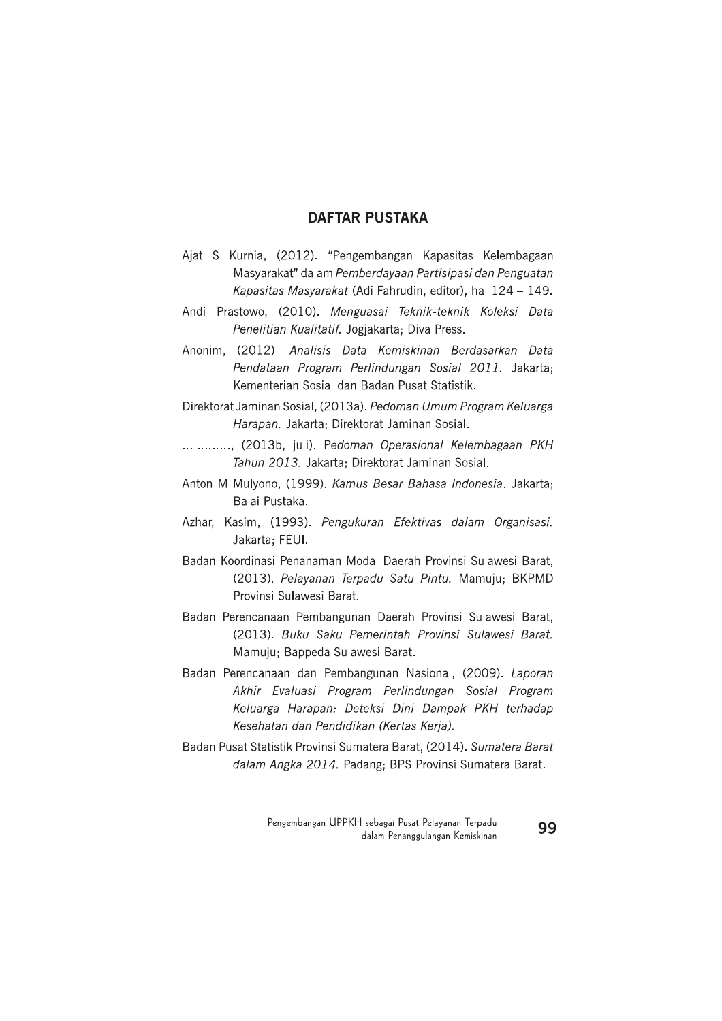### **DAFTAR PUSTAKA**

- Ajat S Kurnia, (2012). "Pengembangan Kapasitas Kelembagaan Masyarakat" dalam Pemberdayaan Partisipasi dan Penguatan Kapasitas Masyarakat (Adi Fahrudin, editor), hal 124 - 149.
- Andi Prastowo, (2010). Menguasai Teknik-teknik Koleksi Data Penelitian Kualitatif. Jogjakarta; Diva Press.
- Anonim, (2012). Analisis Data Kemiskinan Berdasarkan Data Pendataan Program Perlindungan Sosial 2011. Jakarta: Kementerian Sosial dan Badan Pusat Statistik.
- Direktorat Jaminan Sosial, (2013a). Pedoman Umum Program Keluarga Harapan. Jakarta; Direktorat Jaminan Sosial.
- .............. (2013b, juli). Pedoman Operasional Kelembagaan PKH Tahun 2013, Jakarta: Direktorat Jaminan Sosial.
- Anton M Mulyono, (1999). Kamus Besar Bahasa Indonesia. Jakarta; Balai Pustaka.
- Azhar, Kasim, (1993). Pengukuran Efektivas dalam Organisasi. Jakarta; FEUI.
- Badan Koordinasi Penanaman Modal Daerah Provinsi Sulawesi Barat, (2013). Pelayanan Terpadu Satu Pintu. Mamuju; BKPMD Provinsi Sulawesi Barat.
- Badan Perencanaan Pembangunan Daerah Provinsi Sulawesi Barat, (2013). Buku Saku Pemerintah Provinsi Sulawesi Barat. Mamuju; Bappeda Sulawesi Barat.
- Badan Perencanaan dan Pembangunan Nasional, (2009). Laporan Akhir Evaluasi Program Perlindungan Sosial Program Keluarga Harapan: Deteksi Dini Dampak PKH terhadap Kesehatan dan Pendidikan (Kertas Kerja).
- Badan Pusat Statistik Provinsi Sumatera Barat, (2014). Sumatera Barat dalam Angka 2014. Padang; BPS Provinsi Sumatera Barat.

Pengembangan UPPKH sebagai Pusat Pelayanan Terpadu dalam Penanggulangan Kemiskinan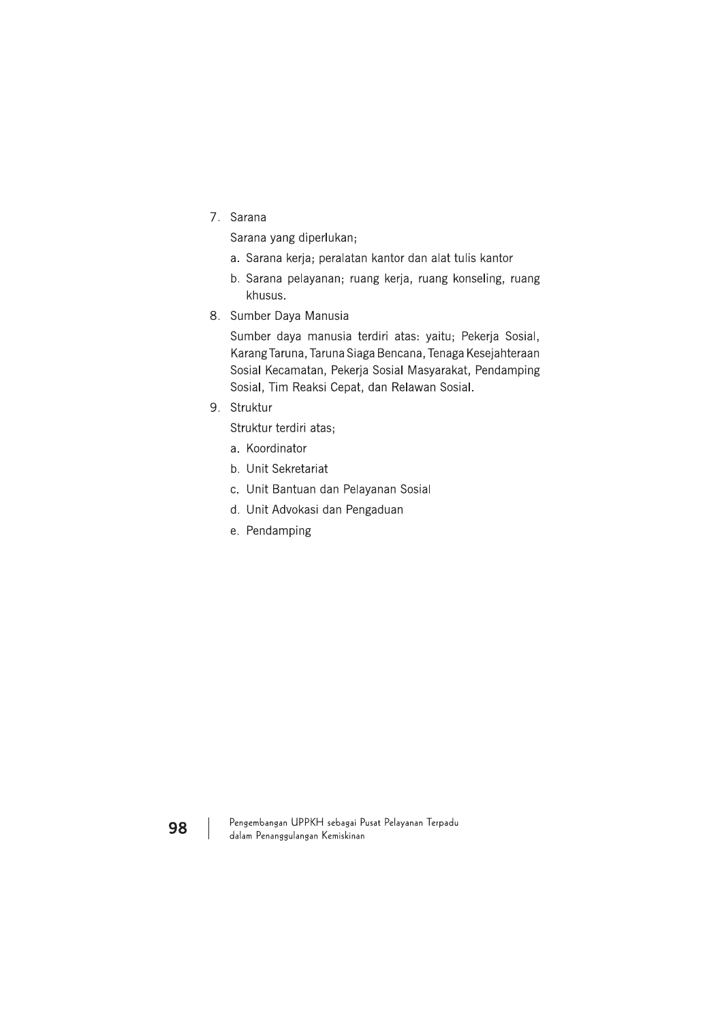7. Sarana

Sarana yang diperlukan;

- a. Sarana kerja; peralatan kantor dan alat tulis kantor
- b. Sarana pelayanan; ruang kerja, ruang konseling, ruang khusus.
- 8. Sumber Daya Manusia

Sumber daya manusia terdiri atas: yaitu; Pekerja Sosial, Karang Taruna, Taruna Siaga Bencana, Tenaga Kesejahteraan Sosial Kecamatan, Pekerja Sosial Masyarakat, Pendamping Sosial, Tim Reaksi Cepat, dan Relawan Sosial.

9. Struktur

Struktur terdiri atas;

- a. Koordinator
- b. Unit Sekretariat
- c. Unit Bantuan dan Pelayanan Sosial
- d. Unit Advokasi dan Pengaduan
- e. Pendamping

Pengembangan UPPKH sebagai Pusat Pelayanan Terpadu dalam Penanggulangan Kemiskinan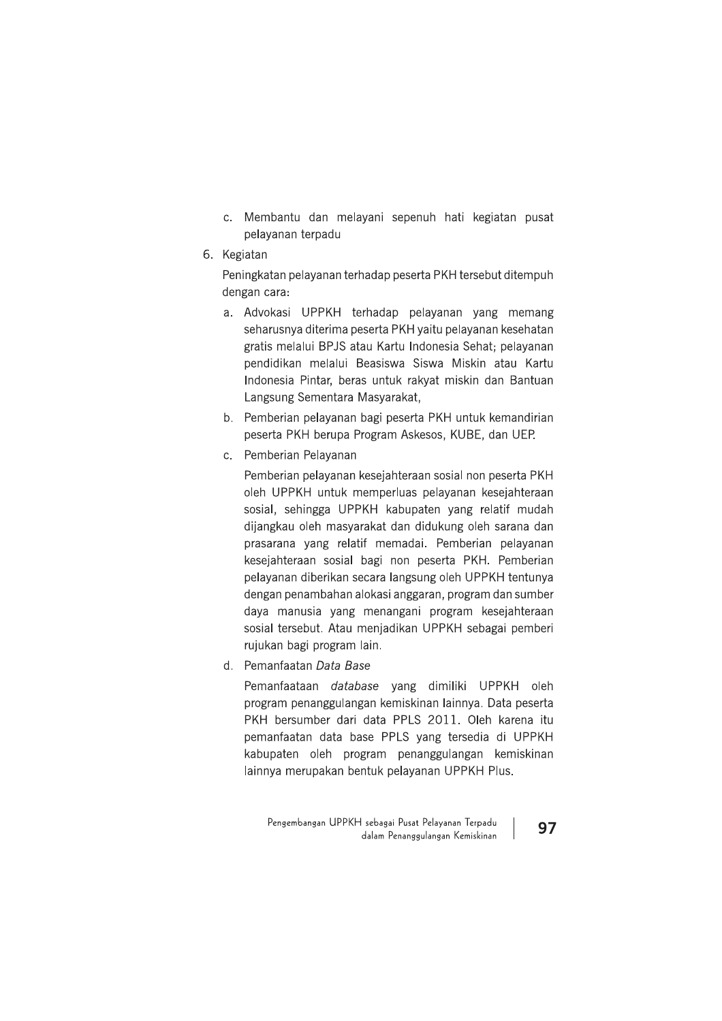- c. Membantu dan melayani sepenuh hati kegiatan pusat pelayanan terpadu
- 6. Kegiatan

Peningkatan pelayanan terhadap peserta PKH tersebut ditempuh dengan cara:

- a. Advokasi UPPKH terhadap pelayanan yang memang seharusnya diterima peserta PKH yaitu pelayanan kesehatan gratis melalui BPJS atau Kartu Indonesia Sehat; pelayanan pendidikan melalui Beasiswa Siswa Miskin atau Kartu Indonesia Pintar, beras untuk rakyat miskin dan Bantuan Langsung Sementara Masyarakat,
- b. Pemberian pelayanan bagi peserta PKH untuk kemandirian peserta PKH berupa Program Askesos, KUBE, dan UEP.
- c. Pemberian Pelayanan

Pemberian pelayanan kesejahteraan sosial non peserta PKH oleh UPPKH untuk memperluas pelayanan kesejahteraan sosial, sehingga UPPKH kabupaten yang relatif mudah dijangkau oleh masyarakat dan didukung oleh sarana dan prasarana yang relatif memadai. Pemberian pelayanan kesejahteraan sosial bagi non peserta PKH. Pemberian pelayanan diberikan secara langsung oleh UPPKH tentunya dengan penambahan alokasi anggaran, program dan sumber daya manusia yang menangani program kesejahteraan sosial tersebut. Atau menjadikan UPPKH sebagai pemberi rujukan bagi program lain.

d. Pemanfaatan Data Base

Pemanfaataan database yang dimiliki UPPKH oleh program penanggulangan kemiskinan lainnya. Data peserta PKH bersumber dari data PPLS 2011. Oleh karena itu pemanfaatan data base PPLS yang tersedia di UPPKH kabupaten oleh program penanggulangan kemiskinan lainnya merupakan bentuk pelayanan UPPKH Plus.

Pengembangan UPPKH sebagai Pusat Pelayanan Terpadu dalam Penanggulangan Kemiskinan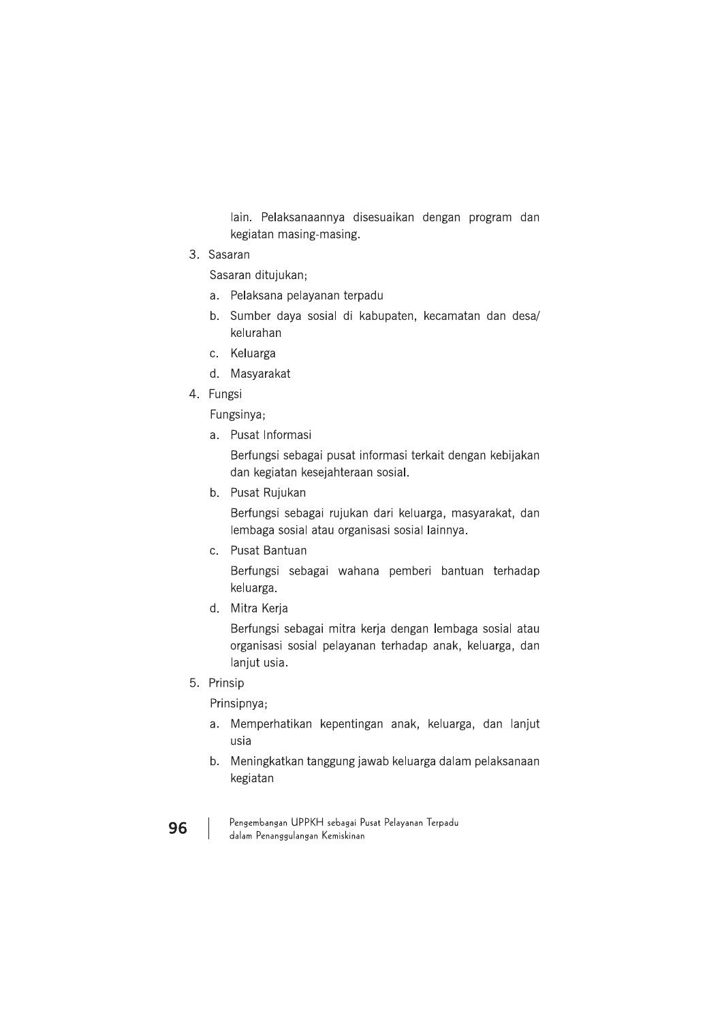lain. Pelaksanaannya disesuaikan dengan program dan kegiatan masing-masing.

3. Sasaran

Sasaran ditujukan;

- a. Pelaksana pelayanan terpadu
- b. Sumber daya sosial di kabupaten, kecamatan dan desa/ kelurahan
- c. Keluarga
- d. Masyarakat
- 4. Fungsi

Fungsinya;

a. Pusat Informasi

Berfungsi sebagai pusat informasi terkait dengan kebijakan dan kegiatan kesejahteraan sosial.

b. Pusat Rujukan

Berfungsi sebagai rujukan dari keluarga, masyarakat, dan lembaga sosial atau organisasi sosial lainnya.

c. Pusat Bantuan

Berfungsi sebagai wahana pemberi bantuan terhadap keluarga.

d. Mitra Kerja

Berfungsi sebagai mitra kerja dengan lembaga sosial atau organisasi sosial pelayanan terhadap anak, keluarga, dan lanjut usia.

5. Prinsip

Prinsipnya;

- a. Memperhatikan kepentingan anak, keluarga, dan lanjut usia
- b. Meningkatkan tanggung jawab keluarga dalam pelaksanaan kegiatan
- Pengembangan UPPKH sebagai Pusat Pelayanan Terpadu dalam Penanggulangan Kemiskinan
- 96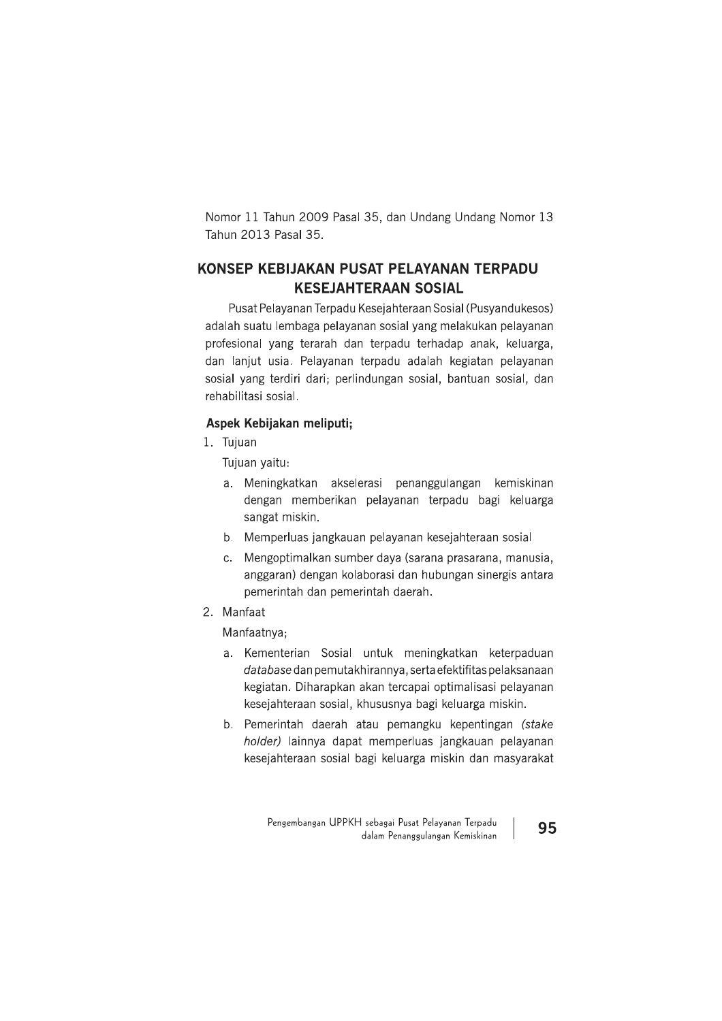Nomor 11 Tahun 2009 Pasal 35, dan Undang Undang Nomor 13 Tahun 2013 Pasal 35.

### KONSEP KEBIJAKAN PUSAT PELAYANAN TERPADU **KESEJAHTERAAN SOSIAL**

Pusat Pelayanan Terpadu Kesejahteraan Sosial (Pusyandukesos) adalah suatu lembaga pelayanan sosial yang melakukan pelayanan profesional vang terarah dan terpadu terhadap anak, keluarga, dan lanjut usia. Pelayanan terpadu adalah kegiatan pelayanan sosial yang terdiri dari; perlindungan sosial, bantuan sosial, dan rehabilitasi sosial.

### Aspek Kebijakan meliputi;

1. Tujuan

Tujuan yaitu:

- a. Meningkatkan akselerasi penanggulangan kemiskinan dengan memberikan pelayanan terpadu bagi keluarga sangat miskin.
- b. Memperluas jangkauan pelayanan kesejahteraan sosial
- c. Mengoptimalkan sumber daya (sarana prasarana, manusia, anggaran) dengan kolaborasi dan hubungan sinergis antara pemerintah dan pemerintah daerah.
- 2. Manfaat

Manfaatnya;

- a. Kementerian Sosial untuk meningkatkan keterpaduan database dan pemutakhirannya, serta efektifitas pelaksanaan kegiatan. Diharapkan akan tercapai optimalisasi pelayanan kesejahteraan sosial, khususnya bagi keluarga miskin.
- b. Pemerintah daerah atau pemangku kepentingan (stake holder) lainnya dapat memperluas jangkauan pelayanan kesejahteraan sosial bagi keluarga miskin dan masyarakat

Pengembangan UPPKH sebagai Pusat Pelayanan Terpadu dalam Penanggulangan Kemiskinan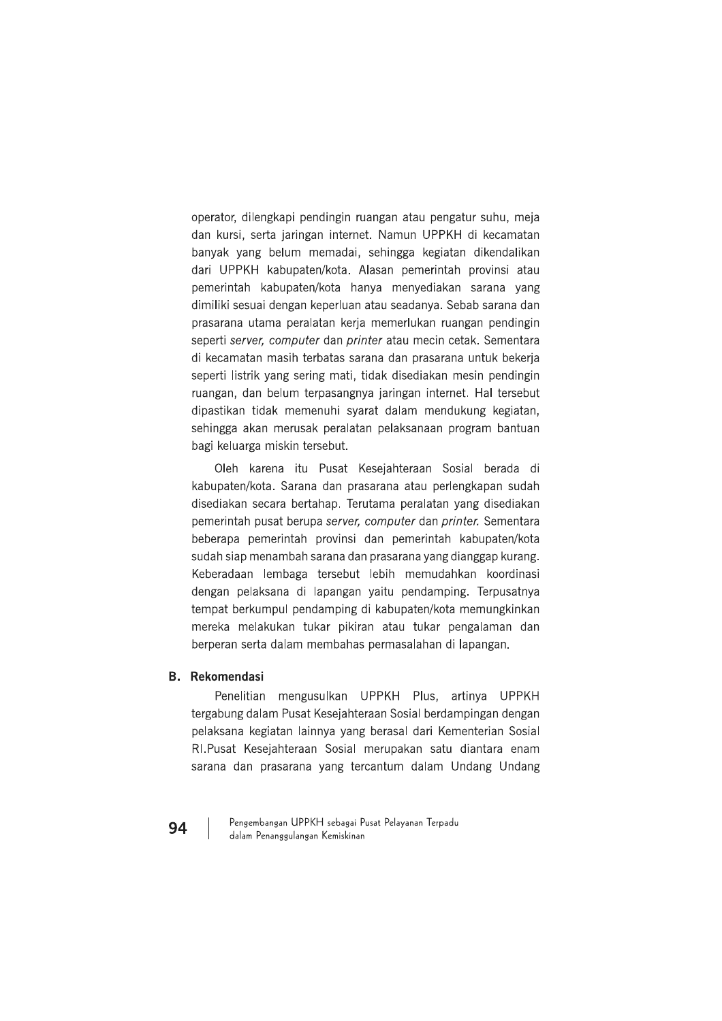operator, dilengkapi pendingin ruangan atau pengatur suhu, meja dan kursi, serta jaringan internet. Namun UPPKH di kecamatan banyak yang belum memadai, sehingga kegiatan dikendalikan dari UPPKH kabupaten/kota. Alasan pemerintah provinsi atau pemerintah kabupaten/kota hanya menyediakan sarana yang dimiliki sesuai dengan keperluan atau seadanya. Sebab sarana dan prasarana utama peralatan kerja memerlukan ruangan pendingin seperti server, computer dan printer atau mecin cetak. Sementara di kecamatan masih terbatas sarana dan prasarana untuk bekerja seperti listrik yang sering mati, tidak disediakan mesin pendingin ruangan, dan belum terpasangnya jaringan internet. Hal tersebut dipastikan tidak memenuhi syarat dalam mendukung kegiatan, sehingga akan merusak peralatan pelaksanaan program bantuan bagi keluarga miskin tersebut.

Oleh karena itu Pusat Kesejahteraan Sosial berada di kabupaten/kota. Sarana dan prasarana atau perlengkapan sudah disediakan secara bertahap. Terutama peralatan yang disediakan pemerintah pusat berupa server, computer dan printer. Sementara beberapa pemerintah provinsi dan pemerintah kabupaten/kota sudah siap menambah sarana dan prasarana yang dianggap kurang. Keberadaan lembaga tersebut lebih memudahkan koordinasi dengan pelaksana di lapangan yaitu pendamping. Terpusatnya tempat berkumpul pendamping di kabupaten/kota memungkinkan mereka melakukan tukar pikiran atau tukar pengalaman dan berperan serta dalam membahas permasalahan di lapangan.

### **B.** Rekomendasi

Penelitian mengusulkan UPPKH Plus, artinya UPPKH tergabung dalam Pusat Kesejahteraan Sosial berdampingan dengan pelaksana kegiatan lainnya yang berasal dari Kementerian Sosial RI.Pusat Kesejahteraan Sosial merupakan satu diantara enam sarana dan prasarana yang tercantum dalam Undang Undang

Pengembangan UPPKH sebagai Pusat Pelayanan Terpadu dalam Penanggulangan Kemiskinan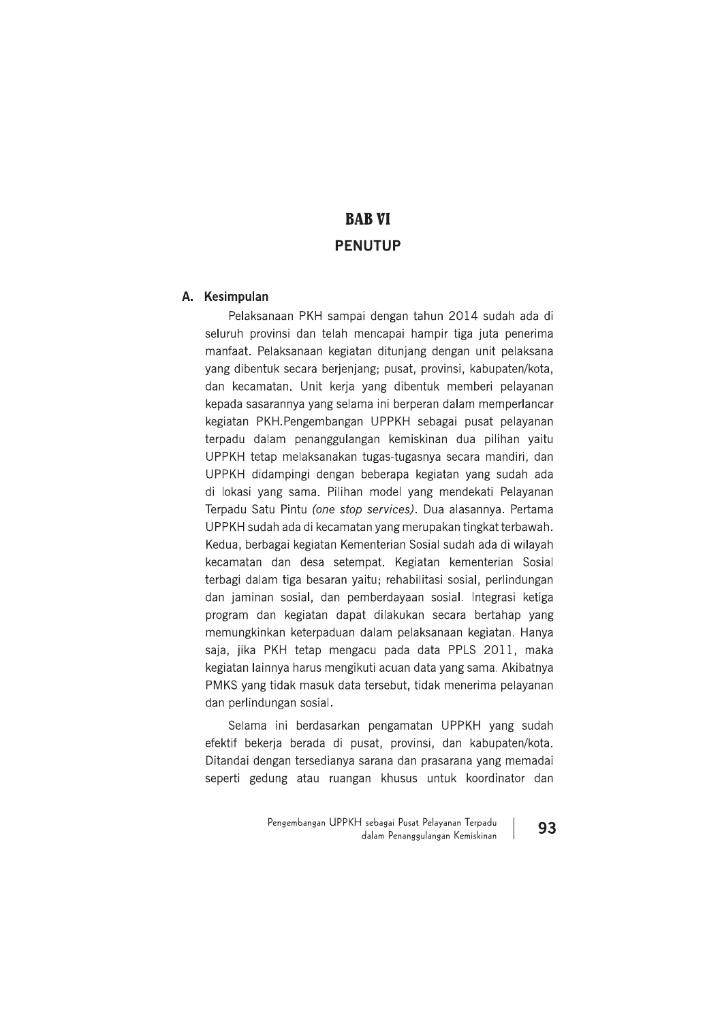# **BAB VI**

**BAB VI**<br>**PENUTUP**<br>**A. Kesimpulan**<br>Pelaksanaan PKH sampai dengan tahun 2014 sudah ada di<br>seluruh provinsi dan telah mencapai hampir tiga juta penerima<br>manfaat. Pelaksanaan kegiatan ditunjang dengan unit pelaksana<br>yang dibe terpadu dalam penanggulangan kemiskinan dua pilihan yaitu UPPKH tetap melaksanakan tugas-tugasnya secara mandiri, dan UPPKH didampingi dengan beberapa kegiatan yang sudah ada di lokasi yang sama. Pilihan model yang mendekati Pelayanan Terpadu Satu Pintu (one stop services). Dua alasannya. Pertama UPPKH sudah ada di kecamatan yang merupakan tingkat terbawah. Kedua, berbagai kegiatan Kementerian Sosial sudah ada di wilayah kecamatan dan desa setempat. Kegiatan kementerian Sosial terbagi dalam tiga besaran yaitu; rehabilitasi sosial, perlindungan dan jaminan sosial, dan pemberdayaan sosial. Integrasi ketiga program dan kegiatan dapat dilakukan secara bertahap yang memungkinkan keterpaduan dalam pelaksanaan kegiatan. Hanya saja, jika PKH tetap mengacu pada data PPLS 2011, maka kegiatan lainnya harus mengikuti acuan data yang sama. Akibatnya PMKS yang tidak masuk data tersebut, tidak menerima pelayanan dan perlindungan sosial.

> Selama ini berdasarkan pengamatan UPPKH yang sudah efektif bekerja berada di pusat, provinsi, dan kabupaten/kota. Ditandai dengan tersedianya sarana dan prasarana yang memadai seperti gedung atau ruangan khusus untuk koordinator dan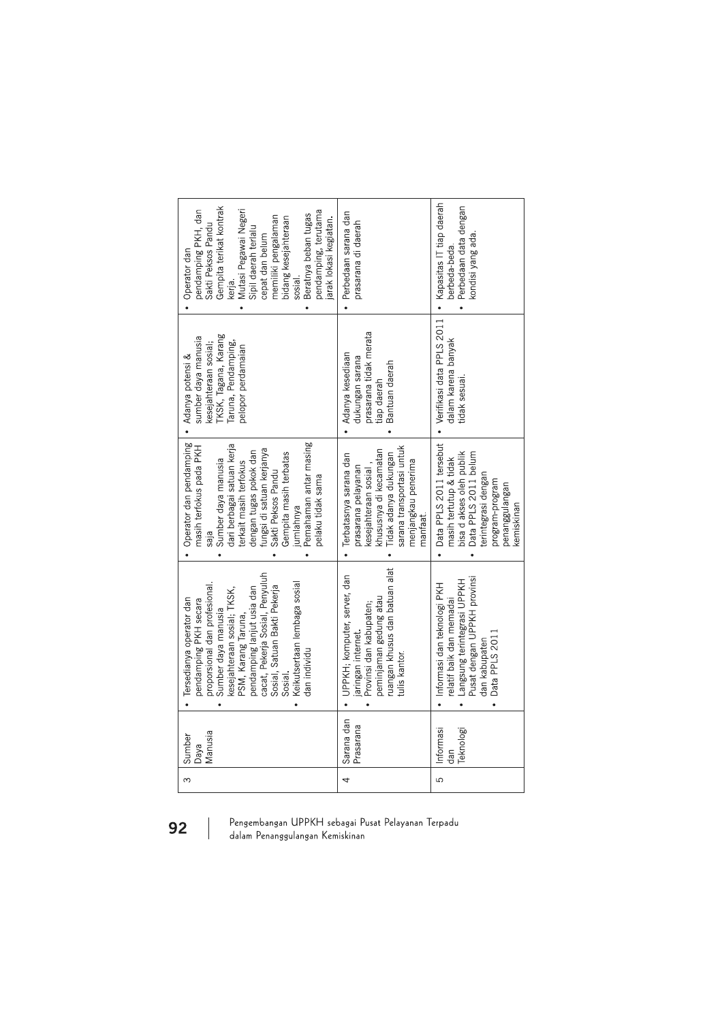| Gempita terikat kontrak<br>pendamping PKH, dan<br>Mutasi Pegawai Negeri<br>pendamping, terutama<br>Beratnya beban tugas<br>memiliki pengalaman<br>bidang kesejahteraan<br>jarak lokasi kegiatan.<br>Sakti Peksos Pandu<br>Sipil daerah terlalu<br>cepat dan belum<br>Operator dan<br>sosial.<br>kerja.                     | Perbedaan sarana dan<br>prasarana di daerah                                                                                                                                                | • Kapasitas IT tiap daerah<br>Perbedaan data dengan<br>kondisi yang ada<br>berbeda-beda.                                                                                        |
|----------------------------------------------------------------------------------------------------------------------------------------------------------------------------------------------------------------------------------------------------------------------------------------------------------------------------|--------------------------------------------------------------------------------------------------------------------------------------------------------------------------------------------|---------------------------------------------------------------------------------------------------------------------------------------------------------------------------------|
| <b>TKSK, Tagana, Karang</b><br>sumber daya manusia<br>kesejahteraan sosial;<br>Taruna, Pendamping,<br>pelopor perdamaian<br>Adanya potensi &                                                                                                                                                                               | prasarana tidak merata<br>Adanya kesediaan<br>dukungan sarana<br>Bantuan daerah<br>tiap daerah                                                                                             | • Verifikasi data PPLS 2011<br>dalam karena banyak<br>tidak sesuai.                                                                                                             |
| Operator dan pendamping<br>Pemahaman antar masing<br>dari berbagai satuan kerja<br>masih terfokus pada PKH<br>dengan tugas pokok dan<br>fungsi di satuan kerjanya<br>Gempita masih terbatas<br>Sumber daya manusia<br>terkait masih terfokus<br>Sakti Peksos Pandu<br>pelaku tidak sama<br>jumlahnya<br>saja               | sarana transportasi untuk<br>khususnya di kecamatan<br>idak adanya dukungan<br>· Terbatasnya sarana dan<br>menjangkau penerima<br>kesejahteraan sosial,<br>prasarana pelayanan<br>nanfaat. | Data PPLS 2011 tersebut<br>bisa d akses oleh publik<br>Data PPLS 2011 belum<br>masih tertutup & tidak<br>terintegrasi dengan<br>program-program<br>penanggulangan<br>kemiskinan |
| cacat, Pekerja Sosial, Penyuluh<br>Keikutsertaan lembaga sosial<br>proporsional dan profesional.<br>Sosial, Satuan Bakti Pekerja<br>pendamping lanjut usia dan<br>kesejahteraan sosial; TKSK,<br>Tersedianya operator dan<br>pendamping PKH secara<br>Sumber daya manusia<br>PSM, Karang Taruna,<br>dan individu<br>Sosial | ruangan khusus dan batuan alat<br>UPPKH; komputer, server, dan<br>peminjaman gedung atau<br>Provinsi dan kabupaten;<br>jaringan internet<br>tulis kantor.                                  | Pusat dengan UPPKH provinsi<br>Langsung terintegrasi UPPKH<br>· Informasi dan teknologi PKH<br>relatif baik dan memadai<br>Data PPLS 201<br>dan kabupaten                       |
| Manusia<br>Sumber<br>Daya                                                                                                                                                                                                                                                                                                  | Sarana dan<br>Prasarana                                                                                                                                                                    | Informasi<br>Teknologi<br>dan                                                                                                                                                   |
| ന                                                                                                                                                                                                                                                                                                                          | 4                                                                                                                                                                                          | 5                                                                                                                                                                               |

92

 $\overline{\phantom{a}}$ 

Pengembangan UPPKH sebagai Pusat Pelayanan Terpadu<br>dalam Penanggulangan Kemiskinan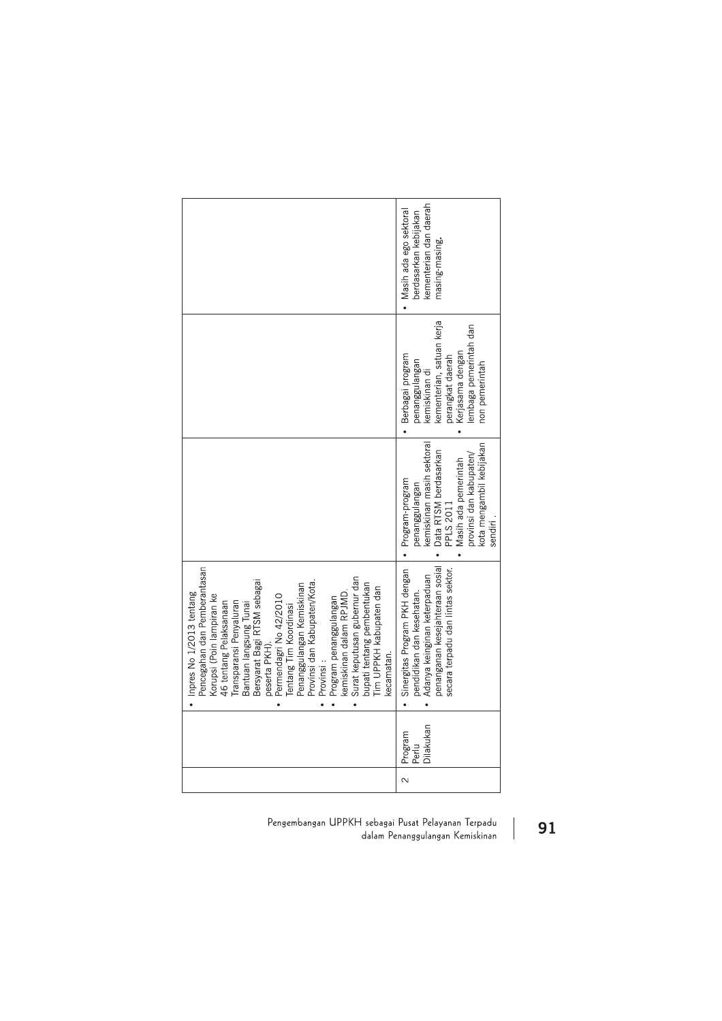|                                                                                                                                                                                                                                                                                                                                                                                                                                                                                                                             | kementerian dan daerah<br>Masih ada ego sektoral<br>berdasarkan kebijakan<br>masing-masing.                                                                                                      |
|-----------------------------------------------------------------------------------------------------------------------------------------------------------------------------------------------------------------------------------------------------------------------------------------------------------------------------------------------------------------------------------------------------------------------------------------------------------------------------------------------------------------------------|--------------------------------------------------------------------------------------------------------------------------------------------------------------------------------------------------|
|                                                                                                                                                                                                                                                                                                                                                                                                                                                                                                                             | kementerian, satuan kerja<br>embaga pemerintah dan<br>Kerjasama dengan<br>Berbagai program<br>perangkat daerah<br>penanggulangan<br>kemiskinan di<br>non pemerintah                              |
|                                                                                                                                                                                                                                                                                                                                                                                                                                                                                                                             | kemiskinan masih sektoral<br>kota mengambil kebijakan<br>Data RTSM berdasarkan<br>PPLS 2011<br>provinsi dan kabupaten/<br>Masih ada pemerintah<br>Program-program<br>negrianggulangan<br>sendiri |
| Pencegahan dan Pemberantasan<br>Surat keputusan gubernur dan<br>Bersyarat Bagi RTSM sebagai<br>Provinsi dan Kabupaten/Kota.<br>bupati tentang pembentukan<br>Penanggulangan Kemiskinan<br>Tim UPPKH kabupaten dan<br>kemiskinan dalam RPJMD.<br>Inpres No 1/2013 tentang<br>Permendagri No 42/2010<br>Korupsi (Poin lampiran ke<br>Program penanggulangan<br>46 tentang Pelaksanaan<br>Transparansi Penyaluran<br>Bantuan langsung Tunai<br>Tentang Tim Koordinasi<br>peserta PKH).<br>kecamatan.<br>Provinsi:<br>$\bullet$ | penanganan kesejahteraan sosial<br>Sinergitas Program PKH dengan<br>secara terpadu dan lintas sektor.<br>Adanya keinginan keterpaduan<br>pendidikan dan kesehatan.<br>$\bullet$                  |
|                                                                                                                                                                                                                                                                                                                                                                                                                                                                                                                             | Dilakukan<br>Program<br>Perlu<br>$\overline{\mathcal{C}}$                                                                                                                                        |

Pengembangan UPPKH sebagai Pusat Pelayanan Terpadu dalam Penanggulangan Kemiskinan

91

 $\begin{array}{c} \hline \end{array}$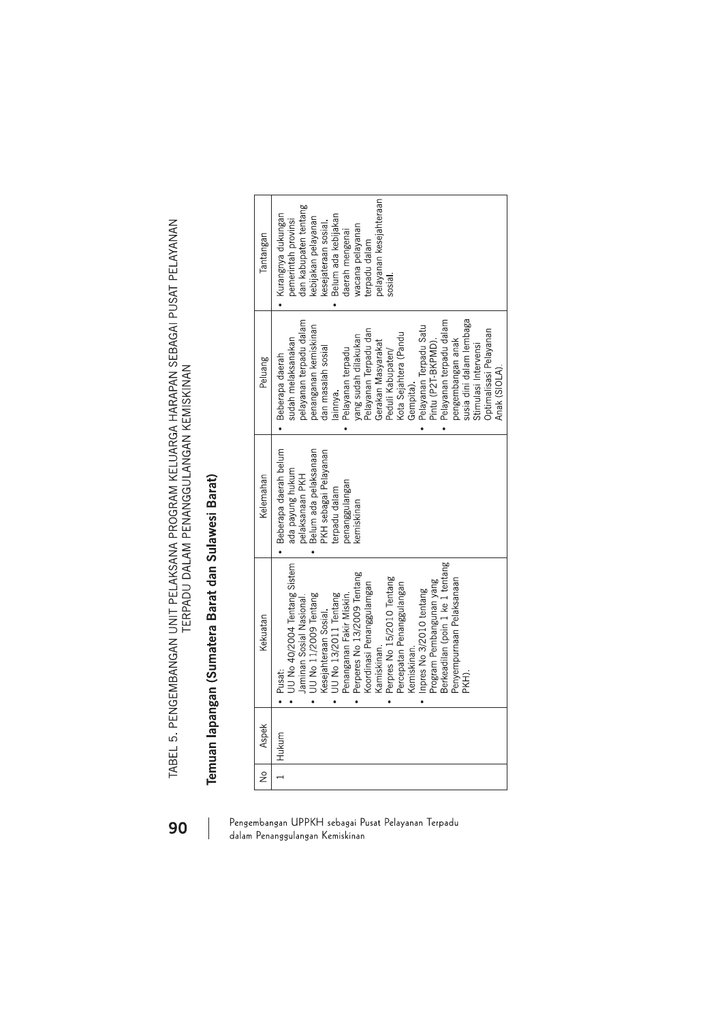TABEL 5. PENGEMBANGAN UNIT PELAKSANA PROGRAM KELUARGA HARAPAN SEBAGAI PUSAT PELAYANAN<br>TERPADU DALAM PENANGGULANGAN KEMISKINAN

# Temuan lapangan (Sumatera Barat dan Sulawesi Barat)

| $\frac{1}{2}$ | Aspek | Kekuatan                                                                                                                                                                                                                                                                                                                                                                                                                                                        | Kelemahan                                                                                                                                                      | Peluang                                                                                                                                                                                                                                                                                                                                                                                                                                                                          | Tantangan                                                                                                                                                                                                                                |
|---------------|-------|-----------------------------------------------------------------------------------------------------------------------------------------------------------------------------------------------------------------------------------------------------------------------------------------------------------------------------------------------------------------------------------------------------------------------------------------------------------------|----------------------------------------------------------------------------------------------------------------------------------------------------------------|----------------------------------------------------------------------------------------------------------------------------------------------------------------------------------------------------------------------------------------------------------------------------------------------------------------------------------------------------------------------------------------------------------------------------------------------------------------------------------|------------------------------------------------------------------------------------------------------------------------------------------------------------------------------------------------------------------------------------------|
|               | Hukum | Berkeadilan (poin 1 ke 1 tentang<br>UU No 40/2004 Tentang Sistem<br>Perperes No 13/2009 Tentang<br>Perpres No 15/2010 Tentang<br>Penyempurnaan Pelaksanaan<br>Program Pembangunan yang<br>Koordinasi Penanggulamgan<br>Percepatan Penanggulangan<br>Inpres No 3/2010 tentang<br>Penanganan Fakir Miskin.<br>UU No 13/2011 Tentang<br>UU No 11/2009 Tentang<br>Jaminan Sosial Nasional.<br>Kesejahteraan Sosial.<br>Kemiskinan.<br>Kamiskinan.<br>Pusat:<br>ĶН). | Beberapa daerah belum<br>Belum ada pelaksanaan<br>PKH sebagai Pelayanan<br>ada payung hukum<br>pelaksanaan PKH<br>enanggulangan<br>rerpadu dalam<br>cemiskinan | susia dini dalam lembaga<br>pelayanan terpadu dalam<br>Pelayanan terpadu dalam<br>Pelayanan Terpadu Satu<br>penanganan kemiskinan<br>Pelayanan Terpadu dan<br>Optimalisasi Pelayanan<br>Kota Sejahtera (Pandu<br>yang sudah dilakukan<br>sudah melaksanakan<br>pengembangan anak<br>Gerakan Masyarakat<br>Pintu (P2T-BKPMD)<br>Stimulasi Intervensi<br>dan masalah sosial<br>Pelayanan terpadu<br>Peduli Kabupaten/<br>Beberapa daerah<br>Anak (SIOLA).<br>Gempita).<br>lainnya. | belayanan kesejahteraan<br>dan kabupaten tentang<br>Kurangnya dukungan<br>Belum ada kebijakan<br>kebijakan pelayanan<br>bemerintah provinsi<br>kesejateraan sosial.<br>wacana pelayanan<br>daerah mengenai<br>erpadu dalam<br>$s$ osial. |

### Pengembangan UPPKH sebagai Pusat Pelayanan Terpadu dalam Penanggulangan Kemiskinan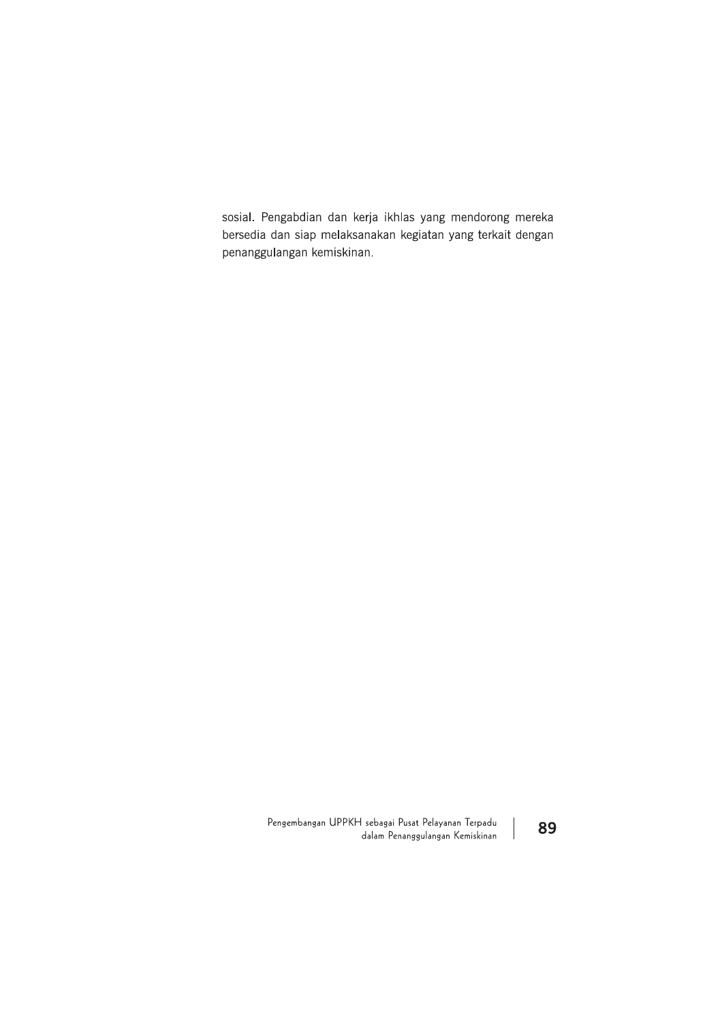sosial. Pengabdian dan kerja ikhlas yang mendorong mereka bersedia dan siap melaksanakan kegiatan yang terkait dengan penanggulangan kemiskinan.

> Pengembangan UPPKH sebagai Pusat Pelayanan Terpadu dalam Penanggulangan Kemiskinan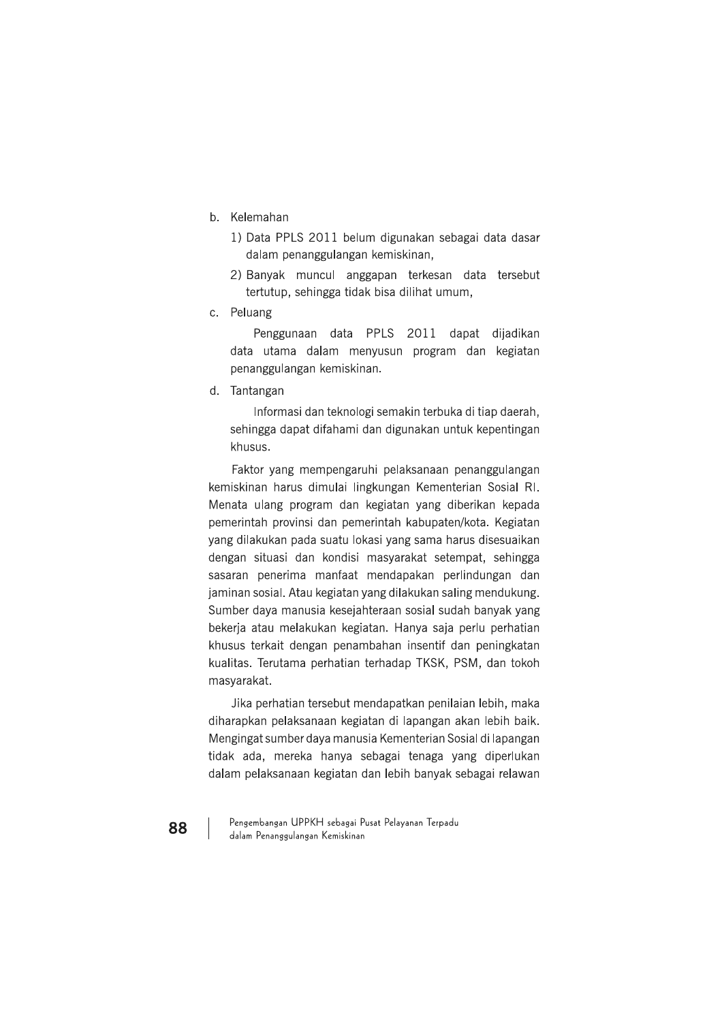- b. Kelemahan
	- 1) Data PPLS 2011 belum digunakan sebagai data dasar dalam penanggulangan kemiskinan,
	- 2) Banyak muncul anggapan terkesan data tersebut tertutup, sehingga tidak bisa dilihat umum,
- c. Peluang

Penggunaan data PPLS 2011 dapat dijadikan data utama dalam menyusun program dan kegiatan penanggulangan kemiskinan.

d. Tantangan

Informasi dan teknologi semakin terbuka di tiap daerah. sehingga dapat difahami dan digunakan untuk kepentingan khusus

Faktor yang mempengaruhi pelaksanaan penanggulangan kemiskinan harus dimulai lingkungan Kementerian Sosial RI. Menata ulang program dan kegiatan yang diberikan kepada pemerintah provinsi dan pemerintah kabupaten/kota. Kegiatan yang dilakukan pada suatu lokasi yang sama harus disesuaikan dengan situasi dan kondisi masyarakat setempat, sehingga sasaran penerima manfaat mendapakan perlindungan dan jaminan sosial. Atau kegiatan yang dilakukan saling mendukung. Sumber daya manusia kesejahteraan sosial sudah banyak yang bekerja atau melakukan kegiatan. Hanya saja perlu perhatian khusus terkait dengan penambahan insentif dan peningkatan kualitas. Terutama perhatian terhadap TKSK, PSM, dan tokoh masyarakat.

Jika perhatian tersebut mendapatkan penilaian lebih, maka diharapkan pelaksanaan kegiatan di lapangan akan lebih baik. Mengingat sumber daya manusia Kementerian Sosial di lapangan tidak ada, mereka hanya sebagai tenaga yang diperlukan dalam pelaksanaan kegiatan dan lebih banyak sebagai relawan

Pengembangan UPPKH sebagai Pusat Pelayanan Terpadu dalam Penanggulangan Kemiskinan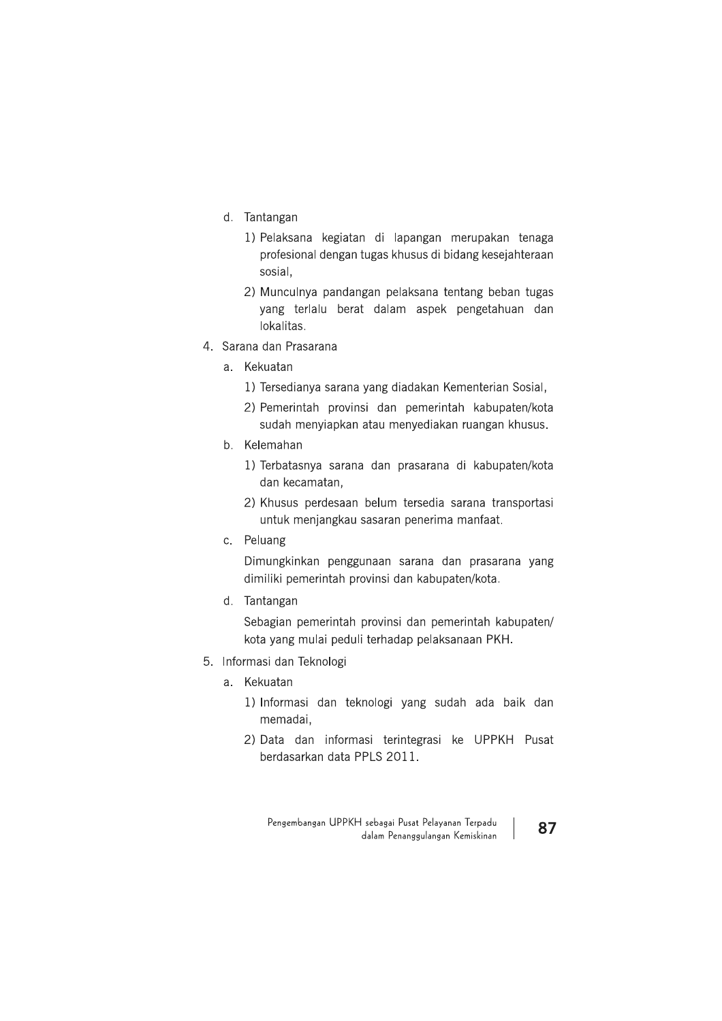- d. Tantangan
	- 1) Pelaksana kegiatan di lapangan merupakan tenaga profesional dengan tugas khusus di bidang kesejahteraan sosial,
	- 2) Munculnya pandangan pelaksana tentang beban tugas yang terlalu berat dalam aspek pengetahuan dan lokalitas.
- 4. Sarana dan Prasarana
	- a. Kekuatan
		- 1) Tersedianya sarana yang diadakan Kementerian Sosial,
		- 2) Pemerintah provinsi dan pemerintah kabupaten/kota sudah menyiapkan atau menyediakan ruangan khusus.
	- b. Kelemahan
		- 1) Terbatasnya sarana dan prasarana di kabupaten/kota dan kecamatan.
		- 2) Khusus perdesaan belum tersedia sarana transportasi untuk menjangkau sasaran penerima manfaat.
	- c. Peluang

Dimungkinkan penggunaan sarana dan prasarana yang dimiliki pemerintah provinsi dan kabupaten/kota.

d. Tantangan

Sebagian pemerintah provinsi dan pemerintah kabupaten/ kota yang mulai peduli terhadap pelaksanaan PKH.

- 5. Informasi dan Teknologi
	- a. Kekuatan
		- 1) Informasi dan teknologi yang sudah ada baik dan memadai.
		- 2) Data dan informasi terintegrasi ke UPPKH Pusat berdasarkan data PPLS 2011.

Pengembangan UPPKH sebagai Pusat Pelayanan Terpadu dalam Penanggulangan Kemiskinan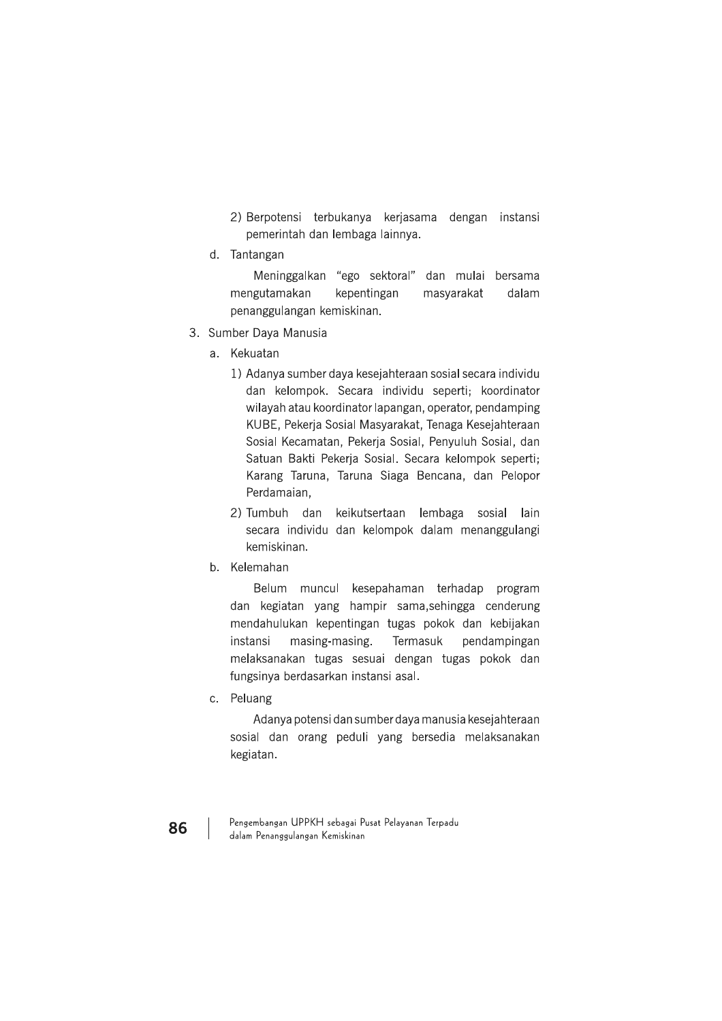- 2) Berpotensi terbukanya kerjasama dengan instansi pemerintah dan lembaga lainnya.
- d. Tantangan

Meninggalkan "ego sektoral" dan mulai bersama mengutamakan kepentingan masyarakat dalam penanggulangan kemiskinan.

- 3. Sumber Daya Manusia
	- a. Kekuatan
		- 1) Adanya sumber daya kesejahteraan sosial secara individu dan kelompok. Secara individu seperti; koordinator wilayah atau koordinator lapangan, operator, pendamping KUBE, Pekerja Sosial Masyarakat, Tenaga Kesejahteraan Sosial Kecamatan, Pekerja Sosial, Penyuluh Sosial, dan Satuan Bakti Pekerja Sosial. Secara kelompok seperti; Karang Taruna, Taruna Siaga Bencana, dan Pelopor Perdamaian,
		- 2) Tumbuh dan keikutsertaan lembaga sosial lain secara individu dan kelompok dalam menanggulangi kemiskinan.
	- b. Kelemahan

Belum muncul kesepahaman terhadap program dan kegiatan yang hampir sama, sehingga cenderung mendahulukan kepentingan tugas pokok dan kebijakan instansi masing-masing. Termasuk pendampingan melaksanakan tugas sesuai dengan tugas pokok dan fungsinya berdasarkan instansi asal.

c. Peluang

Adanya potensi dan sumber daya manusia kesejahteraan sosial dan orang peduli yang bersedia melaksanakan kegiatan.

Pengembangan UPPKH sebagai Pusat Pelayanan Terpadu dalam Penanggulangan Kemiskinan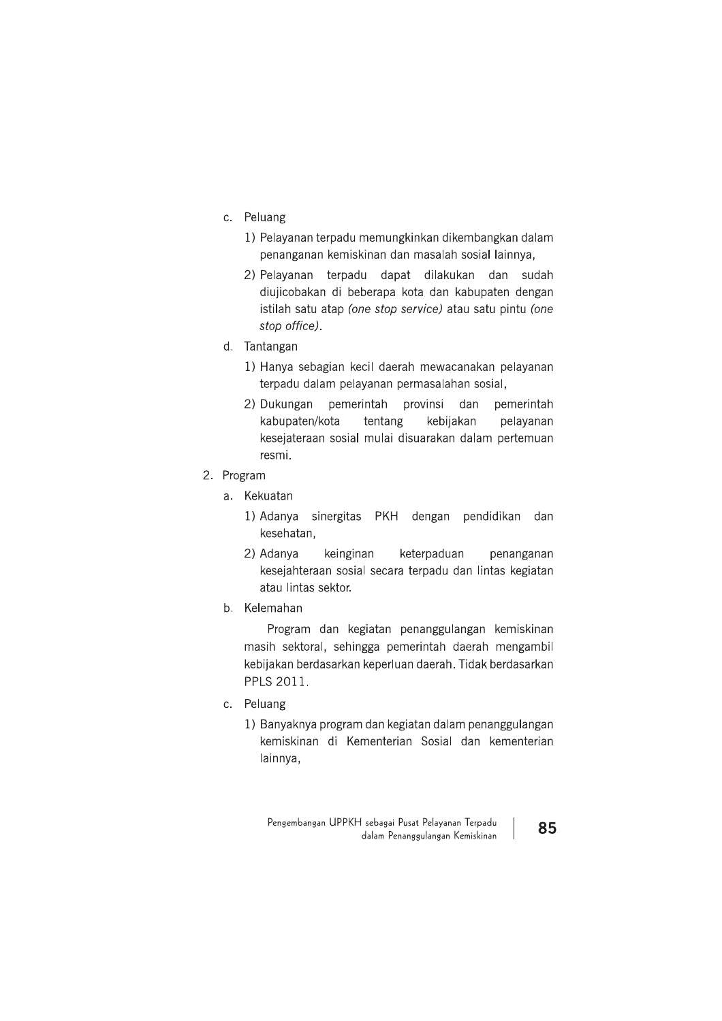- c. Peluang
	- 1) Pelayanan terpadu memungkinkan dikembangkan dalam penanganan kemiskinan dan masalah sosial lainnya,
	- 2) Pelayanan terpadu dapat dilakukan dan sudah diujicobakan di beberapa kota dan kabupaten dengan istilah satu atap (one stop service) atau satu pintu (one stop office).
- d. Tantangan
	- 1) Hanya sebagian kecil daerah mewacanakan pelayanan terpadu dalam pelayanan permasalahan sosial,
	- pemerintah provinsi dan 2) Dukungan pemerintah kabupaten/kota tentang kebijakan pelayanan kesejateraan sosial mulai disuarakan dalam pertemuan resmi.
- 2. Program
	- a. Kekuatan
		- 1) Adanya sinergitas PKH dengan pendidikan dan kesehatan,
		- 2) Adanva keterpaduan keinginan penanganan kesejahteraan sosial secara terpadu dan lintas kegiatan atau lintas sektor.
	- b. Kelemahan

Program dan kegiatan penanggulangan kemiskinan masih sektoral, sehingga pemerintah daerah mengambil kebijakan berdasarkan keperluan daerah. Tidak berdasarkan PPLS 2011.

- c. Peluang
	- 1) Banyaknya program dan kegiatan dalam penanggulangan kemiskinan di Kementerian Sosial dan kementerian lainnya,

Pengembangan UPPKH sebagai Pusat Pelayanan Terpadu dalam Penanggulangan Kemiskinan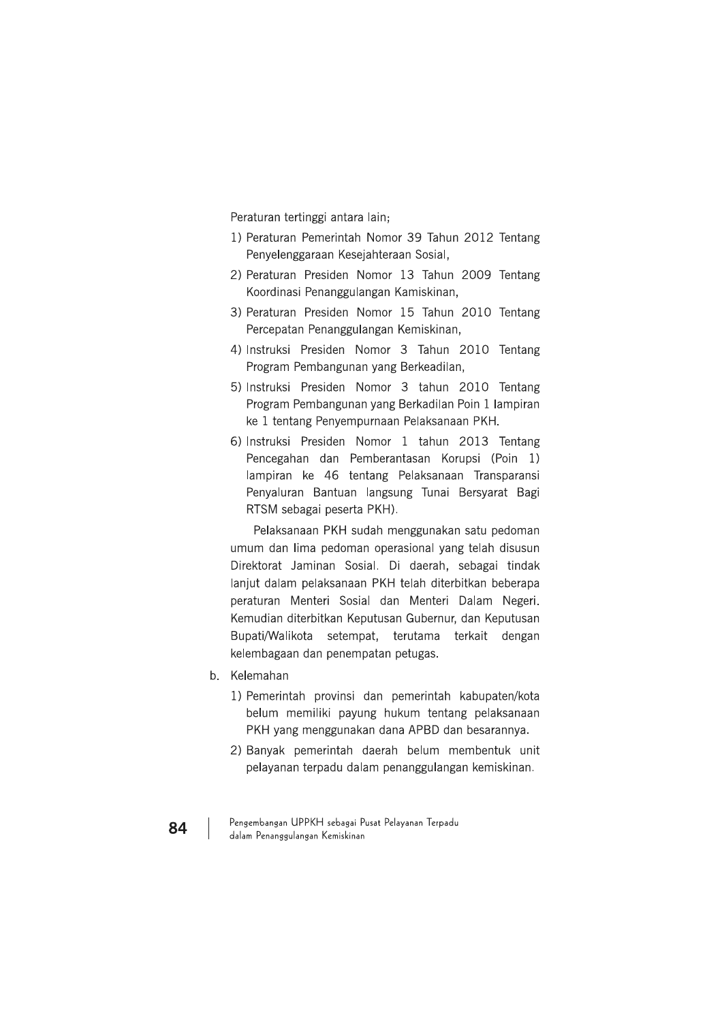Peraturan tertinggi antara lain;

- 1) Peraturan Pemerintah Nomor 39 Tahun 2012 Tentang Penyelenggaraan Kesejahteraan Sosial,
- 2) Peraturan Presiden Nomor 13 Tahun 2009 Tentang Koordinasi Penanggulangan Kamiskinan,
- 3) Peraturan Presiden Nomor 15 Tahun 2010 Tentang Percepatan Penanggulangan Kemiskinan,
- 4) Instruksi Presiden Nomor 3 Tahun 2010 Tentang Program Pembangunan yang Berkeadilan,
- 5) Instruksi Presiden Nomor 3 tahun 2010 Tentang Program Pembangunan yang Berkadilan Poin 1 lampiran ke 1 tentang Penyempurnaan Pelaksanaan PKH.
- 6) Instruksi Presiden Nomor 1 tahun 2013 Tentang Pencegahan dan Pemberantasan Korupsi (Poin 1) lampiran ke 46 tentang Pelaksanaan Transparansi Penyaluran Bantuan langsung Tunai Bersyarat Bagi RTSM sebagai peserta PKH).

Pelaksanaan PKH sudah menggunakan satu pedoman umum dan lima pedoman operasional yang telah disusun Direktorat Jaminan Sosial. Di daerah, sebagai tindak lanjut dalam pelaksanaan PKH telah diterbitkan beberapa peraturan Menteri Sosial dan Menteri Dalam Negeri. Kemudian diterbitkan Keputusan Gubernur, dan Keputusan Bupati/Walikota setempat, terutama terkait dengan kelembagaan dan penempatan petugas.

- b. Kelemahan
	- 1) Pemerintah provinsi dan pemerintah kabupaten/kota belum memiliki payung hukum tentang pelaksanaan PKH yang menggunakan dana APBD dan besarannya.
	- 2) Banyak pemerintah daerah belum membentuk unit pelayanan terpadu dalam penanggulangan kemiskinan.

Pengembangan UPPKH sebagai Pusat Pelayanan Terpadu dalam Penanggulangan Kemiskinan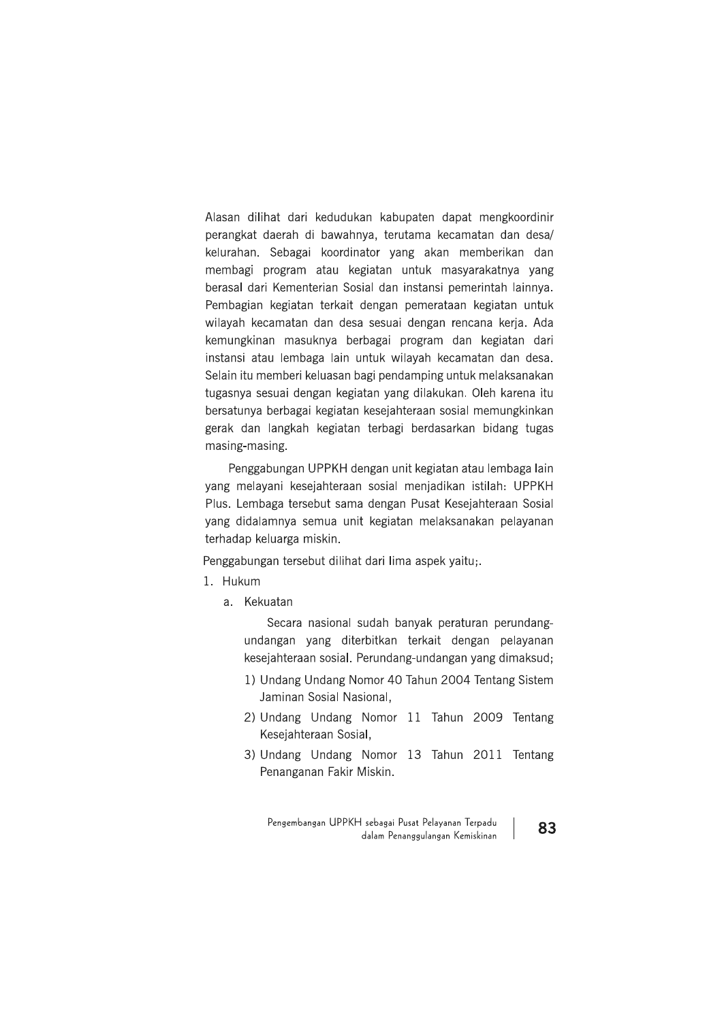Alasan dilihat dari kedudukan kabupaten dapat mengkoordinir perangkat daerah di bawahnya, terutama kecamatan dan desa/ kelurahan. Sebagai koordinator yang akan memberikan dan membagi program atau kegiatan untuk masyarakatnya yang berasal dari Kementerian Sosial dan instansi pemerintah lainnya. Pembagian kegiatan terkait dengan pemerataan kegiatan untuk wilayah kecamatan dan desa sesuai dengan rencana kerja. Ada kemungkinan masuknya berbagai program dan kegiatan dari instansi atau lembaga lain untuk wilayah kecamatan dan desa. Selain itu memberi keluasan bagi pendamping untuk melaksanakan tugasnya sesuai dengan kegiatan yang dilakukan. Oleh karena itu bersatunya berbagai kegiatan kesejahteraan sosial memungkinkan gerak dan langkah kegiatan terbagi berdasarkan bidang tugas masing-masing.

Penggabungan UPPKH dengan unit kegiatan atau lembaga lain vang melayani kesejahteraan sosial menjadikan istilah: UPPKH Plus. Lembaga tersebut sama dengan Pusat Kesejahteraan Sosial yang didalamnya semua unit kegiatan melaksanakan pelayanan terhadap keluarga miskin.

Penggabungan tersebut dilihat dari lima aspek yaitu;.

- 1. Hukum
	- a. Kekuatan

Secara nasional sudah banyak peraturan perundangundangan yang diterbitkan terkait dengan pelayanan kesejahteraan sosial. Perundang-undangan yang dimaksud;

- 1) Undang Undang Nomor 40 Tahun 2004 Tentang Sistem Jaminan Sosial Nasional,
- 2) Undang Undang Nomor 11 Tahun 2009 Tentang Kesejahteraan Sosial,
- 3) Undang Undang Nomor 13 Tahun 2011 Tentang Penanganan Fakir Miskin.

Pengembangan UPPKH sebagai Pusat Pelayanan Terpadu dalam Penanggulangan Kemiskinan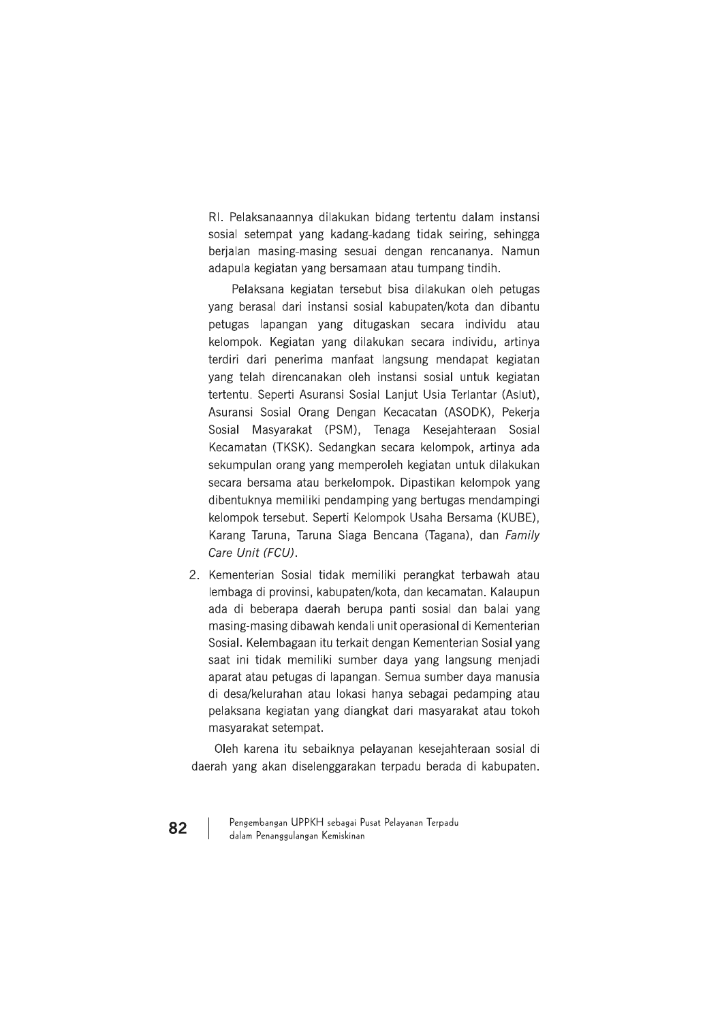RI. Pelaksanaannya dilakukan bidang tertentu dalam instansi sosial setempat yang kadang-kadang tidak seiring, sehingga berjalan masing-masing sesuai dengan rencananya. Namun adapula kegiatan yang bersamaan atau tumpang tindih.

Pelaksana kegiatan tersebut bisa dilakukan oleh petugas yang berasal dari instansi sosial kabupaten/kota dan dibantu petugas lapangan yang ditugaskan secara individu atau kelompok. Kegiatan yang dilakukan secara individu, artinya terdiri dari penerima manfaat langsung mendapat kegiatan yang telah direncanakan oleh instansi sosial untuk kegiatan tertentu. Seperti Asuransi Sosial Laniut Usia Terlantar (Aslut). Asuransi Sosial Orang Dengan Kecacatan (ASODK), Pekerja Sosial Masyarakat (PSM), Tenaga Kesejahteraan Sosial Kecamatan (TKSK). Sedangkan secara kelompok, artinya ada sekumpulan orang yang memperoleh kegiatan untuk dilakukan secara bersama atau berkelompok. Dipastikan kelompok yang dibentuknya memiliki pendamping yang bertugas mendampingi kelompok tersebut. Seperti Kelompok Usaha Bersama (KUBE), Karang Taruna, Taruna Siaga Bencana (Tagana), dan Family Care Unit (FCU).

2. Kementerian Sosial tidak memiliki perangkat terbawah atau Jembaga di provinsi, kabupaten/kota, dan kecamatan, Kalaupun ada di beberapa daerah berupa panti sosial dan balai yang masing-masing dibawah kendali unit operasional di Kementerian Sosial. Kelembagaan itu terkait dengan Kementerian Sosial yang saat ini tidak memiliki sumber daya yang langsung menjadi aparat atau petugas di lapangan. Semua sumber daya manusia di desa/kelurahan atau lokasi hanya sebagai pedamping atau pelaksana kegiatan yang diangkat dari masyarakat atau tokoh masyarakat setempat.

Oleh karena itu sebaiknya pelayanan kesejahteraan sosial di daerah yang akan diselenggarakan terpadu berada di kabupaten.

Pengembangan UPPKH sebagai Pusat Pelayanan Terpadu dalam Penanggulangan Kemiskinan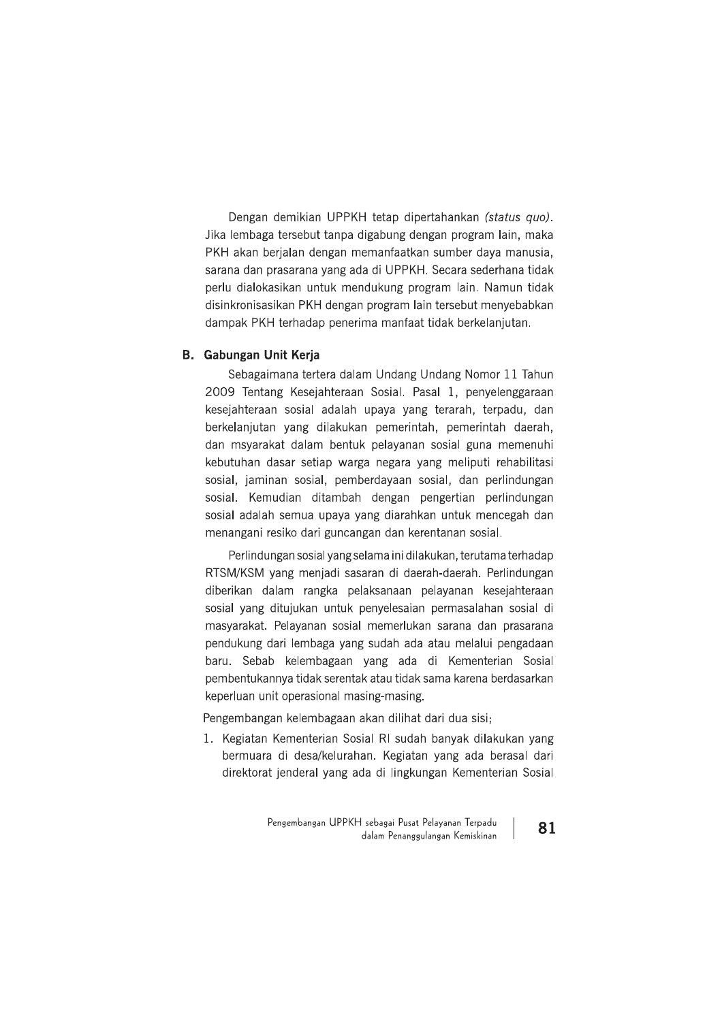Dengan demikian UPPKH tetap dipertahankan (status quo). Jika lembaga tersebut tanpa digabung dengan program lain, maka PKH akan berjalan dengan memanfaatkan sumber daya manusia, sarana dan prasarana yang ada di UPPKH. Secara sederhana tidak perlu dialokasikan untuk mendukung program lain. Namun tidak disinkronisasikan PKH dengan program lain tersebut menyebabkan dampak PKH terhadap penerima manfaat tidak berkelanjutan.

### **B.** Gabungan Unit Kerja

Sebagaimana tertera dalam Undang Undang Nomor 11 Tahun 2009 Tentang Kesejahteraan Sosial. Pasal 1, penyelenggaraan kesejahteraan sosial adalah upaya yang terarah, terpadu, dan berkelanjutan yang dilakukan pemerintah, pemerintah daerah, dan msyarakat dalam bentuk pelayanan sosial guna memenuhi kebutuhan dasar setiap warga negara yang meliputi rehabilitasi sosial, jaminan sosial, pemberdayaan sosial, dan perlindungan sosial. Kemudian ditambah dengan pengertian perlindungan sosial adalah semua upaya yang diarahkan untuk mencegah dan menangani resiko dari guncangan dan kerentanan sosial.

Perlindungan sosial yang selama ini dilakukan, terutama terhadap RTSM/KSM yang menjadi sasaran di daerah-daerah. Perlindungan diberikan dalam rangka pelaksanaan pelayanan kesejahteraan sosial yang ditujukan untuk penyelesaian permasalahan sosial di masyarakat. Pelayanan sosial memerlukan sarana dan prasarana pendukung dari lembaga yang sudah ada atau melalui pengadaan baru. Sebab kelembagaan yang ada di Kementerian Sosial pembentukannya tidak serentak atau tidak sama karena berdasarkan keperluan unit operasional masing-masing.

Pengembangan kelembagaan akan dilihat dari dua sisi;

1. Kegiatan Kementerian Sosial RI sudah banyak dilakukan yang bermuara di desa/kelurahan. Kegiatan yang ada berasal dari direktorat jenderal yang ada di lingkungan Kementerian Sosial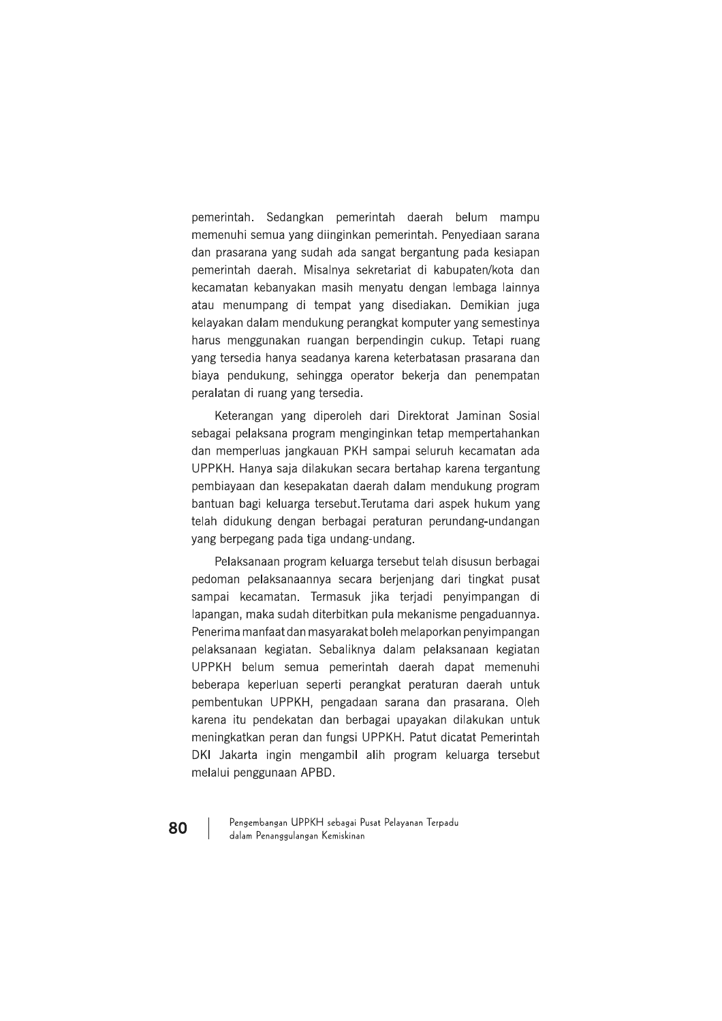pemerintah. Sedangkan pemerintah daerah belum mampu memenuhi semua yang diinginkan pemerintah. Penyediaan sarana dan prasarana yang sudah ada sangat bergantung pada kesiapan pemerintah daerah. Misalnya sekretariat di kabupaten/kota dan kecamatan kebanyakan masih menyatu dengan lembaga lainnya atau menumpang di tempat yang disediakan. Demikian juga kelayakan dalam mendukung perangkat komputer yang semestinya harus menggunakan ruangan berpendingin cukup. Tetapi ruang yang tersedia hanya seadanya karena keterbatasan prasarana dan biaya pendukung, sehingga operator bekerja dan penempatan peralatan di ruang yang tersedia.

Keterangan yang diperoleh dari Direktorat Jaminan Sosial sebagai pelaksana program menginginkan tetap mempertahankan dan memperluas jangkauan PKH sampai seluruh kecamatan ada UPPKH. Hanya saja dilakukan secara bertahap karena tergantung pembiayaan dan kesepakatan daerah dalam mendukung program bantuan bagi keluarga tersebut. Terutama dari aspek hukum yang telah didukung dengan berbagai peraturan perundang-undangan yang berpegang pada tiga undang-undang.

Pelaksanaan program keluarga tersebut telah disusun berbagai pedoman pelaksanaannya secara berieniang dari tingkat pusat sampai kecamatan. Termasuk jika terjadi penyimpangan di lapangan, maka sudah diterbitkan pula mekanisme pengaduannya. Penerima manfaat dan masyarakat boleh melaporkan penyimpangan pelaksanaan kegiatan. Sebaliknya dalam pelaksanaan kegiatan UPPKH belum semua pemerintah daerah dapat memenuhi beberapa keperluan seperti perangkat peraturan daerah untuk pembentukan UPPKH, pengadaan sarana dan prasarana. Oleh karena itu pendekatan dan berbagai upayakan dilakukan untuk meningkatkan peran dan fungsi UPPKH. Patut dicatat Pemerintah DKI Jakarta ingin mengambil alih program keluarga tersebut melalui penggunaan APBD.

Pengembangan UPPKH sebagai Pusat Pelayanan Terpadu dalam Penanggulangan Kemiskinan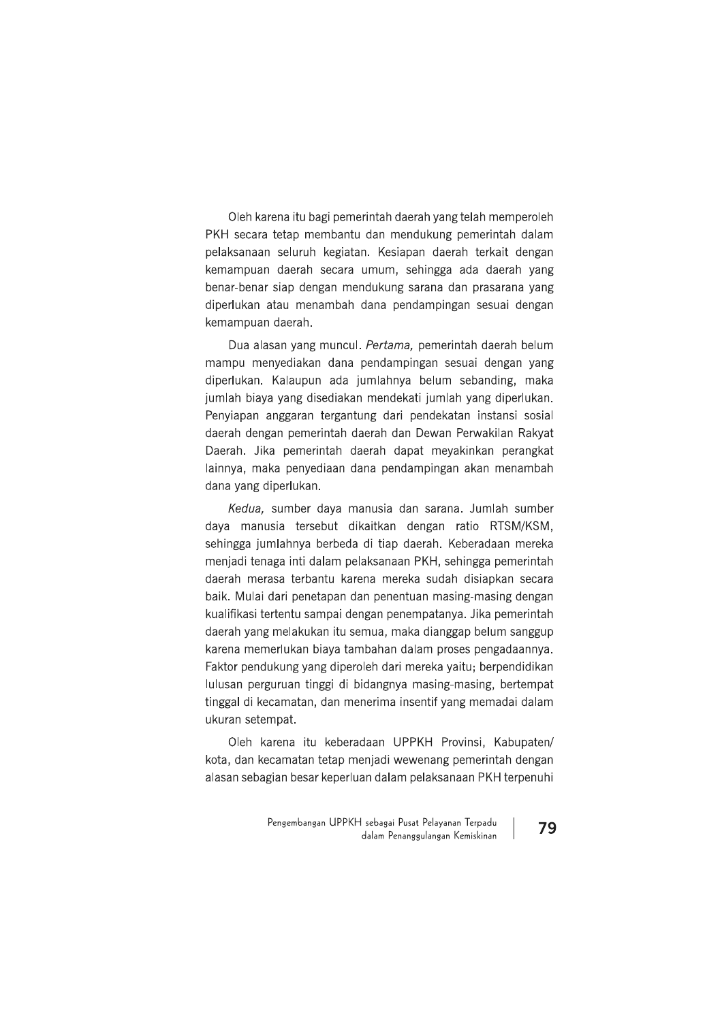Oleh karena itu bagi pemerintah daerah yang telah memperoleh PKH secara tetap membantu dan mendukung pemerintah dalam pelaksanaan seluruh kegiatan. Kesiapan daerah terkait dengan kemampuan daerah secara umum, sehingga ada daerah yang benar-benar siap dengan mendukung sarana dan prasarana yang diperlukan atau menambah dana pendampingan sesuai dengan kemampuan daerah.

Dua alasan yang muncul. Pertama, pemerintah daerah belum mampu menyediakan dana pendampingan sesuai dengan yang diperlukan. Kalaupun ada jumlahnya belum sebanding, maka jumlah biaya yang disediakan mendekati jumlah yang diperlukan. Penyiapan anggaran tergantung dari pendekatan instansi sosial daerah dengan pemerintah daerah dan Dewan Perwakilan Rakyat Daerah. Jika pemerintah daerah dapat meyakinkan perangkat lainnya, maka penyediaan dana pendampingan akan menambah dana yang diperlukan.

Kedua, sumber daya manusia dan sarana. Jumlah sumber daya manusia tersebut dikaitkan dengan ratio RTSM/KSM, sehingga jumlahnya berbeda di tiap daerah. Keberadaan mereka menjadi tenaga inti dalam pelaksanaan PKH, sehingga pemerintah daerah merasa terbantu karena mereka sudah disiapkan secara baik. Mulai dari penetapan dan penentuan masing-masing dengan kualifikasi tertentu sampai dengan penempatanya. Jika pemerintah daerah yang melakukan itu semua, maka dianggap belum sanggup karena memerlukan biaya tambahan dalam proses pengadaannya. Faktor pendukung yang diperoleh dari mereka yaitu; berpendidikan lulusan perguruan tinggi di bidangnya masing-masing, bertempat tinggal di kecamatan, dan menerima insentif yang memadai dalam ukuran setempat.

Oleh karena itu keberadaan UPPKH Provinsi, Kabupaten/ kota, dan kecamatan tetap menjadi wewenang pemerintah dengan alasan sebagian besar keperluan dalam pelaksanaan PKH terpenuhi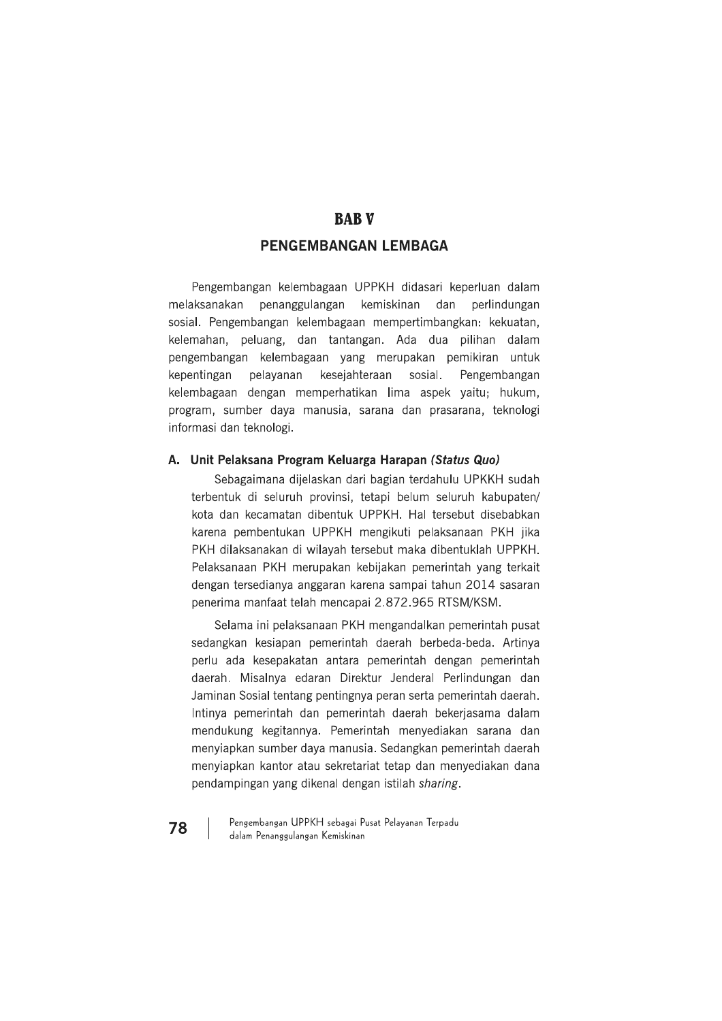# **BABV**

### PENGEMBANGAN LEMBAGA

Pengembangan kelembagaan UPPKH didasari keperluan dalam melaksanakan penanggulangan kemiskinan dan perlindungan sosial. Pengembangan kelembagaan mempertimbangkan: kekuatan, kelemahan, peluang, dan tantangan. Ada dua pilihan dalam pengembangan kelembagaan yang merupakan pemikiran untuk pelayanan kesejahteraan sosial. kepentingan Pengembangan kelembagaan dengan memperhatikan lima aspek yaitu; hukum, program, sumber daya manusia, sarana dan prasarana, teknologi informasi dan teknologi.

### A. Unit Pelaksana Program Keluarga Harapan (Status Quo)

Sebagaimana dijelaskan dari bagian terdahulu UPKKH sudah terbentuk di seluruh provinsi, tetapi belum seluruh kabupaten/ kota dan kecamatan dibentuk UPPKH. Hal tersebut disebabkan karena pembentukan UPPKH mengikuti pelaksanaan PKH jika PKH dilaksanakan di wilayah tersebut maka dibentuklah UPPKH. Pelaksanaan PKH merupakan kebijakan pemerintah yang terkait dengan tersedianya anggaran karena sampai tahun 2014 sasaran penerima manfaat telah mencapai 2.872.965 RTSM/KSM.

Selama ini pelaksanaan PKH mengandalkan pemerintah pusat sedangkan kesiapan pemerintah daerah berbeda-beda. Artinya perlu ada kesepakatan antara pemerintah dengan pemerintah daerah. Misalnya edaran Direktur Jenderal Perlindungan dan Jaminan Sosial tentang pentingnya peran serta pemerintah daerah. Intinya pemerintah dan pemerintah daerah bekerjasama dalam mendukung kegitannya. Pemerintah menyediakan sarana dan menyiapkan sumber daya manusia. Sedangkan pemerintah daerah menyiapkan kantor atau sekretariat tetap dan menyediakan dana pendampingan yang dikenal dengan istilah sharing.

Pengembangan UPPKH sebagai Pusat Pelayanan Terpadu dalam Penanggulangan Kemiskinan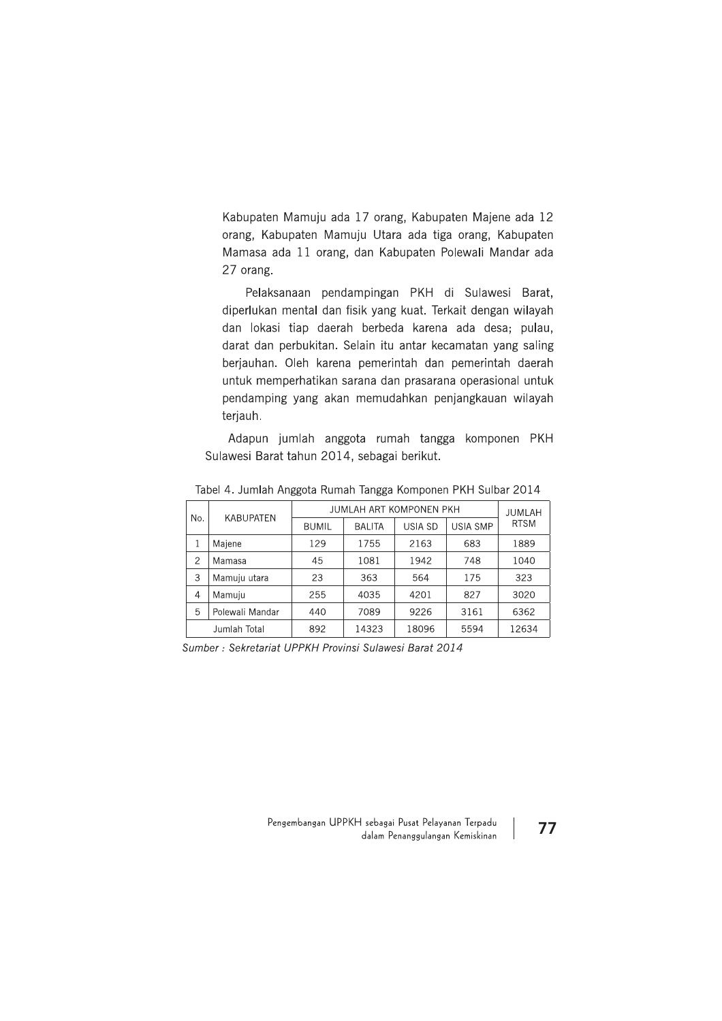Kabupaten Mamuju ada 17 orang, Kabupaten Majene ada 12 orang, Kabupaten Mamuju Utara ada tiga orang, Kabupaten Mamasa ada 11 orang, dan Kabupaten Polewali Mandar ada 27 orang.

Pelaksanaan pendampingan PKH di Sulawesi Barat, diperlukan mental dan fisik yang kuat. Terkait dengan wilayah dan lokasi tiap daerah berbeda karena ada desa; pulau, darat dan perbukitan. Selain itu antar kecamatan yang saling berjauhan. Oleh karena pemerintah dan pemerintah daerah untuk memperhatikan sarana dan prasarana operasional untuk pendamping yang akan memudahkan penjangkauan wilayah terjauh.

Adapun jumlah anggota rumah tangga komponen PKH Sulawesi Barat tahun 2014, sebagai berikut.

|                | <b>KABUPATEN</b><br>No. | JUMLAH ART KOMPONEN PKH |               |                | JUMLAH          |             |
|----------------|-------------------------|-------------------------|---------------|----------------|-----------------|-------------|
|                |                         | <b>BUMIL</b>            | <b>BALITA</b> | <b>USIA SD</b> | <b>USIA SMP</b> | <b>RTSM</b> |
|                | Majene                  | 129                     | 1755          | 2163           | 683             | 1889        |
| 2              | Mamasa                  | 45                      | 1081          | 1942           | 748             | 1040        |
| 3              | Mamuju utara            | 23                      | 363           | 564            | 175             | 323         |
| $\overline{4}$ | Mamuiu                  | 255                     | 4035          | 4201           | 827             | 3020        |
| 5              | Polewali Mandar         | 440                     | 7089          | 9226           | 3161            | 6362        |
|                | Jumlah Total            | 892                     | 14323         | 18096          | 5594            | 12634       |

Tabel 4. Jumlah Anggota Rumah Tangga Komponen PKH Sulbar 2014

Sumber: Sekretariat UPPKH Provinsi Sulawesi Barat 2014

Pengembangan UPPKH sebagai Pusat Pelayanan Terpadu dalam Penanggulangan Kemiskinan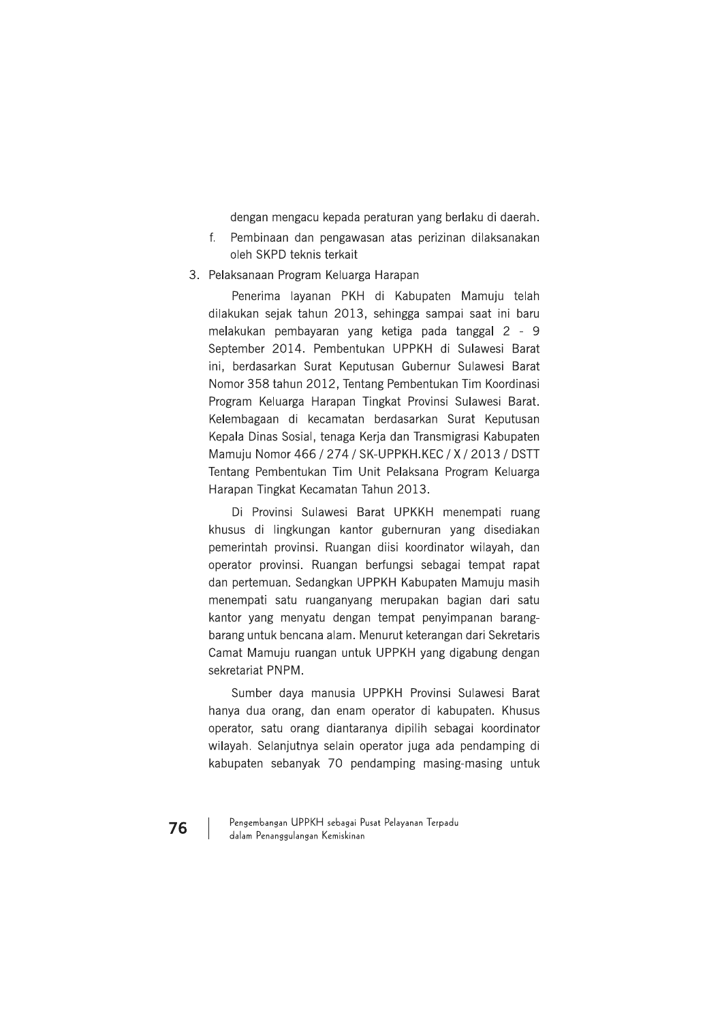dengan mengacu kepada peraturan yang berlaku di daerah.

- $f_{\cdot}$ Pembinaan dan pengawasan atas perizinan dilaksanakan oleh SKPD teknis terkait
- 3. Pelaksanaan Program Keluarga Harapan

Penerima layanan PKH di Kabupaten Mamuju telah dilakukan sejak tahun 2013, sehingga sampai saat ini baru melakukan pembayaran yang ketiga pada tanggal 2 - 9 September 2014. Pembentukan UPPKH di Sulawesi Barat ini, berdasarkan Surat Keputusan Gubernur Sulawesi Barat Nomor 358 tahun 2012, Tentang Pembentukan Tim Koordinasi Program Keluarga Harapan Tingkat Provinsi Sulawesi Barat. Kelembagaan di kecamatan berdasarkan Surat Keputusan Kepala Dinas Sosial, tenaga Kerja dan Transmigrasi Kabupaten Mamuju Nomor 466 / 274 / SK-UPPKH.KEC / X / 2013 / DSTT Tentang Pembentukan Tim Unit Pelaksana Program Keluarga Harapan Tingkat Kecamatan Tahun 2013.

Di Provinsi Sulawesi Barat UPKKH menempati ruang khusus di lingkungan kantor gubernuran yang disediakan pemerintah provinsi. Ruangan diisi koordinator wilayah, dan operator provinsi. Ruangan berfungsi sebagai tempat rapat dan pertemuan. Sedangkan UPPKH Kabupaten Mamuju masih menempati satu ruanganyang merupakan bagian dari satu kantor yang menyatu dengan tempat penyimpanan barangbarang untuk bencana alam. Menurut keterangan dari Sekretaris Camat Mamuju ruangan untuk UPPKH yang digabung dengan sekretariat PNPM.

Sumber daya manusia UPPKH Provinsi Sulawesi Barat hanya dua orang, dan enam operator di kabupaten. Khusus operator, satu orang diantaranya dipilih sebagai koordinator wilayah. Selanjutnya selain operator juga ada pendamping di kabupaten sebanyak 70 pendamping masing-masing untuk

Pengembangan UPPKH sebagai Pusat Pelayanan Terpadu dalam Penanggulangan Kemiskinan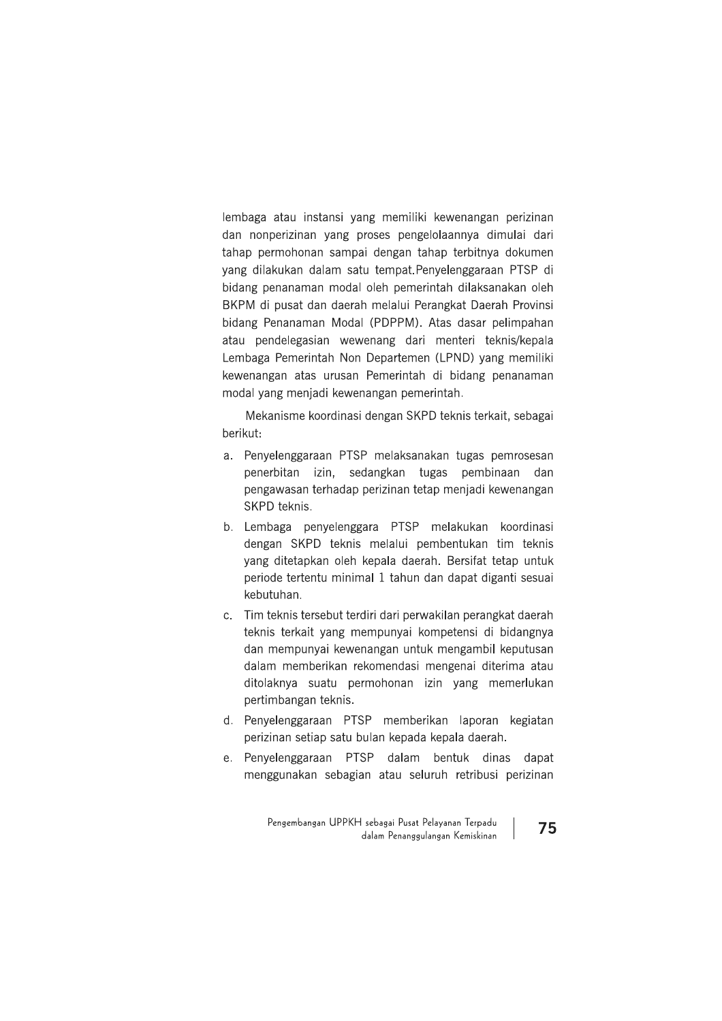lembaga atau instansi yang memiliki kewenangan perizinan dan nonperizinan yang proses pengelolaannya dimulai dari tahap permohonan sampai dengan tahap terbitnya dokumen yang dilakukan dalam satu tempat. Penyelenggaraan PTSP di bidang penanaman modal oleh pemerintah dilaksanakan oleh BKPM di pusat dan daerah melalui Perangkat Daerah Provinsi bidang Penanaman Modal (PDPPM). Atas dasar pelimpahan atau pendelegasian wewenang dari menteri teknis/kepala Lembaga Pemerintah Non Departemen (LPND) yang memiliki kewenangan atas urusan Pemerintah di bidang penanaman modal yang menjadi kewenangan pemerintah.

Mekanisme koordinasi dengan SKPD teknis terkait, sebagai berikut:

- a. Penyelenggaraan PTSP melaksanakan tugas pemrosesan penerbitan izin, sedangkan tugas pembinaan dan pengawasan terhadap perizinan tetap menjadi kewenangan SKPD teknis.
- b. Lembaga penyelenggara PTSP melakukan koordinasi dengan SKPD teknis melalui pembentukan tim teknis yang ditetapkan oleh kepala daerah. Bersifat tetap untuk periode tertentu minimal 1 tahun dan dapat diganti sesuai kebutuhan.
- c. Tim teknis tersebut terdiri dari perwakilan perangkat daerah teknis terkait yang mempunyai kompetensi di bidangnya dan mempunyai kewenangan untuk mengambil keputusan dalam memberikan rekomendasi mengenai diterima atau ditolaknya suatu permohonan izin yang memerlukan pertimbangan teknis.
- d. Penyelenggaraan PTSP memberikan laporan kegiatan perizinan setiap satu bulan kepada kepala daerah.
- e. Penyelenggaraan PTSP dalam bentuk dinas dapat menggunakan sebagian atau seluruh retribusi perizinan

Pengembangan UPPKH sebagai Pusat Pelayanan Terpadu dalam Penanggulangan Kemiskinan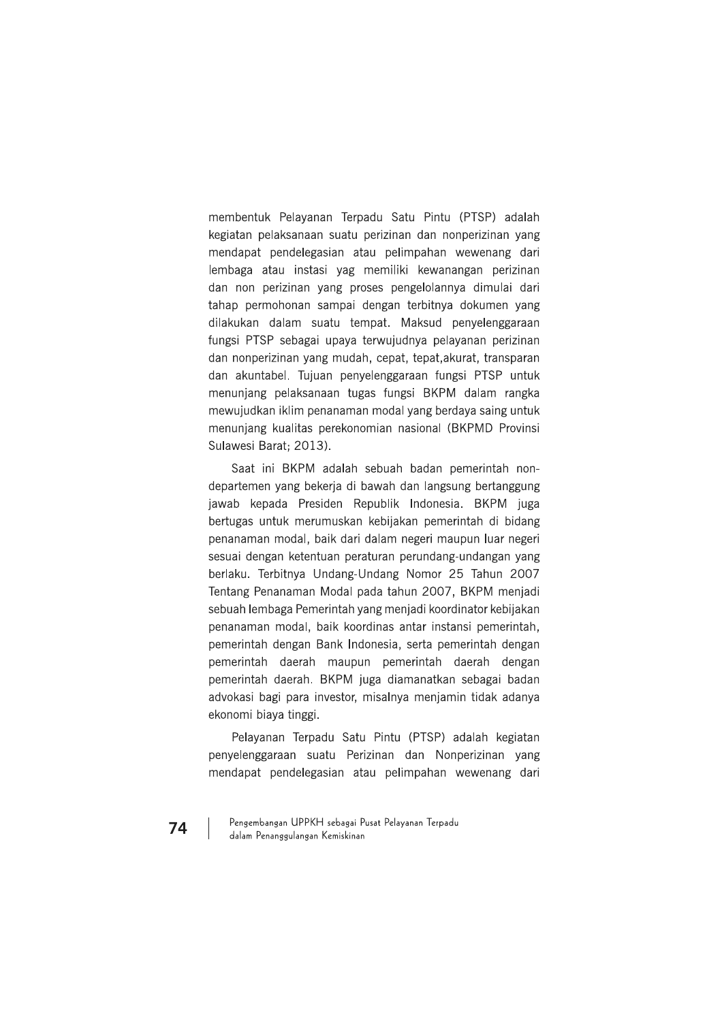membentuk Pelayanan Terpadu Satu Pintu (PTSP) adalah kegiatan pelaksanaan suatu perizinan dan nonperizinan yang mendapat pendelegasian atau pelimpahan wewenang dari lembaga atau instasi yag memiliki kewanangan perizinan dan non perizinan yang proses pengelolannya dimulai dari tahap permohonan sampai dengan terbitnya dokumen yang dilakukan dalam suatu tempat. Maksud penyelenggaraan fungsi PTSP sebagai upaya terwujudnya pelayanan perizinan dan nonperizinan yang mudah, cepat, tepat, akurat, transparan dan akuntabel. Tujuan penyelenggaraan fungsi PTSP untuk menunjang pelaksanaan tugas fungsi BKPM dalam rangka mewujudkan iklim penanaman modal yang berdaya saing untuk menunjang kualitas perekonomian nasional (BKPMD Provinsi Sulawesi Barat: 2013).

Saat ini BKPM adalah sebuah badan pemerintah nondepartemen yang bekerja di bawah dan langsung bertanggung jawab kepada Presiden Republik Indonesia. BKPM juga bertugas untuk merumuskan kebijakan pemerintah di bidang penanaman modal, baik dari dalam negeri maupun luar negeri sesuai dengan ketentuan peraturan perundang-undangan yang berlaku. Terbitnya Undang-Undang Nomor 25 Tahun 2007 Tentang Penanaman Modal pada tahun 2007, BKPM menjadi sebuah lembaga Pemerintah yang menjadi koordinator kebijakan penanaman modal, baik koordinas antar instansi pemerintah, pemerintah dengan Bank Indonesia, serta pemerintah dengan pemerintah daerah maupun pemerintah daerah dengan pemerintah daerah. BKPM juga diamanatkan sebagai badan advokasi bagi para investor, misalnya menjamin tidak adanya ekonomi biaya tinggi.

Pelayanan Terpadu Satu Pintu (PTSP) adalah kegiatan penyelenggaraan suatu Perizinan dan Nonperizinan yang mendapat pendelegasian atau pelimpahan wewenang dari

Pengembangan UPPKH sebagai Pusat Pelayanan Terpadu dalam Penanggulangan Kemiskinan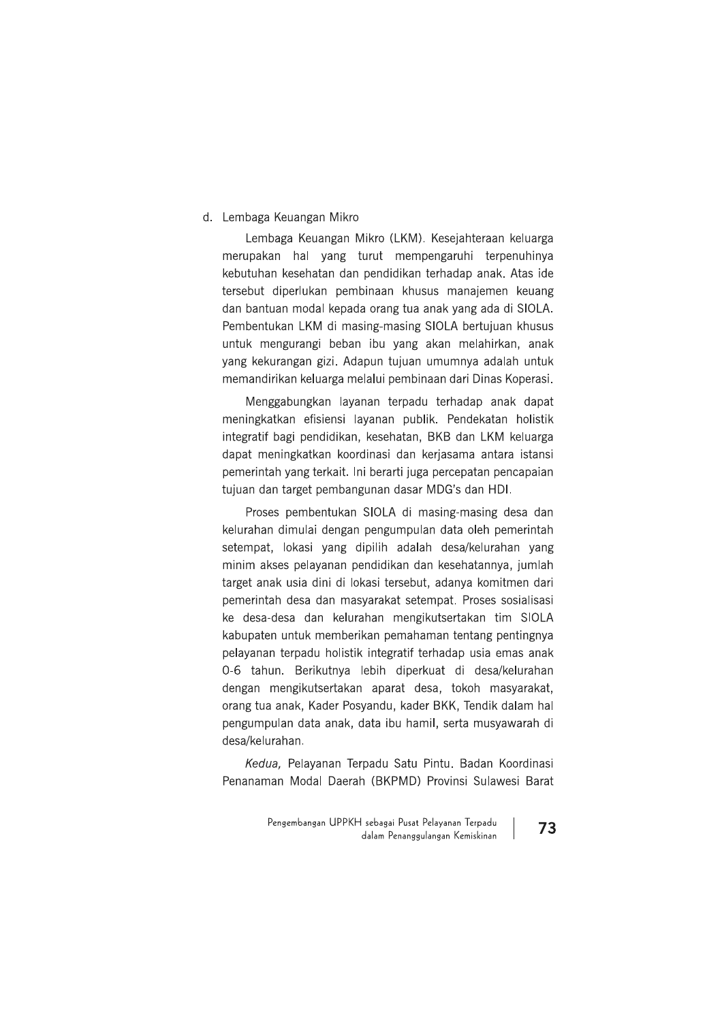### d. Lembaga Keuangan Mikro

Lembaga Keuangan Mikro (LKM). Kesejahteraan keluarga merupakan hal yang turut mempengaruhi terpenuhinya kebutuhan kesehatan dan pendidikan terhadap anak. Atas ide tersebut diperlukan pembinaan khusus manajemen keuang dan bantuan modal kepada orang tua anak yang ada di SIOLA. Pembentukan LKM di masing-masing SIOLA bertujuan khusus untuk mengurangi beban ibu yang akan melahirkan, anak yang kekurangan gizi. Adapun tujuan umumnya adalah untuk memandirikan keluarga melalui pembinaan dari Dinas Koperasi.

Menggabungkan layanan terpadu terhadap anak dapat meningkatkan efisiensi lavanan publik. Pendekatan holistik integratif bagi pendidikan, kesehatan, BKB dan LKM keluarga dapat meningkatkan koordinasi dan kerjasama antara istansi pemerintah yang terkait. Ini berarti juga percepatan pencapaian tujuan dan target pembangunan dasar MDG's dan HDI.

Proses pembentukan SIOLA di masing-masing desa dan kelurahan dimulai dengan pengumpulan data oleh pemerintah setempat, lokasi yang dipilih adalah desa/kelurahan yang minim akses pelayanan pendidikan dan kesehatannya, jumlah target anak usia dini di lokasi tersebut, adanya komitmen dari pemerintah desa dan masyarakat setempat. Proses sosialisasi ke desa-desa dan kelurahan mengikutsertakan tim SIOLA kabupaten untuk memberikan pemahaman tentang pentingnya pelayanan terpadu holistik integratif terhadap usia emas anak 0-6 tahun. Berikutnya lebih diperkuat di desa/kelurahan dengan mengikutsertakan aparat desa, tokoh masyarakat, orang tua anak, Kader Posyandu, kader BKK, Tendik dalam hal pengumpulan data anak, data ibu hamil, serta musyawarah di desa/kelurahan.

Kedua, Pelayanan Terpadu Satu Pintu. Badan Koordinasi Penanaman Modal Daerah (BKPMD) Provinsi Sulawesi Barat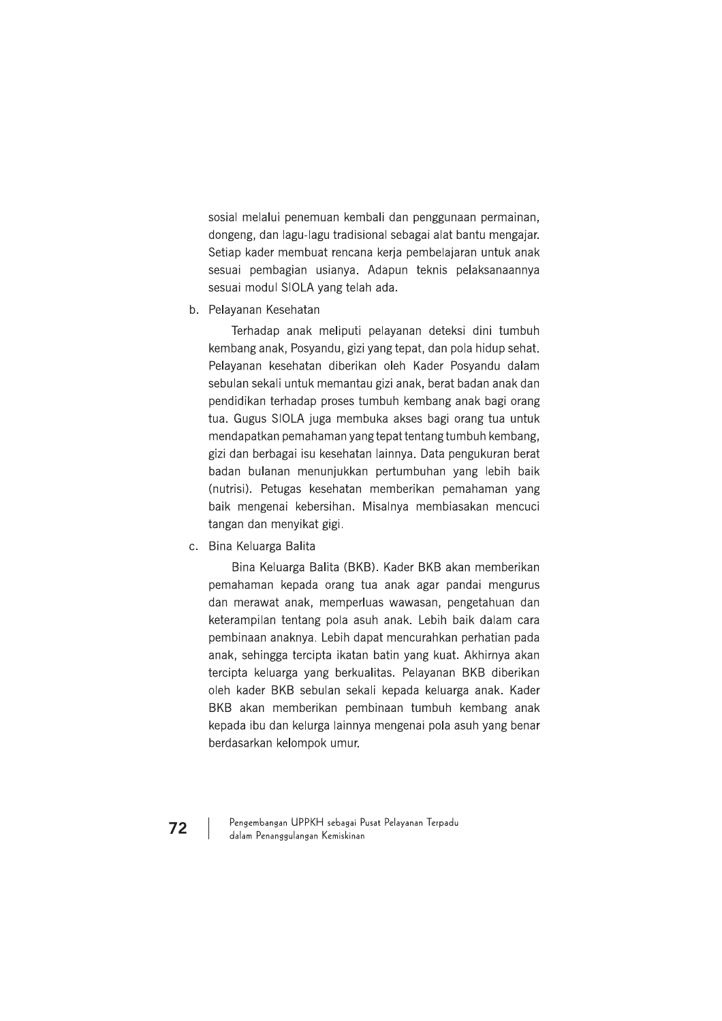sosial melalui penemuan kembali dan penggunaan permainan, dongeng, dan lagu-lagu tradisional sebagai alat bantu mengajar. Setiap kader membuat rencana kerja pembelajaran untuk anak sesuai pembagian usianya. Adapun teknis pelaksanaannya sesuai modul SIOLA yang telah ada.

b. Pelayanan Kesehatan

Terhadap anak meliputi pelayanan deteksi dini tumbuh kembang anak, Posyandu, gizi yang tepat, dan pola hidup sehat. Pelayanan kesehatan diberikan oleh Kader Posyandu dalam sebulan sekali untuk memantau gizi anak, berat badan anak dan pendidikan terhadap proses tumbuh kembang anak bagi orang tua. Gugus SIOLA juga membuka akses bagi orang tua untuk mendapatkan pemahaman yang tepat tentang tumbuh kembang, gizi dan berbagai isu kesehatan lainnya. Data pengukuran berat badan bulanan menunjukkan pertumbuhan yang lebih baik (nutrisi). Petugas kesehatan memberikan pemahaman yang baik mengenai kebersihan. Misalnya membiasakan mencuci tangan dan menyikat gigi.

c. Bina Keluarga Balita

Bina Keluarga Balita (BKB). Kader BKB akan memberikan pemahaman kepada orang tua anak agar pandai mengurus dan merawat anak, memperluas wawasan, pengetahuan dan keterampilan tentang pola asuh anak. Lebih baik dalam cara pembinaan anaknya. Lebih dapat mencurahkan perhatian pada anak, sehingga tercipta ikatan batin yang kuat. Akhirnya akan tercipta keluarga yang berkualitas. Pelayanan BKB diberikan oleh kader BKB sebulan sekali kepada keluarga anak. Kader BKB akan memberikan pembinaan tumbuh kembang anak kepada ibu dan kelurga lainnya mengenai pola asuh yang benar berdasarkan kelompok umur.

Pengembangan UPPKH sebagai Pusat Pelayanan Terpadu dalam Penanggulangan Kemiskinan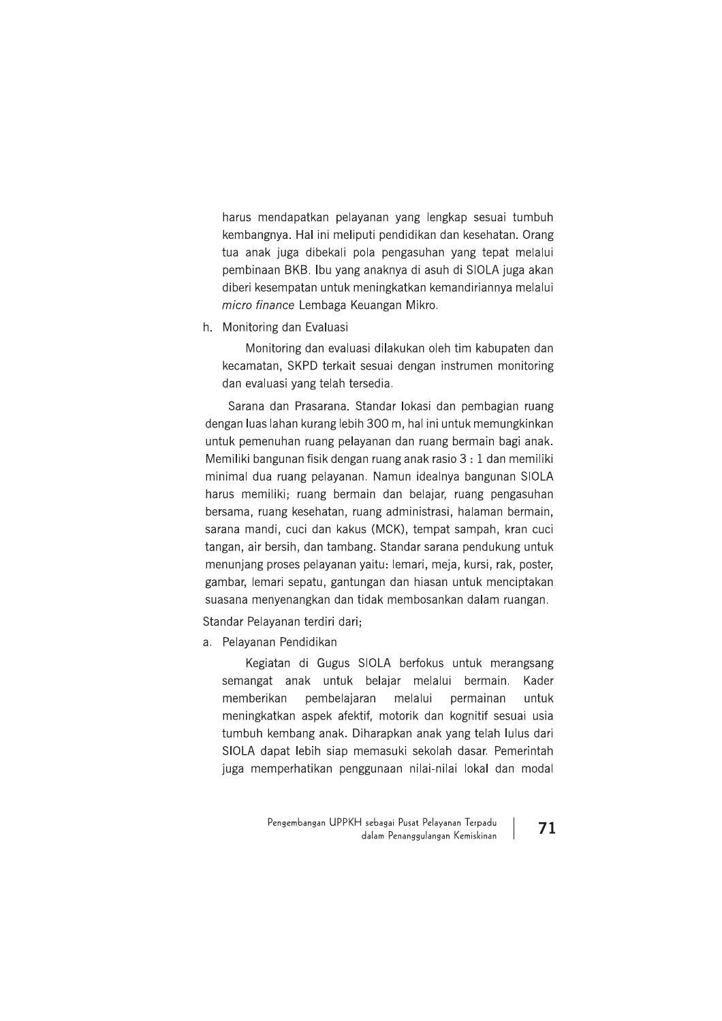harus mendapatkan pelayanan yang lengkap sesuai tumbuh kembangnya. Hal ini meliputi pendidikan dan kesehatan. Orang tua anak juga dibekali pola pengasuhan yang tepat melalui pembinaan BKB. Ibu yang anaknya di asuh di SIOLA juga akan diberi kesempatan untuk meningkatkan kemandiriannya melalui micro finance Lembaga Keuangan Mikro.

h. Monitoring dan Evaluasi

Monitoring dan evaluasi dilakukan oleh tim kabupaten dan kecamatan, SKPD terkait sesuai dengan instrumen monitoring dan evaluasi yang telah tersedia.

Sarana dan Prasarana. Standar lokasi dan pembagian ruang dengan luas lahan kurang lebih 300 m, hal ini untuk memungkinkan untuk pemenuhan ruang pelayanan dan ruang bermain bagi anak. Memiliki bangunan fisik dengan ruang anak rasio 3 : 1 dan memiliki minimal dua ruang pelayanan. Namun idealnya bangunan SIOLA harus memiliki; ruang bermain dan belajar, ruang pengasuhan bersama, ruang kesehatan, ruang administrasi, halaman bermain, sarana mandi, cuci dan kakus (MCK), tempat sampah, kran cuci tangan, air bersih, dan tambang. Standar sarana pendukung untuk menunjang proses pelayanan yaitu: lemari, meja, kursi, rak, poster, gambar, lemari sepatu, gantungan dan hiasan untuk menciptakan suasana menyenangkan dan tidak membosankan dalam ruangan.

Standar Pelayanan terdiri dari;

a. Pelayanan Pendidikan

Kegiatan di Gugus SIOLA berfokus untuk merangsang semangat anak untuk belajar melalui bermain. Kader memberikan pembelaiaran melalui permainan untuk meningkatkan aspek afektif, motorik dan kognitif sesuai usia tumbuh kembang anak. Diharapkan anak yang telah lulus dari SIOLA dapat lebih siap memasuki sekolah dasar. Pemerintah juga memperhatikan penggunaan nilai-nilai lokal dan modal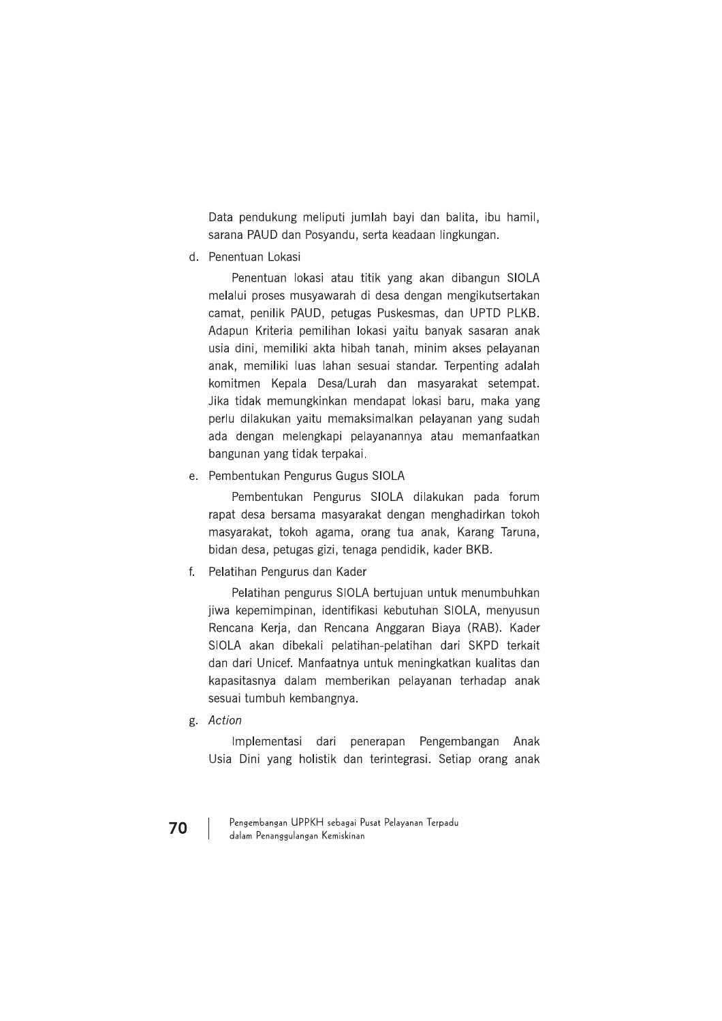Data pendukung meliputi jumlah bayi dan balita, ibu hamil, sarana PAUD dan Posyandu, serta keadaan lingkungan.

d. Penentuan Lokasi

Penentuan lokasi atau titik yang akan dibangun SIOLA melalui proses musyawarah di desa dengan mengikutsertakan camat, penilik PAUD, petugas Puskesmas, dan UPTD PLKB. Adapun Kriteria pemilihan lokasi yaitu banyak sasaran anak usia dini, memiliki akta hibah tanah, minim akses pelayanan anak, memiliki luas lahan sesuai standar. Terpenting adalah komitmen Kepala Desa/Lurah dan masyarakat setempat. Jika tidak memungkinkan mendapat lokasi baru, maka yang perlu dilakukan yaitu memaksimalkan pelayanan yang sudah ada dengan melengkapi pelayanannya atau memanfaatkan bangunan yang tidak terpakai.

e. Pembentukan Pengurus Gugus SIOLA

Pembentukan Pengurus SIOLA dilakukan pada forum rapat desa bersama masyarakat dengan menghadirkan tokoh masyarakat, tokoh agama, orang tua anak, Karang Taruna, bidan desa, petugas gizi, tenaga pendidik, kader BKB.

f. Pelatihan Pengurus dan Kader

Pelatihan pengurus SIOLA bertujuan untuk menumbuhkan jiwa kepemimpinan, identifikasi kebutuhan SIOLA, menyusun Rencana Kerja, dan Rencana Anggaran Biaya (RAB). Kader SIOLA akan dibekali pelatihan-pelatihan dari SKPD terkait dan dari Unicef. Manfaatnya untuk meningkatkan kualitas dan kapasitasnya dalam memberikan pelayanan terhadap anak sesuai tumbuh kembangnya.

g. Action

Implementasi dari penerapan Pengembangan Anak Usia Dini yang holistik dan terintegrasi. Setiap orang anak

Pengembangan UPPKH sebagai Pusat Pelayanan Terpadu dalam Penanggulangan Kemiskinan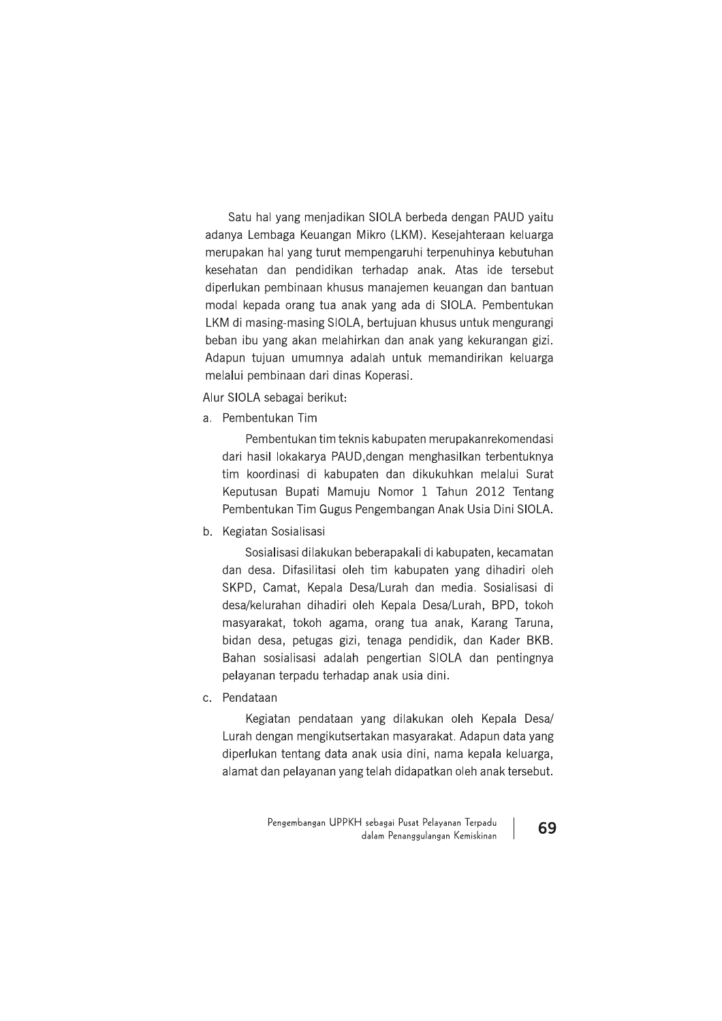Satu hal yang menjadikan SIOLA berbeda dengan PAUD yaitu adanya Lembaga Keuangan Mikro (LKM). Kesejahteraan keluarga merupakan hal yang turut mempengaruhi terpenuhinya kebutuhan kesehatan dan pendidikan terhadap anak. Atas ide tersebut diperlukan pembinaan khusus manajemen keuangan dan bantuan modal kepada orang tua anak yang ada di SIOLA. Pembentukan LKM di masing-masing SIOLA, bertujuan khusus untuk mengurangi beban ibu yang akan melahirkan dan anak yang kekurangan gizi. Adapun tujuan umumnya adalah untuk memandirikan keluarga melalui pembinaan dari dinas Koperasi.

### Alur SIOLA sebagai berikut:

a. Pembentukan Tim

Pembentukan tim teknis kabupaten merupakanrekomendasi dari hasil lokakarya PAUD, dengan menghasilkan terbentuknya tim koordinasi di kabupaten dan dikukuhkan melalui Surat Keputusan Bupati Mamuju Nomor 1 Tahun 2012 Tentang Pembentukan Tim Gugus Pengembangan Anak Usia Dini SIOLA.

b. Kegiatan Sosialisasi

Sosialisasi dilakukan beberapakali di kabupaten, kecamatan dan desa. Difasilitasi oleh tim kabupaten yang dihadiri oleh SKPD, Camat, Kepala Desa/Lurah dan media. Sosialisasi di desa/kelurahan dihadiri oleh Kepala Desa/Lurah, BPD, tokoh masyarakat, tokoh agama, orang tua anak, Karang Taruna, bidan desa, petugas gizi, tenaga pendidik, dan Kader BKB. Bahan sosialisasi adalah pengertian SIOLA dan pentingnya pelayanan terpadu terhadap anak usia dini.

c. Pendataan

Kegiatan pendataan yang dilakukan oleh Kepala Desa/ Lurah dengan mengikutsertakan masyarakat. Adapun data yang diperlukan tentang data anak usia dini, nama kepala keluarga, alamat dan pelayanan yang telah didapatkan oleh anak tersebut.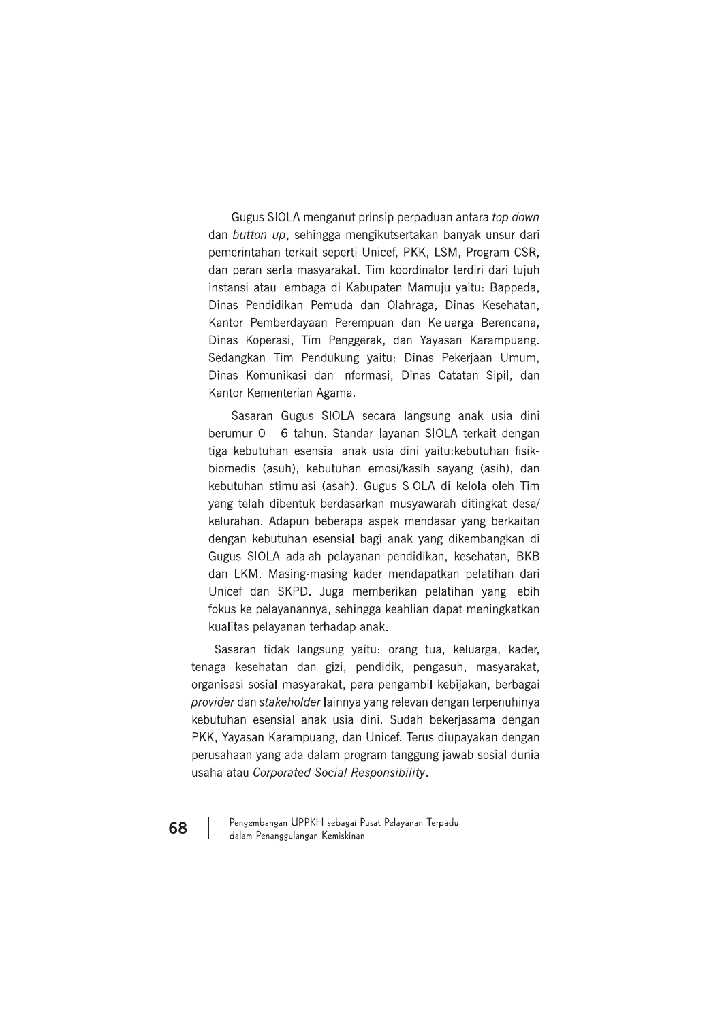Gugus SIOLA menganut prinsip perpaduan antara top down dan button up, sehingga mengikutsertakan banyak unsur dari pemerintahan terkait seperti Unicef, PKK, LSM, Program CSR, dan peran serta masyarakat. Tim koordinator terdiri dari tujuh instansi atau lembaga di Kabupaten Mamuju yaitu: Bappeda, Dinas Pendidikan Pemuda dan Olahraga, Dinas Kesehatan, Kantor Pemberdayaan Perempuan dan Keluarga Berencana, Dinas Koperasi, Tim Penggerak, dan Yayasan Karampuang. Sedangkan Tim Pendukung yaitu: Dinas Pekerjaan Umum, Dinas Komunikasi dan Informasi, Dinas Catatan Sipil, dan Kantor Kementerian Agama.

Sasaran Gugus SIOLA secara langsung anak usia dini berumur 0 - 6 tahun. Standar layanan SIOLA terkait dengan tiga kebutuhan esensial anak usia dini yaitu: kebutuhan fisikbiomedis (asuh), kebutuhan emosi/kasih sayang (asih), dan kebutuhan stimulasi (asah). Gugus SIOLA di kelola oleh Tim yang telah dibentuk berdasarkan musyawarah ditingkat desa/ kelurahan. Adapun beberapa aspek mendasar yang berkaitan dengan kebutuhan esensial bagi anak yang dikembangkan di Gugus SIOLA adalah pelayanan pendidikan, kesehatan, BKB dan LKM. Masing-masing kader mendapatkan pelatihan dari Unicef dan SKPD. Juga memberikan pelatihan yang lebih fokus ke pelayanannya, sehingga keahlian dapat meningkatkan kualitas pelayanan terhadap anak.

Sasaran tidak langsung yaitu: orang tua, keluarga, kader, tenaga kesehatan dan gizi, pendidik, pengasuh, masyarakat, organisasi sosial masyarakat, para pengambil kebijakan, berbagai provider dan stakeholder lainnya yang relevan dengan terpenuhinya kebutuhan esensial anak usia dini. Sudah bekerjasama dengan PKK, Yayasan Karampuang, dan Unicef. Terus diupayakan dengan perusahaan yang ada dalam program tanggung jawab sosial dunia usaha atau Corporated Social Responsibility.

Pengembangan UPPKH sebagai Pusat Pelayanan Terpadu dalam Penanggulangan Kemiskinan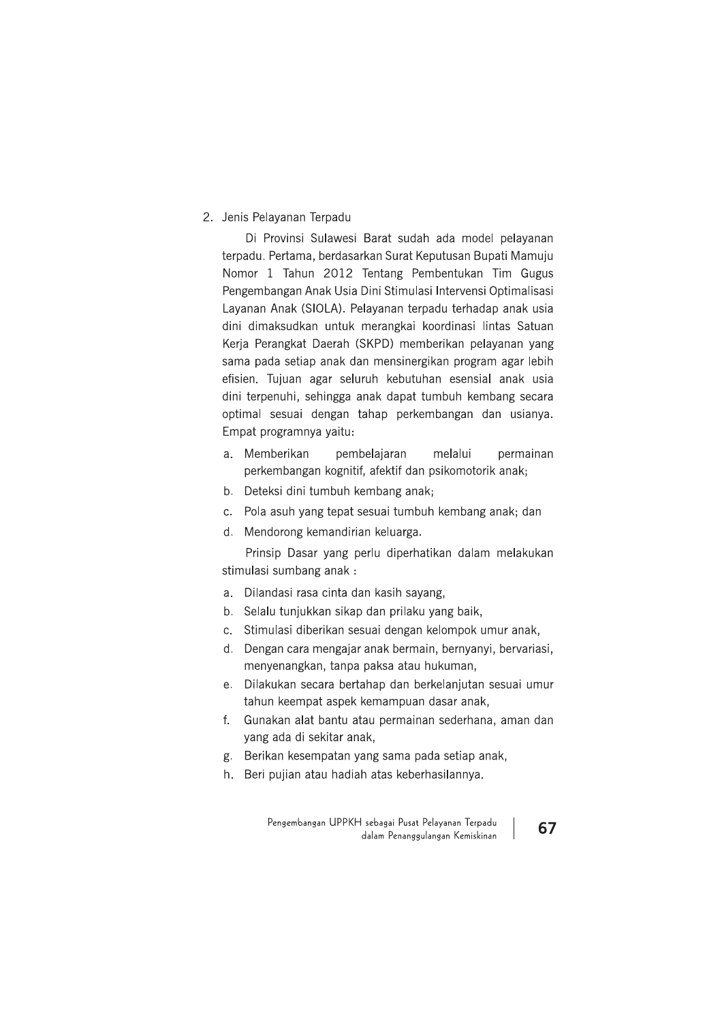# 2. Jenis Pelayanan Terpadu

Di Provinsi Sulawesi Barat sudah ada model pelayanan terpadu. Pertama, berdasarkan Surat Keputusan Bupati Mamuju Nomor 1 Tahun 2012 Tentang Pembentukan Tim Gugus Pengembangan Anak Usia Dini Stimulasi Intervensi Optimalisasi Layanan Anak (SIOLA). Pelayanan terpadu terhadap anak usia dini dimaksudkan untuk merangkai koordinasi lintas Satuan Kerja Perangkat Daerah (SKPD) memberikan pelayanan yang sama pada setiap anak dan mensinergikan program agar lebih efisien. Tujuan agar seluruh kebutuhan esensial anak usia dini terpenuhi, sehingga anak dapat tumbuh kembang secara optimal sesuai dengan tahap perkembangan dan usianya. Empat programnya yaitu:

- a. Memberikan pembelajaran melalui permainan perkembangan kognitif, afektif dan psikomotorik anak;
- b. Deteksi dini tumbuh kembang anak;
- c. Pola asuh yang tepat sesuai tumbuh kembang anak; dan
- d. Mendorong kemandirian keluarga.

Prinsip Dasar yang perlu diperhatikan dalam melakukan stimulasi sumbang anak:

- a. Dilandasi rasa cinta dan kasih sayang,
- b. Selalu tunjukkan sikap dan prilaku yang baik,
- c. Stimulasi diberikan sesuai dengan kelompok umur anak,
- d. Dengan cara mengajar anak bermain, bernyanyi, bervariasi, menyenangkan, tanpa paksa atau hukuman,
- e. Dilakukan secara bertahap dan berkelanjutan sesuai umur tahun keempat aspek kemampuan dasar anak,
- Gunakan alat bantu atau permainan sederhana, aman dan  $f_{\rm{r}}$ yang ada di sekitar anak,
- g. Berikan kesempatan yang sama pada setiap anak,
- h. Beri pujian atau hadiah atas keberhasilannya.

Pengembangan UPPKH sebagai Pusat Pelayanan Terpadu dalam Penanggulangan Kemiskinan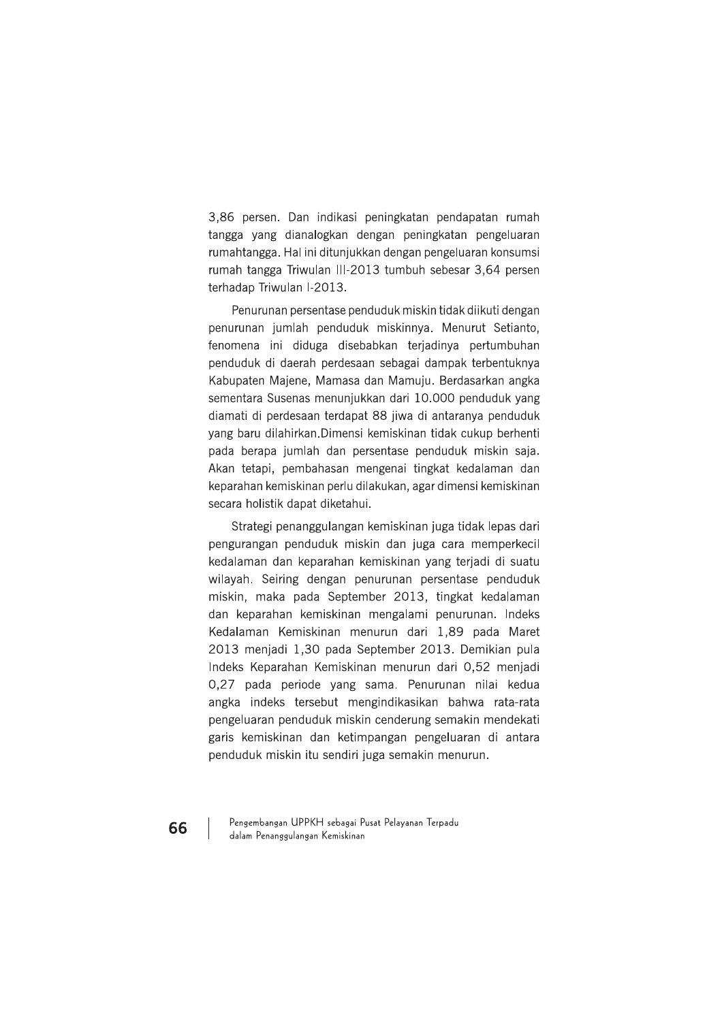3,86 persen. Dan indikasi peningkatan pendapatan rumah tangga yang dianalogkan dengan peningkatan pengeluaran rumahtangga. Hal ini ditunjukkan dengan pengeluaran konsumsi rumah tangga Triwulan III-2013 tumbuh sebesar 3,64 persen terhadap Triwulan I-2013.

Penurunan persentase penduduk miskin tidak diikuti dengan penurunan jumlah penduduk miskinnya. Menurut Setianto, fenomena ini diduga disebabkan terjadinya pertumbuhan penduduk di daerah perdesaan sebagai dampak terbentuknya Kabupaten Majene, Mamasa dan Mamuju. Berdasarkan angka sementara Susenas menunjukkan dari 10.000 penduduk yang diamati di perdesaan terdapat 88 jiwa di antaranya penduduk yang baru dilahirkan. Dimensi kemiskinan tidak cukup berhenti pada berapa jumlah dan persentase penduduk miskin saja. Akan tetapi, pembahasan mengenai tingkat kedalaman dan keparahan kemiskinan perlu dilakukan, agar dimensi kemiskinan secara holistik dapat diketahui.

Strategi penanggulangan kemiskinan juga tidak lepas dari pengurangan penduduk miskin dan juga cara memperkecil kedalaman dan keparahan kemiskinan yang terjadi di suatu wilayah. Seiring dengan penurunan persentase penduduk miskin, maka pada September 2013, tingkat kedalaman dan keparahan kemiskinan mengalami penurunan. Indeks Kedalaman Kemiskinan menurun dari 1.89 pada Maret 2013 menjadi 1,30 pada September 2013. Demikian pula Indeks Keparahan Kemiskinan menurun dari 0,52 menjadi 0,27 pada periode yang sama. Penurunan nilai kedua angka indeks tersebut mengindikasikan bahwa rata-rata pengeluaran penduduk miskin cenderung semakin mendekati garis kemiskinan dan ketimpangan pengeluaran di antara penduduk miskin itu sendiri juga semakin menurun.

Pengembangan UPPKH sebagai Pusat Pelayanan Terpadu dalam Penanggulangan Kemiskinan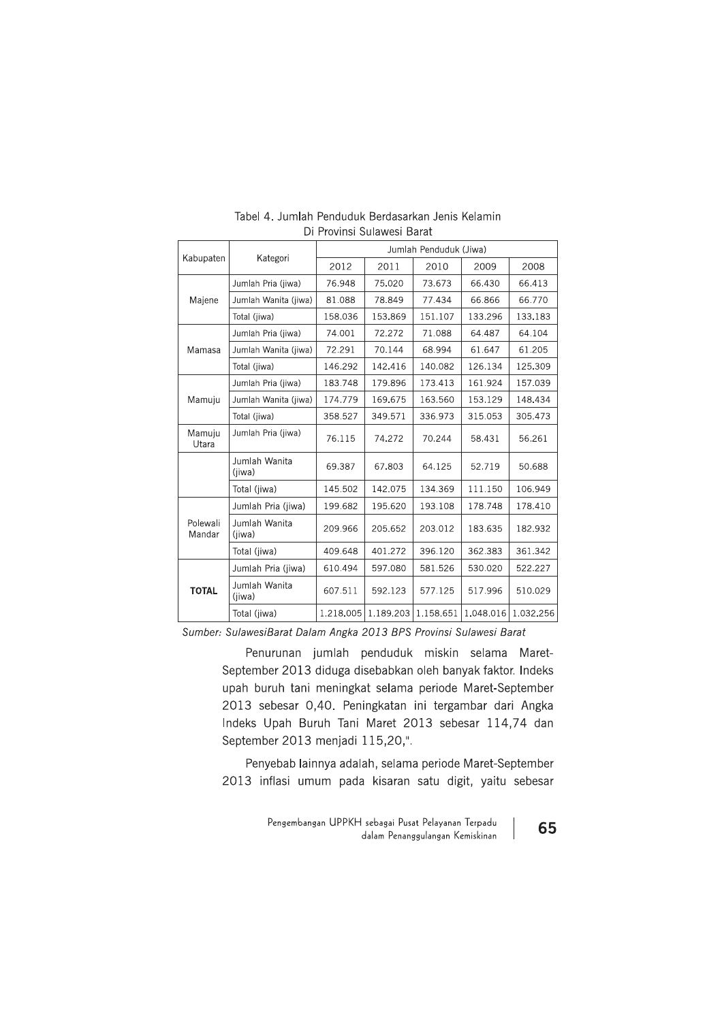| Kabupaten          | Kategori                | Jumlah Penduduk (Jiwa) |           |           |           |           |  |
|--------------------|-------------------------|------------------------|-----------|-----------|-----------|-----------|--|
|                    |                         | 2012                   | 2011      | 2010      | 2009      | 2008      |  |
| Majene             | Jumlah Pria (jiwa)      | 76.948                 | 75.020    | 73.673    | 66.430    | 66.413    |  |
|                    | Jumlah Wanita (iiwa)    | 81.088                 | 78.849    | 77.434    | 66.866    | 66.770    |  |
|                    | Total (jiwa)            | 158.036                | 153.869   | 151.107   | 133.296   | 133.183   |  |
| Mamasa             | Jumlah Pria (jiwa)      | 74.001                 | 72.272    | 71.088    | 64.487    | 64.104    |  |
|                    | Jumlah Wanita (jiwa)    | 72.291                 | 70.144    | 68.994    | 61.647    | 61.205    |  |
|                    | Total (jiwa)            | 146.292                | 142.416   | 140.082   | 126.134   | 125.309   |  |
| Mamuju             | Jumlah Pria (jiwa)      | 183.748                | 179.896   | 173.413   | 161.924   | 157.039   |  |
|                    | Jumlah Wanita (jiwa)    | 174.779                | 169.675   | 163.560   | 153.129   | 148.434   |  |
|                    | Total (jiwa)            | 358.527                | 349.571   | 336.973   | 315.053   | 305.473   |  |
| Mamuju<br>Utara    | Jumlah Pria (jiwa)      | 76.115                 | 74.272    | 70.244    | 58.431    | 56.261    |  |
|                    | Jumlah Wanita<br>(jiwa) | 69.387                 | 67.803    | 64.125    | 52.719    | 50.688    |  |
|                    | Total (jiwa)            | 145.502                | 142.075   | 134.369   | 111.150   | 106.949   |  |
| Polewali<br>Mandar | Jumlah Pria (jiwa)      | 199.682                | 195.620   | 193.108   | 178.748   | 178.410   |  |
|                    | Jumlah Wanita<br>(jiwa) | 209.966                | 205.652   | 203.012   | 183.635   | 182.932   |  |
|                    | Total (jiwa)            | 409.648                | 401.272   | 396.120   | 362.383   | 361.342   |  |
| <b>TOTAL</b>       | Jumlah Pria (jiwa)      | 610.494                | 597.080   | 581.526   | 530.020   | 522.227   |  |
|                    | Jumlah Wanita<br>(jiwa) | 607.511                | 592.123   | 577.125   | 517.996   | 510.029   |  |
|                    | Total (jiwa)            | 1.218.005              | 1.189.203 | 1.158.651 | 1.048.016 | 1.032.256 |  |

#### Tabel 4. Jumlah Penduduk Berdasarkan Jenis Kelamin Di Provinsi Sulawesi Barat

Sumber: SulawesiBarat Dalam Angka 2013 BPS Provinsi Sulawesi Barat

Penurunan jumlah penduduk miskin selama Maret-September 2013 diduga disebabkan oleh banyak faktor. Indeks upah buruh tani meningkat selama periode Maret-September 2013 sebesar 0,40. Peningkatan ini tergambar dari Angka Indeks Upah Buruh Tani Maret 2013 sebesar 114,74 dan September 2013 menjadi 115,20,".

Penyebab lainnya adalah, selama periode Maret-September 2013 inflasi umum pada kisaran satu digit, yaitu sebesar

> Pengembangan UPPKH sebagai Pusat Pelayanan Terpadu dalam Penanggulangan Kemiskinan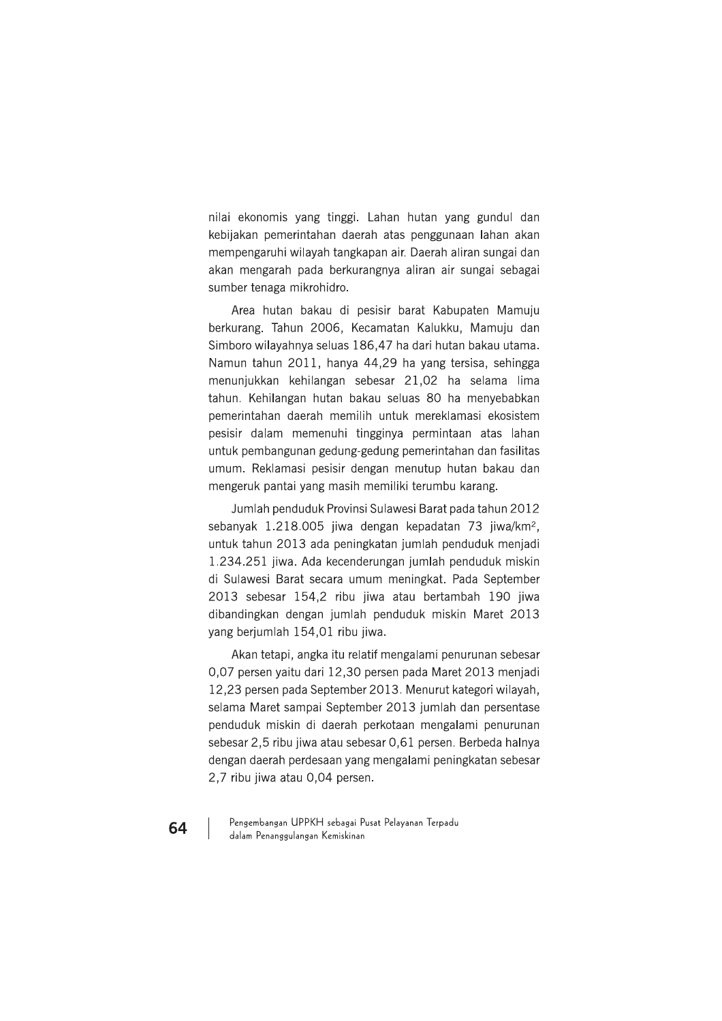nilai ekonomis yang tinggi. Lahan hutan yang gundul dan kebijakan pemerintahan daerah atas penggunaan lahan akan mempengaruhi wilayah tangkapan air. Daerah aliran sungai dan akan mengarah pada berkurangnya aliran air sungai sebagai sumber tenaga mikrohidro.

Area hutan bakau di pesisir barat Kabupaten Mamuju berkurang. Tahun 2006, Kecamatan Kalukku, Mamuju dan Simboro wilayahnya seluas 186,47 ha dari hutan bakau utama. Namun tahun 2011, hanya 44,29 ha yang tersisa, sehingga menunjukkan kehilangan sebesar 21,02 ha selama lima tahun. Kehilangan hutan bakau seluas 80 ha menyebabkan pemerintahan daerah memilih untuk mereklamasi ekosistem pesisir dalam memenuhi tingginya permintaan atas lahan untuk pembangunan gedung-gedung pemerintahan dan fasilitas umum. Reklamasi pesisir dengan menutup hutan bakau dan mengeruk pantai yang masih memiliki terumbu karang.

Jumlah penduduk Provinsi Sulawesi Barat pada tahun 2012 sebanyak 1.218.005 jiwa dengan kepadatan 73 jiwa/km<sup>2</sup>, untuk tahun 2013 ada peningkatan jumlah penduduk menjadi 1.234.251 jiwa. Ada kecenderungan jumlah penduduk miskin di Sulawesi Barat secara umum meningkat. Pada September 2013 sebesar 154,2 ribu jiwa atau bertambah 190 jiwa dibandingkan dengan jumlah penduduk miskin Maret 2013 yang berjumlah 154,01 ribu jiwa.

Akan tetapi, angka itu relatif mengalami penurunan sebesar 0,07 persen yaitu dari 12,30 persen pada Maret 2013 menjadi 12,23 persen pada September 2013. Menurut kategori wilayah, selama Maret sampai September 2013 jumlah dan persentase penduduk miskin di daerah perkotaan mengalami penurunan sebesar 2,5 ribu jiwa atau sebesar 0,61 persen. Berbeda halnya dengan daerah perdesaan yang mengalami peningkatan sebesar 2,7 ribu jiwa atau 0,04 persen.

Pengembangan UPPKH sebagai Pusat Pelayanan Terpadu dalam Penanggulangan Kemiskinan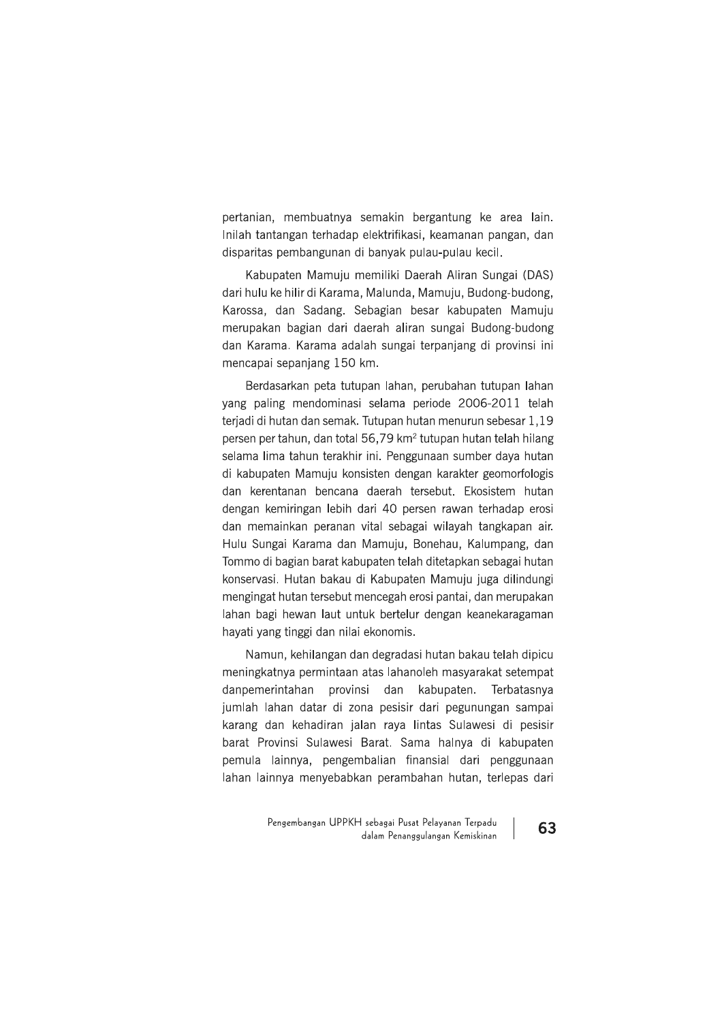pertanian, membuatnya semakin bergantung ke area lain. Inilah tantangan terhadap elektrifikasi, keamanan pangan, dan disparitas pembangunan di banyak pulau-pulau kecil.

Kabupaten Mamuju memiliki Daerah Aliran Sungai (DAS) dari hulu ke hilir di Karama, Malunda, Mamuju, Budong-budong, Karossa, dan Sadang. Sebagian besar kabupaten Mamuju merupakan bagian dari daerah aliran sungai Budong-budong dan Karama. Karama adalah sungai terpanjang di provinsi ini mencapai sepanjang 150 km.

Berdasarkan peta tutupan lahan, perubahan tutupan lahan yang paling mendominasi selama periode 2006-2011 telah teriadi di hutan dan semak. Tutupan hutan menurun sebesar 1,19 persen per tahun, dan total 56,79 km<sup>2</sup> tutupan hutan telah hilang selama lima tahun terakhir ini. Penggunaan sumber daya hutan di kabupaten Mamuju konsisten dengan karakter geomorfologis dan kerentanan bencana daerah tersebut. Ekosistem hutan dengan kemiringan lebih dari 40 persen rawan terhadap erosi dan memainkan peranan vital sebagai wilayah tangkapan air. Hulu Sungai Karama dan Mamuju, Bonehau, Kalumpang, dan Tommo di bagian barat kabupaten telah ditetapkan sebagai hutan konservasi. Hutan bakau di Kabupaten Mamuju juga dilindungi mengingat hutan tersebut mencegah erosi pantai, dan merupakan lahan bagi hewan laut untuk bertelur dengan keanekaragaman hayati yang tinggi dan nilai ekonomis.

Namun, kehilangan dan degradasi hutan bakau telah dipicu meningkatnya permintaan atas lahanoleh masyarakat setempat danpemerintahan provinsi dan kabupaten. Terbatasnya jumlah lahan datar di zona pesisir dari pegunungan sampai karang dan kehadiran jalan raya lintas Sulawesi di pesisir barat Provinsi Sulawesi Barat. Sama halnya di kabupaten pemula lainnya, pengembalian finansial dari penggunaan lahan lainnya menyebabkan perambahan hutan, terlepas dari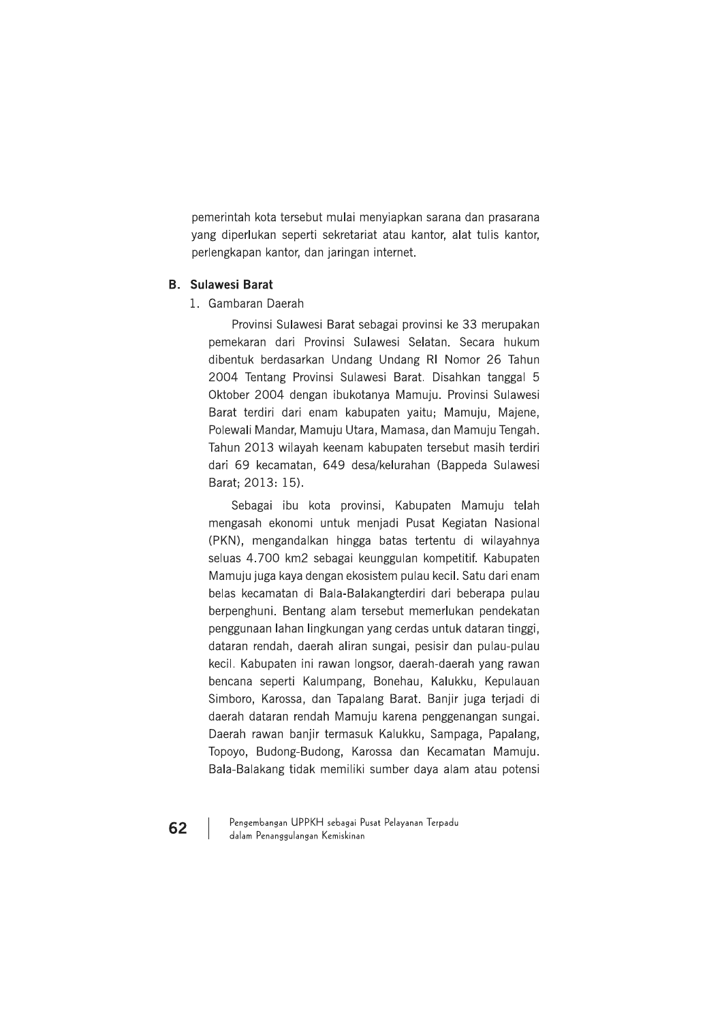pemerintah kota tersebut mulai menyiapkan sarana dan prasarana yang diperlukan seperti sekretariat atau kantor, alat tulis kantor, perlengkapan kantor, dan jaringan internet.

# **B.** Sulawesi Barat

1. Gambaran Daerah

Provinsi Sulawesi Barat sebagai provinsi ke 33 merupakan pemekaran dari Provinsi Sulawesi Selatan. Secara hukum dibentuk berdasarkan Undang Undang RI Nomor 26 Tahun 2004 Tentang Provinsi Sulawesi Barat. Disahkan tanggal 5 Oktober 2004 dengan ibukotanya Mamuju. Provinsi Sulawesi Barat terdiri dari enam kabupaten yaitu; Mamuju, Majene, Polewali Mandar, Mamuju Utara, Mamasa, dan Mamuju Tengah. Tahun 2013 wilayah keenam kabupaten tersebut masih terdiri dari 69 kecamatan, 649 desa/kelurahan (Bappeda Sulawesi Barat; 2013: 15).

Sebagai ibu kota provinsi, Kabupaten Mamuju telah mengasah ekonomi untuk menjadi Pusat Kegiatan Nasional (PKN), mengandalkan hingga batas tertentu di wilayahnya seluas 4.700 km2 sebagai keunggulan kompetitif. Kabupaten Mamuju juga kaya dengan ekosistem pulau kecil. Satu dari enam belas kecamatan di Bala-Balakangterdiri dari beberapa pulau berpenghuni. Bentang alam tersebut memerlukan pendekatan penggunaan lahan lingkungan yang cerdas untuk dataran tinggi, dataran rendah, daerah aliran sungai, pesisir dan pulau-pulau kecil. Kabupaten ini rawan longsor, daerah-daerah yang rawan bencana seperti Kalumpang, Bonehau, Kalukku, Kepulauan Simboro, Karossa, dan Tapalang Barat. Banjir juga terjadi di daerah dataran rendah Mamuju karena penggenangan sungai. Daerah rawan banjir termasuk Kalukku, Sampaga, Papalang, Topoyo, Budong-Budong, Karossa dan Kecamatan Mamuju. Bala-Balakang tidak memiliki sumber daya alam atau potensi

Pengembangan UPPKH sebagai Pusat Pelayanan Terpadu dalam Penanggulangan Kemiskinan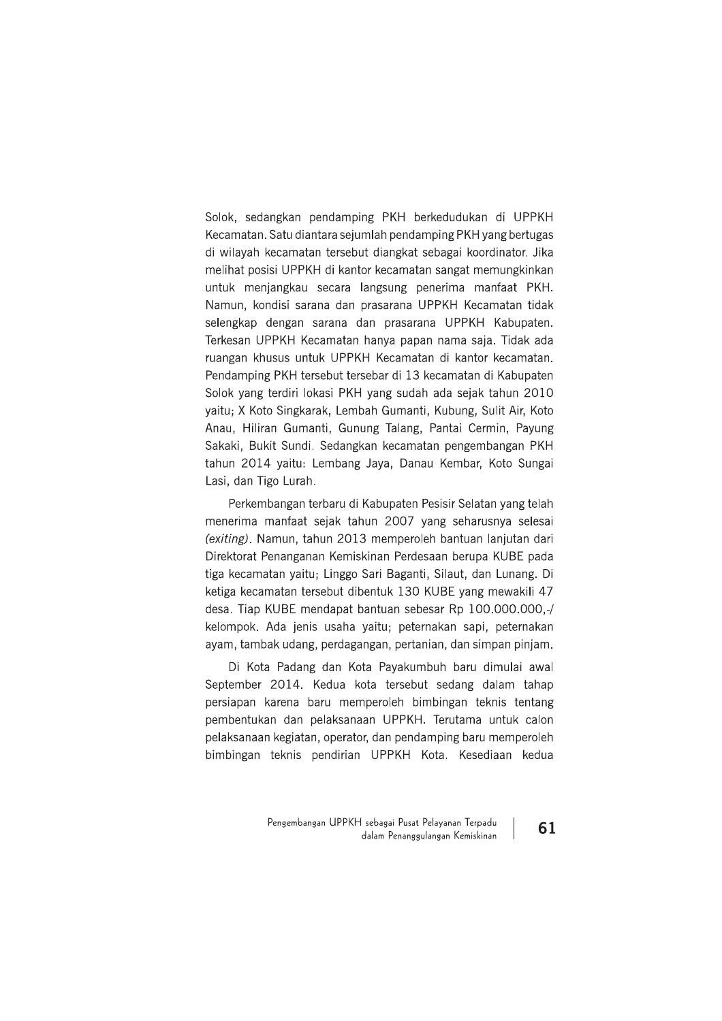Solok, sedangkan pendamping PKH berkedudukan di UPPKH Kecamatan. Satu diantara sejumlah pendamping PKH yang bertugas di wilayah kecamatan tersebut diangkat sebagai koordinator. Jika melihat posisi UPPKH di kantor kecamatan sangat memungkinkan untuk menjangkau secara langsung penerima manfaat PKH. Namun, kondisi sarana dan prasarana UPPKH Kecamatan tidak selengkap dengan sarana dan prasarana UPPKH Kabupaten. Terkesan UPPKH Kecamatan hanya papan nama saja. Tidak ada ruangan khusus untuk UPPKH Kecamatan di kantor kecamatan. Pendamping PKH tersebut tersebar di 13 kecamatan di Kabupaten Solok yang terdiri lokasi PKH yang sudah ada sejak tahun 2010 yaitu; X Koto Singkarak, Lembah Gumanti, Kubung, Sulit Air, Koto Anau, Hiliran Gumanti, Gunung Talang, Pantai Cermin, Payung Sakaki, Bukit Sundi, Sedangkan kecamatan pengembangan PKH tahun 2014 yaitu: Lembang Jaya, Danau Kembar, Koto Sungai Lasi, dan Tigo Lurah.

Perkembangan terbaru di Kabupaten Pesisir Selatan yang telah menerima manfaat sejak tahun 2007 yang seharusnya selesai (exiting). Namun, tahun 2013 memperoleh bantuan lanjutan dari Direktorat Penanganan Kemiskinan Perdesaan berupa KUBE pada tiga kecamatan yaitu; Linggo Sari Baganti, Silaut, dan Lunang. Di ketiga kecamatan tersebut dibentuk 130 KUBE yang mewakili 47 desa. Tiap KUBE mendapat bantuan sebesar Rp 100.000.000,-/ kelompok. Ada jenis usaha yaitu; peternakan sapi, peternakan ayam, tambak udang, perdagangan, pertanian, dan simpan pinjam.

Di Kota Padang dan Kota Payakumbuh baru dimulai awal September 2014. Kedua kota tersebut sedang dalam tahap persiapan karena baru memperoleh bimbingan teknis tentang pembentukan dan pelaksanaan UPPKH. Terutama untuk calon pelaksanaan kegiatan, operator, dan pendamping baru memperoleh bimbingan teknis pendirian UPPKH Kota. Kesediaan kedua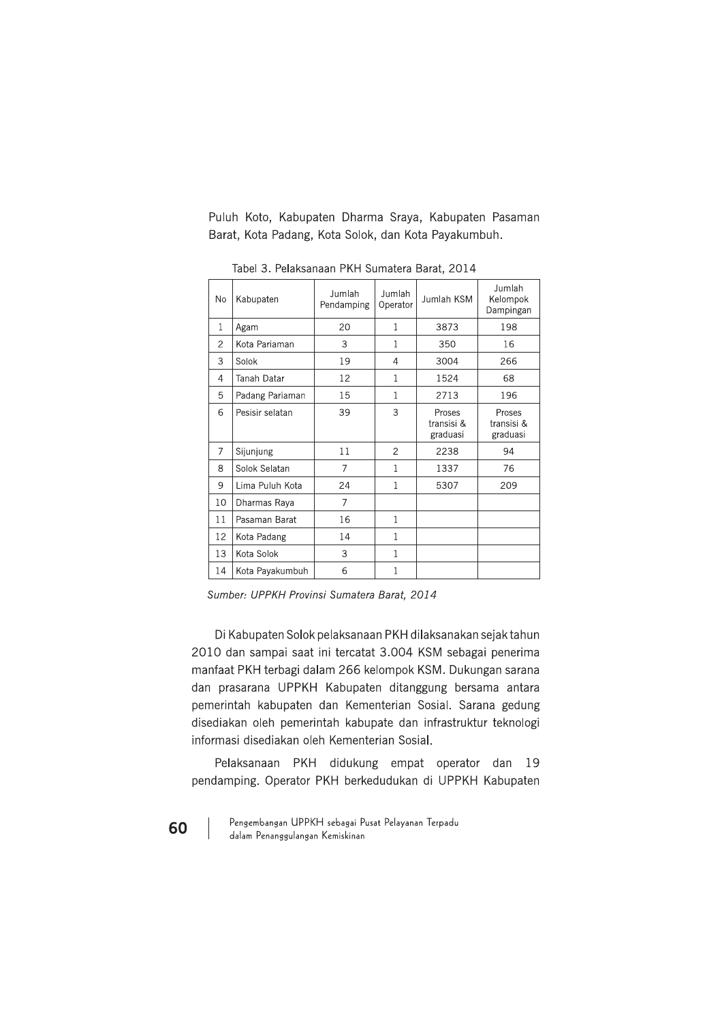Puluh Koto, Kabupaten Dharma Sraya, Kabupaten Pasaman Barat, Kota Padang, Kota Solok, dan Kota Payakumbuh.

| No           | Kabupaten          | Jumlah<br>Pendamping | Jumlah<br>Operator | Jumlah KSM                       | Jumlah<br>Kelompok<br>Dampingan  |
|--------------|--------------------|----------------------|--------------------|----------------------------------|----------------------------------|
| $\mathbf{1}$ | Agam               | 20                   | 1                  | 3873                             | 198                              |
| 2            | Kota Pariaman      | 3                    | 1                  | 350                              | 16                               |
| 3            | Solok              | 19                   | 4                  | 3004                             | 266                              |
| 4            | <b>Tanah Datar</b> | 12                   | 1                  | 1524                             | 68                               |
| 5            | Padang Pariaman    | 15                   | 1                  | 2713                             | 196                              |
| 6            | Pesisir selatan    | 39                   | 3                  | Proses<br>transisi &<br>graduasi | Proses<br>transisi &<br>graduasi |
| 7            | Sijunjung          | 11                   | $\overline{2}$     | 2238                             | 94                               |
| 8            | Solok Selatan      | $\overline{7}$       | 1                  | 1337                             | 76                               |
| 9            | Lima Puluh Kota    | 24                   | $\mathbf{1}$       | 5307                             | 209                              |
| 10           | Dharmas Raya       | 7                    |                    |                                  |                                  |
| 11           | Pasaman Barat      | 16                   | 1                  |                                  |                                  |
| 12           | Kota Padang        | 14                   | 1                  |                                  |                                  |
| 13           | Kota Solok         | 3                    | 1                  |                                  |                                  |
| 14           | Kota Payakumbuh    | 6                    | $\mathbf{1}$       |                                  |                                  |

Tabel 3. Pelaksanaan PKH Sumatera Barat, 2014

Sumber: UPPKH Provinsi Sumatera Barat, 2014

Di Kabupaten Solok pelaksanaan PKH dilaksanakan sejak tahun 2010 dan sampai saat ini tercatat 3.004 KSM sebagai penerima manfaat PKH terbagi dalam 266 kelompok KSM. Dukungan sarana dan prasarana UPPKH Kabupaten ditanggung bersama antara pemerintah kabupaten dan Kementerian Sosial. Sarana gedung disediakan oleh pemerintah kabupate dan infrastruktur teknologi informasi disediakan oleh Kementerian Sosial.

Pelaksanaan PKH didukung empat operator dan 19 pendamping. Operator PKH berkedudukan di UPPKH Kabupaten

Pengembangan UPPKH sebagai Pusat Pelayanan Terpadu dalam Penanggulangan Kemiskinan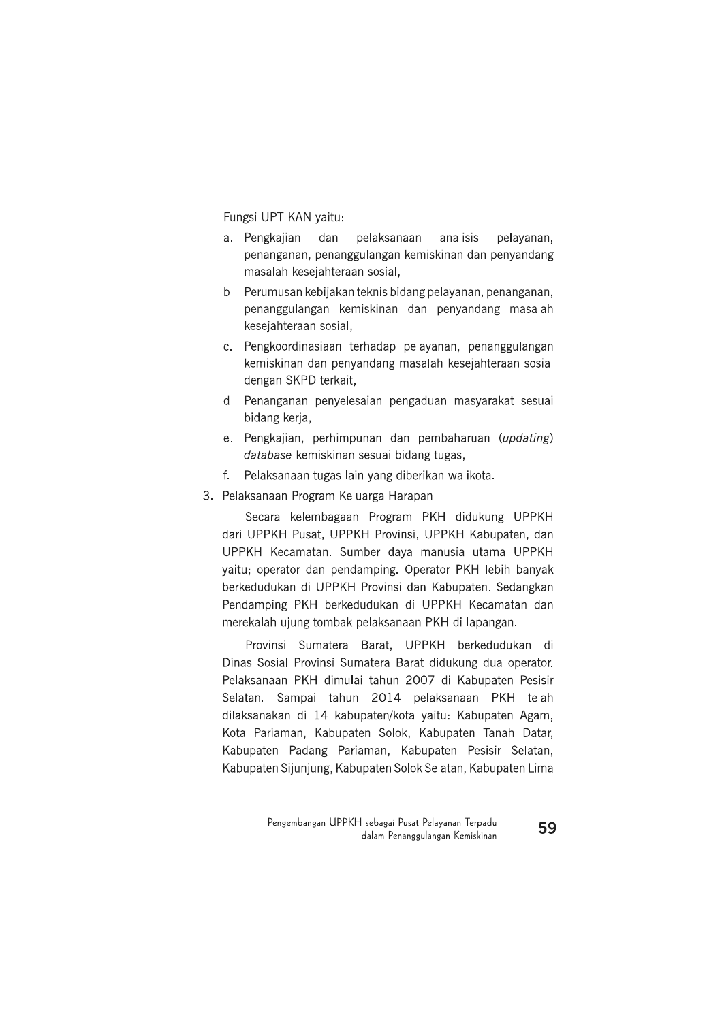Fungsi UPT KAN yaitu:

- a. Pengkajian dan pelaksanaan analisis pelayanan, penanganan, penanggulangan kemiskinan dan penyandang masalah kesejahteraan sosial,
- b. Perumusan kebijakan teknis bidang pelayanan, penanganan, penanggulangan kemiskinan dan penyandang masalah kesejahteraan sosial,
- c. Pengkoordinasiaan terhadap pelayanan, penanggulangan kemiskinan dan penyandang masalah kesejahteraan sosial dengan SKPD terkait,
- d. Penanganan penyelesaian pengaduan masyarakat sesuai bidang kerja,
- e. Pengkajian, perhimpunan dan pembaharuan (updating) database kemiskinan sesuai bidang tugas,
- Pelaksanaan tugas lain yang diberikan walikota.  $f_{\cdot}$
- 3. Pelaksanaan Program Keluarga Harapan

Secara kelembagaan Program PKH didukung UPPKH dari UPPKH Pusat, UPPKH Provinsi, UPPKH Kabupaten, dan UPPKH Kecamatan. Sumber daya manusia utama UPPKH yaitu; operator dan pendamping. Operator PKH lebih banyak berkedudukan di UPPKH Provinsi dan Kabupaten. Sedangkan Pendamping PKH berkedudukan di UPPKH Kecamatan dan merekalah ujung tombak pelaksanaan PKH di lapangan.

Provinsi Sumatera Barat, UPPKH berkedudukan di Dinas Sosial Provinsi Sumatera Barat didukung dua operator. Pelaksanaan PKH dimulai tahun 2007 di Kabupaten Pesisir Selatan. Sampai tahun 2014 pelaksanaan PKH telah dilaksanakan di 14 kabupaten/kota yaitu: Kabupaten Agam, Kota Pariaman, Kabupaten Solok, Kabupaten Tanah Datar, Kabupaten Padang Pariaman, Kabupaten Pesisir Selatan, Kabupaten Sijunjung, Kabupaten Solok Selatan, Kabupaten Lima

> Pengembangan UPPKH sebagai Pusat Pelayanan Terpadu dalam Penanggulangan Kemiskinan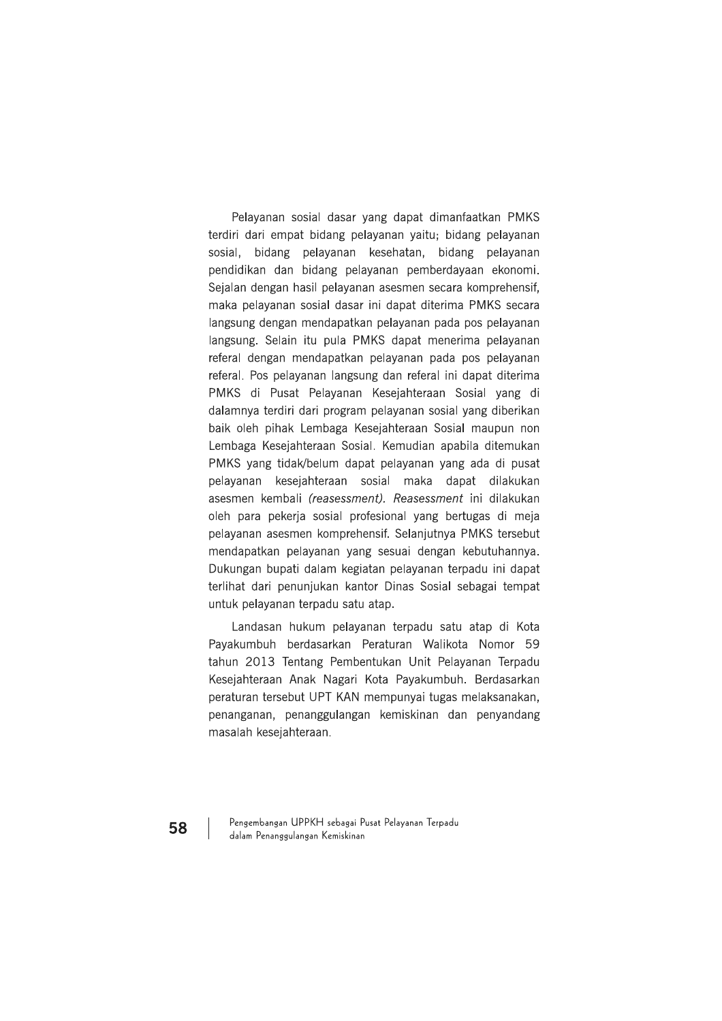Pelayanan sosial dasar yang dapat dimanfaatkan PMKS terdiri dari empat bidang pelayanan yaitu; bidang pelayanan sosial, bidang pelayanan kesehatan, bidang pelayanan pendidikan dan bidang pelayanan pemberdayaan ekonomi. Sejalan dengan hasil pelayanan asesmen secara komprehensif, maka pelayanan sosial dasar ini dapat diterima PMKS secara langsung dengan mendapatkan pelayanan pada pos pelayanan Jangsung. Selain itu pula PMKS dapat menerima pelayanan referal dengan mendapatkan pelayanan pada pos pelayanan referal. Pos pelayanan langsung dan referal ini dapat diterima PMKS di Pusat Pelayanan Kesejahteraan Sosial yang di dalamnya terdiri dari program pelayanan sosial yang diberikan baik oleh pihak Lembaga Kesejahteraan Sosial maupun non Lembaga Kesejahteraan Sosial, Kemudian apabila ditemukan PMKS yang tidak/belum dapat pelayanan yang ada di pusat pelayanan kesejahteraan sosial maka dapat dilakukan asesmen kembali (reasessment). Reasessment ini dilakukan oleh para pekerja sosial profesional yang bertugas di meja pelayanan asesmen komprehensif. Selanjutnya PMKS tersebut mendapatkan pelayanan yang sesuai dengan kebutuhannya. Dukungan bupati dalam kegiatan pelayanan terpadu ini dapat terlihat dari penunjukan kantor Dinas Sosial sebagai tempat untuk pelayanan terpadu satu atap.

Landasan hukum pelayanan terpadu satu atap di Kota Payakumbuh berdasarkan Peraturan Walikota Nomor 59 tahun 2013 Tentang Pembentukan Unit Pelayanan Terpadu Kesejahteraan Anak Nagari Kota Payakumbuh. Berdasarkan peraturan tersebut UPT KAN mempunyai tugas melaksanakan, penanganan, penanggulangan kemiskinan dan penyandang masalah kesejahteraan.

Pengembangan UPPKH sebagai Pusat Pelayanan Terpadu dalam Penanggulangan Kemiskinan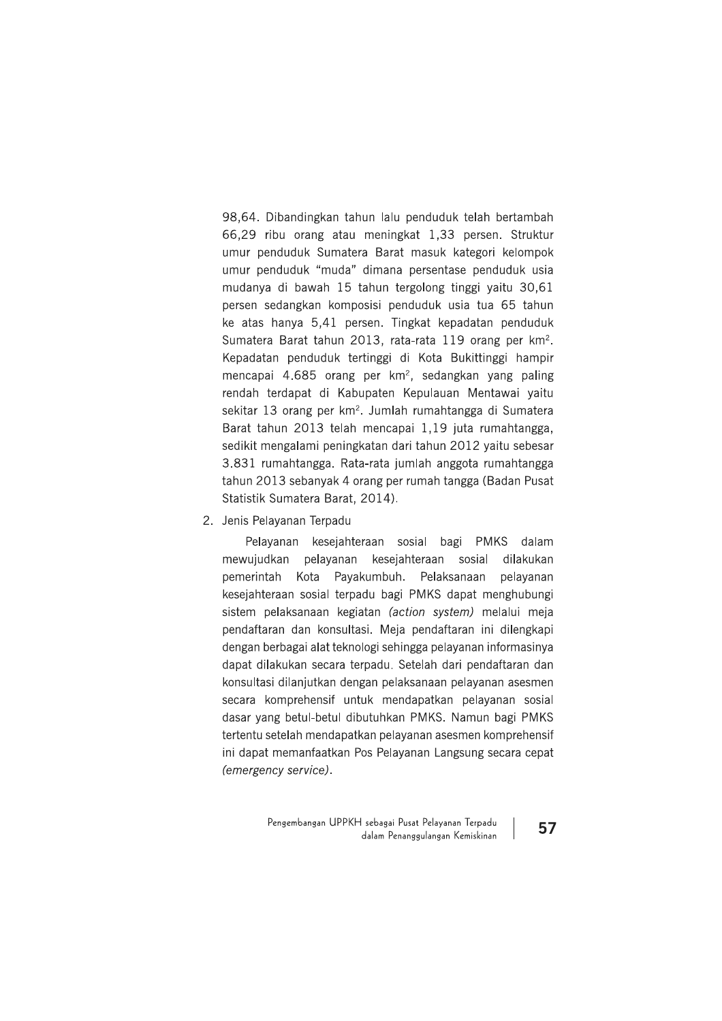98,64. Dibandingkan tahun lalu penduduk telah bertambah 66,29 ribu orang atau meningkat 1,33 persen. Struktur umur penduduk Sumatera Barat masuk kategori kelompok umur penduduk "muda" dimana persentase penduduk usia mudanya di bawah 15 tahun tergolong tinggi yaitu 30,61 persen sedangkan komposisi penduduk usia tua 65 tahun ke atas hanya 5,41 persen. Tingkat kepadatan penduduk Sumatera Barat tahun 2013, rata-rata 119 orang per km<sup>2</sup>. Kepadatan penduduk tertinggi di Kota Bukittinggi hampir mencapai 4.685 orang per km<sup>2</sup>, sedangkan yang paling rendah terdapat di Kabupaten Kepulauan Mentawai yaitu sekitar 13 orang per km<sup>2</sup>. Jumlah rumahtangga di Sumatera Barat tahun 2013 telah mencapai 1,19 juta rumahtangga, sedikit mengalami peningkatan dari tahun 2012 yaitu sebesar 3.831 rumahtangga. Rata-rata jumlah anggota rumahtangga tahun 2013 sebanyak 4 orang per rumah tangga (Badan Pusat Statistik Sumatera Barat, 2014).

2. Jenis Pelayanan Terpadu

Pelayanan kesejahteraan sosial bagi PMKS dalam mewujudkan pelayanan kesejahteraan sosial dilakukan pemerintah Kota Payakumbuh. Pelaksanaan pelayanan kesejahteraan sosial terpadu bagi PMKS dapat menghubungi sistem pelaksanaan kegiatan (action system) melalui meja pendaftaran dan konsultasi. Meja pendaftaran ini dilengkapi dengan berbagai alat teknologi sehingga pelayanan informasinya dapat dilakukan secara terpadu. Setelah dari pendaftaran dan konsultasi dilanjutkan dengan pelaksanaan pelayanan asesmen secara komprehensif untuk mendapatkan pelayanan sosial dasar yang betul-betul dibutuhkan PMKS. Namun bagi PMKS tertentu setelah mendapatkan pelayanan asesmen komprehensif ini dapat memanfaatkan Pos Pelayanan Langsung secara cepat (emergency service).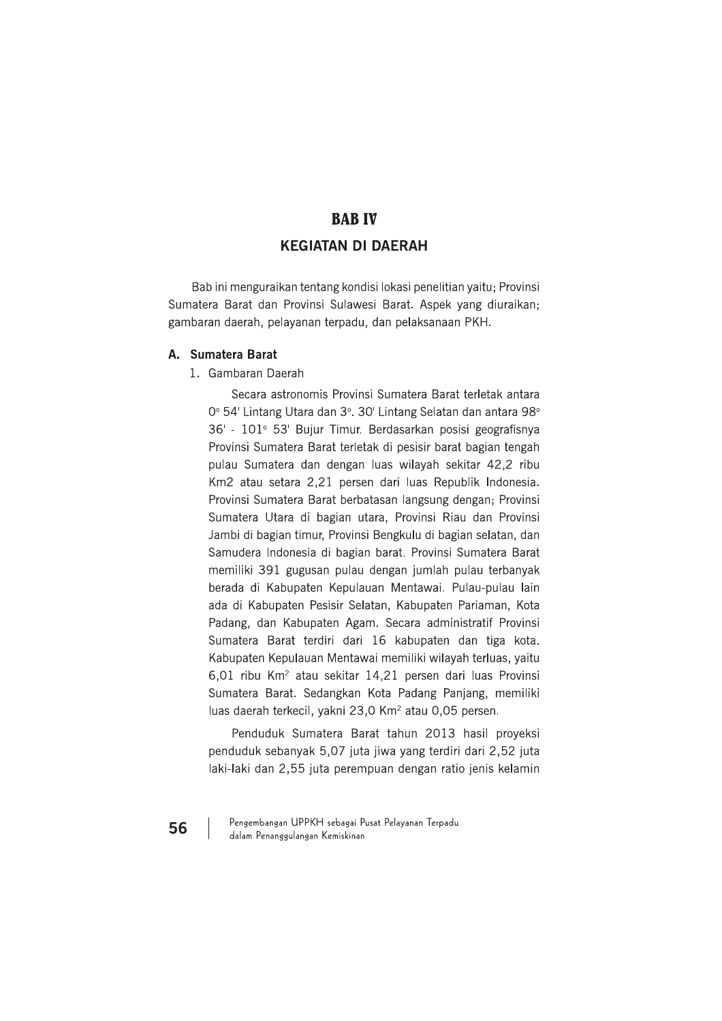# **BAB IV KEGIATAN DI DAERAH**

Bab ini menguraikan tentang kondisi lokasi penelitian yaitu; Provinsi Sumatera Barat dan Provinsi Sulawesi Barat. Aspek yang diuraikan; gambaran daerah, pelayanan terpadu, dan pelaksanaan PKH.

# A. Sumatera Barat

#### 1. Gambaran Daerah

Secara astronomis Provinsi Sumatera Barat terletak antara 0° 54' Lintang Utara dan 3°. 30' Lintang Selatan dan antara 98° 36' - 101° 53' Bujur Timur. Berdasarkan posisi geografisnya Provinsi Sumatera Barat terletak di pesisir barat bagian tengah pulau Sumatera dan dengan luas wilayah sekitar 42,2 ribu Km2 atau setara 2,21 persen dari luas Republik Indonesia. Provinsi Sumatera Barat berbatasan langsung dengan; Provinsi Sumatera Utara di bagian utara, Provinsi Riau dan Provinsi Jambi di bagian timur, Provinsi Bengkulu di bagian selatan, dan Samudera Indonesia di bagian barat. Provinsi Sumatera Barat memiliki 391 gugusan pulau dengan jumlah pulau terbanyak berada di Kabupaten Kepulauan Mentawai. Pulau-pulau lain ada di Kabupaten Pesisir Selatan, Kabupaten Pariaman, Kota Padang, dan Kabupaten Agam. Secara administratif Provinsi Sumatera Barat terdiri dari 16 kabupaten dan tiga kota. Kabupaten Kepulauan Mentawai memiliki wilayah terluas, yaitu 6,01 ribu Km<sup>2</sup> atau sekitar 14,21 persen dari luas Provinsi Sumatera Barat. Sedangkan Kota Padang Panjang, memiliki luas daerah terkecil, yakni 23,0 Km<sup>2</sup> atau 0,05 persen.

Penduduk Sumatera Barat tahun 2013 hasil proyeksi penduduk sebanyak 5,07 juta jiwa yang terdiri dari 2,52 juta laki-laki dan 2,55 juta perempuan dengan ratio jenis kelamin

Pengembangan UPPKH sebagai Pusat Pelayanan Terpadu dalam Penanggulangan Kemiskinan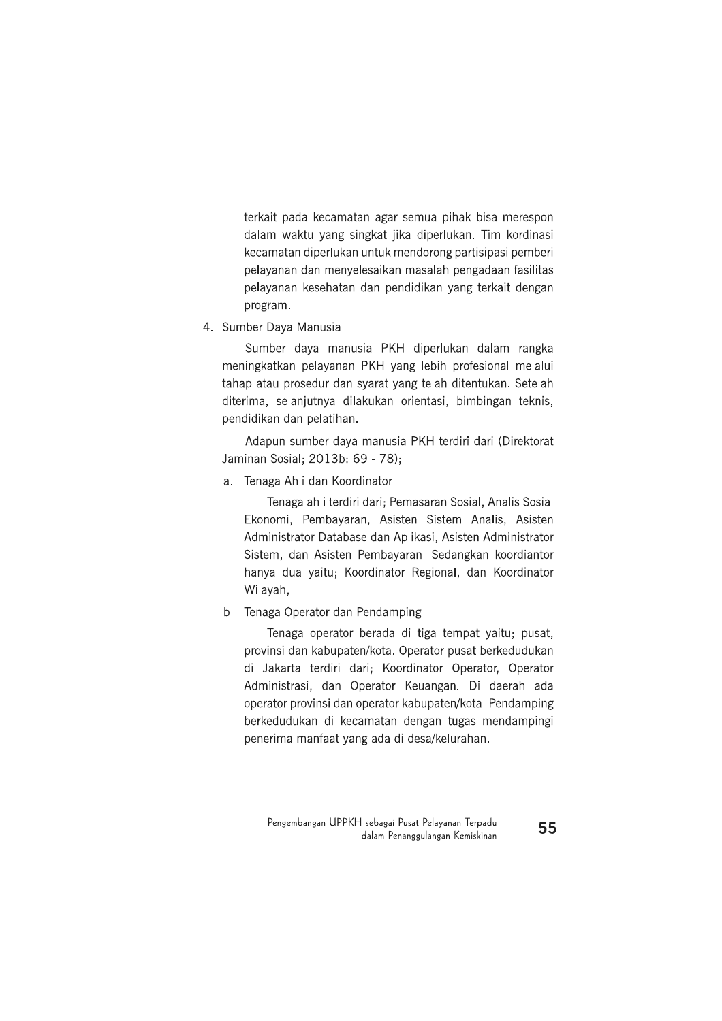terkait pada kecamatan agar semua pihak bisa merespon dalam waktu yang singkat jika diperlukan. Tim kordinasi kecamatan diperlukan untuk mendorong partisipasi pemberi pelayanan dan menyelesaikan masalah pengadaan fasilitas pelayanan kesehatan dan pendidikan yang terkait dengan program.

4. Sumber Daya Manusia

Sumber daya manusia PKH diperlukan dalam rangka meningkatkan pelayanan PKH yang lebih profesional melalui tahap atau prosedur dan syarat yang telah ditentukan. Setelah diterima, selanjutnya dilakukan orientasi, bimbingan teknis, pendidikan dan pelatihan.

Adapun sumber daya manusia PKH terdiri dari (Direktorat Jaminan Sosial: 2013b: 69 - 78):

a. Tenaga Ahli dan Koordinator

Tenaga ahli terdiri dari; Pemasaran Sosial, Analis Sosial Ekonomi, Pembayaran, Asisten Sistem Analis, Asisten Administrator Database dan Aplikasi, Asisten Administrator Sistem, dan Asisten Pembayaran. Sedangkan koordiantor hanya dua yaitu; Koordinator Regional, dan Koordinator Wilayah,

b. Tenaga Operator dan Pendamping

Tenaga operator berada di tiga tempat yaitu; pusat, provinsi dan kabupaten/kota. Operator pusat berkedudukan di Jakarta terdiri dari; Koordinator Operator, Operator Administrasi, dan Operator Keuangan. Di daerah ada operator provinsi dan operator kabupaten/kota. Pendamping berkedudukan di kecamatan dengan tugas mendampingi penerima manfaat yang ada di desa/kelurahan.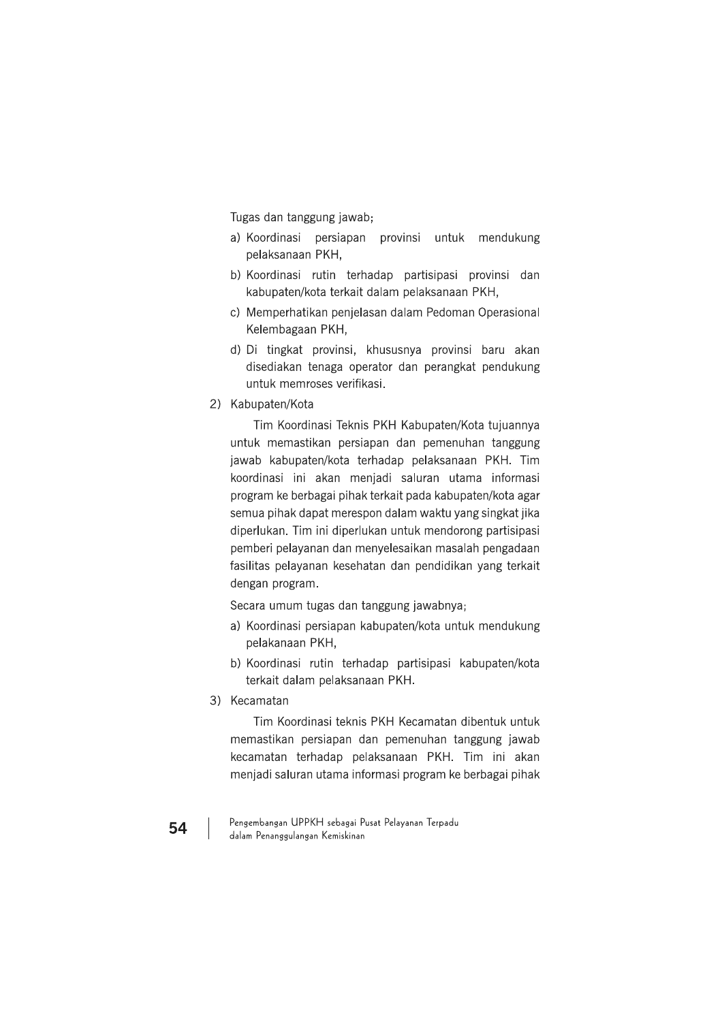Tugas dan tanggung jawab;

- a) Koordinasi persiapan provinsi untuk mendukung pelaksanaan PKH,
- b) Koordinasi rutin terhadap partisipasi provinsi dan kabupaten/kota terkait dalam pelaksanaan PKH,
- c) Memperhatikan penjelasan dalam Pedoman Operasional Kelembagaan PKH,
- d) Di tingkat provinsi, khususnya provinsi baru akan disediakan tenaga operator dan perangkat pendukung untuk memroses verifikasi.
- 2) Kabupaten/Kota

Tim Koordinasi Teknis PKH Kabupaten/Kota tujuannya untuk memastikan persiapan dan pemenuhan tanggung jawab kabupaten/kota terhadap pelaksanaan PKH. Tim koordinasi ini akan menjadi saluran utama informasi program ke berbagai pihak terkait pada kabupaten/kota agar semua pihak dapat merespon dalam waktu yang singkat jika diperlukan. Tim ini diperlukan untuk mendorong partisipasi pemberi pelayanan dan menyelesaikan masalah pengadaan fasilitas pelayanan kesehatan dan pendidikan yang terkait dengan program.

Secara umum tugas dan tanggung jawabnya;

- a) Koordinasi persiapan kabupaten/kota untuk mendukung pelakanaan PKH,
- b) Koordinasi rutin terhadap partisipasi kabupaten/kota terkait dalam pelaksanaan PKH.
- 3) Kecamatan

Tim Koordinasi teknis PKH Kecamatan dibentuk untuk memastikan persiapan dan pemenuhan tanggung jawab kecamatan terhadap pelaksanaan PKH. Tim ini akan menjadi saluran utama informasi program ke berbagai pihak

Pengembangan UPPKH sebagai Pusat Pelayanan Terpadu dalam Penanggulangan Kemiskinan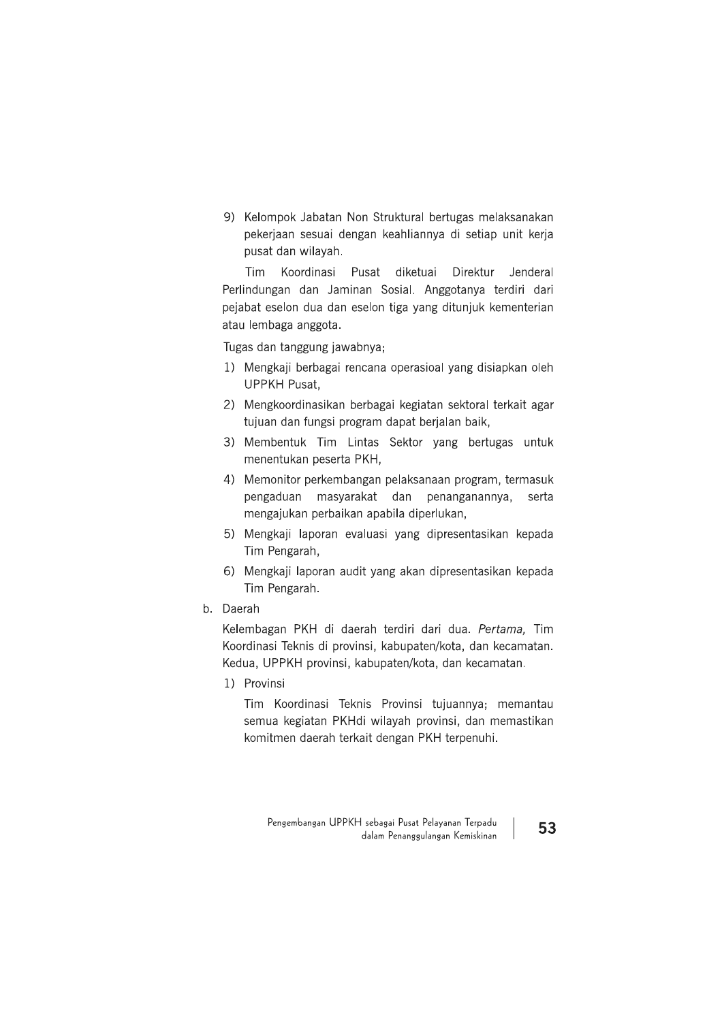9) Kelompok Jabatan Non Struktural bertugas melaksanakan pekerjaan sesuai dengan keahliannya di setiap unit kerja pusat dan wilayah.

Tim Koordinasi Pusat diketuai Direktur Jenderal Perlindungan dan Jaminan Sosial. Anggotanya terdiri dari pejabat eselon dua dan eselon tiga yang ditunjuk kementerian atau lembaga anggota.

Tugas dan tanggung jawabnya;

- 1) Mengkaji berbagai rencana operasioal yang disiapkan oleh **UPPKH Pusat.**
- 2) Mengkoordinasikan berbagai kegiatan sektoral terkait agar tujuan dan fungsi program dapat berjalan baik,
- 3) Membentuk Tim Lintas Sektor yang bertugas untuk menentukan peserta PKH.
- 4) Memonitor perkembangan pelaksanaan program, termasuk pengaduan masyarakat dan penanganannya, serta mengajukan perbaikan apabila diperlukan,
- 5) Mengkaji laporan evaluasi yang dipresentasikan kepada Tim Pengarah,
- 6) Mengkaji laporan audit yang akan dipresentasikan kepada Tim Pengarah.
- b. Daerah

Kelembagan PKH di daerah terdiri dari dua. Pertama, Tim Koordinasi Teknis di provinsi, kabupaten/kota, dan kecamatan. Kedua, UPPKH provinsi, kabupaten/kota, dan kecamatan.

1) Provinsi

Tim Koordinasi Teknis Provinsi tujuannya; memantau semua kegiatan PKHdi wilayah provinsi, dan memastikan komitmen daerah terkait dengan PKH terpenuhi.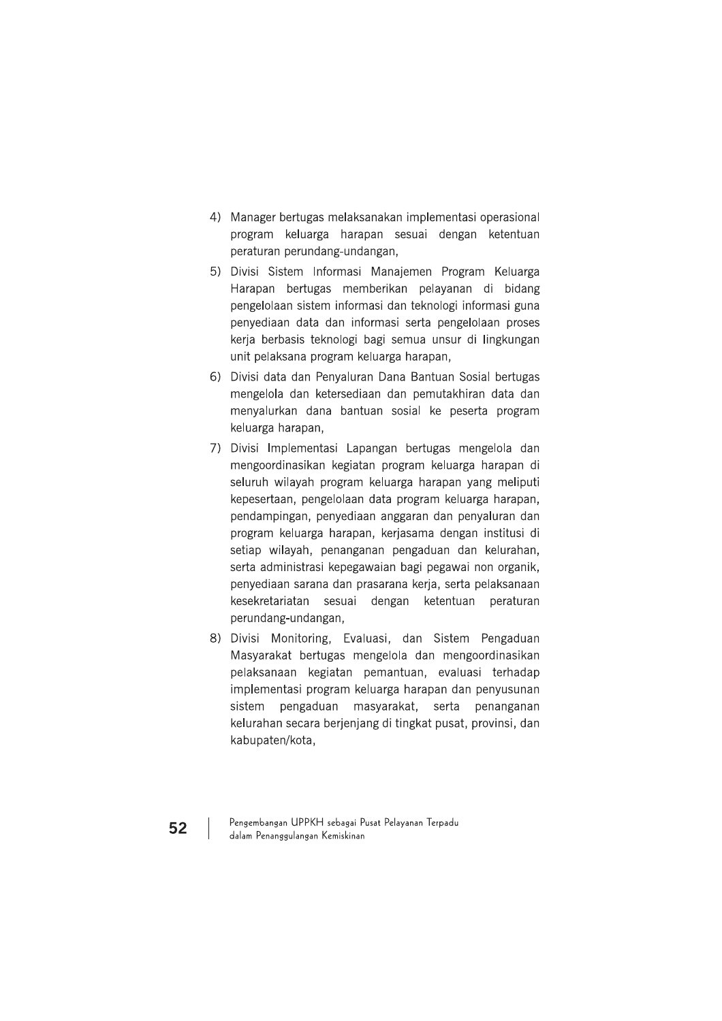- 4) Manager bertugas melaksanakan implementasi operasional program keluarga harapan sesuai dengan ketentuan peraturan perundang-undangan,
- 5) Divisi Sistem Informasi Manajemen Program Keluarga Harapan bertugas memberikan pelayanan di bidang pengelolaan sistem informasi dan teknologi informasi guna penyediaan data dan informasi serta pengelolaan proses kerja berbasis teknologi bagi semua unsur di lingkungan unit pelaksana program keluarga harapan,
- 6) Divisi data dan Penyaluran Dana Bantuan Sosial bertugas mengelola dan ketersediaan dan pemutakhiran data dan menyalurkan dana bantuan sosial ke peserta program keluarga harapan,
- 7) Divisi Implementasi Lapangan bertugas mengelola dan mengoordinasikan kegiatan program keluarga harapan di seluruh wilayah program keluarga harapan yang meliputi kepesertaan, pengelolaan data program keluarga harapan, pendampingan, penyediaan anggaran dan penyaluran dan program keluarga harapan, kerjasama dengan institusi di setiap wilayah, penanganan pengaduan dan kelurahan, serta administrasi kepegawaian bagi pegawai non organik, penyediaan sarana dan prasarana kerja, serta pelaksanaan kesekretariatan sesuai dengan ketentuan peraturan perundang-undangan,
- 8) Divisi Monitoring, Evaluasi, dan Sistem Pengaduan Masyarakat bertugas mengelola dan mengoordinasikan pelaksanaan kegiatan pemantuan, evaluasi terhadap implementasi program keluarga harapan dan penyusunan sistem pengaduan masyarakat, serta penanganan kelurahan secara berjenjang di tingkat pusat, provinsi, dan kabupaten/kota,

Pengembangan UPPKH sebagai Pusat Pelayanan Terpadu dalam Penanggulangan Kemiskinan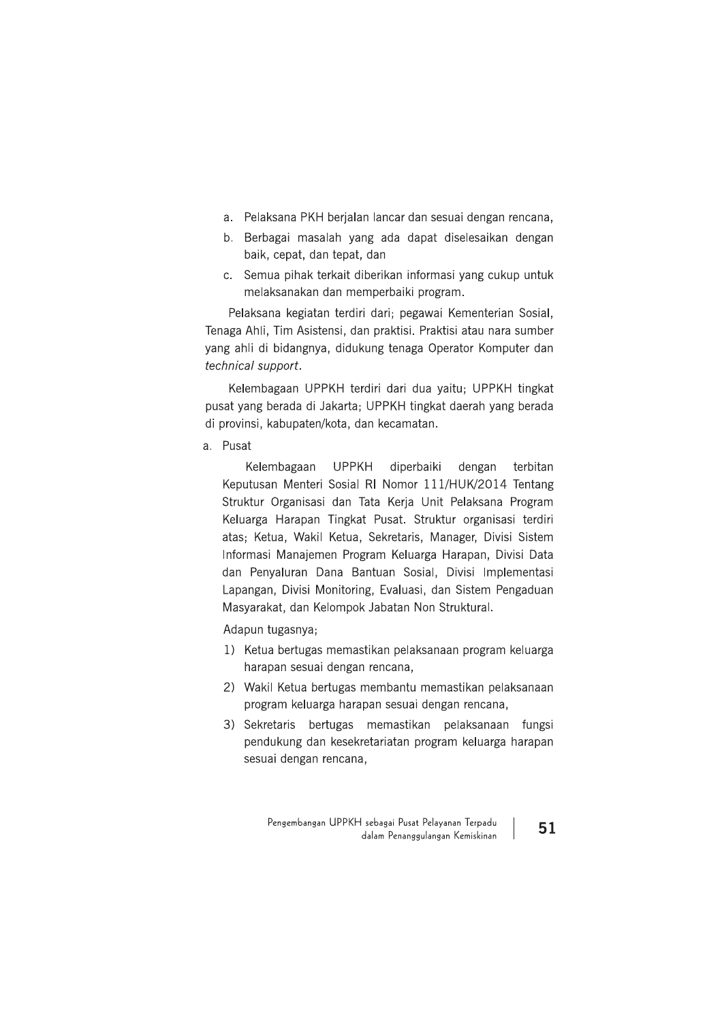- a. Pelaksana PKH berjalan lancar dan sesuai dengan rencana,
- b. Berbagai masalah yang ada dapat diselesaikan dengan baik, cepat, dan tepat, dan
- c. Semua pihak terkait diberikan informasi yang cukup untuk melaksanakan dan memperbaiki program.

Pelaksana kegiatan terdiri dari; pegawai Kementerian Sosial, Tenaga Ahli, Tim Asistensi, dan praktisi. Praktisi atau nara sumber yang ahli di bidangnya, didukung tenaga Operator Komputer dan technical support.

Kelembagaan UPPKH terdiri dari dua yaitu; UPPKH tingkat pusat yang berada di Jakarta; UPPKH tingkat daerah yang berada di provinsi, kabupaten/kota, dan kecamatan.

a. Pusat

Kelembagaan **UPPKH** diperbaiki dengan terbitan Keputusan Menteri Sosial RI Nomor 111/HUK/2014 Tentang Struktur Organisasi dan Tata Kerja Unit Pelaksana Program Keluarga Harapan Tingkat Pusat. Struktur organisasi terdiri atas; Ketua, Wakil Ketua, Sekretaris, Manager, Divisi Sistem Informasi Manajemen Program Keluarga Harapan, Divisi Data dan Penyaluran Dana Bantuan Sosial, Divisi Implementasi Lapangan, Divisi Monitoring, Evaluasi, dan Sistem Pengaduan Masyarakat, dan Kelompok Jabatan Non Struktural.

Adapun tugasnya;

- 1) Ketua bertugas memastikan pelaksanaan program keluarga harapan sesuai dengan rencana,
- 2) Wakil Ketua bertugas membantu memastikan pelaksanaan program keluarga harapan sesuai dengan rencana,
- 3) Sekretaris bertugas memastikan pelaksanaan fungsi pendukung dan kesekretariatan program keluarga harapan sesuai dengan rencana,

Pengembangan UPPKH sebagai Pusat Pelayanan Terpadu dalam Penanggulangan Kemiskinan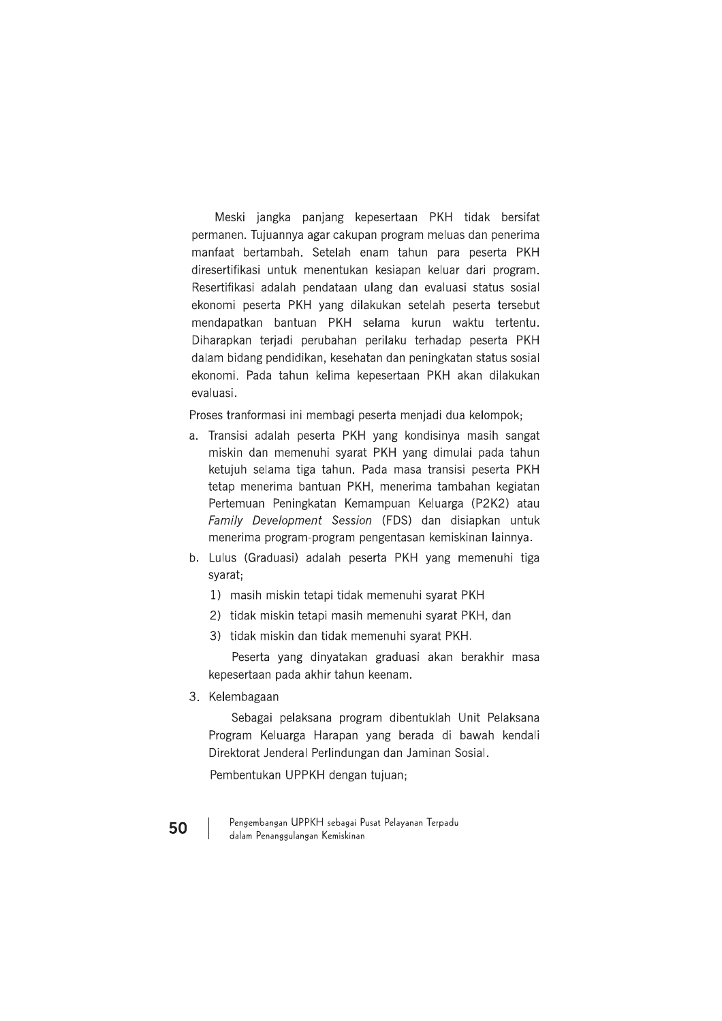Meski jangka panjang kepesertaan PKH tidak bersifat permanen. Tujuannya agar cakupan program meluas dan penerima manfaat bertambah. Setelah enam tahun para peserta PKH diresertifikasi untuk menentukan kesiapan keluar dari program. Resertifikasi adalah pendataan ulang dan evaluasi status sosial ekonomi peserta PKH yang dilakukan setelah peserta tersebut mendapatkan bantuan PKH selama kurun waktu tertentu. Diharapkan teriadi perubahan perilaku terhadap peserta PKH dalam bidang pendidikan, kesehatan dan peningkatan status sosial ekonomi. Pada tahun kelima kepesertaan PKH akan dilakukan evaluasi.

Proses tranformasi ini membagi peserta menjadi dua kelompok;

- a. Transisi adalah peserta PKH yang kondisinya masih sangat miskin dan memenuhi syarat PKH yang dimulai pada tahun ketujuh selama tiga tahun. Pada masa transisi peserta PKH tetap menerima bantuan PKH, menerima tambahan kegiatan Pertemuan Peningkatan Kemampuan Keluarga (P2K2) atau Family Development Session (FDS) dan disiapkan untuk menerima program-program pengentasan kemiskinan lainnya.
- b. Lulus (Graduasi) adalah peserta PKH yang memenuhi tiga syarat;
	- 1) masih miskin tetapi tidak memenuhi syarat PKH
	- 2) tidak miskin tetapi masih memenuhi syarat PKH, dan
	- 3) tidak miskin dan tidak memenuhi syarat PKH.

Peserta yang dinyatakan graduasi akan berakhir masa kepesertaan pada akhir tahun keenam.

3. Kelembagaan

Sebagai pelaksana program dibentuklah Unit Pelaksana Program Keluarga Harapan yang berada di bawah kendali Direktorat Jenderal Perlindungan dan Jaminan Sosial.

Pembentukan UPPKH dengan tujuan;

Pengembangan UPPKH sebagai Pusat Pelayanan Terpadu dalam Penanggulangan Kemiskinan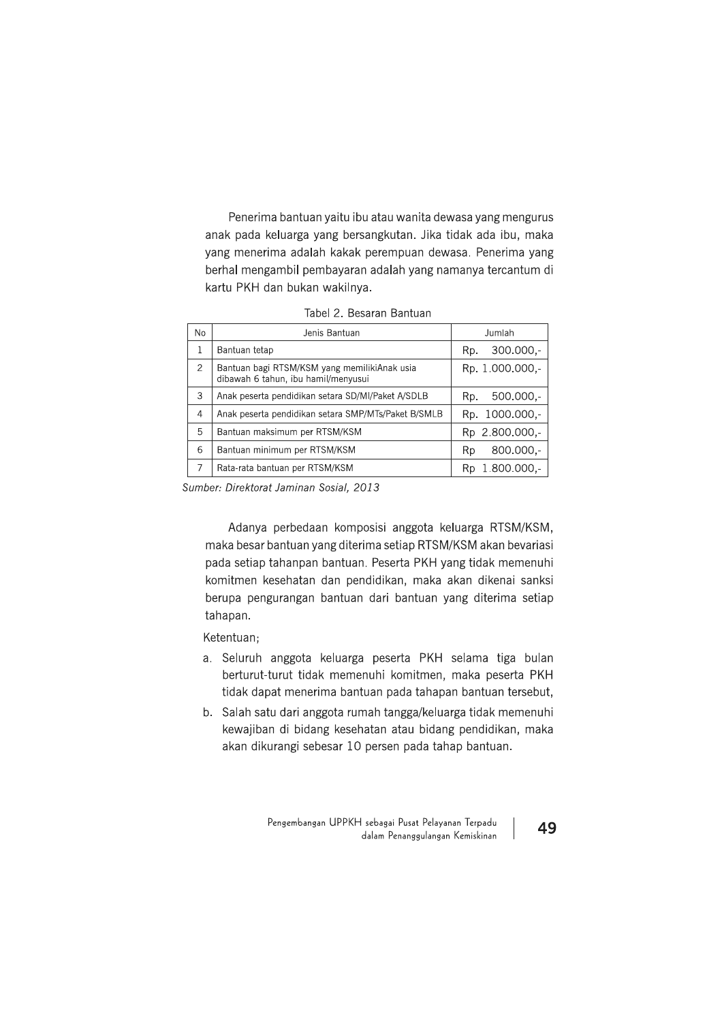Penerima bantuan yaitu ibu atau wanita dewasa yang mengurus anak pada keluarga yang bersangkutan. Jika tidak ada ibu, maka yang menerima adalah kakak perempuan dewasa. Penerima yang berhal mengambil pembayaran adalah yang namanya tercantum di kartu PKH dan bukan wakilnya.

Tabel 2. Besaran Bantuan

| No.           | Jenis Bantuan                                                                       | Jumlah              |  |
|---------------|-------------------------------------------------------------------------------------|---------------------|--|
| 1             | Bantuan tetap                                                                       | $300.000,-$<br>Rp.  |  |
| $\mathcal{P}$ | Bantuan bagi RTSM/KSM yang memilikiAnak usia<br>dibawah 6 tahun, ibu hamil/menyusui | Rp. 1.000.000,-     |  |
| 3             | Anak peserta pendidikan setara SD/MI/Paket A/SDLB                                   | $500.000,-$<br>Rp.  |  |
| 4             | Anak peserta pendidikan setara SMP/MTs/Paket B/SMLB                                 | Rp. 1000.000.-      |  |
| 5             | Bantuan maksimum per RTSM/KSM                                                       | Rp 2.800.000,-      |  |
| 6             | Bantuan minimum per RTSM/KSM                                                        | $800.000,-$<br>Rp   |  |
| 7             | Rata-rata bantuan per RTSM/KSM                                                      | $1.800.000,-$<br>Rp |  |

Sumber: Direktorat Jaminan Sosial, 2013

Adanya perbedaan komposisi anggota keluarga RTSM/KSM, maka besar bantuan yang diterima setiap RTSM/KSM akan bevariasi pada setiap tahanpan bantuan. Peserta PKH yang tidak memenuhi komitmen kesehatan dan pendidikan, maka akan dikenai sanksi berupa pengurangan bantuan dari bantuan yang diterima setiap tahapan.

Ketentuan;

- a. Seluruh anggota keluarga peserta PKH selama tiga bulan berturut-turut tidak memenuhi komitmen, maka peserta PKH tidak dapat menerima bantuan pada tahapan bantuan tersebut,
- b. Salah satu dari anggota rumah tangga/keluarga tidak memenuhi kewajiban di bidang kesehatan atau bidang pendidikan, maka akan dikurangi sebesar 10 persen pada tahap bantuan.

Pengembangan UPPKH sebagai Pusat Pelayanan Terpadu dalam Penanggulangan Kemiskinan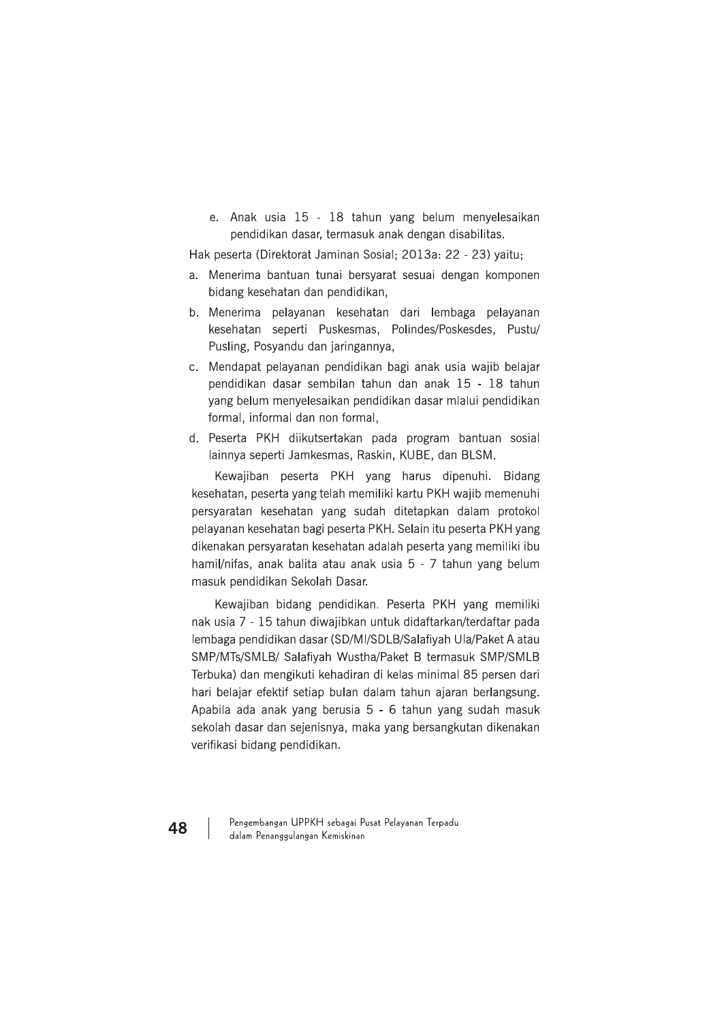e. Anak usia 15 - 18 tahun yang belum menyelesaikan pendidikan dasar, termasuk anak dengan disabilitas.

Hak peserta (Direktorat Jaminan Sosial; 2013a: 22 - 23) yaitu;

- a. Menerima bantuan tunai bersyarat sesuai dengan komponen bidang kesehatan dan pendidikan,
- b. Menerima pelayanan kesehatan dari lembaga pelayanan kesehatan seperti Puskesmas, Polindes/Poskesdes, Pustu/ Pusling, Posyandu dan jaringannya,
- c. Mendapat pelayanan pendidikan bagi anak usia wajib belajar pendidikan dasar sembilan tahun dan anak 15 - 18 tahun yang belum menyelesaikan pendidikan dasar mlalui pendidikan formal, informal dan non formal,
- d. Peserta PKH diikutsertakan pada program bantuan sosial lainnya seperti Jamkesmas, Raskin, KUBE, dan BLSM.

Kewajiban peserta PKH yang harus dipenuhi. **Bidang** kesehatan, peserta yang telah memiliki kartu PKH wajib memenuhi persyaratan kesehatan yang sudah ditetapkan dalam protokol pelayanan kesehatan bagi peserta PKH. Selain itu peserta PKH yang dikenakan persyaratan kesehatan adalah peserta yang memiliki ibu hamil/nifas, anak balita atau anak usia 5 - 7 tahun yang belum masuk pendidikan Sekolah Dasar.

Kewajiban bidang pendidikan. Peserta PKH yang memiliki nak usia 7 - 15 tahun diwajibkan untuk didaftarkan/terdaftar pada lembaga pendidikan dasar (SD/MI/SDLB/Salafiyah Ula/Paket A atau SMP/MTs/SMLB/ Salafiyah Wustha/Paket B termasuk SMP/SMLB Terbuka) dan mengikuti kehadiran di kelas minimal 85 persen dari hari belajar efektif setiap bulan dalam tahun ajaran berlangsung. Apabila ada anak yang berusia 5 - 6 tahun yang sudah masuk sekolah dasar dan sejenisnya, maka yang bersangkutan dikenakan verifikasi bidang pendidikan.

48

Pengembangan UPPKH sebagai Pusat Pelayanan Terpadu dalam Penanggulangan Kemiskinan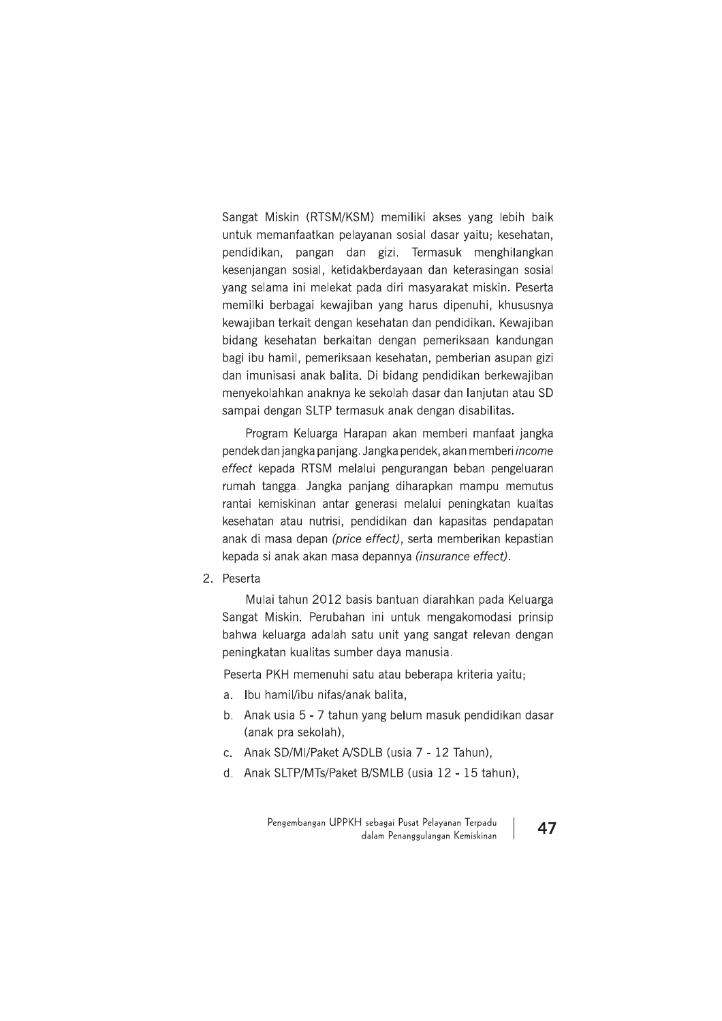Sangat Miskin (RTSM/KSM) memiliki akses yang lebih baik untuk memanfaatkan pelayanan sosial dasar yaitu; kesehatan, pendidikan, pangan dan gizi. Termasuk menghilangkan kesenjangan sosial, ketidakberdayaan dan keterasingan sosial yang selama ini melekat pada diri masyarakat miskin. Peserta memilki berbagai kewajiban yang harus dipenuhi, khususnya kewajiban terkait dengan kesehatan dan pendidikan. Kewajiban bidang kesehatan berkaitan dengan pemeriksaan kandungan bagi ibu hamil, pemeriksaan kesehatan, pemberian asupan gizi dan imunisasi anak balita. Di bidang pendidikan berkewajiban menyekolahkan anaknya ke sekolah dasar dan lanjutan atau SD sampai dengan SLTP termasuk anak dengan disabilitas.

Program Keluarga Harapan akan memberi manfaat jangka pendek dan jangka panjang. Jangka pendek, akan memberi income effect kepada RTSM melalui pengurangan beban pengeluaran rumah tangga. Jangka panjang diharapkan mampu memutus rantai kemiskinan antar generasi melalui peningkatan kualtas kesehatan atau nutrisi, pendidikan dan kapasitas pendapatan anak di masa depan (price effect), serta memberikan kepastian kepada si anak akan masa depannya (insurance effect).

2. Peserta

Mulai tahun 2012 basis bantuan diarahkan pada Keluarga Sangat Miskin. Perubahan ini untuk mengakomodasi prinsip bahwa keluarga adalah satu unit yang sangat relevan dengan peningkatan kualitas sumber daya manusia.

Peserta PKH memenuhi satu atau beberapa kriteria yaitu;

- a. Ibu hamil/ibu nifas/anak balita,
- b. Anak usia 5 7 tahun yang belum masuk pendidikan dasar (anak pra sekolah),
- c. Anak SD/MI/Paket A/SDLB (usia 7 12 Tahun).
- d. Anak SLTP/MTs/Paket B/SMLB (usia 12 15 tahun),

Pengembangan UPPKH sebagai Pusat Pelayanan Terpadu dalam Penanggulangan Kemiskinan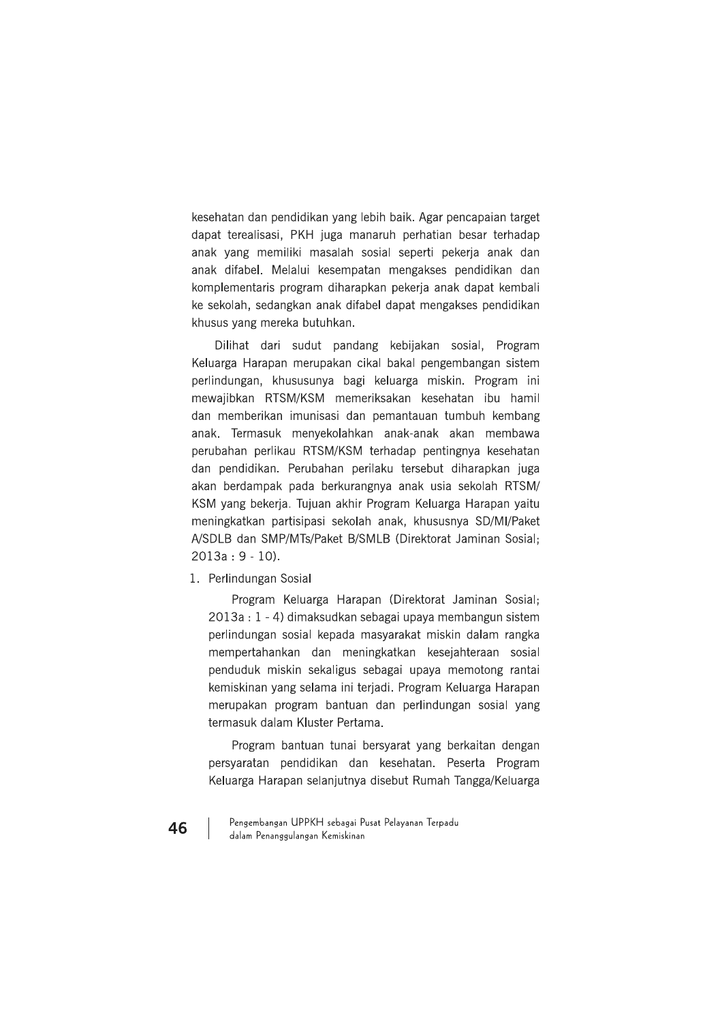kesehatan dan pendidikan yang lebih baik. Agar pencapaian target dapat terealisasi, PKH juga manaruh perhatian besar terhadap anak yang memiliki masalah sosial seperti pekerja anak dan anak difabel. Melalui kesempatan mengakses pendidikan dan komplementaris program diharapkan pekerja anak dapat kembali ke sekolah, sedangkan anak difabel dapat mengakses pendidikan khusus yang mereka butuhkan.

Dilihat dari sudut pandang kebijakan sosial, Program Keluarga Harapan merupakan cikal bakal pengembangan sistem perlindungan, khususunya bagi keluarga miskin. Program ini mewaiibkan RTSM/KSM memeriksakan kesehatan ibu hamil dan memberikan imunisasi dan pemantauan tumbuh kembang anak. Termasuk menyekolahkan anak-anak akan membawa perubahan perlikau RTSM/KSM terhadap pentingnya kesehatan dan pendidikan. Perubahan perilaku tersebut diharapkan juga akan berdampak pada berkurangnya anak usia sekolah RTSM/ KSM yang bekerja. Tujuan akhir Program Keluarga Harapan yaitu meningkatkan partisipasi sekolah anak, khususnya SD/MI/Paket A/SDLB dan SMP/MTs/Paket B/SMLB (Direktorat Jaminan Sosial;  $2013a: 9 - 10$ ).

1. Perlindungan Sosial

Program Keluarga Harapan (Direktorat Jaminan Sosial; 2013a : 1 - 4) dimaksudkan sebagai upaya membangun sistem perlindungan sosial kepada masyarakat miskin dalam rangka mempertahankan dan meningkatkan kesejahteraan sosial penduduk miskin sekaligus sebagai upaya memotong rantai kemiskinan yang selama ini terjadi. Program Keluarga Harapan merupakan program bantuan dan perlindungan sosial yang termasuk dalam Kluster Pertama.

Program bantuan tunai bersyarat yang berkaitan dengan persyaratan pendidikan dan kesehatan. Peserta Program Keluarga Harapan selanjutnya disebut Rumah Tangga/Keluarga

Pengembangan UPPKH sebagai Pusat Pelayanan Terpadu dalam Penanggulangan Kemiskinan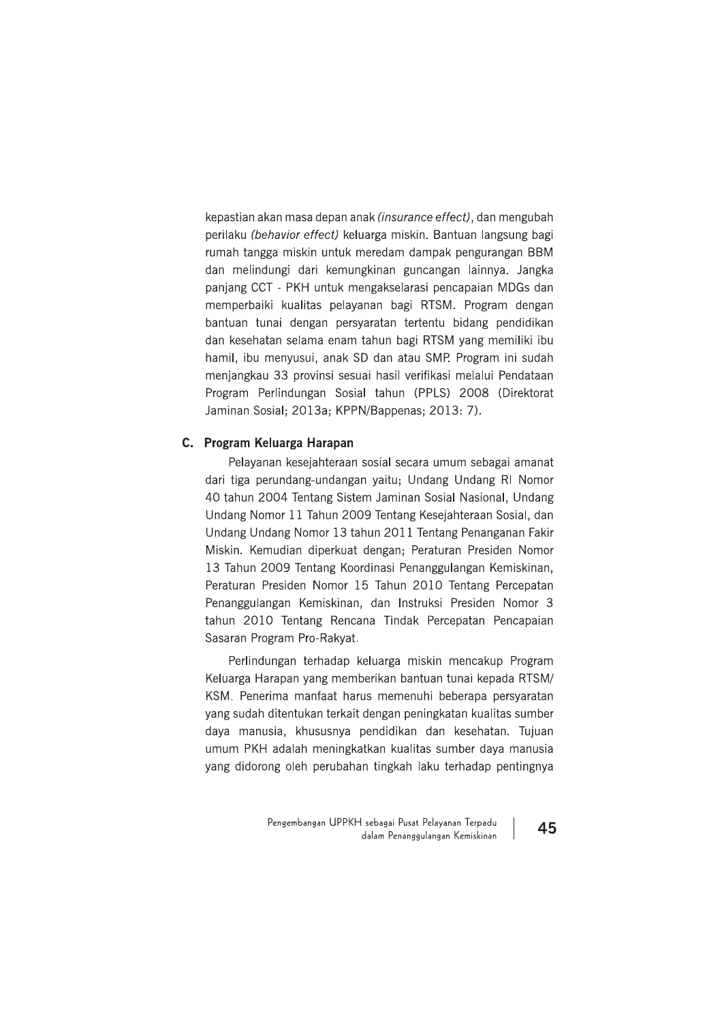kepastian akan masa depan anak (insurance effect), dan mengubah perilaku (behavior effect) keluarga miskin. Bantuan langsung bagi rumah tangga miskin untuk meredam dampak pengurangan BBM dan melindungi dari kemungkinan guncangan lainnya. Jangka panjang CCT - PKH untuk mengakselarasi pencapaian MDGs dan memperbaiki kualitas pelayanan bagi RTSM. Program dengan bantuan tunai dengan persyaratan tertentu bidang pendidikan dan kesehatan selama enam tahun bagi RTSM yang memiliki ibu hamil, ibu menyusui, anak SD dan atau SMP. Program ini sudah menjangkau 33 provinsi sesuai hasil verifikasi melalui Pendataan Program Perlindungan Sosial tahun (PPLS) 2008 (Direktorat Jaminan Sosial; 2013a; KPPN/Bappenas; 2013: 7).

# C. Program Keluarga Harapan

Pelayanan kesejahteraan sosial secara umum sebagai amanat dari tiga perundang-undangan yaitu; Undang Undang RI Nomor 40 tahun 2004 Tentang Sistem Jaminan Sosial Nasional, Undang Undang Nomor 11 Tahun 2009 Tentang Kesejahteraan Sosial, dan Undang Undang Nomor 13 tahun 2011 Tentang Penanganan Fakir Miskin. Kemudian diperkuat dengan; Peraturan Presiden Nomor 13 Tahun 2009 Tentang Koordinasi Penanggulangan Kemiskinan, Peraturan Presiden Nomor 15 Tahun 2010 Tentang Percepatan Penanggulangan Kemiskinan, dan Instruksi Presiden Nomor 3 tahun 2010 Tentang Rencana Tindak Percepatan Pencapaian Sasaran Program Pro-Rakyat.

Perlindungan terhadap keluarga miskin mencakup Program Keluarga Harapan yang memberikan bantuan tunai kepada RTSM/ KSM. Penerima manfaat harus memenuhi beberapa persyaratan yang sudah ditentukan terkait dengan peningkatan kualitas sumber daya manusia, khususnya pendidikan dan kesehatan. Tujuan umum PKH adalah meningkatkan kualitas sumber daya manusia yang didorong oleh perubahan tingkah laku terhadap pentingnya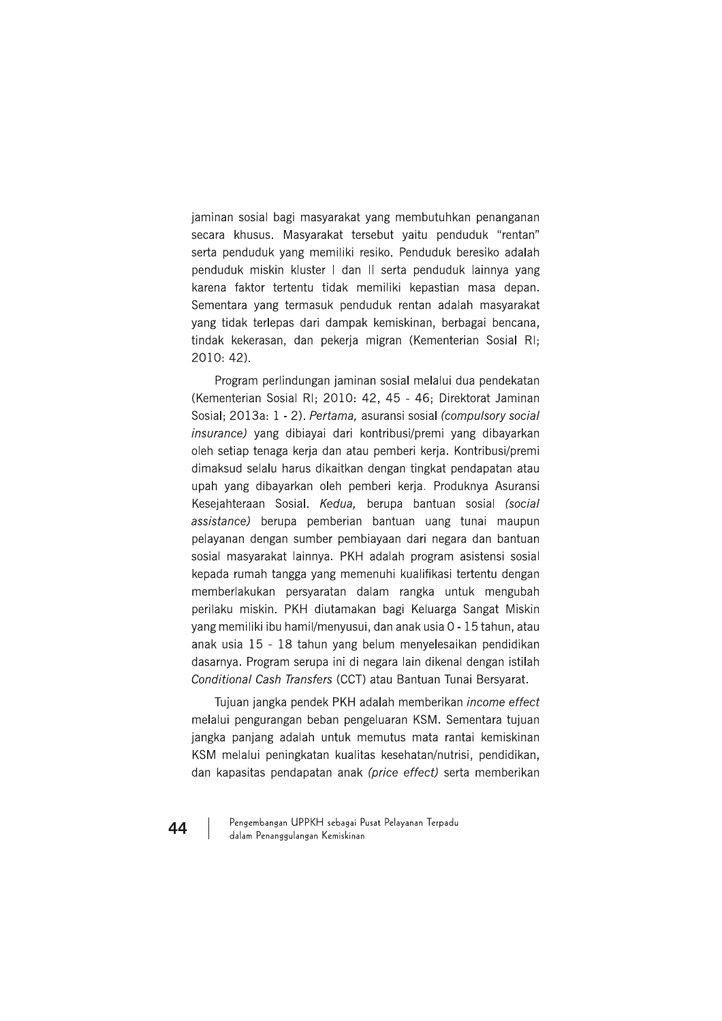jaminan sosial bagi masyarakat yang membutuhkan penanganan secara khusus. Masyarakat tersebut vaitu penduduk "rentan" serta penduduk yang memiliki resiko. Penduduk beresiko adalah penduduk miskin kluster I dan II serta penduduk lainnya yang karena faktor tertentu tidak memiliki kepastian masa depan. Sementara yang termasuk penduduk rentan adalah masyarakat yang tidak terlepas dari dampak kemiskinan, berbagai bencana, tindak kekerasan, dan pekerja migran (Kementerian Sosial RI;  $2010:42$ ).

Program perlindungan jaminan sosial melalui dua pendekatan (Kementerian Sosial RI; 2010: 42, 45 - 46; Direktorat Jaminan Sosial; 2013a: 1 - 2). Pertama, asuransi sosial (compulsory social insurance) yang dibiayai dari kontribusi/premi yang dibayarkan oleh setiap tenaga kerja dan atau pemberi kerja. Kontribusi/premi dimaksud selalu harus dikaitkan dengan tingkat pendapatan atau upah yang dibayarkan oleh pemberi kerja. Produknya Asuransi Kesejahteraan Sosial. Kedua, berupa bantuan sosial (social assistance) berupa pemberian bantuan uang tunai maupun pelayanan dengan sumber pembiayaan dari negara dan bantuan sosial masyarakat lainnya. PKH adalah program asistensi sosial kepada rumah tangga yang memenuhi kualifikasi tertentu dengan memberlakukan persyaratan dalam rangka untuk mengubah perilaku miskin. PKH diutamakan bagi Keluarga Sangat Miskin yang memiliki ibu hamil/menyusui, dan anak usia 0 - 15 tahun, atau anak usia 15 - 18 tahun yang belum menyelesaikan pendidikan dasarnya. Program serupa ini di negara lain dikenal dengan istilah Conditional Cash Transfers (CCT) atau Bantuan Tunai Bersyarat.

Tujuan jangka pendek PKH adalah memberikan income effect melalui pengurangan beban pengeluaran KSM. Sementara tujuan jangka panjang adalah untuk memutus mata rantai kemiskinan KSM melalui peningkatan kualitas kesehatan/nutrisi, pendidikan, dan kapasitas pendapatan anak (price effect) serta memberikan

Pengembangan UPPKH sebagai Pusat Pelayanan Terpadu dalam Penanggulangan Kemiskinan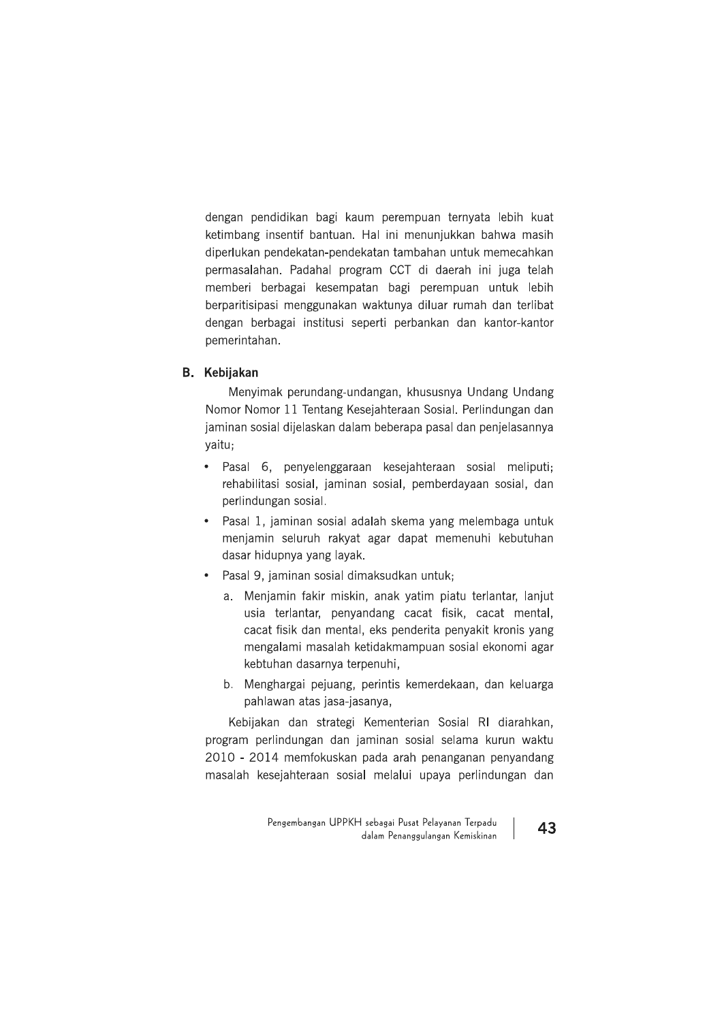dengan pendidikan bagi kaum perempuan ternyata lebih kuat ketimbang insentif bantuan. Hal ini menunjukkan bahwa masih diperlukan pendekatan-pendekatan tambahan untuk memecahkan permasalahan. Padahal program CCT di daerah ini juga telah memberi berbagai kesempatan bagi perempuan untuk lebih berparitisipasi menggunakan waktunya diluar rumah dan terlibat dengan berbagai institusi seperti perbankan dan kantor-kantor pemerintahan.

# **B.** Kebijakan

Menyimak perundang-undangan, khususnya Undang Undang Nomor Nomor 11 Tentang Kesejahteraan Sosial. Perlindungan dan jaminan sosial dijelaskan dalam beberapa pasal dan penjelasannya yaitu;

- · Pasal 6, penyelenggaraan kesejahteraan sosial meliputi; rehabilitasi sosial, jaminan sosial, pemberdayaan sosial, dan perlindungan sosial.
- · Pasal 1, jaminan sosial adalah skema yang melembaga untuk menjamin seluruh rakyat agar dapat memenuhi kebutuhan dasar hidupnya yang layak.
- Pasal 9, jaminan sosial dimaksudkan untuk;
	- a. Menjamin fakir miskin, anak yatim piatu terlantar, lanjut usia terlantar, penyandang cacat fisik, cacat mental, cacat fisik dan mental, eks penderita penyakit kronis yang mengalami masalah ketidakmampuan sosial ekonomi agar kebtuhan dasarnya terpenuhi,
	- b. Menghargai pejuang, perintis kemerdekaan, dan keluarga pahlawan atas jasa-jasanya,

Kebijakan dan strategi Kementerian Sosial RI diarahkan, program perlindungan dan jaminan sosial selama kurun waktu 2010 - 2014 memfokuskan pada arah penanganan penyandang masalah kesejahteraan sosial melalui upaya perlindungan dan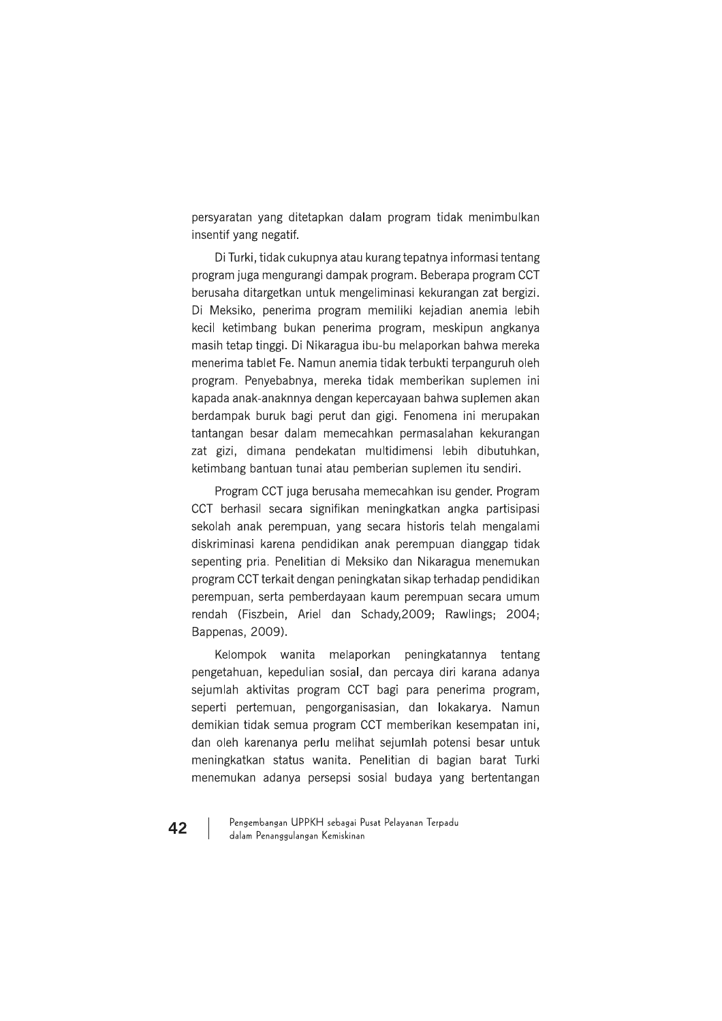persyaratan yang ditetapkan dalam program tidak menimbulkan insentif yang negatif.

Di Turki, tidak cukupnya atau kurang tepatnya informasi tentang program juga mengurangi dampak program. Beberapa program CCT berusaha ditargetkan untuk mengeliminasi kekurangan zat bergizi. Di Meksiko, penerima program memiliki kejadian anemia lebih kecil ketimbang bukan penerima program, meskipun angkanya masih tetap tinggi. Di Nikaragua ibu-bu melaporkan bahwa mereka menerima tablet Fe. Namun anemia tidak terbukti terpanguruh oleh program. Penyebabnya, mereka tidak memberikan suplemen ini kapada anak-anaknnya dengan kepercayaan bahwa suplemen akan berdampak buruk bagi perut dan gigi. Fenomena ini merupakan tantangan besar dalam memecahkan permasalahan kekurangan zat gizi, dimana pendekatan multidimensi lebih dibutuhkan, ketimbang bantuan tunai atau pemberian suplemen itu sendiri.

Program CCT juga berusaha memecahkan isu gender. Program CCT berhasil secara signifikan meningkatkan angka partisipasi sekolah anak perempuan, yang secara historis telah mengalami diskriminasi karena pendidikan anak perempuan dianggap tidak sepenting pria. Penelitian di Meksiko dan Nikaragua menemukan program CCT terkait dengan peningkatan sikap terhadap pendidikan perempuan, serta pemberdayaan kaum perempuan secara umum rendah (Fiszbein, Ariel dan Schady, 2009; Rawlings; 2004; Bappenas, 2009).

Kelompok wanita melaporkan peningkatannya tentang pengetahuan, kepedulian sosial, dan percaya diri karana adanya sejumlah aktivitas program CCT bagi para penerima program, seperti pertemuan, pengorganisasian, dan lokakarya. Namun demikian tidak semua program CCT memberikan kesempatan ini, dan oleh karenanya perlu melihat sejumlah potensi besar untuk meningkatkan status wanita. Penelitian di bagian barat Turki menemukan adanya persepsi sosial budaya yang bertentangan

Pengembangan UPPKH sebagai Pusat Pelayanan Terpadu dalam Penanggulangan Kemiskinan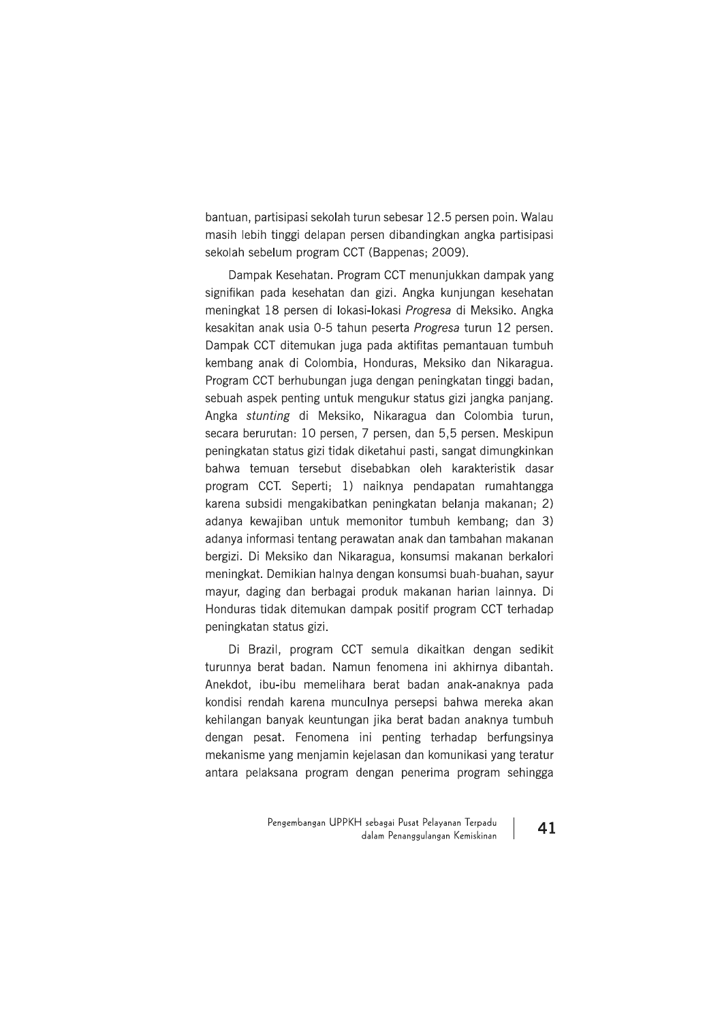bantuan, partisipasi sekolah turun sebesar 12.5 persen poin. Walau masih lebih tinggi delapan persen dibandingkan angka partisipasi sekolah sebelum program CCT (Bappenas: 2009).

Dampak Kesehatan. Program CCT menunjukkan dampak yang signifikan pada kesehatan dan gizi. Angka kunjungan kesehatan meningkat 18 persen di lokasi-lokasi Progresa di Meksiko. Angka kesakitan anak usia 0-5 tahun peserta Progresa turun 12 persen. Dampak CCT ditemukan juga pada aktifitas pemantauan tumbuh kembang anak di Colombia, Honduras, Meksiko dan Nikaragua. Program CCT berhubungan juga dengan peningkatan tinggi badan, sebuah aspek penting untuk mengukur status gizi jangka panjang. Angka stunting di Meksiko, Nikaragua dan Colombia turun, secara berurutan: 10 persen, 7 persen, dan 5,5 persen. Meskipun peningkatan status gizi tidak diketahui pasti, sangat dimungkinkan bahwa temuan tersebut disebabkan oleh karakteristik dasar program CCT. Seperti: 1) naiknya pendapatan rumahtangga karena subsidi mengakibatkan peningkatan belanja makanan; 2) adanya kewajiban untuk memonitor tumbuh kembang; dan 3) adanya informasi tentang perawatan anak dan tambahan makanan bergizi. Di Meksiko dan Nikaragua, konsumsi makanan berkalori meningkat. Demikian halnya dengan konsumsi buah-buahan, sayur mayur, daging dan berbagai produk makanan harian lainnya. Di Honduras tidak ditemukan dampak positif program CCT terhadap peningkatan status gizi.

Di Brazil, program CCT semula dikaitkan dengan sedikit turunnya berat badan. Namun fenomena ini akhirnya dibantah. Anekdot, ibu-ibu memelihara berat badan anak-anaknya pada kondisi rendah karena munculnya persepsi bahwa mereka akan kehilangan banyak keuntungan jika berat badan anaknya tumbuh dengan pesat. Fenomena ini penting terhadap berfungsinya mekanisme yang menjamin kejelasan dan komunikasi yang teratur antara pelaksana program dengan penerima program sehingga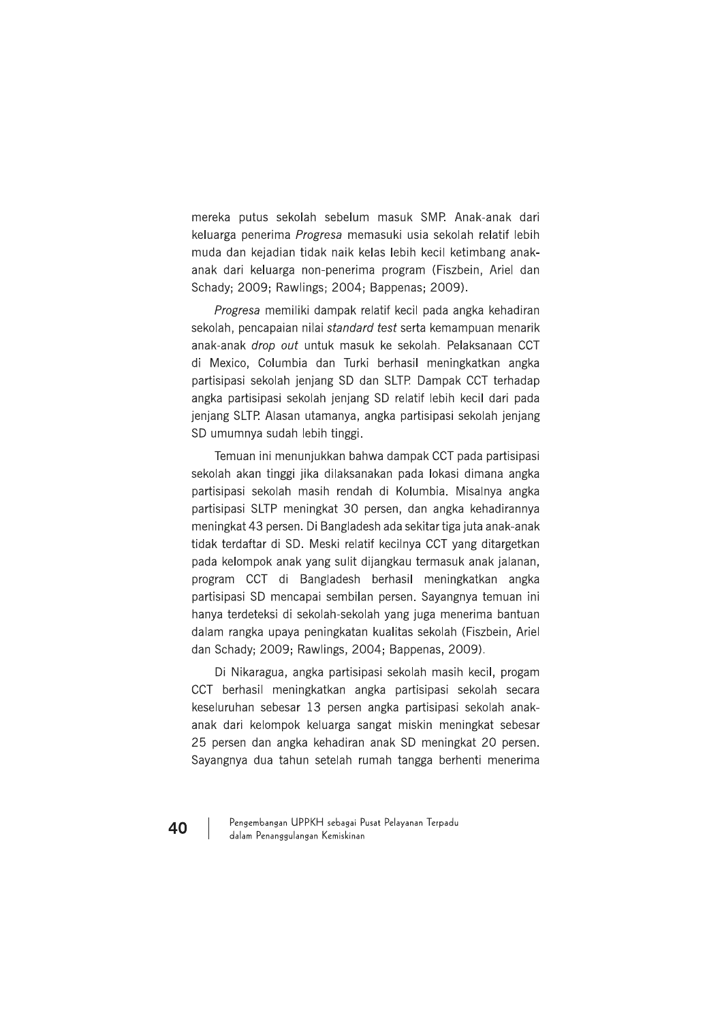mereka putus sekolah sebelum masuk SMP. Anak-anak dari keluarga penerima Progresa memasuki usia sekolah relatif lebih muda dan kejadian tidak naik kelas lebih kecil ketimbang anakanak dari keluarga non-penerima program (Fiszbein, Ariel dan Schady; 2009; Rawlings; 2004; Bappenas; 2009).

Progresa memiliki dampak relatif kecil pada angka kehadiran sekolah, pencapaian nilai standard test serta kemampuan menarik anak-anak drop out untuk masuk ke sekolah. Pelaksanaan CCT di Mexico, Columbia dan Turki berhasil meningkatkan angka partisipasi sekolah jenjang SD dan SLTP. Dampak CCT terhadap angka partisipasi sekolah jenjang SD relatif lebih kecil dari pada jenjang SLTP. Alasan utamanya, angka partisipasi sekolah jenjang SD umumnya sudah lebih tinggi.

Temuan ini menunjukkan bahwa dampak CCT pada partisipasi sekolah akan tinggi jika dilaksanakan pada lokasi dimana angka partisipasi sekolah masih rendah di Kolumbia. Misalnya angka partisipasi SLTP meningkat 30 persen, dan angka kehadirannya meningkat 43 persen. Di Bangladesh ada sekitar tiga juta anak-anak tidak terdaftar di SD. Meski relatif kecilnya CCT yang ditargetkan pada kelompok anak yang sulit dijangkau termasuk anak jalanan, program CCT di Bangladesh berhasil meningkatkan angka partisipasi SD mencapai sembilan persen. Sayangnya temuan ini hanya terdeteksi di sekolah-sekolah yang juga menerima bantuan dalam rangka upaya peningkatan kualitas sekolah (Fiszbein, Ariel dan Schady; 2009; Rawlings, 2004; Bappenas, 2009).

Di Nikaragua, angka partisipasi sekolah masih kecil, progam CCT berhasil meningkatkan angka partisipasi sekolah secara keseluruhan sebesar 13 persen angka partisipasi sekolah anakanak dari kelompok keluarga sangat miskin meningkat sebesar 25 persen dan angka kehadiran anak SD meningkat 20 persen. Sayangnya dua tahun setelah rumah tangga berhenti menerima

Pengembangan UPPKH sebagai Pusat Pelayanan Terpadu dalam Penanggulangan Kemiskinan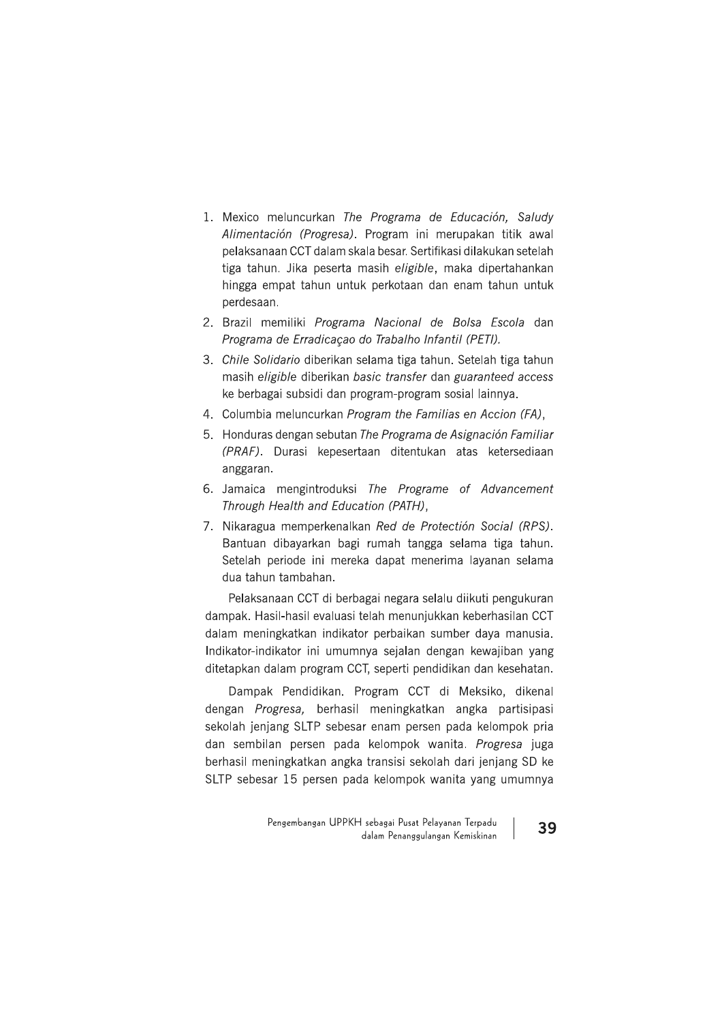- 1. Mexico meluncurkan The Programa de Educación, Saludy Alimentación (Progresa). Program ini merupakan titik awal pelaksanaan CCT dalam skala besar. Sertifikasi dilakukan setelah tiga tahun. Jika peserta masih eligible, maka dipertahankan hingga empat tahun untuk perkotaan dan enam tahun untuk perdesaan.
- 2. Brazil memiliki Programa Nacional de Bolsa Escola dan Programa de Erradicação do Trabalho Infantil (PETI).
- 3. Chile Solidario diberikan selama tiga tahun. Setelah tiga tahun masih eligible diberikan basic transfer dan guaranteed access ke berbagai subsidi dan program-program sosial lainnya.
- 4. Columbia meluncurkan Program the Familias en Accion (FA),
- 5. Honduras dengan sebutan The Programa de Asignación Familiar (PRAF). Durasi kepesertaan ditentukan atas ketersediaan anggaran.
- 6. Jamaica mengintroduksi The Programe of Advancement Through Health and Education (PATH),
- 7. Nikaragua memperkenalkan Red de Protectión Social (RPS). Bantuan dibayarkan bagi rumah tangga selama tiga tahun. Setelah periode ini mereka dapat menerima layanan selama dua tahun tambahan.

Pelaksanaan CCT di berbagai negara selalu diikuti pengukuran dampak. Hasil-hasil evaluasi telah menunjukkan keberhasilan CCT dalam meningkatkan indikator perbaikan sumber daya manusia. Indikator-indikator ini umumnya sejalan dengan kewajiban yang ditetapkan dalam program CCT, seperti pendidikan dan kesehatan.

Dampak Pendidikan. Program CCT di Meksiko, dikenal dengan Progresa, berhasil meningkatkan angka partisipasi sekolah jenjang SLTP sebesar enam persen pada kelompok pria dan sembilan persen pada kelompok wanita. Progresa juga berhasil meningkatkan angka transisi sekolah dari jenjang SD ke SLTP sebesar 15 persen pada kelompok wanita yang umumnya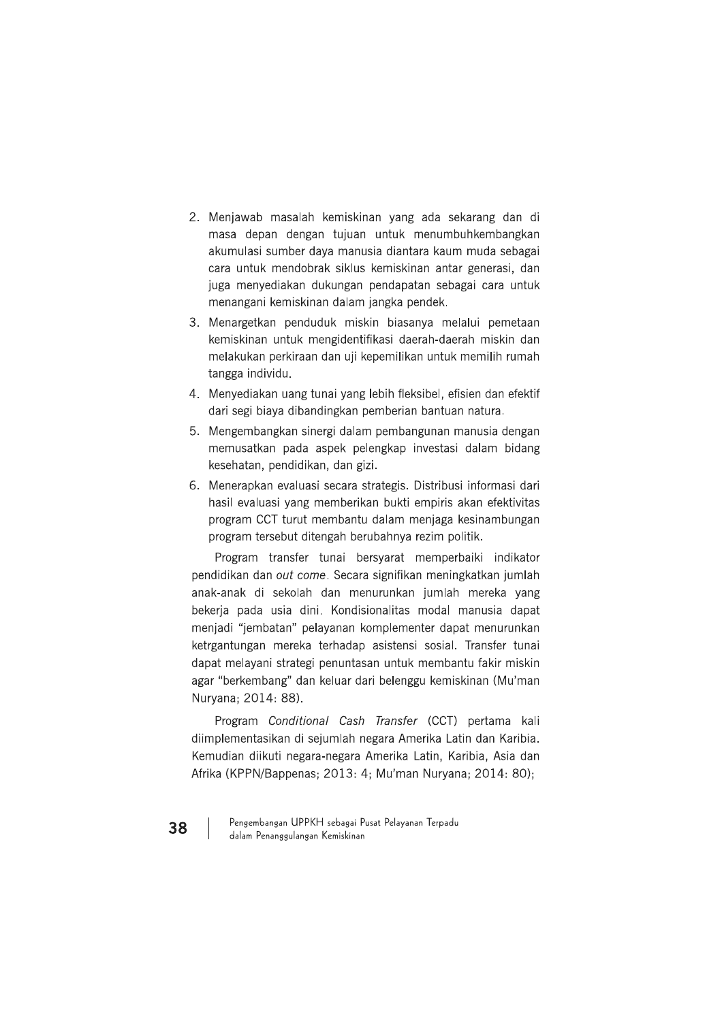- 2. Menjawab masalah kemiskinan yang ada sekarang dan di masa depan dengan tujuan untuk menumbuhkembangkan akumulasi sumber daya manusia diantara kaum muda sebagai cara untuk mendobrak siklus kemiskinan antar generasi, dan juga menyediakan dukungan pendapatan sebagai cara untuk menangani kemiskinan dalam jangka pendek.
- 3. Menargetkan penduduk miskin biasanya melalui pemetaan kemiskinan untuk mengidentifikasi daerah-daerah miskin dan melakukan perkiraan dan uji kepemilikan untuk memilih rumah tangga individu.
- 4. Menyediakan uang tunai yang lebih fleksibel, efisien dan efektif dari segi biaya dibandingkan pemberian bantuan natura.
- 5. Mengembangkan sinergi dalam pembangunan manusia dengan memusatkan pada aspek pelengkap investasi dalam bidang kesehatan, pendidikan, dan gizi.
- 6. Menerapkan evaluasi secara strategis. Distribusi informasi dari hasil evaluasi yang memberikan bukti empiris akan efektivitas program CCT turut membantu dalam menjaga kesinambungan program tersebut ditengah berubahnya rezim politik.

Program transfer tunai bersyarat memperbaiki indikator pendidikan dan out come. Secara signifikan meningkatkan jumlah anak-anak di sekolah dan menurunkan jumlah mereka yang bekerja pada usia dini. Kondisionalitas modal manusia dapat menjadi "jembatan" pelayanan komplementer dapat menurunkan ketrgantungan mereka terhadap asistensi sosial. Transfer tunai dapat melayani strategi penuntasan untuk membantu fakir miskin agar "berkembang" dan keluar dari belenggu kemiskinan (Mu'man Nurvana: 2014: 88).

Program Conditional Cash Transfer (CCT) pertama kali diimplementasikan di sejumlah negara Amerika Latin dan Karibia. Kemudian diikuti negara-negara Amerika Latin, Karibia, Asia dan Afrika (KPPN/Bappenas; 2013: 4; Mu'man Nuryana; 2014: 80);

Pengembangan UPPKH sebagai Pusat Pelayanan Terpadu dalam Penanggulangan Kemiskinan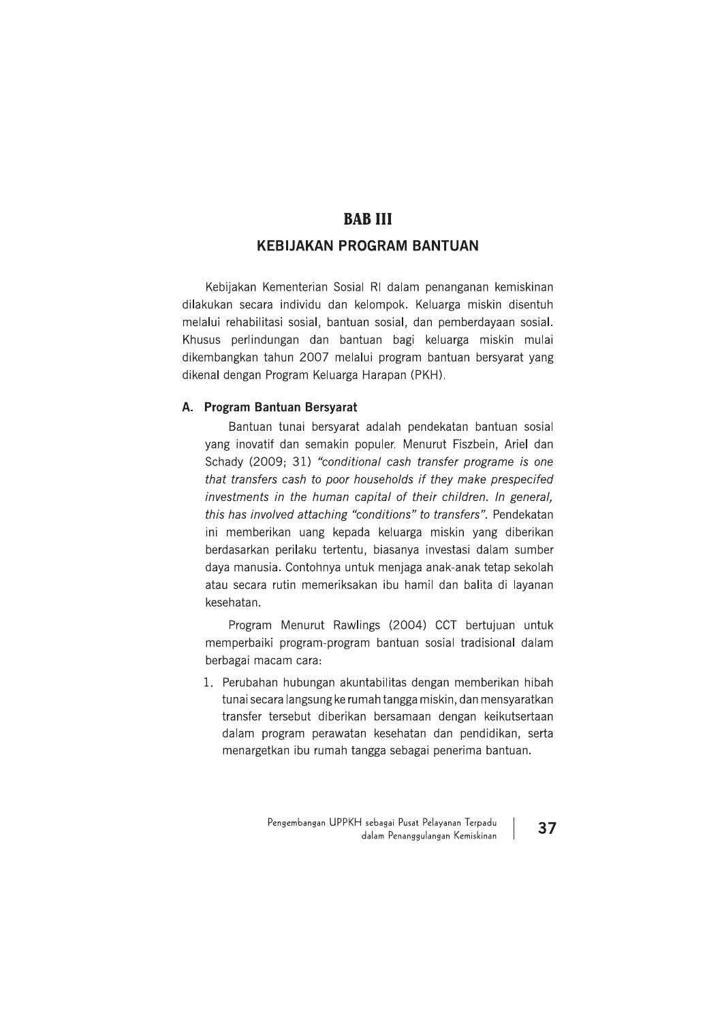**BAB III**<br> **KEBIJAKAN PROGRAM BANTUAN**<br>
Kebijakan Kementerian Sosial RI dalam penanganan kemiskinan<br>
dilakukan secara individu dan kelompok. Keluarga miskin disentuh<br>
melalui rehabilitasi sosial, bantuan sosial, dan pember

# A. Program Bantuan Bersyarat

Bantuan tunai bersyarat adalah pendekatan bantuan sosial yang inovatif dan semakin populer. Menurut Fiszbein, Ariel dan Schady (2009; 31) "conditional cash transfer programe is one that transfers cash to poor households if they make prespecifed investments in the human capital of their children. In general, this has involved attaching "conditions" to transfers". Pendekatan ini memberikan uang kepada keluarga miskin yang diberikan berdasarkan perilaku tertentu, biasanya investasi dalam sumber daya manusia. Contohnya untuk menjaga anak-anak tetap sekolah atau secara rutin memeriksakan ibu hamil dan balita di layanan kesehatan.

Program Menurut Rawlings (2004) CCT bertujuan untuk memperbaiki program-program bantuan sosial tradisional dalam berbagai macam cara:

1. Perubahan hubungan akuntabilitas dengan memberikan hibah tunai secara langsung ke rumah tangga miskin, dan mensyaratkan transfer tersebut diberikan bersamaan dengan keikutsertaan dalam program perawatan kesehatan dan pendidikan, serta menargetkan ibu rumah tangga sebagai penerima bantuan.

> Pengembangan UPPKH sebagai Pusat Pelayanan Terpadu $_{\rm{dalam\,Penasyulangan\,\,Kemiskinan}}$   $\mid$   $\mid$  37 'engembangan UPPKH sebagai Pusat Pelayanan Terpadu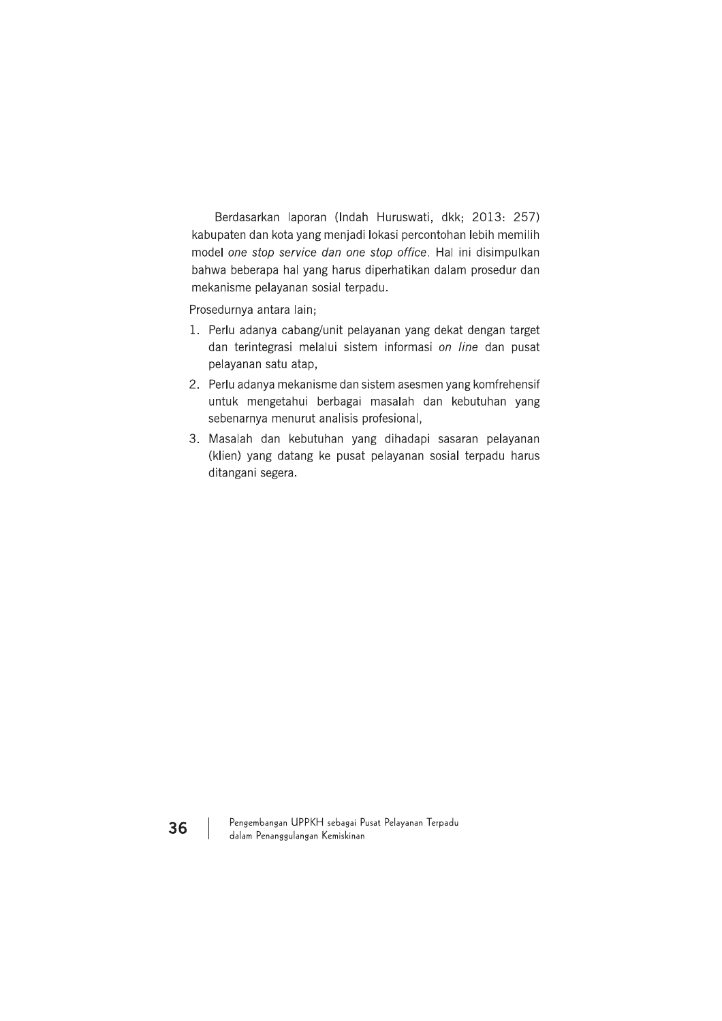Berdasarkan laporan (Indah Huruswati, dkk; 2013: 257) kabupaten dan kota yang menjadi lokasi percontohan lebih memilih model one stop service dan one stop office. Hal ini disimpulkan bahwa beberapa hal yang harus diperhatikan dalam prosedur dan mekanisme pelayanan sosial terpadu.

Prosedurnya antara lain;

- 1. Perlu adanya cabang/unit pelayanan yang dekat dengan target dan terintegrasi melalui sistem informasi on line dan pusat pelayanan satu atap,
- 2. Perlu adanya mekanisme dan sistem asesmen yang komfrehensif untuk mengetahui berbagai masalah dan kebutuhan yang sebenarnya menurut analisis profesional,
- 3. Masalah dan kebutuhan yang dihadapi sasaran pelayanan (klien) yang datang ke pusat pelayanan sosial terpadu harus ditangani segera.

Pengembangan UPPKH sebagai Pusat Pelayanan Terpadu dalam Penanggulangan Kemiskinan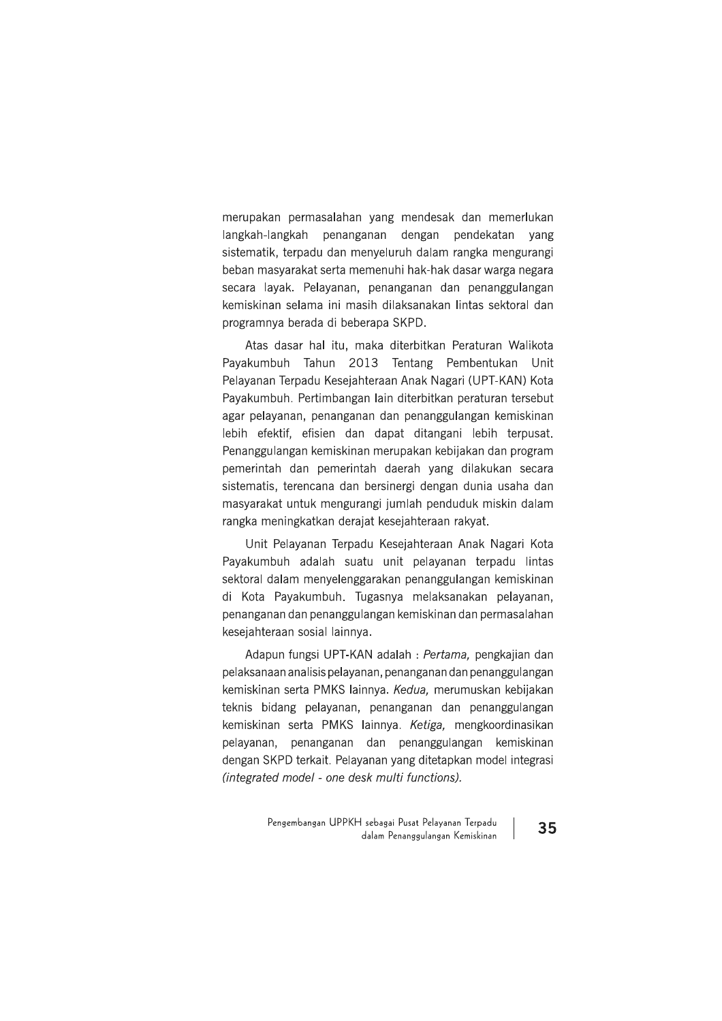merupakan permasalahan yang mendesak dan memerlukan langkah-langkah penanganan dengan pendekatan yang sistematik, terpadu dan menyeluruh dalam rangka mengurangi beban masyarakat serta memenuhi hak-hak dasar warga negara secara layak. Pelayanan, penanganan dan penanggulangan kemiskinan selama ini masih dilaksanakan lintas sektoral dan programnya berada di beberapa SKPD.

Atas dasar hal itu, maka diterbitkan Peraturan Walikota Payakumbuh Tahun 2013 Tentang Pembentukan Unit Pelayanan Terpadu Kesejahteraan Anak Nagari (UPT-KAN) Kota Pavakumbuh, Pertimbangan lain diterbitkan peraturan tersebut agar pelayanan, penanganan dan penanggulangan kemiskinan lebih efektif, efisien dan dapat ditangani lebih terpusat. Penanggulangan kemiskinan merupakan kebijakan dan program pemerintah dan pemerintah daerah yang dilakukan secara sistematis, terencana dan bersinergi dengan dunia usaha dan masyarakat untuk mengurangi jumlah penduduk miskin dalam rangka meningkatkan derajat kesejahteraan rakyat.

Unit Pelayanan Terpadu Kesejahteraan Anak Nagari Kota Payakumbuh adalah suatu unit pelayanan terpadu lintas sektoral dalam menyelenggarakan penanggulangan kemiskinan di Kota Payakumbuh. Tugasnya melaksanakan pelayanan, penanganan dan penanggulangan kemiskinan dan permasalahan kesejahteraan sosial lainnya.

Adapun fungsi UPT-KAN adalah : Pertama, pengkajian dan pelaksanaan analisis pelayanan, penanganan dan penanggulangan kemiskinan serta PMKS lainnya. Kedua, merumuskan kebijakan teknis bidang pelayanan, penanganan dan penanggulangan kemiskinan serta PMKS lainnya. Ketiga, mengkoordinasikan pelayanan, penanganan dan penanggulangan kemiskinan dengan SKPD terkait. Pelayanan yang ditetapkan model integrasi (integrated model - one desk multi functions).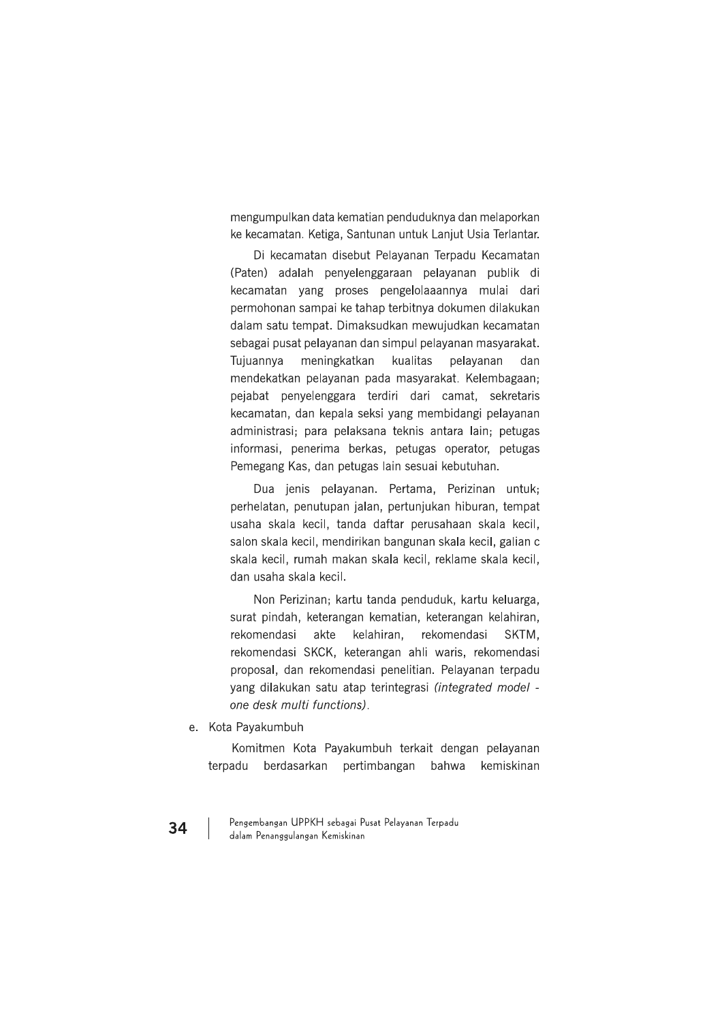mengumpulkan data kematian penduduknya dan melaporkan ke kecamatan. Ketiga, Santunan untuk Lanjut Usia Terlantar.

Di kecamatan disebut Pelayanan Terpadu Kecamatan (Paten) adalah penyelenggaraan pelayanan publik di kecamatan yang proses pengelolaaannya mulai dari permohonan sampai ke tahap terbitnya dokumen dilakukan dalam satu tempat. Dimaksudkan mewujudkan kecamatan sebagai pusat pelayanan dan simpul pelayanan masyarakat. Tujuannya meningkatkan kualitas pelavanan dan mendekatkan pelayanan pada masyarakat. Kelembagaan; pejabat penyelenggara terdiri dari camat, sekretaris kecamatan, dan kepala seksi yang membidangi pelayanan administrasi; para pelaksana teknis antara lain; petugas informasi, penerima berkas, petugas operator, petugas Pemegang Kas, dan petugas lain sesuai kebutuhan.

Dua jenis pelayanan. Pertama, Perizinan untuk; perhelatan, penutupan jalan, pertunjukan hiburan, tempat usaha skala kecil, tanda daftar perusahaan skala kecil, salon skala kecil, mendirikan bangunan skala kecil, galian c skala kecil, rumah makan skala kecil, reklame skala kecil, dan usaha skala kecil.

Non Perizinan; kartu tanda penduduk, kartu keluarga, surat pindah, keterangan kematian, keterangan kelahiran, rekomendasi akte kelahiran. rekomendasi SKTM. rekomendasi SKCK, keterangan ahli waris, rekomendasi proposal, dan rekomendasi penelitian. Pelayanan terpadu yang dilakukan satu atap terintegrasi (integrated model one desk multi functions).

e. Kota Payakumbuh

Komitmen Kota Payakumbuh terkait dengan pelayanan terpadu berdasarkan pertimbangan bahwa kemiskinan

Pengembangan UPPKH sebagai Pusat Pelayanan Terpadu dalam Penanggulangan Kemiskinan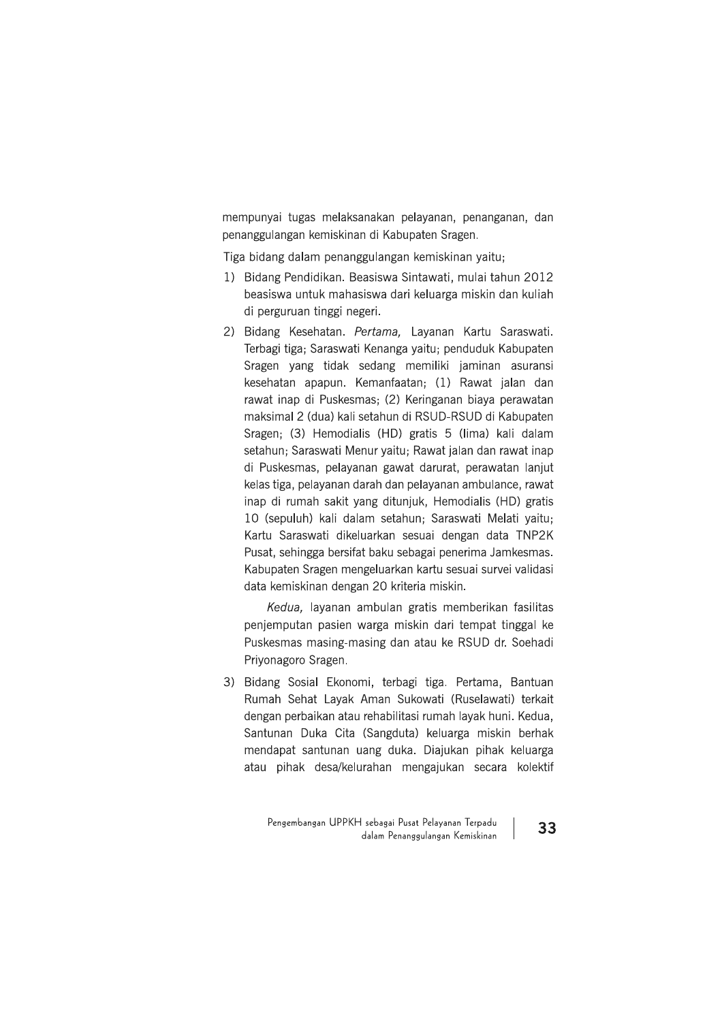mempunyai tugas melaksanakan pelayanan, penanganan, dan penanggulangan kemiskinan di Kabupaten Sragen.

Tiga bidang dalam penanggulangan kemiskinan yaitu;

- 1) Bidang Pendidikan. Beasiswa Sintawati, mulai tahun 2012 beasiswa untuk mahasiswa dari keluarga miskin dan kuliah di perguruan tinggi negeri.
- 2) Bidang Kesehatan. Pertama, Layanan Kartu Saraswati. Terbagi tiga; Saraswati Kenanga yaitu; penduduk Kabupaten Sragen yang tidak sedang memiliki jaminan asuransi kesehatan apapun. Kemanfaatan; (1) Rawat jalan dan rawat inap di Puskesmas; (2) Keringanan biaya perawatan maksimal 2 (dua) kali setahun di RSUD-RSUD di Kabupaten Sragen; (3) Hemodialis (HD) gratis 5 (lima) kali dalam setahun; Saraswati Menur yaitu; Rawat jalan dan rawat inap di Puskesmas, pelayanan gawat darurat, perawatan lanjut kelas tiga, pelayanan darah dan pelayanan ambulance, rawat inap di rumah sakit yang ditunjuk, Hemodialis (HD) gratis 10 (sepuluh) kali dalam setahun; Saraswati Melati yaitu; Kartu Saraswati dikeluarkan sesuai dengan data TNP2K Pusat, sehingga bersifat baku sebagai penerima Jamkesmas. Kabupaten Sragen mengeluarkan kartu sesuai survei validasi data kemiskinan dengan 20 kriteria miskin.

Kedua, layanan ambulan gratis memberikan fasilitas penjemputan pasien warga miskin dari tempat tinggal ke Puskesmas masing-masing dan atau ke RSUD dr. Soehadi Privonagoro Sragen.

3) Bidang Sosial Ekonomi, terbagi tiga. Pertama, Bantuan Rumah Sehat Layak Aman Sukowati (Ruselawati) terkait dengan perbaikan atau rehabilitasi rumah layak huni. Kedua, Santunan Duka Cita (Sangduta) keluarga miskin berhak mendapat santunan uang duka. Diajukan pihak keluarga atau pihak desa/kelurahan mengajukan secara kolektif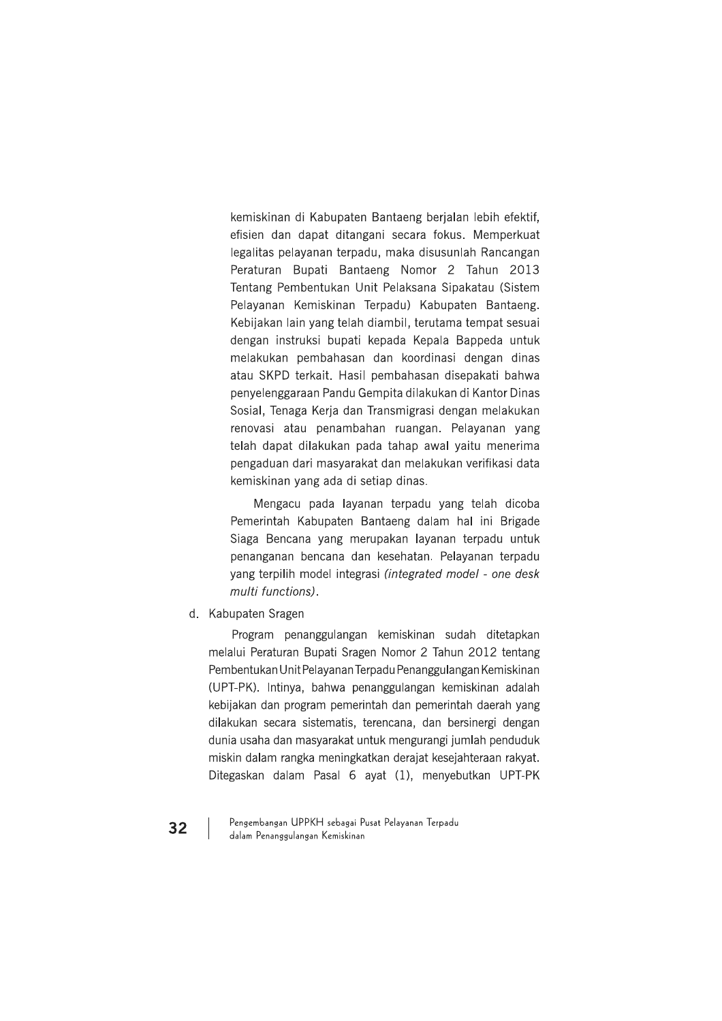kemiskinan di Kabupaten Bantaeng berjalan lebih efektif, efisien dan dapat ditangani secara fokus. Memperkuat legalitas pelayanan terpadu, maka disusunlah Rancangan Peraturan Bupati Bantaeng Nomor 2 Tahun 2013 Tentang Pembentukan Unit Pelaksana Sipakatau (Sistem Pelayanan Kemiskinan Terpadu) Kabupaten Bantaeng. Kebijakan lain yang telah diambil, terutama tempat sesuai dengan instruksi bupati kepada Kepala Bappeda untuk melakukan pembahasan dan koordinasi dengan dinas atau SKPD terkait. Hasil pembahasan disepakati bahwa penyelenggaraan Pandu Gempita dilakukan di Kantor Dinas Sosial, Tenaga Kerja dan Transmigrasi dengan melakukan renovasi atau penambahan ruangan. Pelayanan yang telah dapat dilakukan pada tahap awal yaitu menerima pengaduan dari masyarakat dan melakukan verifikasi data kemiskinan yang ada di setiap dinas.

Mengacu pada layanan terpadu yang telah dicoba Pemerintah Kabupaten Bantaeng dalam hal ini Brigade Siaga Bencana yang merupakan layanan terpadu untuk penanganan bencana dan kesehatan. Pelayanan terpadu yang terpilih model integrasi (integrated model - one desk multi functions).

d. Kabupaten Sragen

Program penanggulangan kemiskinan sudah ditetapkan melalui Peraturan Bupati Sragen Nomor 2 Tahun 2012 tentang Pembentukan Unit Pelayanan Terpadu Penanggulangan Kemiskinan (UPT-PK). Intinya, bahwa penanggulangan kemiskinan adalah kebijakan dan program pemerintah dan pemerintah daerah yang dilakukan secara sistematis, terencana, dan bersinergi dengan dunia usaha dan masyarakat untuk mengurangi jumlah penduduk miskin dalam rangka meningkatkan derajat kesejahteraan rakyat. Ditegaskan dalam Pasal 6 ayat (1), menyebutkan UPT-PK

Pengembangan UPPKH sebagai Pusat Pelayanan Terpadu dalam Penanggulangan Kemiskinan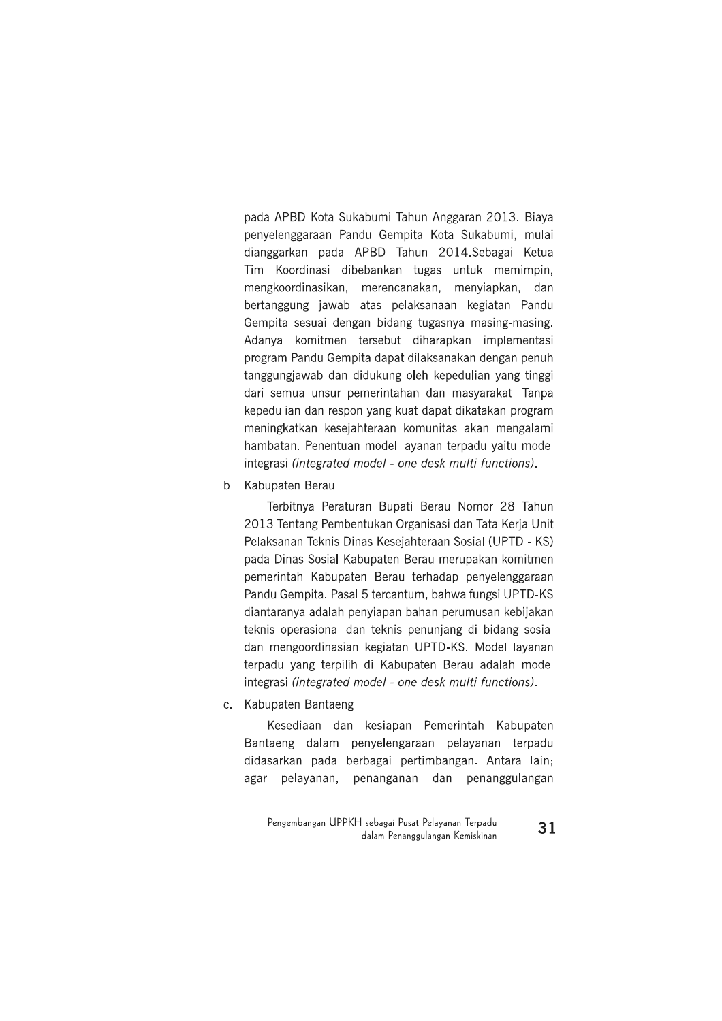pada APBD Kota Sukabumi Tahun Anggaran 2013. Biaya penyelenggaraan Pandu Gempita Kota Sukabumi, mulai dianggarkan pada APBD Tahun 2014.Sebagai Ketua Tim Koordinasi dibebankan tugas untuk memimpin, mengkoordinasikan, merencanakan, menyiapkan, dan bertanggung jawab atas pelaksanaan kegiatan Pandu Gempita sesuai dengan bidang tugasnya masing-masing. Adanya komitmen tersebut diharapkan implementasi program Pandu Gempita dapat dilaksanakan dengan penuh tanggungjawab dan didukung oleh kepedulian yang tinggi dari semua unsur pemerintahan dan masyarakat. Tanpa kepedulian dan respon yang kuat dapat dikatakan program meningkatkan kesejahteraan komunitas akan mengalami hambatan. Penentuan model layanan terpadu yaitu model integrasi (integrated model - one desk multi functions).

b. Kabupaten Berau

Terbitnya Peraturan Bupati Berau Nomor 28 Tahun 2013 Tentang Pembentukan Organisasi dan Tata Kerja Unit Pelaksanan Teknis Dinas Kesejahteraan Sosial (UPTD - KS) pada Dinas Sosial Kabupaten Berau merupakan komitmen pemerintah Kabupaten Berau terhadap penyelenggaraan Pandu Gempita. Pasal 5 tercantum, bahwa fungsi UPTD-KS diantaranya adalah penyiapan bahan perumusan kebijakan teknis operasional dan teknis penunjang di bidang sosial dan mengoordinasian kegiatan UPTD-KS. Model layanan terpadu yang terpilih di Kabupaten Berau adalah model integrasi (integrated model - one desk multi functions).

c. Kabupaten Bantaeng

Kesediaan dan kesiapan Pemerintah Kabupaten Bantaeng dalam penyelengaraan pelayanan terpadu didasarkan pada berbagai pertimbangan. Antara lain; agar pelayanan, penanganan dan penanggulangan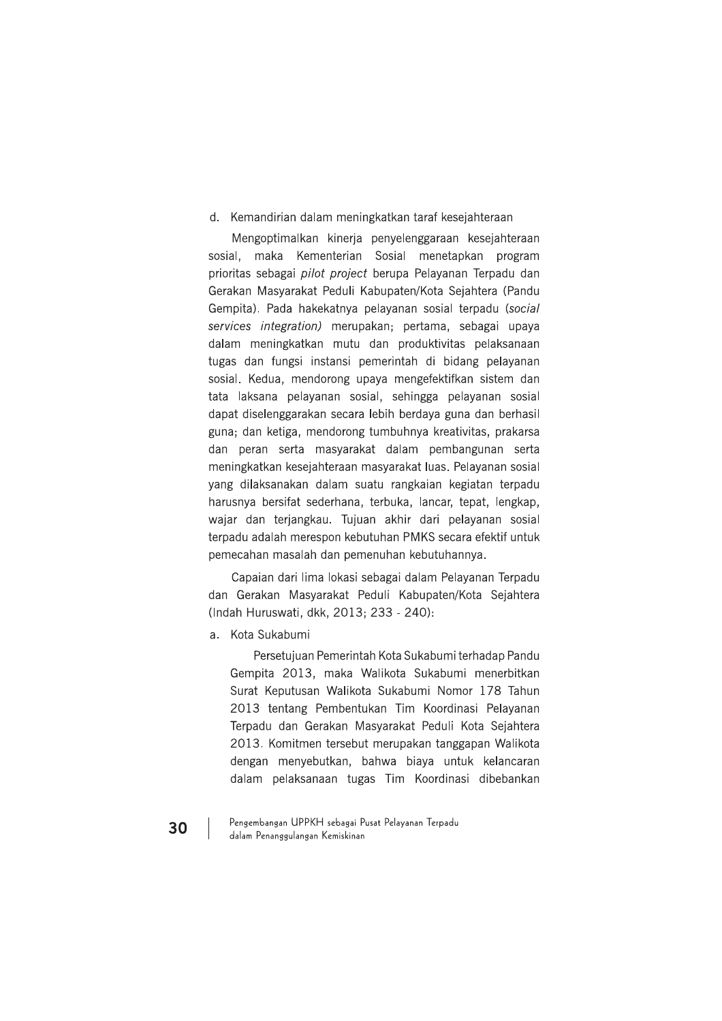#### d. Kemandirian dalam meningkatkan taraf kesejahteraan

Mengoptimalkan kinerja penyelenggaraan kesejahteraan sosial, maka Kementerian Sosial menetapkan program prioritas sebagai pilot project berupa Pelayanan Terpadu dan Gerakan Masyarakat Peduli Kabupaten/Kota Sejahtera (Pandu Gempita). Pada hakekatnya pelayanan sosial terpadu (social services integration) merupakan; pertama, sebagai upaya dalam meningkatkan mutu dan produktivitas pelaksanaan tugas dan fungsi instansi pemerintah di bidang pelayanan sosial. Kedua, mendorong upaya mengefektifkan sistem dan tata laksana pelayanan sosial, sehingga pelayanan sosial dapat diselenggarakan secara lebih berdaya guna dan berhasil guna; dan ketiga, mendorong tumbuhnya kreativitas, prakarsa dan peran serta masyarakat dalam pembangunan serta meningkatkan kesejahteraan masyarakat luas. Pelayanan sosial yang dilaksanakan dalam suatu rangkaian kegiatan terpadu harusnya bersifat sederhana, terbuka, lancar, tepat, lengkap, wajar dan terjangkau. Tujuan akhir dari pelayanan sosial terpadu adalah merespon kebutuhan PMKS secara efektif untuk pemecahan masalah dan pemenuhan kebutuhannya.

Capaian dari lima lokasi sebagai dalam Pelayanan Terpadu dan Gerakan Masyarakat Peduli Kabupaten/Kota Sejahtera (Indah Huruswati, dkk, 2013; 233 - 240):

a. Kota Sukabumi

Persetujuan Pemerintah Kota Sukabumi terhadap Pandu Gempita 2013, maka Walikota Sukabumi menerbitkan Surat Keputusan Walikota Sukabumi Nomor 178 Tahun 2013 tentang Pembentukan Tim Koordinasi Pelayanan Terpadu dan Gerakan Masyarakat Peduli Kota Sejahtera 2013. Komitmen tersebut merupakan tanggapan Walikota dengan menyebutkan, bahwa biaya untuk kelancaran dalam pelaksanaan tugas Tim Koordinasi dibebankan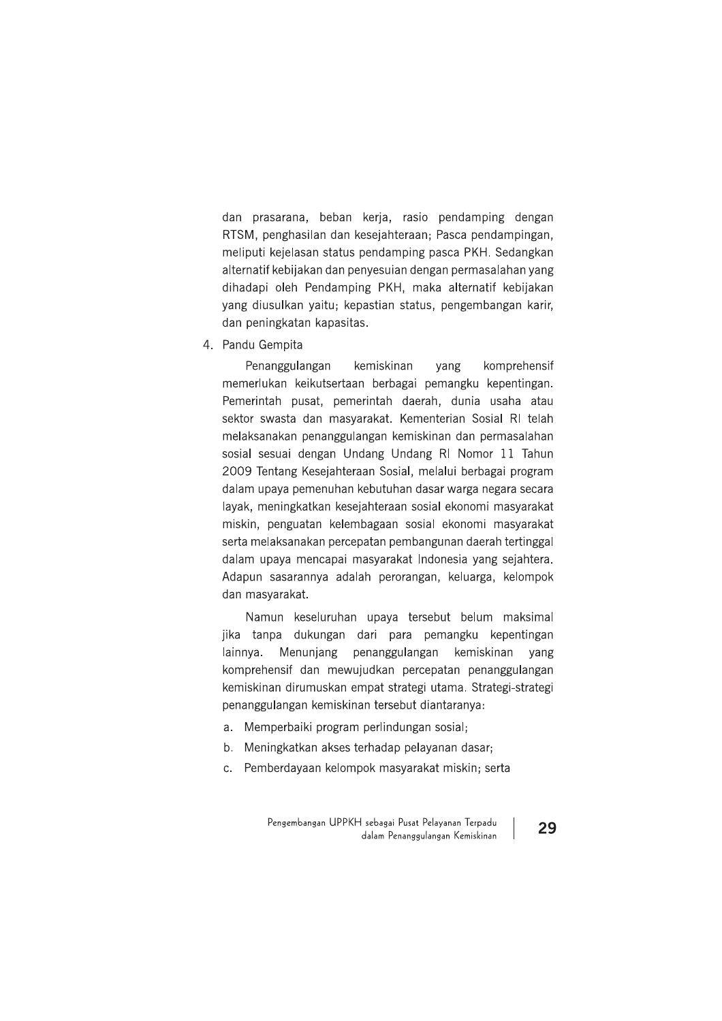dan prasarana, beban kerja, rasio pendamping dengan RTSM, penghasilan dan kesejahteraan; Pasca pendampingan, meliputi kejelasan status pendamping pasca PKH. Sedangkan alternatif kebijakan dan penyesuian dengan permasalahan yang dihadapi oleh Pendamping PKH, maka alternatif kebijakan yang diusulkan yaitu; kepastian status, pengembangan karir, dan peningkatan kapasitas.

4. Pandu Gempita

Penanggulangan kemiskinan komprehensif yang memerlukan keikutsertaan berbagai pemangku kepentingan. Pemerintah pusat, pemerintah daerah, dunia usaha atau sektor swasta dan masyarakat. Kementerian Sosial RI telah melaksanakan penanggulangan kemiskinan dan permasalahan sosial sesuai dengan Undang Undang RI Nomor 11 Tahun 2009 Tentang Kesejahteraan Sosial, melalui berbagai program dalam upaya pemenuhan kebutuhan dasar warga negara secara layak, meningkatkan kesejahteraan sosial ekonomi masyarakat miskin, penguatan kelembagaan sosial ekonomi masyarakat serta melaksanakan percepatan pembangunan daerah tertinggal dalam upaya mencapai masyarakat Indonesia yang sejahtera. Adapun sasarannya adalah perorangan, keluarga, kelompok dan masyarakat.

Namun keseluruhan upaya tersebut belum maksimal jika tanpa dukungan dari para pemangku kepentingan Menunjang penanggulangan kemiskinan lainnya. yang komprehensif dan mewujudkan percepatan penanggulangan kemiskinan dirumuskan empat strategi utama. Strategi-strategi penanggulangan kemiskinan tersebut diantaranya:

- a. Memperbaiki program perlindungan sosial;
- b. Meningkatkan akses terhadap pelayanan dasar;
- c. Pemberdayaan kelompok masyarakat miskin; serta

Pengembangan UPPKH sebagai Pusat Pelayanan Terpadu dalam Penanggulangan Kemiskinan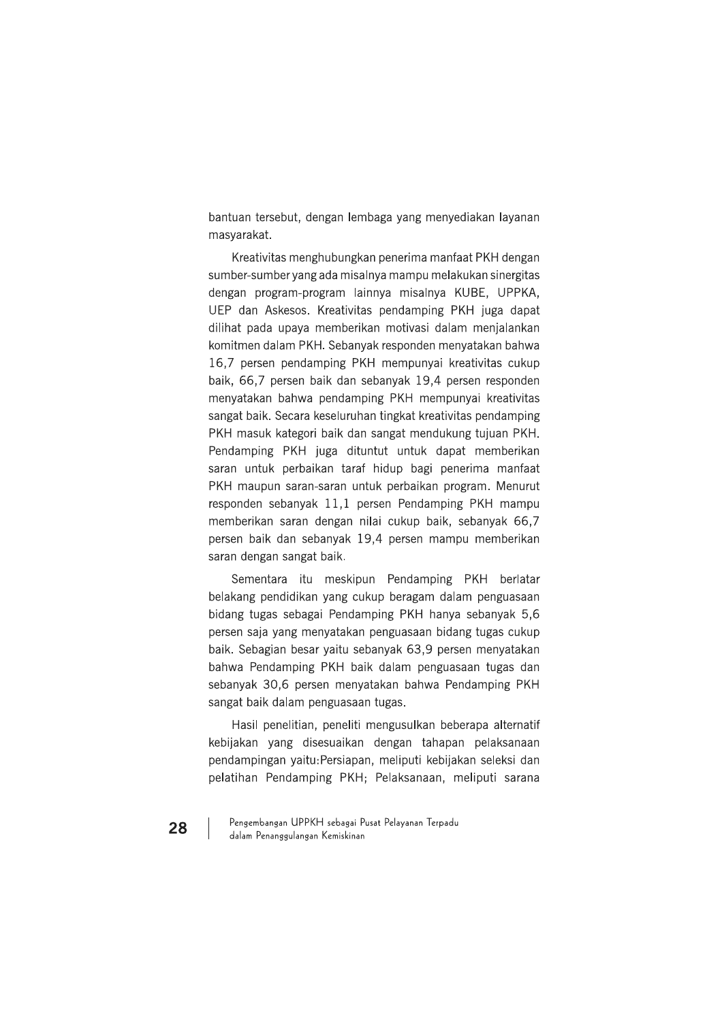bantuan tersebut, dengan lembaga yang menyediakan layanan masvarakat.

Kreativitas menghubungkan penerima manfaat PKH dengan sumber-sumber yang ada misalnya mampu melakukan sinergitas dengan program-program lainnya misalnya KUBE, UPPKA, UEP dan Askesos. Kreativitas pendamping PKH juga dapat dilihat pada upaya memberikan motivasi dalam menjalankan komitmen dalam PKH. Sebanyak responden menyatakan bahwa 16,7 persen pendamping PKH mempunyai kreativitas cukup baik, 66,7 persen baik dan sebanyak 19,4 persen responden menvatakan bahwa pendamping PKH mempunyai kreativitas sangat baik. Secara keseluruhan tingkat kreativitas pendamping PKH masuk kategori baik dan sangat mendukung tujuan PKH. Pendamping PKH juga dituntut untuk dapat memberikan saran untuk perbaikan taraf hidup bagi penerima manfaat PKH maupun saran-saran untuk perbaikan program. Menurut responden sebanyak 11,1 persen Pendamping PKH mampu memberikan saran dengan nilai cukup baik, sebanyak 66,7 persen baik dan sebanyak 19,4 persen mampu memberikan saran dengan sangat baik.

Sementara itu meskipun Pendamping PKH berlatar belakang pendidikan yang cukup beragam dalam penguasaan bidang tugas sebagai Pendamping PKH hanya sebanyak 5,6 persen saja yang menyatakan penguasaan bidang tugas cukup baik. Sebagian besar yaitu sebanyak 63,9 persen menyatakan bahwa Pendamping PKH baik dalam penguasaan tugas dan sebanyak 30.6 persen menyatakan bahwa Pendamping PKH sangat baik dalam penguasaan tugas.

Hasil penelitian, peneliti mengusulkan beberapa alternatif kebijakan yang disesuaikan dengan tahapan pelaksanaan pendampingan yaitu: Persiapan, meliputi kebijakan seleksi dan pelatihan Pendamping PKH; Pelaksanaan, meliputi sarana

Pengembangan UPPKH sebagai Pusat Pelayanan Terpadu dalam Penanggulangan Kemiskinan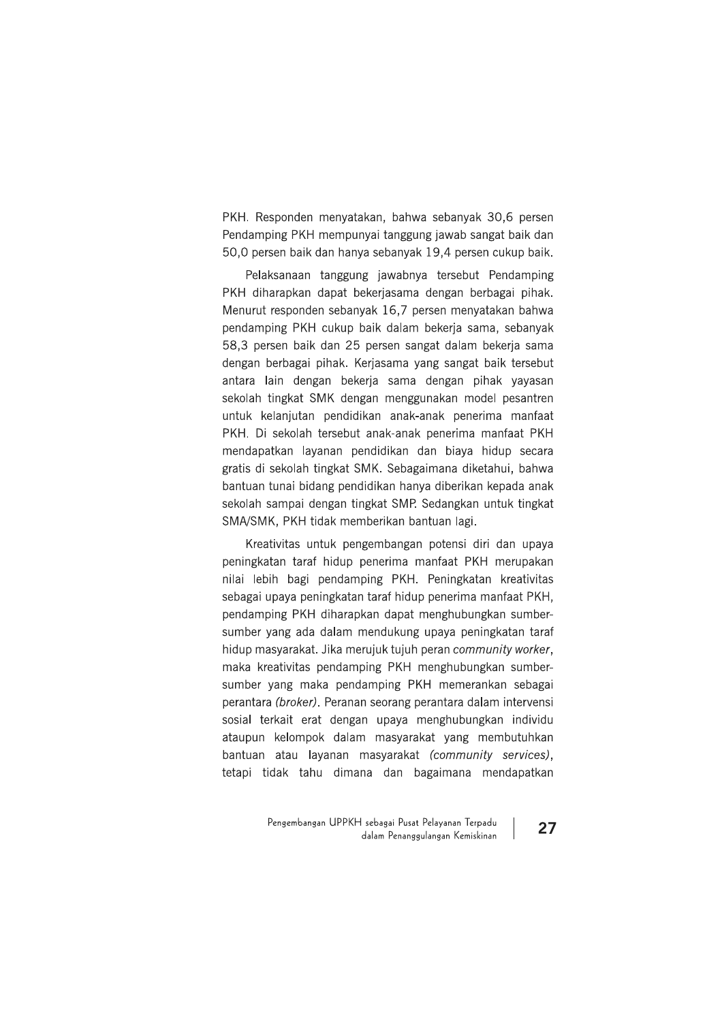PKH. Responden menyatakan, bahwa sebanyak 30,6 persen Pendamping PKH mempunyai tanggung jawab sangat baik dan 50,0 persen baik dan hanya sebanyak 19,4 persen cukup baik.

Pelaksanaan tanggung jawabnya tersebut Pendamping PKH diharapkan dapat bekerjasama dengan berbagai pihak. Menurut responden sebanyak 16,7 persen menyatakan bahwa pendamping PKH cukup baik dalam bekerja sama, sebanyak 58,3 persen baik dan 25 persen sangat dalam bekerja sama dengan berbagai pihak. Kerjasama yang sangat baik tersebut antara lain dengan bekerja sama dengan pihak yayasan sekolah tingkat SMK dengan menggunakan model pesantren untuk kelanjutan pendidikan anak-anak penerima manfaat PKH. Di sekolah tersebut anak-anak penerima manfaat PKH mendapatkan layanan pendidikan dan biaya hidup secara gratis di sekolah tingkat SMK. Sebagaimana diketahui, bahwa bantuan tunai bidang pendidikan hanya diberikan kepada anak sekolah sampai dengan tingkat SMP. Sedangkan untuk tingkat SMA/SMK, PKH tidak memberikan bantuan lagi.

Kreativitas untuk pengembangan potensi diri dan upaya peningkatan taraf hidup penerima manfaat PKH merupakan nilai lebih bagi pendamping PKH. Peningkatan kreativitas sebagai upaya peningkatan taraf hidup penerima manfaat PKH, pendamping PKH diharapkan dapat menghubungkan sumbersumber yang ada dalam mendukung upaya peningkatan taraf hidup masyarakat. Jika merujuk tujuh peran community worker, maka kreativitas pendamping PKH menghubungkan sumbersumber vang maka pendamping PKH memerankan sebagai perantara (broker). Peranan seorang perantara dalam intervensi sosial terkait erat dengan upaya menghubungkan individu ataupun kelompok dalam masyarakat yang membutuhkan bantuan atau layanan masyarakat (community services), tetapi tidak tahu dimana dan bagaimana mendapatkan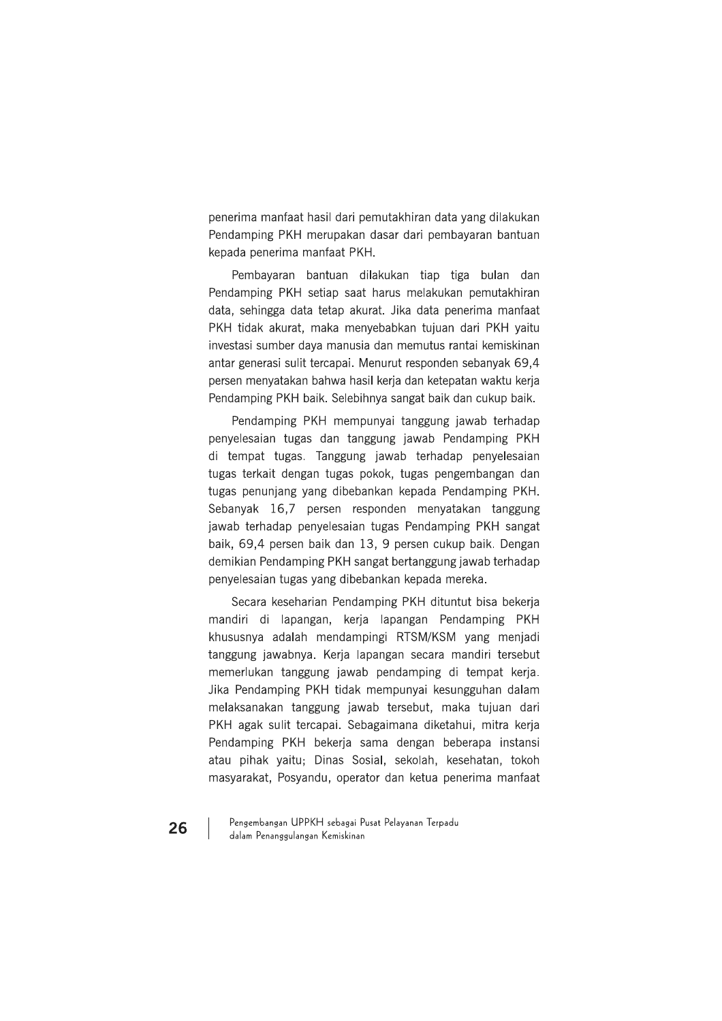penerima manfaat hasil dari pemutakhiran data yang dilakukan Pendamping PKH merupakan dasar dari pembayaran bantuan kepada penerima manfaat PKH.

Pembayaran bantuan dilakukan tiap tiga bulan dan Pendamping PKH setiap saat harus melakukan pemutakhiran data, sehingga data tetap akurat. Jika data penerima manfaat PKH tidak akurat, maka menyebabkan tujuan dari PKH yaitu investasi sumber daya manusia dan memutus rantai kemiskinan antar generasi sulit tercapai. Menurut responden sebanyak 69,4 persen menyatakan bahwa hasil kerja dan ketepatan waktu kerja Pendamping PKH baik. Selebihnya sangat baik dan cukup baik.

Pendamping PKH mempunyai tanggung jawab terhadap penyelesaian tugas dan tanggung jawab Pendamping PKH di tempat tugas. Tanggung jawab terhadap penyelesaian tugas terkait dengan tugas pokok, tugas pengembangan dan tugas penunjang yang dibebankan kepada Pendamping PKH. Sebanyak 16,7 persen responden menyatakan tanggung jawab terhadap penyelesaian tugas Pendamping PKH sangat baik, 69,4 persen baik dan 13, 9 persen cukup baik. Dengan demikian Pendamping PKH sangat bertanggung jawab terhadap penyelesaian tugas yang dibebankan kepada mereka.

Secara keseharian Pendamping PKH dituntut bisa bekerja mandiri di lapangan, kerja lapangan Pendamping PKH khususnya adalah mendampingi RTSM/KSM yang menjadi tanggung jawabnya. Kerja lapangan secara mandiri tersebut memerlukan tanggung jawab pendamping di tempat kerja. Jika Pendamping PKH tidak mempunyai kesungguhan dalam melaksanakan tanggung jawab tersebut, maka tujuan dari PKH agak sulit tercapai. Sebagaimana diketahui, mitra kerja Pendamping PKH bekerja sama dengan beberapa instansi atau pihak yaitu; Dinas Sosial, sekolah, kesehatan, tokoh masyarakat, Posyandu, operator dan ketua penerima manfaat

Pengembangan UPPKH sebagai Pusat Pelayanan Terpadu dalam Penanggulangan Kemiskinan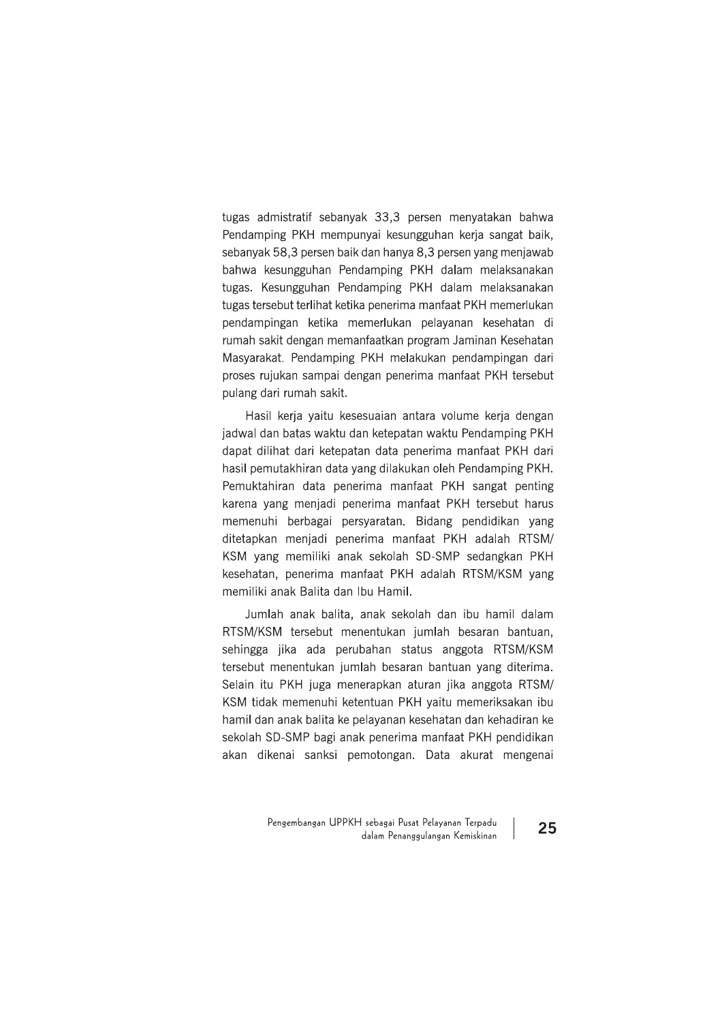tugas admistratif sebanyak 33,3 persen menyatakan bahwa Pendamping PKH mempunyai kesungguhan kerja sangat baik, sebanyak 58,3 persen baik dan hanya 8,3 persen yang menjawab bahwa kesungguhan Pendamping PKH dalam melaksanakan tugas. Kesungguhan Pendamping PKH dalam melaksanakan tugas tersebut terlihat ketika penerima manfaat PKH memerlukan pendampingan ketika memerlukan pelayanan kesehatan di rumah sakit dengan memanfaatkan program Jaminan Kesehatan Masyarakat. Pendamping PKH melakukan pendampingan dari proses rujukan sampai dengan penerima manfaat PKH tersebut pulang dari rumah sakit.

Hasil kerja yaitu kesesuaian antara volume kerja dengan jadwal dan batas waktu dan ketepatan waktu Pendamping PKH dapat dilihat dari ketepatan data penerima manfaat PKH dari hasil pemutakhiran data yang dilakukan oleh Pendamping PKH. Pemuktahiran data penerima manfaat PKH sangat penting karena yang menjadi penerima manfaat PKH tersebut harus memenuhi berbagai persyaratan. Bidang pendidikan yang ditetapkan menjadi penerima manfaat PKH adalah RTSM/ KSM yang memiliki anak sekolah SD-SMP sedangkan PKH kesehatan, penerima manfaat PKH adalah RTSM/KSM yang memiliki anak Balita dan Ibu Hamil.

Jumlah anak balita, anak sekolah dan ibu hamil dalam RTSM/KSM tersebut menentukan jumlah besaran bantuan, sehingga jika ada perubahan status anggota RTSM/KSM tersebut menentukan jumlah besaran bantuan yang diterima. Selain itu PKH juga menerapkan aturan jika anggota RTSM/ KSM tidak memenuhi ketentuan PKH yaitu memeriksakan ibu hamil dan anak balita ke pelayanan kesehatan dan kehadiran ke sekolah SD-SMP bagi anak penerima manfaat PKH pendidikan akan dikenai sanksi pemotongan. Data akurat mengenai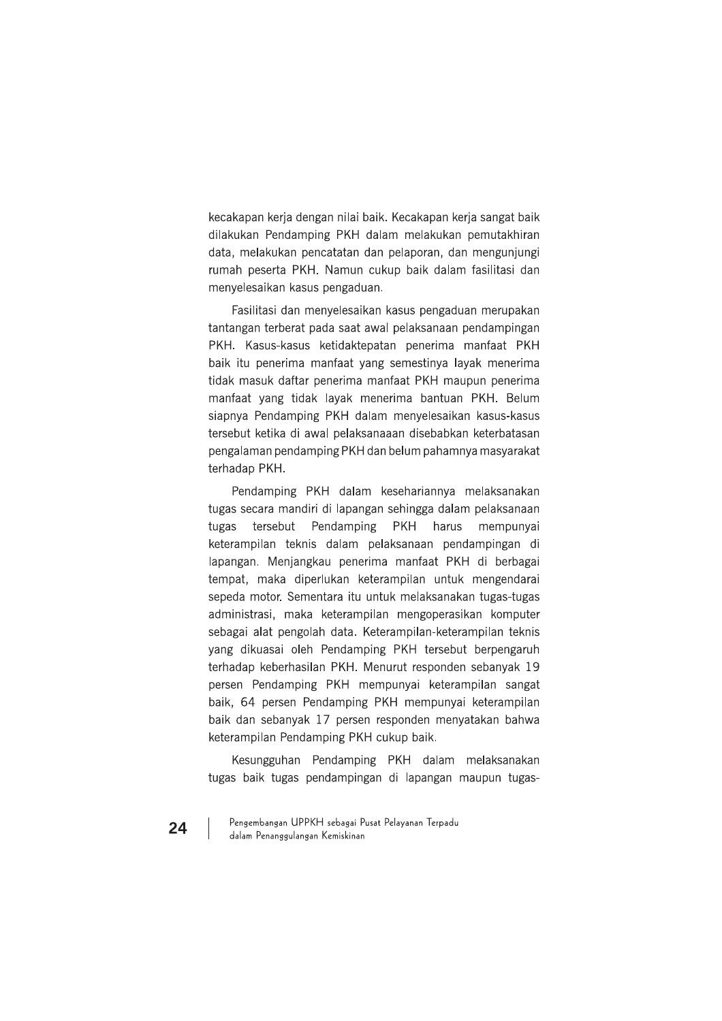kecakapan kerja dengan nilai baik. Kecakapan kerja sangat baik dilakukan Pendamping PKH dalam melakukan pemutakhiran data, melakukan pencatatan dan pelaporan, dan mengunjungi rumah peserta PKH. Namun cukup baik dalam fasilitasi dan menyelesaikan kasus pengaduan.

Fasilitasi dan menyelesaikan kasus pengaduan merupakan tantangan terberat pada saat awal pelaksanaan pendampingan PKH. Kasus-kasus ketidaktepatan penerima manfaat PKH baik itu penerima manfaat yang semestinya layak menerima tidak masuk daftar penerima manfaat PKH maupun penerima manfaat vang tidak lavak menerima bantuan PKH. Belum siapnya Pendamping PKH dalam menyelesaikan kasus-kasus tersebut ketika di awal pelaksanaaan disebabkan keterbatasan pengalaman pendamping PKH dan belum pahamnya masyarakat terhadap PKH.

Pendamping PKH dalam kesehariannya melaksanakan tugas secara mandiri di lapangan sehingga dalam pelaksanaan tugas tersebut Pendamping **PKH** harus mempunyai keterampilan teknis dalam pelaksanaan pendampingan di lapangan. Menjangkau penerima manfaat PKH di berbagai tempat, maka diperlukan keterampilan untuk mengendarai sepeda motor. Sementara itu untuk melaksanakan tugas-tugas administrasi, maka keterampilan mengoperasikan komputer sebagai alat pengolah data. Keterampilan-keterampilan teknis yang dikuasai oleh Pendamping PKH tersebut berpengaruh terhadap keberhasilan PKH. Menurut responden sebanyak 19 persen Pendamping PKH mempunyai keterampilan sangat baik, 64 persen Pendamping PKH mempunyai keterampilan baik dan sebanyak 17 persen responden menyatakan bahwa keterampilan Pendamping PKH cukup baik.

Kesungguhan Pendamping PKH dalam melaksanakan tugas baik tugas pendampingan di lapangan maupun tugas-

Pengembangan UPPKH sebagai Pusat Pelayanan Terpadu dalam Penanggulangan Kemiskinan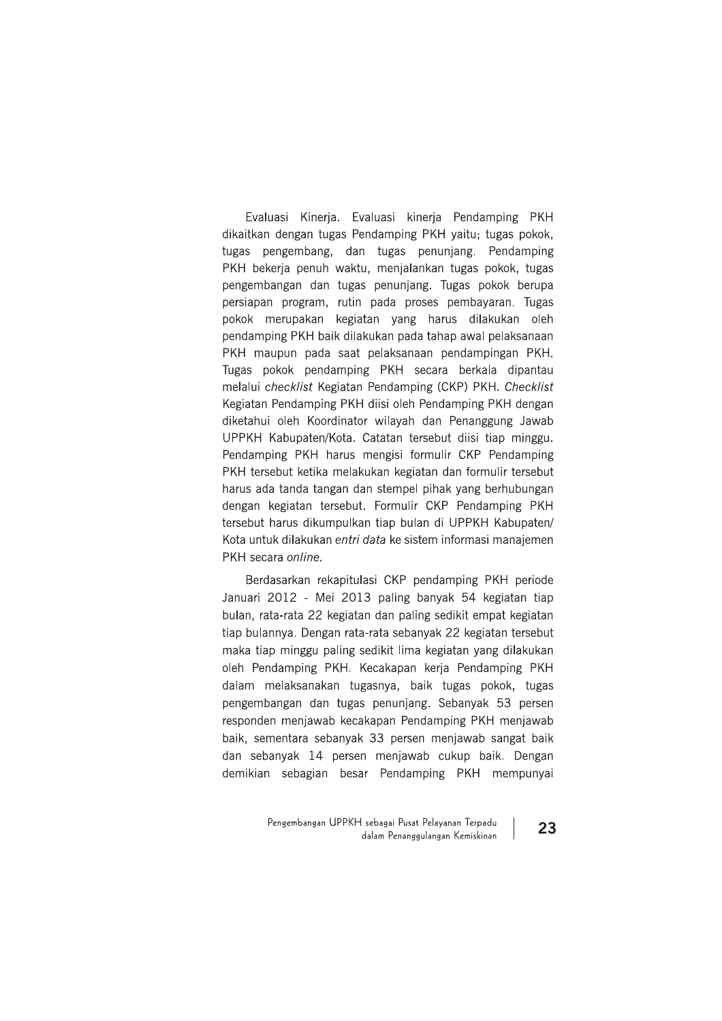Evaluasi Kinerja. Evaluasi kinerja Pendamping PKH dikaitkan dengan tugas Pendamping PKH yaitu; tugas pokok, tugas pengembang, dan tugas penunjang. Pendamping PKH bekerja penuh waktu, menjalankan tugas pokok, tugas pengembangan dan tugas penunjang. Tugas pokok berupa persiapan program, rutin pada proses pembayaran. Tugas pokok merupakan kegiatan yang harus dilakukan oleh pendamping PKH baik dilakukan pada tahap awal pelaksanaan PKH maupun pada saat pelaksanaan pendampingan PKH. Tugas pokok pendamping PKH secara berkala dipantau melalui checklist Kegiatan Pendamping (CKP) PKH. Checklist Kegiatan Pendamping PKH diisi oleh Pendamping PKH dengan diketahui oleh Koordinator wilayah dan Penanggung Jawab UPPKH Kabupaten/Kota. Catatan tersebut diisi tiap minggu. Pendamping PKH harus mengisi formulir CKP Pendamping PKH tersebut ketika melakukan kegiatan dan formulir tersebut harus ada tanda tangan dan stempel pihak yang berhubungan dengan kegiatan tersebut. Formulir CKP Pendamping PKH tersebut harus dikumpulkan tiap bulan di UPPKH Kabupaten/ Kota untuk dilakukan entri data ke sistem informasi manajemen PKH secara online.

Berdasarkan rekapitulasi CKP pendamping PKH periode Januari 2012 - Mei 2013 paling banyak 54 kegiatan tiap bulan, rata-rata 22 kegiatan dan paling sedikit empat kegiatan tiap bulannya. Dengan rata-rata sebanyak 22 kegiatan tersebut maka tiap minggu paling sedikit lima kegiatan yang dilakukan oleh Pendamping PKH. Kecakapan kerja Pendamping PKH dalam melaksanakan tugasnya, baik tugas pokok, tugas pengembangan dan tugas penunjang. Sebanyak 53 persen responden menjawab kecakapan Pendamping PKH menjawab baik, sementara sebanyak 33 persen menjawab sangat baik dan sebanyak 14 persen menjawab cukup baik. Dengan demikian sebagian besar Pendamping PKH mempunyai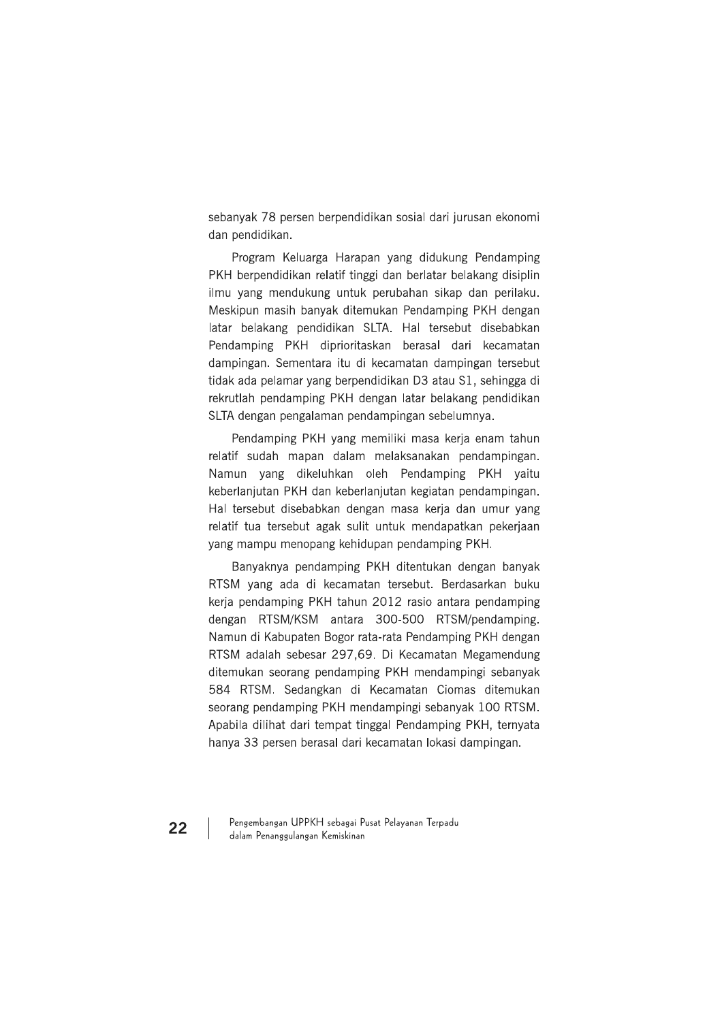sebanyak 78 persen berpendidikan sosial dari jurusan ekonomi dan pendidikan.

Program Keluarga Harapan yang didukung Pendamping PKH berpendidikan relatif tinggi dan berlatar belakang disiplin ilmu yang mendukung untuk perubahan sikap dan perilaku. Meskipun masih banyak ditemukan Pendamping PKH dengan latar belakang pendidikan SLTA. Hal tersebut disebabkan Pendamping PKH diprioritaskan berasal dari kecamatan dampingan. Sementara itu di kecamatan dampingan tersebut tidak ada pelamar yang berpendidikan D3 atau S1, sehingga di rekrutlah pendamping PKH dengan latar belakang pendidikan SLTA dengan pengalaman pendampingan sebelumnya.

Pendamping PKH yang memiliki masa kerja enam tahun relatif sudah mapan dalam melaksanakan pendampingan. Namun yang dikeluhkan oleh Pendamping PKH yaitu keberlanjutan PKH dan keberlanjutan kegiatan pendampingan. Hal tersebut disebabkan dengan masa kerja dan umur yang relatif tua tersebut agak sulit untuk mendapatkan pekerjaan yang mampu menopang kehidupan pendamping PKH.

Banyaknya pendamping PKH ditentukan dengan banyak RTSM yang ada di kecamatan tersebut. Berdasarkan buku kerja pendamping PKH tahun 2012 rasio antara pendamping dengan RTSM/KSM antara 300-500 RTSM/pendamping. Namun di Kabupaten Bogor rata-rata Pendamping PKH dengan RTSM adalah sebesar 297,69. Di Kecamatan Megamendung ditemukan seorang pendamping PKH mendampingi sebanyak 584 RTSM. Sedangkan di Kecamatan Ciomas ditemukan seorang pendamping PKH mendampingi sebanyak 100 RTSM. Apabila dilihat dari tempat tinggal Pendamping PKH, ternyata hanya 33 persen berasal dari kecamatan lokasi dampingan.

Pengembangan UPPKH sebagai Pusat Pelayanan Terpadu dalam Penanggulangan Kemiskinan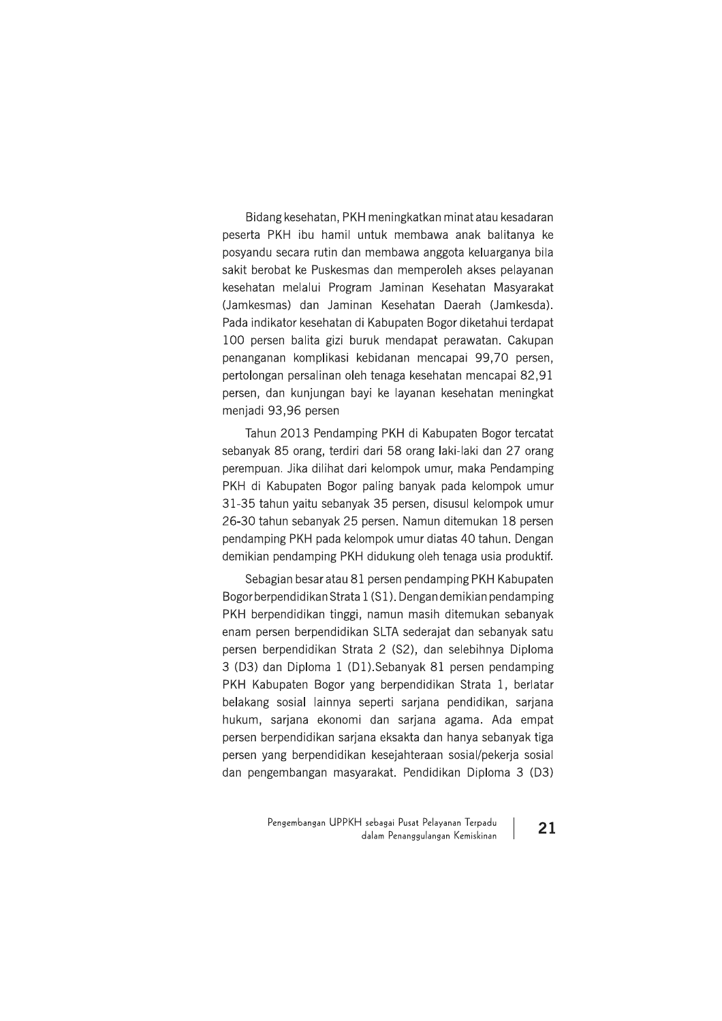Bidang kesehatan, PKH meningkatkan minat atau kesadaran peserta PKH ibu hamil untuk membawa anak balitanya ke posyandu secara rutin dan membawa anggota keluarganya bila sakit berobat ke Puskesmas dan memperoleh akses pelayanan kesehatan melalui Program Jaminan Kesehatan Masyarakat (Jamkesmas) dan Jaminan Kesehatan Daerah (Jamkesda). Pada indikator kesehatan di Kabupaten Bogor diketahui terdapat 100 persen balita gizi buruk mendapat perawatan. Cakupan penanganan komplikasi kebidanan mencapai 99,70 persen, pertolongan persalinan oleh tenaga kesehatan mencapai 82,91 persen, dan kunjungan bayi ke layanan kesehatan meningkat menjadi 93,96 persen

Tahun 2013 Pendamping PKH di Kabupaten Bogor tercatat sebanyak 85 orang, terdiri dari 58 orang laki-laki dan 27 orang perempuan. Jika dilihat dari kelompok umur, maka Pendamping PKH di Kabupaten Bogor paling banyak pada kelompok umur 31-35 tahun yaitu sebanyak 35 persen, disusul kelompok umur 26-30 tahun sebanyak 25 persen. Namun ditemukan 18 persen pendamping PKH pada kelompok umur diatas 40 tahun. Dengan demikian pendamping PKH didukung oleh tenaga usia produktif.

Sebagian besar atau 81 persen pendamping PKH Kabupaten Bogor berpendidikan Strata 1 (S1). Dengan demikian pendamping PKH berpendidikan tinggi, namun masih ditemukan sebanyak enam persen berpendidikan SLTA sederajat dan sebanyak satu persen berpendidikan Strata 2 (S2), dan selebihnya Diploma 3 (D3) dan Diploma 1 (D1). Sebanyak 81 persen pendamping PKH Kabupaten Bogor vang berpendidikan Strata 1, berlatar belakang sosial lainnya seperti sarjana pendidikan, sarjana hukum, sarjana ekonomi dan sarjana agama. Ada empat persen berpendidikan sarjana eksakta dan hanya sebanyak tiga persen yang berpendidikan kesejahteraan sosial/pekerja sosial dan pengembangan masyarakat. Pendidikan Diploma 3 (D3)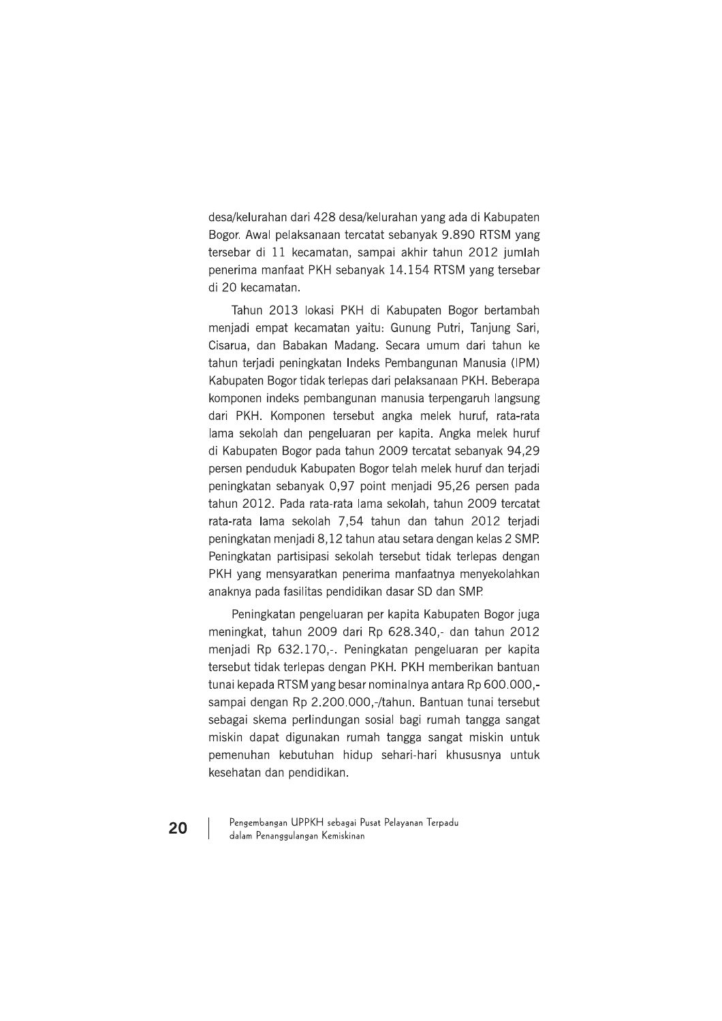desa/kelurahan dari 428 desa/kelurahan yang ada di Kabupaten Bogor, Awal pelaksanaan tercatat sebanyak 9.890 RTSM yang tersebar di 11 kecamatan, sampai akhir tahun 2012 jumlah penerima manfaat PKH sebanyak 14.154 RTSM yang tersebar di 20 kecamatan.

Tahun 2013 lokasi PKH di Kabupaten Bogor bertambah menjadi empat kecamatan yaitu: Gunung Putri, Tanjung Sari, Cisarua, dan Babakan Madang. Secara umum dari tahun ke tahun terjadi peningkatan Indeks Pembangunan Manusia (IPM) Kabupaten Bogor tidak terlepas dari pelaksanaan PKH. Beberapa komponen indeks pembangunan manusia terpengaruh langsung dari PKH. Komponen tersebut angka melek huruf, rata-rata lama sekolah dan pengeluaran per kapita. Angka melek huruf di Kabupaten Bogor pada tahun 2009 tercatat sebanyak 94,29 persen penduduk Kabupaten Bogor telah melek huruf dan terjadi peningkatan sebanyak 0.97 point menjadi 95.26 persen pada tahun 2012. Pada rata-rata lama sekolah, tahun 2009 tercatat rata-rata lama sekolah 7,54 tahun dan tahun 2012 terjadi peningkatan menjadi 8.12 tahun atau setara dengan kelas 2 SMP. Peningkatan partisipasi sekolah tersebut tidak terlepas dengan PKH yang mensyaratkan penerima manfaatnya menyekolahkan anaknya pada fasilitas pendidikan dasar SD dan SMP.

Peningkatan pengeluaran per kapita Kabupaten Bogor juga meningkat, tahun 2009 dari Rp 628.340,- dan tahun 2012 menjadi Rp 632.170,-. Peningkatan pengeluaran per kapita tersebut tidak terlepas dengan PKH. PKH memberikan bantuan tunai kepada RTSM yang besar nominalnya antara Rp 600,000,sampai dengan Rp 2.200.000,-/tahun. Bantuan tunai tersebut sebagai skema perlindungan sosial bagi rumah tangga sangat miskin dapat digunakan rumah tangga sangat miskin untuk pemenuhan kebutuhan hidup sehari-hari khususnya untuk kesehatan dan pendidikan.

Pengembangan UPPKH sebagai Pusat Pelayanan Terpadu dalam Penanggulangan Kemiskinan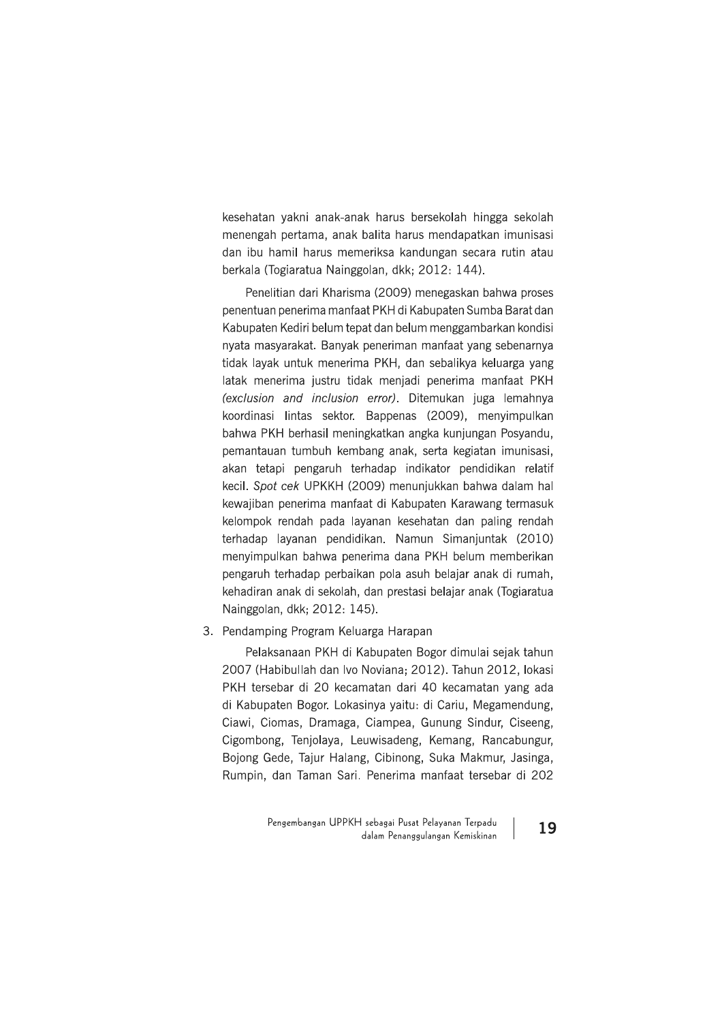kesehatan yakni anak-anak harus bersekolah hingga sekolah menengah pertama, anak balita harus mendapatkan imunisasi dan ibu hamil harus memeriksa kandungan secara rutin atau berkala (Togiaratua Nainggolan, dkk; 2012: 144).

Penelitian dari Kharisma (2009) menegaskan bahwa proses penentuan penerima manfaat PKH di Kabupaten Sumba Barat dan Kabupaten Kediri belum tepat dan belum menggambarkan kondisi nyata masyarakat. Banyak peneriman manfaat yang sebenarnya tidak layak untuk menerima PKH, dan sebalikya keluarga yang latak menerima justru tidak menjadi penerima manfaat PKH (exclusion and inclusion error). Ditemukan juga lemahnya koordinasi lintas sektor. Bappenas (2009), menyimpulkan bahwa PKH berhasil meningkatkan angka kunjungan Posyandu, pemantauan tumbuh kembang anak, serta kegiatan imunisasi, akan tetapi pengaruh terhadap indikator pendidikan relatif kecil. Spot cek UPKKH (2009) menunjukkan bahwa dalam hal kewajiban penerima manfaat di Kabupaten Karawang termasuk kelompok rendah pada layanan kesehatan dan paling rendah terhadap layanan pendidikan. Namun Simanjuntak (2010) menyimpulkan bahwa penerima dana PKH belum memberikan pengaruh terhadap perbaikan pola asuh belajar anak di rumah, kehadiran anak di sekolah, dan prestasi belajar anak (Togiaratua Nainggolan, dkk; 2012: 145).

#### 3. Pendamping Program Keluarga Harapan

Pelaksanaan PKH di Kabupaten Bogor dimulai sejak tahun 2007 (Habibullah dan Ivo Noviana; 2012). Tahun 2012, lokasi PKH tersebar di 20 kecamatan dari 40 kecamatan yang ada di Kabupaten Bogor. Lokasinya yaitu: di Cariu, Megamendung, Ciawi, Ciomas, Dramaga, Ciampea, Gunung Sindur, Ciseeng, Cigombong, Tenjolaya, Leuwisadeng, Kemang, Rancabungur, Bojong Gede, Tajur Halang, Cibinong, Suka Makmur, Jasinga, Rumpin, dan Taman Sari. Penerima manfaat tersebar di 202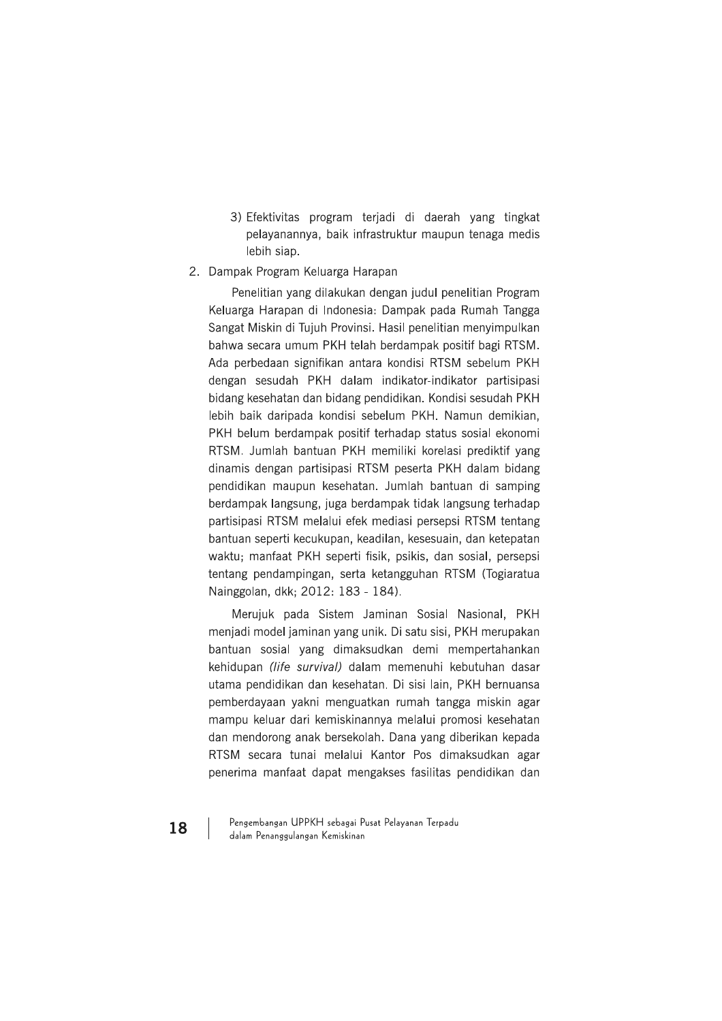- 3) Efektivitas program terjadi di daerah yang tingkat pelayanannya, baik infrastruktur maupun tenaga medis lebih siap.
- 2. Dampak Program Keluarga Harapan

Penelitian vang dilakukan dengan judul penelitian Program Keluarga Harapan di Indonesia: Dampak pada Rumah Tangga Sangat Miskin di Tujuh Provinsi. Hasil penelitian menyimpulkan bahwa secara umum PKH telah berdampak positif bagi RTSM. Ada perbedaan signifikan antara kondisi RTSM sebelum PKH dengan sesudah PKH dalam indikator-indikator partisipasi bidang kesehatan dan bidang pendidikan. Kondisi sesudah PKH lebih baik daripada kondisi sebelum PKH. Namun demikian, PKH belum berdampak positif terhadap status sosial ekonomi RTSM. Jumlah bantuan PKH memiliki korelasi prediktif yang dinamis dengan partisipasi RTSM peserta PKH dalam bidang pendidikan maupun kesehatan. Jumlah bantuan di samping berdampak langsung, juga berdampak tidak langsung terhadap partisipasi RTSM melalui efek mediasi persepsi RTSM tentang bantuan seperti kecukupan, keadilan, kesesuain, dan ketepatan waktu; manfaat PKH seperti fisik, psikis, dan sosial, persepsi tentang pendampingan, serta ketangguhan RTSM (Togiaratua Nainggolan, dkk; 2012: 183 - 184).

Merujuk pada Sistem Jaminan Sosial Nasional, PKH menjadi model jaminan yang unik. Di satu sisi, PKH merupakan bantuan sosial yang dimaksudkan demi mempertahankan kehidupan (life survival) dalam memenuhi kebutuhan dasar utama pendidikan dan kesehatan. Di sisi lain, PKH bernuansa pemberdayaan yakni menguatkan rumah tangga miskin agar mampu keluar dari kemiskinannya melalui promosi kesehatan dan mendorong anak bersekolah. Dana yang diberikan kepada RTSM secara tunai melalui Kantor Pos dimaksudkan agar penerima manfaat dapat mengakses fasilitas pendidikan dan

Pengembangan UPPKH sebagai Pusat Pelayanan Terpadu dalam Penanggulangan Kemiskinan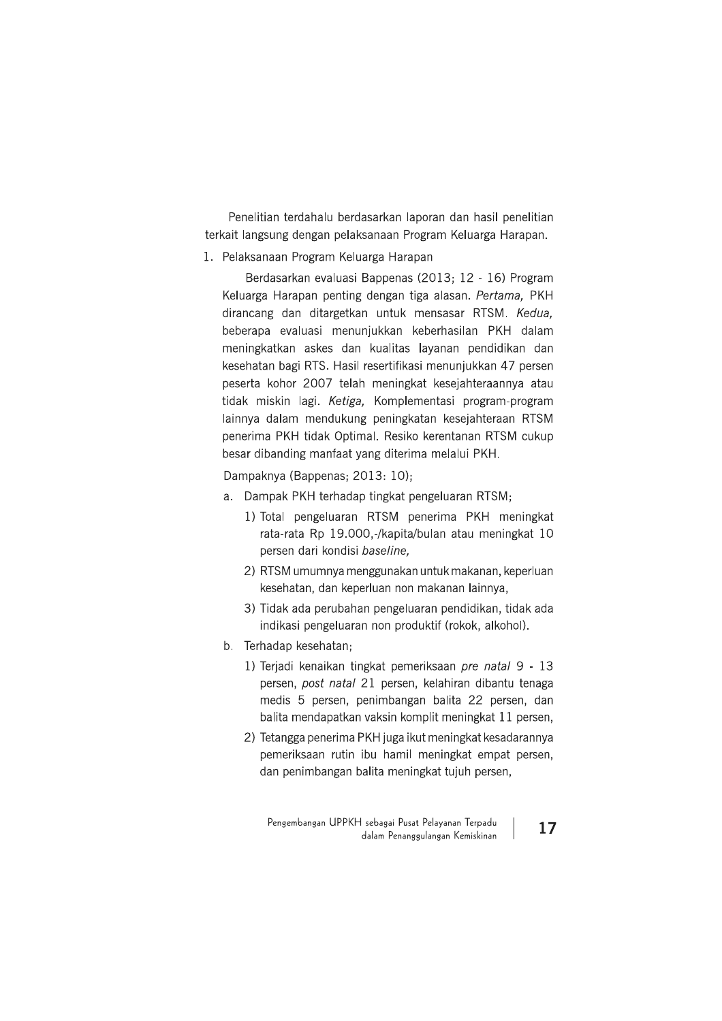Penelitian terdahalu berdasarkan laporan dan hasil penelitian terkait langsung dengan pelaksanaan Program Keluarga Harapan.

1. Pelaksanaan Program Keluarga Harapan

Berdasarkan evaluasi Bappenas (2013; 12 - 16) Program Keluarga Harapan penting dengan tiga alasan. Pertama, PKH dirancang dan ditargetkan untuk mensasar RTSM. Kedua, beberapa evaluasi menunjukkan keberhasilan PKH dalam meningkatkan askes dan kualitas layanan pendidikan dan kesehatan bagi RTS. Hasil resertifikasi menunjukkan 47 persen peserta kohor 2007 telah meningkat kesejahteraannya atau tidak miskin lagi. Ketiga, Komplementasi program-program lainnya dalam mendukung peningkatan kesejahteraan RTSM penerima PKH tidak Optimal. Resiko kerentanan RTSM cukup besar dibanding manfaat yang diterima melalui PKH.

Dampaknya (Bappenas; 2013: 10);

- a. Dampak PKH terhadap tingkat pengeluaran RTSM;
	- 1) Total pengeluaran RTSM penerima PKH meningkat rata-rata Rp 19.000,-/kapita/bulan atau meningkat 10 persen dari kondisi baseline,
	- 2) RTSM umumnya menggunakan untuk makanan, keperluan kesehatan, dan keperluan non makanan lainnya,
	- 3) Tidak ada perubahan pengeluaran pendidikan, tidak ada indikasi pengeluaran non produktif (rokok, alkohol).
- b. Terhadap kesehatan;
	- 1) Terjadi kenaikan tingkat pemeriksaan *pre natal* 9 13 persen, post natal 21 persen, kelahiran dibantu tenaga medis 5 persen, penimbangan balita 22 persen, dan balita mendapatkan vaksin komplit meningkat 11 persen,
	- 2) Tetangga penerima PKH juga ikut meningkat kesadarannya pemeriksaan rutin ibu hamil meningkat empat persen, dan penimbangan balita meningkat tujuh persen,

Pengembangan UPPKH sebagai Pusat Pelayanan Terpadu dalam Penanggulangan Kemiskinan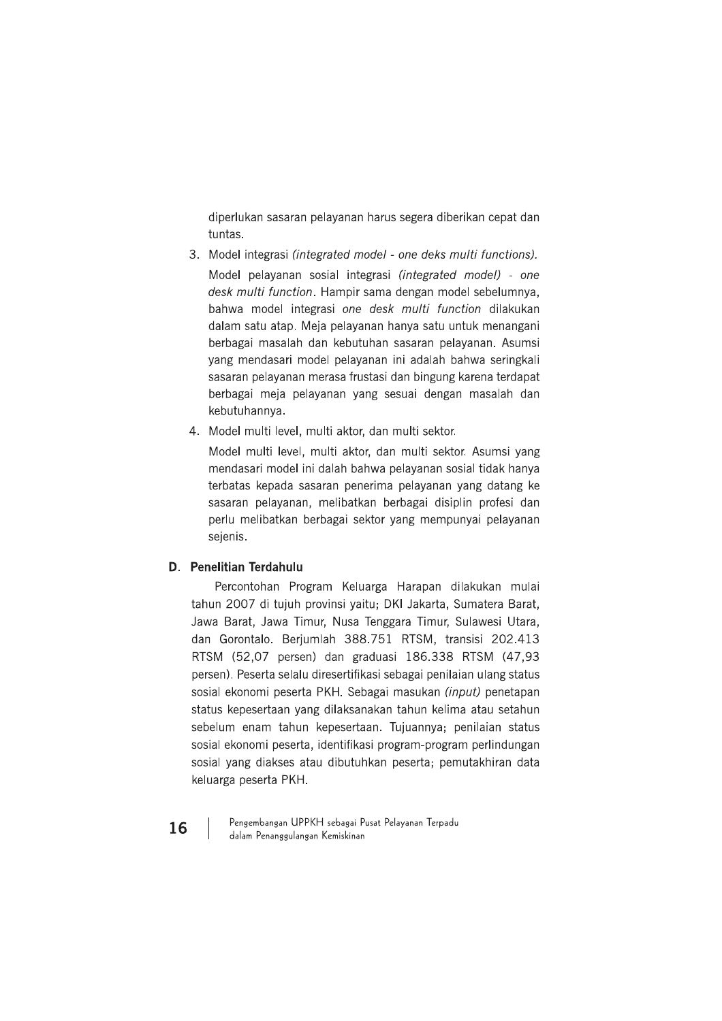diperlukan sasaran pelayanan harus segera diberikan cepat dan tuntas.

- 3. Model integrasi (integrated model one deks multi functions). Model pelayanan sosial integrasi (integrated model) - one desk multi function. Hampir sama dengan model sebelumnya, bahwa model integrasi one desk multi function dilakukan dalam satu atap. Meja pelayanan hanya satu untuk menangani berbagai masalah dan kebutuhan sasaran pelayanan. Asumsi yang mendasari model pelayanan ini adalah bahwa seringkali sasaran pelayanan merasa frustasi dan bingung karena terdapat berbagai meja pelayanan yang sesuai dengan masalah dan kebutuhannya.
- 4. Model multi level, multi aktor, dan multi sektor.

Model multi level, multi aktor, dan multi sektor. Asumsi yang mendasari model ini dalah bahwa pelayanan sosial tidak hanya terbatas kepada sasaran penerima pelayanan yang datang ke sasaran pelayanan, melibatkan berbagai disiplin profesi dan perlu melibatkan berbagai sektor yang mempunyai pelayanan sejenis.

# D. Penelitian Terdahulu

Percontohan Program Keluarga Harapan dilakukan mulai tahun 2007 di tujuh provinsi yaitu; DKI Jakarta, Sumatera Barat, Jawa Barat, Jawa Timur, Nusa Tenggara Timur, Sulawesi Utara, dan Gorontalo. Berjumlah 388.751 RTSM, transisi 202.413 RTSM (52,07 persen) dan graduasi 186.338 RTSM (47,93 persen). Peserta selalu diresertifikasi sebagai penilaian ulang status sosial ekonomi peserta PKH. Sebagai masukan (input) penetapan status kepesertaan yang dilaksanakan tahun kelima atau setahun sebelum enam tahun kepesertaan. Tujuannya; penilaian status sosial ekonomi peserta, identifikasi program-program perlindungan sosial yang diakses atau dibutuhkan peserta; pemutakhiran data keluarga peserta PKH.

Pengembangan UPPKH sebagai Pusat Pelayanan Terpadu dalam Penanggulangan Kemiskinan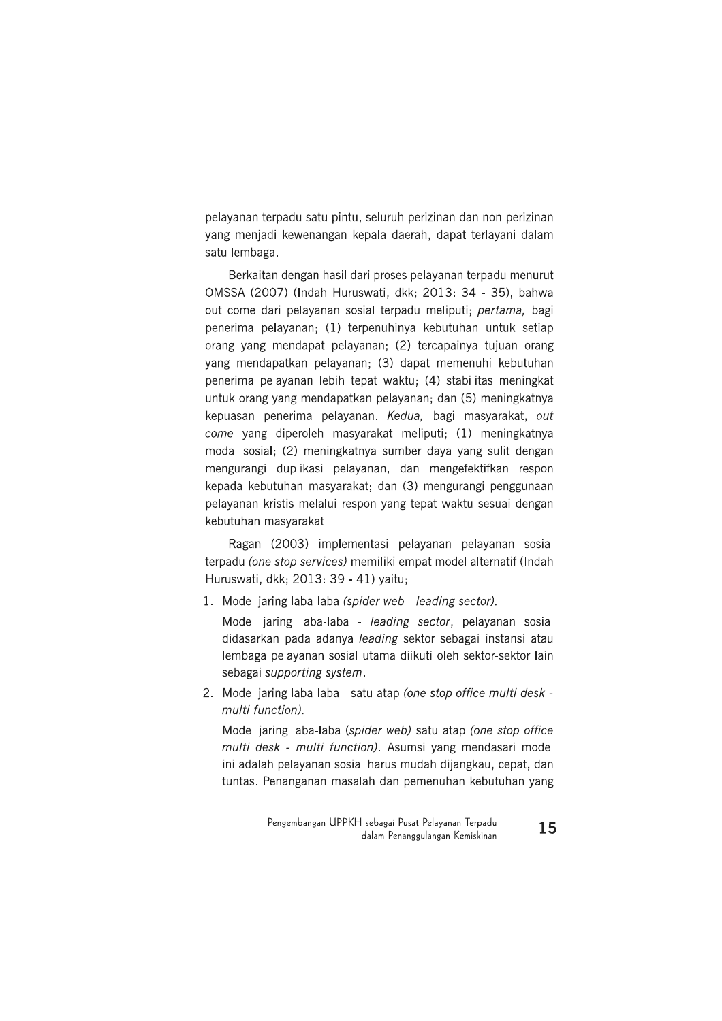pelayanan terpadu satu pintu, seluruh perizinan dan non-perizinan yang menjadi kewenangan kepala daerah, dapat terlayani dalam satu lembaga.

Berkaitan dengan hasil dari proses pelayanan terpadu menurut OMSSA (2007) (Indah Huruswati, dkk; 2013: 34 - 35), bahwa out come dari pelayanan sosial terpadu meliputi; pertama, bagi penerima pelayanan; (1) terpenuhinya kebutuhan untuk setiap orang yang mendapat pelayanan; (2) tercapainya tujuan orang yang mendapatkan pelayanan; (3) dapat memenuhi kebutuhan penerima pelayanan lebih tepat waktu; (4) stabilitas meningkat untuk orang yang mendapatkan pelayanan; dan (5) meningkatnya kepuasan penerima pelayanan. Kedua, bagi masyarakat, out come yang diperoleh masyarakat meliputi; (1) meningkatnya modal sosial; (2) meningkatnya sumber daya yang sulit dengan mengurangi duplikasi pelayanan, dan mengefektifkan respon kepada kebutuhan masyarakat; dan (3) mengurangi penggunaan pelayanan kristis melalui respon yang tepat waktu sesuai dengan kebutuhan masyarakat.

Ragan (2003) implementasi pelayanan pelayanan sosial terpadu (one stop services) memiliki empat model alternatif (Indah Huruswati, dkk: 2013: 39 - 41) vaitu:

1. Model jaring laba-laba (spider web - leading sector).

Model jaring laba-laba - leading sector, pelayanan sosial didasarkan pada adanya leading sektor sebagai instansi atau lembaga pelayanan sosial utama diikuti oleh sektor-sektor lain sebagai supporting system.

2. Model jaring laba-laba - satu atap (one stop office multi desk multi function).

Model jaring laba-laba (spider web) satu atap (one stop office multi desk - multi function). Asumsi yang mendasari model ini adalah pelayanan sosial harus mudah dijangkau, cepat, dan tuntas. Penanganan masalah dan pemenuhan kebutuhan yang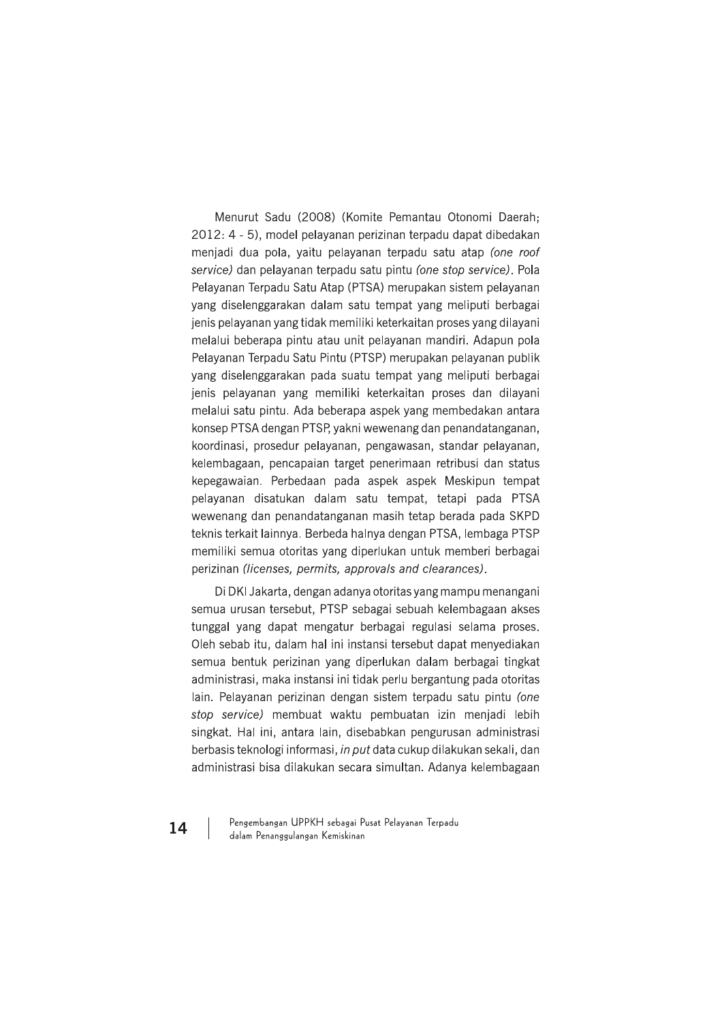Menurut Sadu (2008) (Komite Pemantau Otonomi Daerah; 2012: 4 - 5), model pelayanan perizinan terpadu dapat dibedakan menjadi dua pola, yaitu pelayanan terpadu satu atap (one roof service) dan pelayanan terpadu satu pintu (one stop service). Pola Pelayanan Terpadu Satu Atap (PTSA) merupakan sistem pelayanan yang diselenggarakan dalam satu tempat yang meliputi berbagai jenis pelayanan yang tidak memiliki keterkaitan proses yang dilayani melalui beberapa pintu atau unit pelayanan mandiri. Adapun pola Pelayanan Terpadu Satu Pintu (PTSP) merupakan pelayanan publik yang diselenggarakan pada suatu tempat yang meliputi berbagai jenis pelayanan yang memiliki keterkaitan proses dan dilayani melalui satu pintu. Ada beberapa aspek yang membedakan antara konsep PTSA dengan PTSP, yakni wewenang dan penandatanganan, koordinasi, prosedur pelayanan, pengawasan, standar pelayanan, kelembagaan, pencapaian target penerimaan retribusi dan status kepegawaian. Perbedaan pada aspek aspek Meskipun tempat pelayanan disatukan dalam satu tempat, tetapi pada PTSA wewenang dan penandatanganan masih tetap berada pada SKPD teknis terkait lainnya. Berbeda halnya dengan PTSA, lembaga PTSP memiliki semua otoritas yang diperlukan untuk memberi berbagai perizinan (licenses, permits, approvals and clearances).

Di DKI Jakarta, dengan adanya otoritas yang mampu menangani semua urusan tersebut. PTSP sebagai sebuah kelembagaan akses tunggal yang dapat mengatur berbagai regulasi selama proses. Oleh sebab itu, dalam hal ini instansi tersebut dapat menyediakan semua bentuk perizinan yang diperlukan dalam berbagai tingkat administrasi, maka instansi ini tidak perlu bergantung pada otoritas lain. Pelayanan perizinan dengan sistem terpadu satu pintu (one stop service) membuat waktu pembuatan izin menjadi lebih singkat. Hal ini, antara lain, disebabkan pengurusan administrasi berbasis teknologi informasi, in put data cukup dilakukan sekali, dan administrasi bisa dilakukan secara simultan. Adanya kelembagaan

Pengembangan UPPKH sebagai Pusat Pelayanan Terpadu dalam Penanggulangan Kemiskinan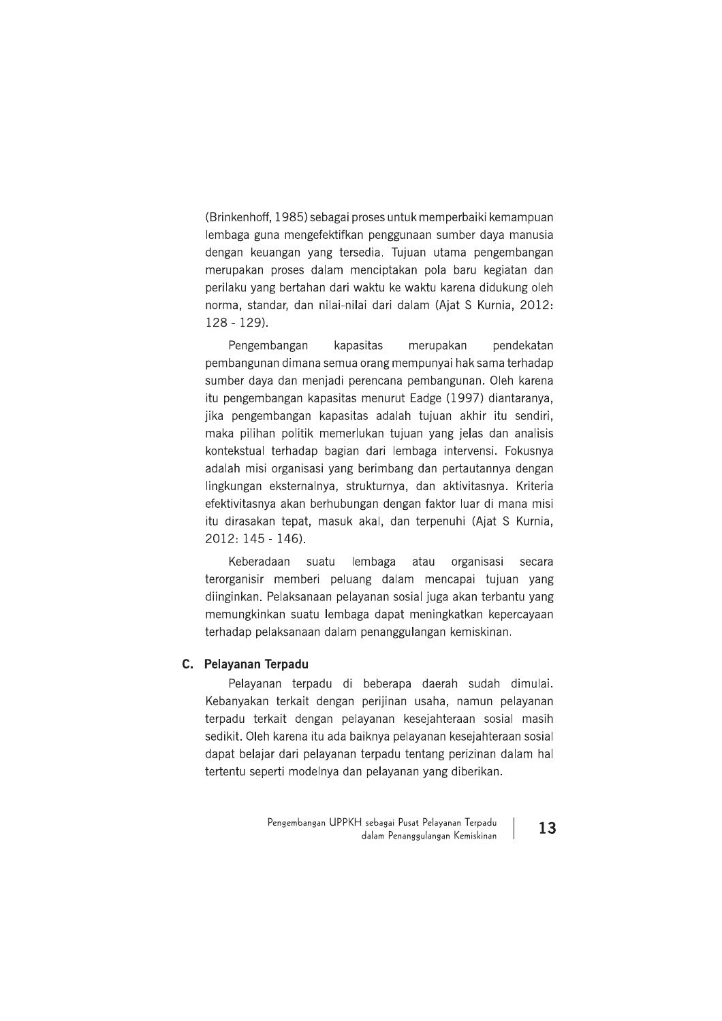(Brinkenhoff, 1985) sebagai proses untuk memperbaiki kemampuan lembaga guna mengefektifkan penggunaan sumber daya manusia dengan keuangan yang tersedia. Tujuan utama pengembangan merupakan proses dalam menciptakan pola baru kegiatan dan perilaku yang bertahan dari waktu ke waktu karena didukung oleh norma, standar, dan nilai-nilai dari dalam (Ajat S Kurnia, 2012:  $128 - 129$ ).

Pengembangan kapasitas merupakan pendekatan pembangunan dimana semua orang mempunyai hak sama terhadap sumber daya dan menjadi perencana pembangunan. Oleh karena itu pengembangan kapasitas menurut Eadge (1997) diantaranya, jika pengembangan kapasitas adalah tujuan akhir itu sendiri, maka pilihan politik memerlukan tujuan yang jelas dan analisis kontekstual terhadap bagian dari lembaga intervensi. Fokusnya adalah misi organisasi yang berimbang dan pertautannya dengan lingkungan eksternalnya, strukturnya, dan aktivitasnya. Kriteria efektivitasnya akan berhubungan dengan faktor luar di mana misi itu dirasakan tepat, masuk akal, dan terpenuhi (Ajat S Kurnia, 2012: 145 - 146).

Keberadaan suatu lembaga atau organisasi secara terorganisir memberi peluang dalam mencapai tujuan yang diinginkan. Pelaksanaan pelayanan sosial juga akan terbantu yang memungkinkan suatu lembaga dapat meningkatkan kepercayaan terhadap pelaksanaan dalam penanggulangan kemiskinan.

# C. Pelayanan Terpadu

Pelayanan terpadu di beberapa daerah sudah dimulai. Kebanyakan terkait dengan perijinan usaha, namun pelayanan terpadu terkait dengan pelayanan kesejahteraan sosial masih sedikit. Oleh karena itu ada baiknya pelayanan kesejahteraan sosial dapat belajar dari pelayanan terpadu tentang perizinan dalam hal tertentu seperti modelnya dan pelayanan yang diberikan.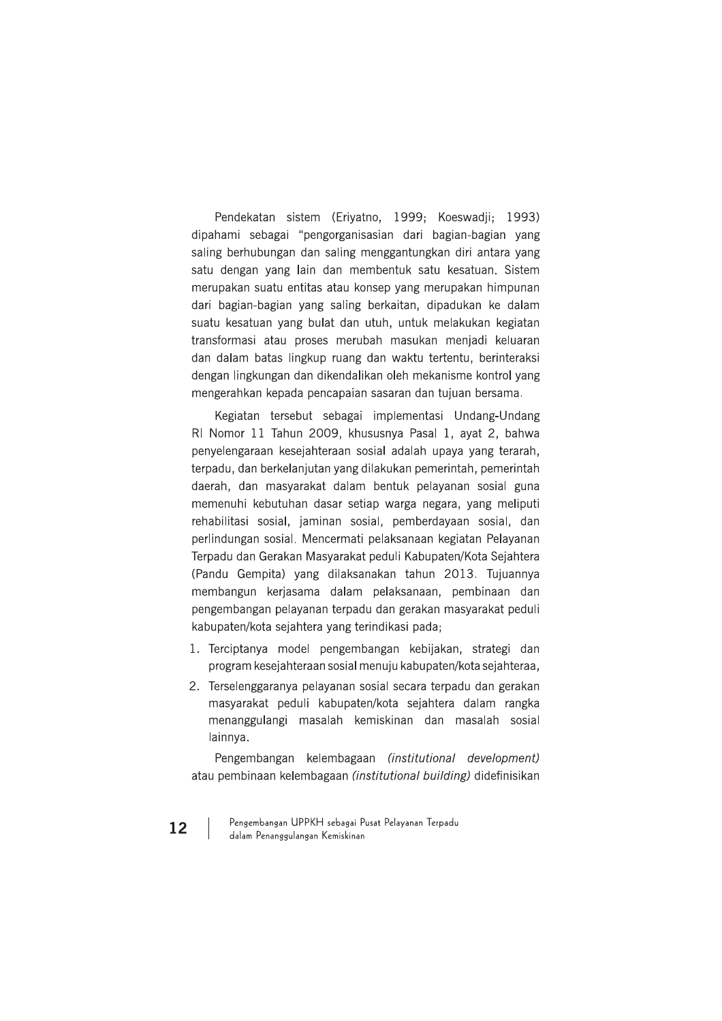Pendekatan sistem (Eriyatno, 1999; Koeswadji; 1993) dipahami sebagai "pengorganisasian dari bagian-bagian yang saling berhubungan dan saling menggantungkan diri antara yang satu dengan yang lain dan membentuk satu kesatuan. Sistem merupakan suatu entitas atau konsep yang merupakan himpunan dari bagian-bagian yang saling berkaitan, dipadukan ke dalam suatu kesatuan yang bulat dan utuh, untuk melakukan kegiatan transformasi atau proses merubah masukan meniadi keluaran dan dalam batas lingkup ruang dan waktu tertentu, berinteraksi dengan lingkungan dan dikendalikan oleh mekanisme kontrol yang mengerahkan kepada pencapaian sasaran dan tujuan bersama.

Kegiatan tersebut sebagai implementasi Undang-Undang RI Nomor 11 Tahun 2009, khususnya Pasal 1, ayat 2, bahwa penyelengaraan kesejahteraan sosial adalah upaya yang terarah, terpadu, dan berkelanjutan yang dilakukan pemerintah, pemerintah daerah, dan masyarakat dalam bentuk pelayanan sosial guna memenuhi kebutuhan dasar setiap warga negara, yang meliputi rehabilitasi sosial, jaminan sosial, pemberdayaan sosial, dan perlindungan sosial. Mencermati pelaksanaan kegiatan Pelayanan Terpadu dan Gerakan Masyarakat peduli Kabupaten/Kota Sejahtera (Pandu Gempita) yang dilaksanakan tahun 2013. Tujuannya membangun kerjasama dalam pelaksanaan, pembinaan dan pengembangan pelayanan terpadu dan gerakan masyarakat peduli kabupaten/kota sejahtera yang terindikasi pada;

- 1. Terciptanya model pengembangan kebijakan, strategi dan program kesejahteraan sosial menuju kabupaten/kota sejahteraa,
- 2. Terselenggaranya pelayanan sosial secara terpadu dan gerakan masyarakat peduli kabupaten/kota sejahtera dalam rangka menanggulangi masalah kemiskinan dan masalah sosial lainnya.

Pengembangan kelembagaan (institutional development) atau pembinaan kelembagaan (institutional building) didefinisikan

Pengembangan UPPKH sebagai Pusat Pelayanan Terpadu dalam Penanggulangan Kemiskinan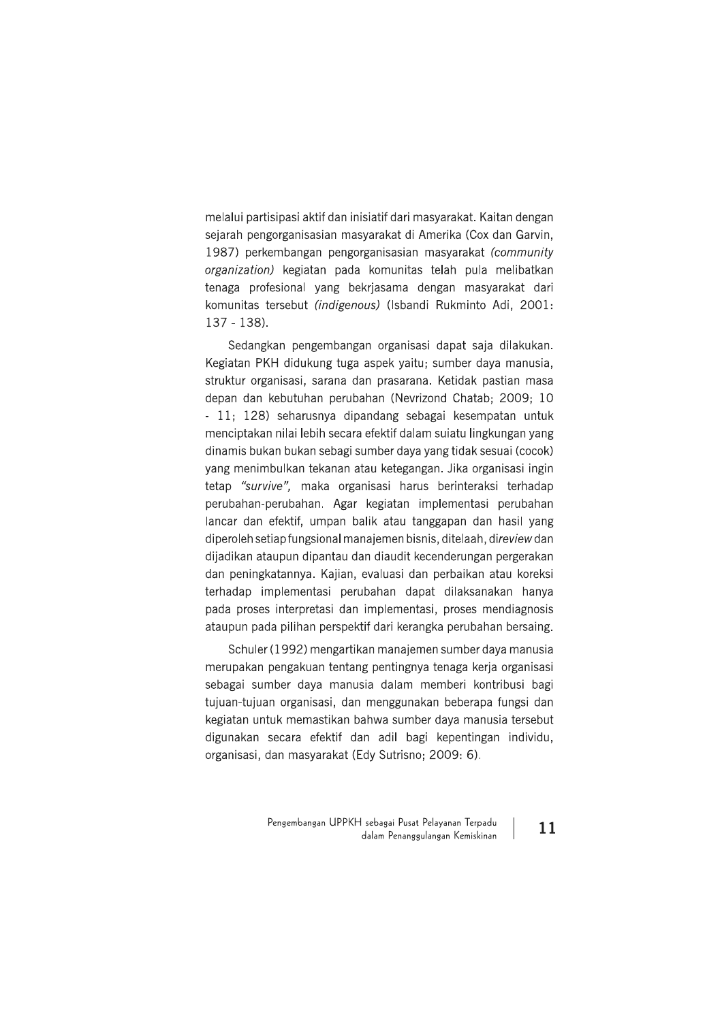melalui partisipasi aktif dan inisiatif dari masyarakat. Kaitan dengan sejarah pengorganisasian masyarakat di Amerika (Cox dan Garvin, 1987) perkembangan pengorganisasian masyarakat (community organization) kegiatan pada komunitas telah pula melibatkan tenaga profesional yang bekrjasama dengan masyarakat dari komunitas tersebut (indigenous) (Isbandi Rukminto Adi, 2001: 137 - 138).

Sedangkan pengembangan organisasi dapat saja dilakukan. Kegiatan PKH didukung tuga aspek yaitu; sumber daya manusia, struktur organisasi, sarana dan prasarana. Ketidak pastian masa depan dan kebutuhan perubahan (Nevrizond Chatab: 2009; 10 - 11; 128) seharusnya dipandang sebagai kesempatan untuk menciptakan nilai lebih secara efektif dalam sujatu lingkungan yang dinamis bukan bukan sebagi sumber daya yang tidak sesuai (cocok) yang menimbulkan tekanan atau ketegangan. Jika organisasi ingin tetap "survive", maka organisasi harus berinteraksi terhadap perubahan-perubahan. Agar kegiatan implementasi perubahan lancar dan efektif, umpan balik atau tanggapan dan hasil yang diperoleh setiap fungsional manajemen bisnis, ditelaah, direview dan dijadikan ataupun dipantau dan diaudit kecenderungan pergerakan dan peningkatannya. Kajian, evaluasi dan perbaikan atau koreksi terhadap implementasi perubahan dapat dilaksanakan hanya pada proses interpretasi dan implementasi, proses mendiagnosis ataupun pada pilihan perspektif dari kerangka perubahan bersaing.

Schuler (1992) mengartikan manajemen sumber daya manusia merupakan pengakuan tentang pentingnya tenaga kerja organisasi sebagai sumber dava manusia dalam memberi kontribusi bagi tujuan-tujuan organisasi, dan menggunakan beberapa fungsi dan kegiatan untuk memastikan bahwa sumber daya manusia tersebut digunakan secara efektif dan adil bagi kepentingan individu, organisasi, dan masyarakat (Edy Sutrisno; 2009: 6).

> Pengembangan UPPKH sebagai Pusat Pelayanan Terpadu dalam Penanggulangan Kemiskinan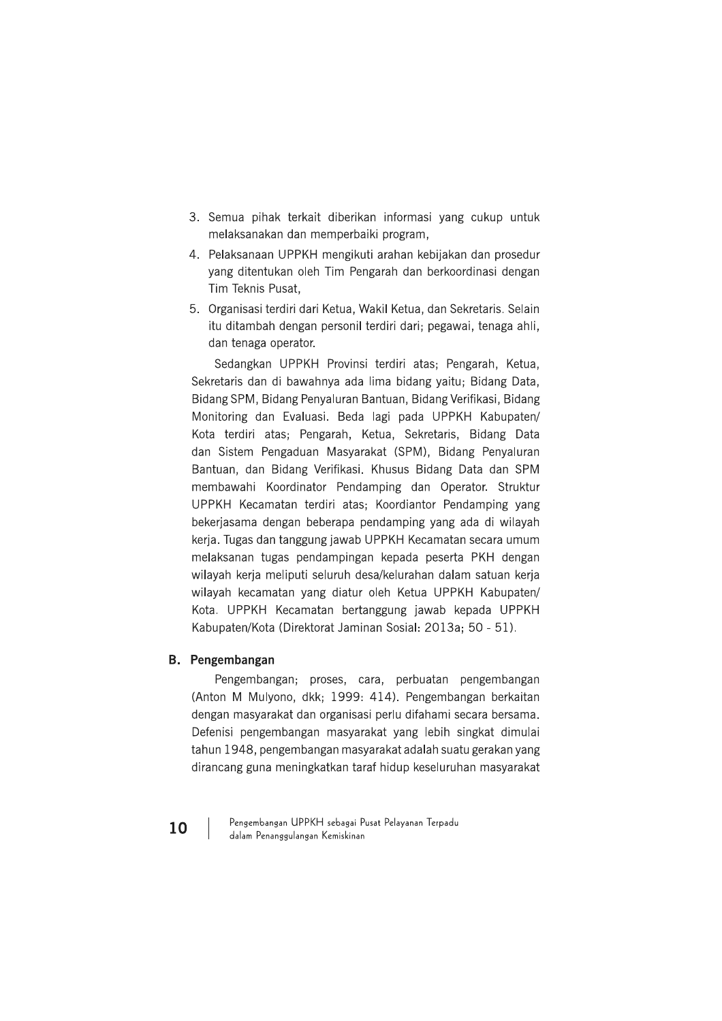- 3. Semua pihak terkait diberikan informasi yang cukup untuk melaksanakan dan memperbaiki program,
- 4. Pelaksanaan UPPKH mengikuti arahan kebijakan dan prosedur yang ditentukan oleh Tim Pengarah dan berkoordinasi dengan Tim Teknis Pusat,
- 5. Organisasi terdiri dari Ketua, Wakil Ketua, dan Sekretaris. Selain itu ditambah dengan personil terdiri dari; pegawai, tenaga ahli, dan tenaga operator.

Sedangkan UPPKH Provinsi terdiri atas; Pengarah, Ketua, Sekretaris dan di bawahnya ada lima bidang yaitu; Bidang Data, Bidang SPM, Bidang Penyaluran Bantuan, Bidang Verifikasi, Bidang Monitoring dan Evaluasi. Beda lagi pada UPPKH Kabupaten/ Kota terdiri atas: Pengarah, Ketua, Sekretaris, Bidang Data dan Sistem Pengaduan Masyarakat (SPM), Bidang Penyaluran Bantuan, dan Bidang Verifikasi. Khusus Bidang Data dan SPM membawahi Koordinator Pendamping dan Operator. Struktur UPPKH Kecamatan terdiri atas; Koordiantor Pendamping yang bekerjasama dengan beberapa pendamping yang ada di wilayah kerja. Tugas dan tanggung jawab UPPKH Kecamatan secara umum melaksanan tugas pendampingan kepada peserta PKH dengan wilayah kerja meliputi seluruh desa/kelurahan dalam satuan kerja wilayah kecamatan yang diatur oleh Ketua UPPKH Kabupaten/ Kota. UPPKH Kecamatan bertanggung jawab kepada UPPKH Kabupaten/Kota (Direktorat Jaminan Sosial: 2013a; 50 - 51).

#### **B.** Pengembangan

Pengembangan; proses, cara, perbuatan pengembangan (Anton M Mulyono, dkk; 1999: 414). Pengembangan berkaitan dengan masyarakat dan organisasi perlu difahami secara bersama. Defenisi pengembangan masyarakat yang lebih singkat dimulai tahun 1948, pengembangan masyarakat adalah suatu gerakan yang dirancang guna meningkatkan taraf hidup keseluruhan masyarakat

Pengembangan UPPKH sebagai Pusat Pelayanan Terpadu dalam Penanggulangan Kemiskinan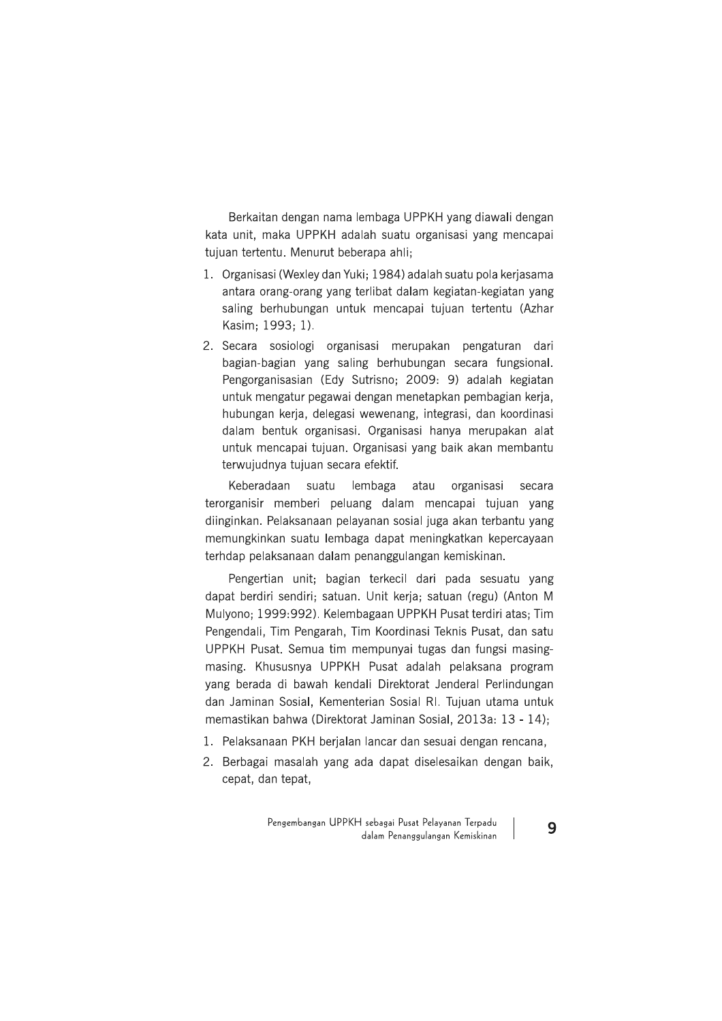Berkaitan dengan nama lembaga UPPKH yang diawali dengan kata unit, maka UPPKH adalah suatu organisasi yang mencapai tujuan tertentu. Menurut beberapa ahli;

- 1. Organisasi (Wexley dan Yuki: 1984) adalah suatu pola keriasama antara orang-orang yang terlibat dalam kegiatan-kegiatan yang saling berhubungan untuk mencapai tujuan tertentu (Azhar Kasim; 1993; 1).
- 2. Secara sosiologi organisasi merupakan pengaturan dari bagian-bagian yang saling berhubungan secara fungsional. Pengorganisasian (Edy Sutrisno: 2009: 9) adalah kegiatan untuk mengatur pegawai dengan menetapkan pembagian kerja, hubungan kerja, delegasi wewenang, integrasi, dan koordinasi dalam bentuk organisasi. Organisasi hanya merupakan alat untuk mencapai tujuan. Organisasi yang baik akan membantu terwujudnya tujuan secara efektif.

Keberadaan suatu lembaga atau organisasi secara terorganisir memberi peluang dalam mencapai tujuan yang diinginkan. Pelaksanaan pelayanan sosial juga akan terbantu yang memungkinkan suatu lembaga dapat meningkatkan kepercayaan terhdap pelaksanaan dalam penanggulangan kemiskinan.

Pengertian unit; bagian terkecil dari pada sesuatu yang dapat berdiri sendiri; satuan. Unit kerja; satuan (regu) (Anton M Mulyono; 1999:992). Kelembagaan UPPKH Pusat terdiri atas; Tim Pengendali, Tim Pengarah, Tim Koordinasi Teknis Pusat, dan satu UPPKH Pusat. Semua tim mempunyai tugas dan fungsi masingmasing. Khususnya UPPKH Pusat adalah pelaksana program yang berada di bawah kendali Direktorat Jenderal Perlindungan dan Jaminan Sosial, Kementerian Sosial RI. Tujuan utama untuk memastikan bahwa (Direktorat Jaminan Sosial, 2013a: 13 - 14);

- 1. Pelaksanaan PKH berjalan lancar dan sesuai dengan rencana,
- 2. Berbagai masalah yang ada dapat diselesaikan dengan baik, cepat, dan tepat,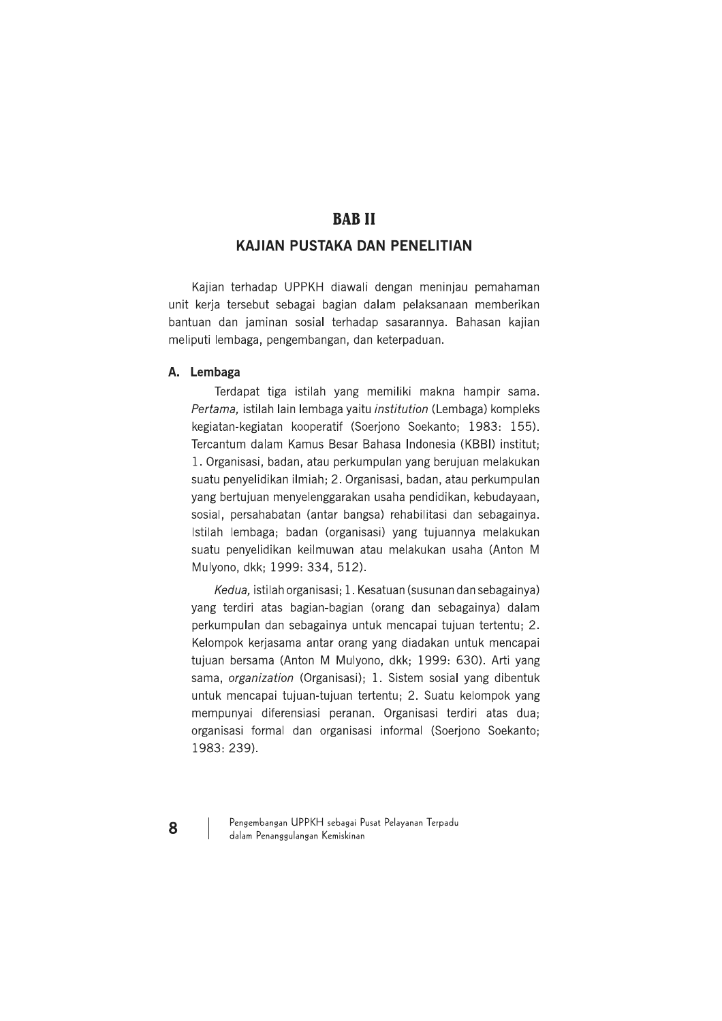# **BABII**

# **KAJIAN PUSTAKA DAN PENELITIAN**

Kajian terhadap UPPKH diawali dengan meninjau pemahaman unit kerja tersebut sebagai bagian dalam pelaksanaan memberikan bantuan dan jaminan sosial terhadap sasarannya. Bahasan kajian meliputi lembaga, pengembangan, dan keterpaduan.

#### A. Lembaga

Terdapat tiga istilah yang memiliki makna hampir sama. Pertama, istilah lain lembaga yaitu institution (Lembaga) kompleks kegiatan-kegiatan kooperatif (Soerjono Soekanto; 1983: 155). Tercantum dalam Kamus Besar Bahasa Indonesia (KBBI) institut; 1. Organisasi, badan, atau perkumpulan yang berujuan melakukan suatu penyelidikan ilmiah; 2. Organisasi, badan, atau perkumpulan yang bertujuan menyelenggarakan usaha pendidikan, kebudayaan, sosial, persahabatan (antar bangsa) rehabilitasi dan sebagainya. Istilah lembaga; badan (organisasi) yang tujuannya melakukan suatu penyelidikan keilmuwan atau melakukan usaha (Anton M Mulyono, dkk; 1999: 334, 512).

Kedua, istilah organisasi; 1. Kesatuan (susunan dan sebagainya) yang terdiri atas bagian-bagian (orang dan sebagainya) dalam perkumpulan dan sebagainya untuk mencapai tujuan tertentu; 2. Kelompok kerjasama antar orang yang diadakan untuk mencapai tujuan bersama (Anton M Mulyono, dkk; 1999; 630). Arti yang sama, organization (Organisasi); 1. Sistem sosial yang dibentuk untuk mencapai tujuan-tujuan tertentu; 2. Suatu kelompok yang mempunyai diferensiasi peranan. Organisasi terdiri atas dua; organisasi formal dan organisasi informal (Soerjono Soekanto; 1983: 239).

Pengembangan UPPKH sebagai Pusat Pelayanan Terpadu dalam Penanggulangan Kemiskinan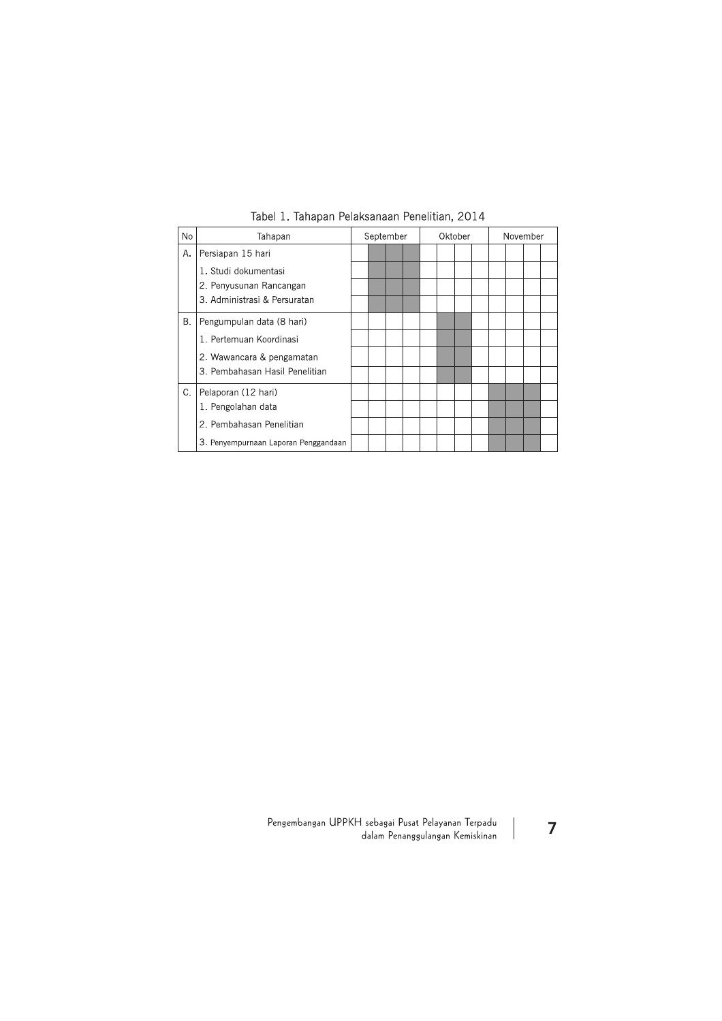| No | Tahapan                                                     | September |  |  | Oktober |  |  |  | November |  |  |  |  |
|----|-------------------------------------------------------------|-----------|--|--|---------|--|--|--|----------|--|--|--|--|
| Α. | Persiapan 15 hari                                           |           |  |  |         |  |  |  |          |  |  |  |  |
|    | 1. Studi dokumentasi                                        |           |  |  |         |  |  |  |          |  |  |  |  |
|    | 2. Penyusunan Rancangan                                     |           |  |  |         |  |  |  |          |  |  |  |  |
|    | 3. Administrasi & Persuratan                                |           |  |  |         |  |  |  |          |  |  |  |  |
| В. | Pengumpulan data (8 hari)                                   |           |  |  |         |  |  |  |          |  |  |  |  |
|    | 1. Pertemuan Koordinasi                                     |           |  |  |         |  |  |  |          |  |  |  |  |
|    | 2. Wawancara & pengamatan<br>3. Pembahasan Hasil Penelitian |           |  |  |         |  |  |  |          |  |  |  |  |
|    |                                                             |           |  |  |         |  |  |  |          |  |  |  |  |
| C. | Pelaporan (12 hari)<br>1. Pengolahan data                   |           |  |  |         |  |  |  |          |  |  |  |  |
|    |                                                             |           |  |  |         |  |  |  |          |  |  |  |  |
|    | 2. Pembahasan Penelitian                                    |           |  |  |         |  |  |  |          |  |  |  |  |
|    | 3. Penyempurnaan Laporan Penggandaan                        |           |  |  |         |  |  |  |          |  |  |  |  |

Tabel 1. Tahapan Pelaksanaan Penelitian, 2014

Pengembangan UPPKH sebagai Pusat Pelayanan Terpadu<br>dalam Penanggulangan Kemiskinan

 $\overline{7}$ 

 $\begin{array}{c} \hline \end{array}$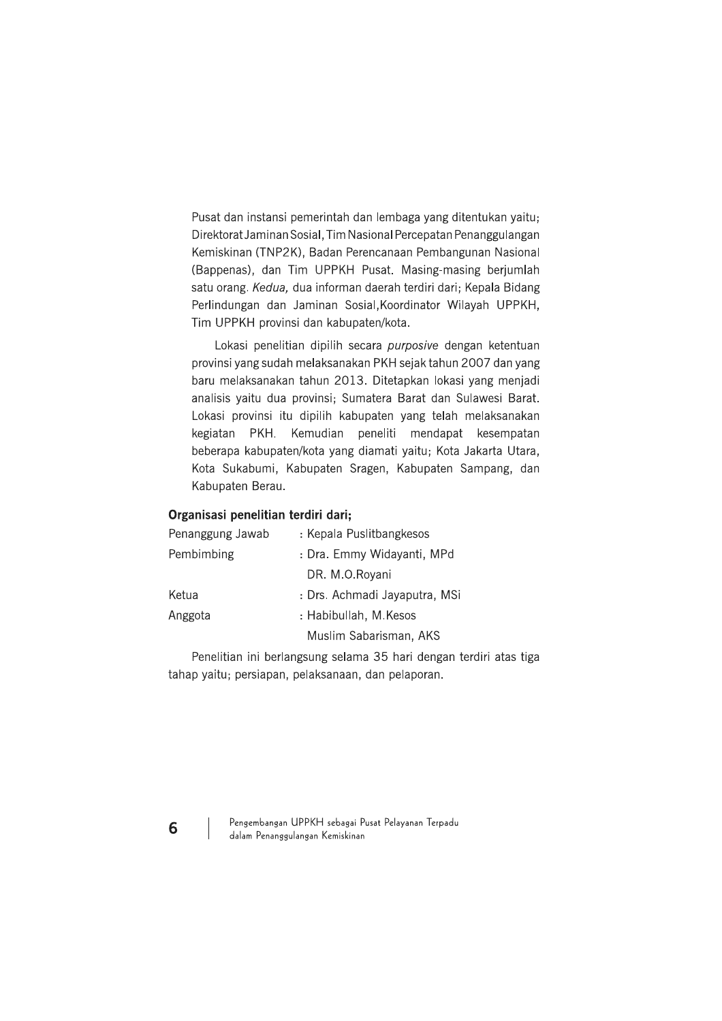Pusat dan instansi pemerintah dan lembaga yang ditentukan yaitu; Direktorat Jaminan Sosial, Tim Nasional Percepatan Penanggulangan Kemiskinan (TNP2K), Badan Perencanaan Pembangunan Nasional (Bappenas), dan Tim UPPKH Pusat. Masing-masing berjumlah satu orang. Kedua, dua informan daerah terdiri dari; Kepala Bidang Perlindungan dan Jaminan Sosial, Koordinator Wilayah UPPKH, Tim UPPKH provinsi dan kabupaten/kota.

Lokasi penelitian dipilih secara purposive dengan ketentuan provinsi yang sudah melaksanakan PKH sejak tahun 2007 dan yang baru melaksanakan tahun 2013. Ditetapkan lokasi yang menjadi analisis yaitu dua provinsi; Sumatera Barat dan Sulawesi Barat. Lokasi provinsi itu dipilih kabupaten yang telah melaksanakan kegiatan PKH. Kemudian peneliti mendapat kesempatan beberapa kabupaten/kota yang diamati yaitu; Kota Jakarta Utara, Kota Sukabumi, Kabupaten Sragen, Kabupaten Sampang, dan Kabupaten Berau.

#### Organisasi penelitian terdiri dari;

| Penanggung Jawab | : Kepala Puslitbangkesos      |  |  |  |  |
|------------------|-------------------------------|--|--|--|--|
| Pembimbing       | : Dra. Emmy Widayanti, MPd    |  |  |  |  |
|                  | DR. M.O.Royani                |  |  |  |  |
| Ketua            | : Drs. Achmadi Jayaputra, MSi |  |  |  |  |
| Anggota          | : Habibullah, M.Kesos         |  |  |  |  |
|                  | Muslim Sabarisman, AKS        |  |  |  |  |

Penelitian ini berlangsung selama 35 hari dengan terdiri atas tiga tahap yaitu; persiapan, pelaksanaan, dan pelaporan.

Pengembangan UPPKH sebagai Pusat Pelayanan Terpadu dalam Penanggulangan Kemiskinan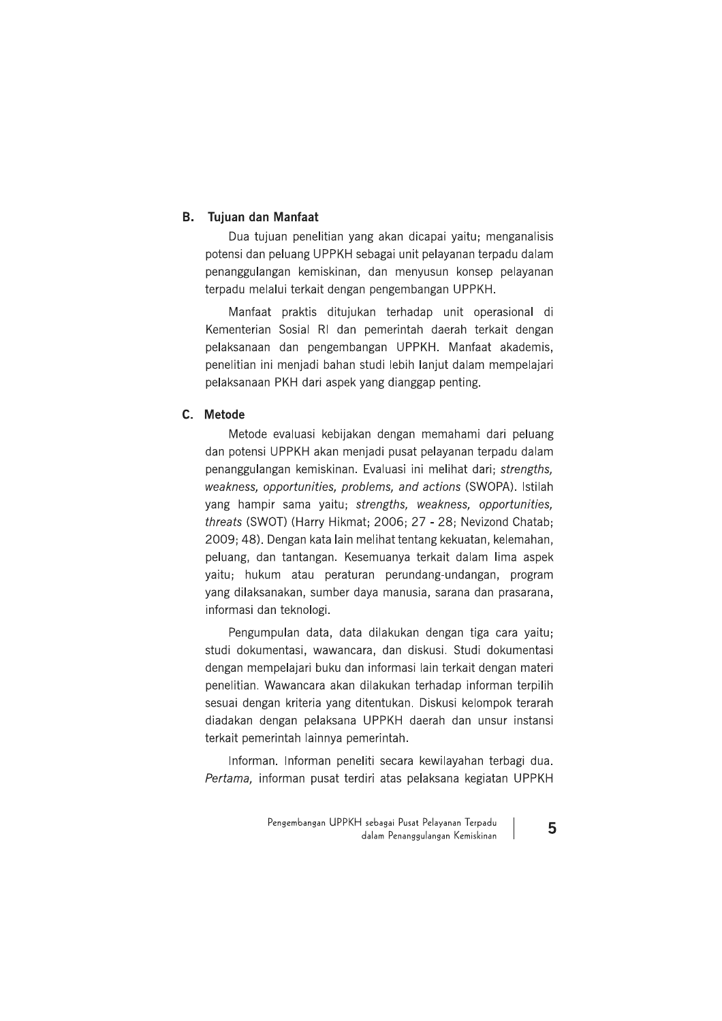#### **B.** Tujuan dan Manfaat

Dua tujuan penelitian yang akan dicapai yaitu; menganalisis potensi dan peluang UPPKH sebagai unit pelayanan terpadu dalam penanggulangan kemiskinan, dan menyusun konsep pelayanan terpadu melalui terkait dengan pengembangan UPPKH.

Manfaat praktis ditujukan terhadap unit operasional di Kementerian Sosial RI dan pemerintah daerah terkait dengan pelaksanaan dan pengembangan UPPKH. Manfaat akademis, penelitian ini menjadi bahan studi lebih lanjut dalam mempelajari pelaksanaan PKH dari aspek yang dianggap penting.

## C. Metode

Metode evaluasi kebijakan dengan memahami dari peluang dan potensi UPPKH akan menjadi pusat pelayanan terpadu dalam penanggulangan kemiskinan. Evaluasi ini melihat dari; strengths, weakness, opportunities, problems, and actions (SWOPA). Istilah yang hampir sama yaitu; strengths, weakness, opportunities, threats (SWOT) (Harry Hikmat; 2006; 27 - 28; Nevizond Chatab; 2009; 48). Dengan kata lain melihat tentang kekuatan, kelemahan, peluang, dan tantangan. Kesemuanya terkait dalam lima aspek yaitu; hukum atau peraturan perundang-undangan, program yang dilaksanakan, sumber daya manusia, sarana dan prasarana, informasi dan teknologi.

Pengumpulan data, data dilakukan dengan tiga cara yaitu; studi dokumentasi, wawancara, dan diskusi. Studi dokumentasi dengan mempelajari buku dan informasi lain terkait dengan materi penelitian. Wawancara akan dilakukan terhadap informan terpilih sesuai dengan kriteria yang ditentukan. Diskusi kelompok terarah diadakan dengan pelaksana UPPKH daerah dan unsur instansi terkait pemerintah lainnya pemerintah.

Informan. Informan peneliti secara kewilayahan terbagi dua. Pertama, informan pusat terdiri atas pelaksana kegiatan UPPKH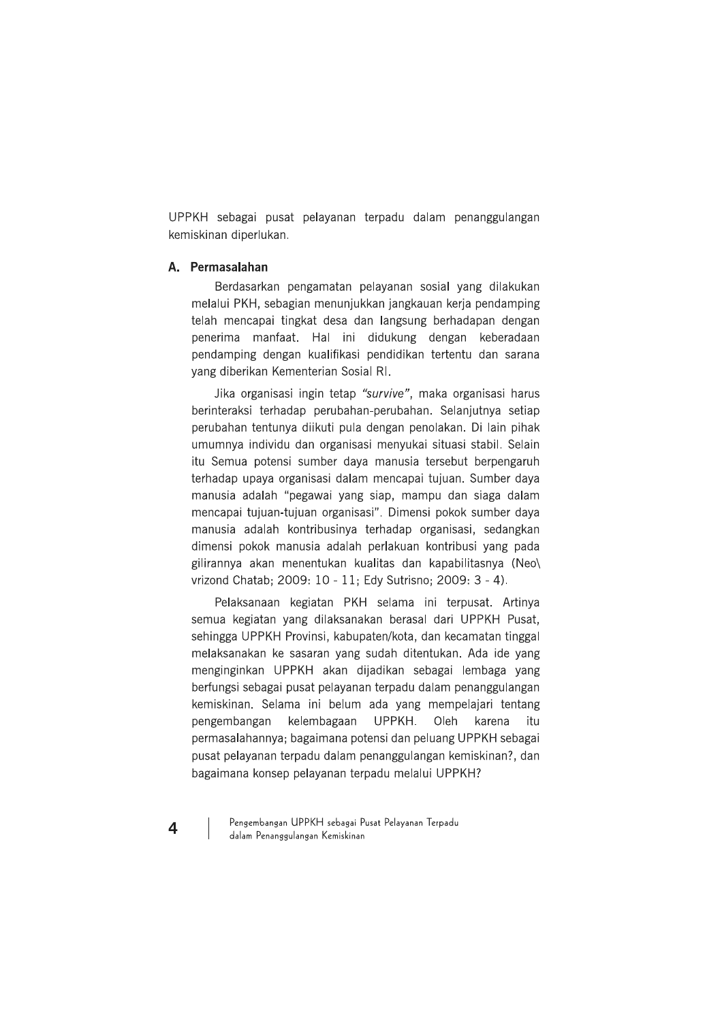UPPKH sebagai pusat pelayanan terpadu dalam penanggulangan kemiskinan diperlukan.

## A. Permasalahan

Berdasarkan pengamatan pelayanan sosial yang dilakukan melalui PKH, sebagian menunjukkan jangkauan kerja pendamping telah mencapai tingkat desa dan langsung berhadapan dengan penerima manfaat. Hal ini didukung dengan keberadaan pendamping dengan kualifikasi pendidikan tertentu dan sarana yang diberikan Kementerian Sosial RI.

Jika organisasi ingin tetap "survive", maka organisasi harus berinteraksi terhadap perubahan-perubahan. Selanjutnya setiap perubahan tentunya diikuti pula dengan penolakan. Di lain pihak umumnya individu dan organisasi menyukai situasi stabil. Selain itu Semua potensi sumber daya manusia tersebut berpengaruh terhadap upaya organisasi dalam mencapai tujuan. Sumber daya manusia adalah "pegawai yang siap, mampu dan siaga dalam mencapai tujuan-tujuan organisasi". Dimensi pokok sumber daya manusia adalah kontribusinya terhadap organisasi, sedangkan dimensi pokok manusia adalah perlakuan kontribusi yang pada gilirannya akan menentukan kualitas dan kapabilitasnya (Neo) vrizond Chatab; 2009: 10 - 11; Edy Sutrisno; 2009: 3 - 4).

Pelaksanaan kegiatan PKH selama ini terpusat. Artinya semua kegiatan yang dilaksanakan berasal dari UPPKH Pusat. sehingga UPPKH Provinsi, kabupaten/kota, dan kecamatan tinggal melaksanakan ke sasaran yang sudah ditentukan. Ada ide yang menginginkan UPPKH akan dijadikan sebagai lembaga yang berfungsi sebagai pusat pelayanan terpadu dalam penanggulangan kemiskinan. Selama ini belum ada yang mempelajari tentang pengembangan kelembagaan UPPKH. Oleh karena itu permasalahannya: bagaimana potensi dan peluang UPPKH sebagai pusat pelayanan terpadu dalam penanggulangan kemiskinan?, dan bagaimana konsep pelayanan terpadu melalui UPPKH?

Pengembangan UPPKH sebagai Pusat Pelayanan Terpadu dalam Penanggulangan Kemiskinan

 $\overline{\mathbf{4}}$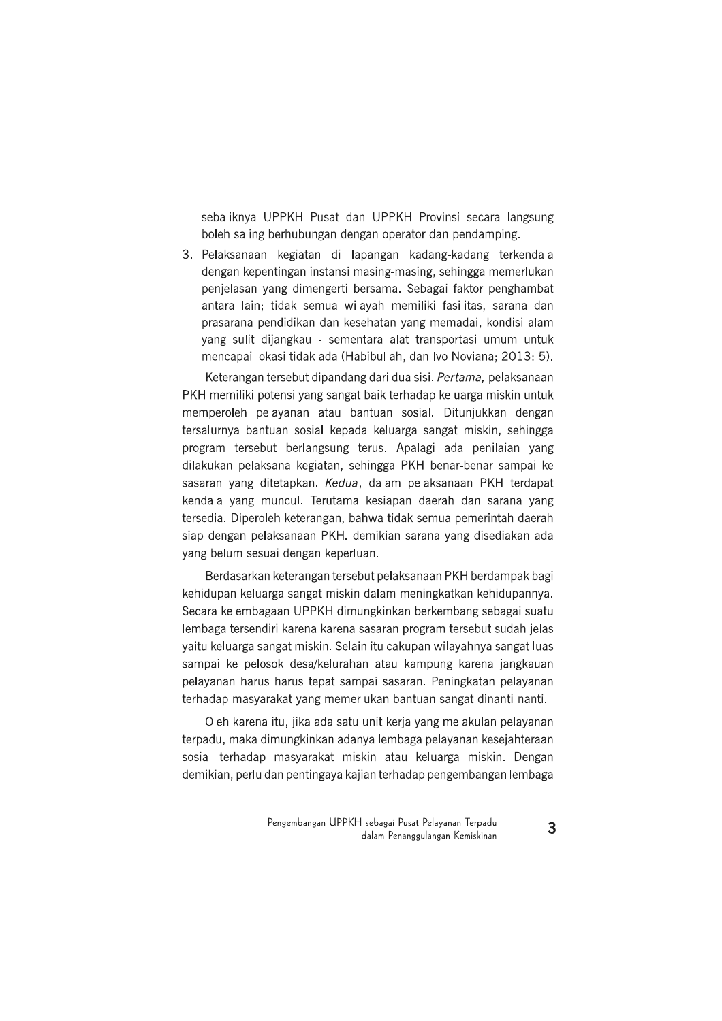sebaliknya UPPKH Pusat dan UPPKH Provinsi secara langsung boleh saling berhubungan dengan operator dan pendamping.

3. Pelaksanaan kegiatan di lapangan kadang-kadang terkendala dengan kepentingan instansi masing-masing, sehingga memerlukan penjelasan yang dimengerti bersama. Sebagai faktor penghambat antara lain; tidak semua wilayah memiliki fasilitas, sarana dan prasarana pendidikan dan kesehatan yang memadai, kondisi alam yang sulit dijangkau - sementara alat transportasi umum untuk mencapai lokasi tidak ada (Habibullah, dan Ivo Noviana; 2013: 5).

Keterangan tersebut dipandang dari dua sisi. Pertama, pelaksanaan PKH memiliki potensi yang sangat baik terhadap keluarga miskin untuk memperoleh pelayanan atau bantuan sosial. Ditunjukkan dengan tersalurnya bantuan sosial kepada keluarga sangat miskin, sehingga program tersebut berlangsung terus. Apalagi ada penilaian yang dilakukan pelaksana kegiatan, sehingga PKH benar-benar sampai ke sasaran yang ditetapkan. Kedua, dalam pelaksanaan PKH terdapat kendala yang muncul. Terutama kesiapan daerah dan sarana yang tersedia. Diperoleh keterangan, bahwa tidak semua pemerintah daerah siap dengan pelaksanaan PKH. demikian sarana yang disediakan ada yang belum sesuai dengan keperluan.

Berdasarkan keterangan tersebut pelaksanaan PKH berdampak bagi kehidupan keluarga sangat miskin dalam meningkatkan kehidupannya. Secara kelembagaan UPPKH dimungkinkan berkembang sebagai suatu lembaga tersendiri karena karena sasaran program tersebut sudah jelas vaitu keluarga sangat miskin. Selain itu cakupan wilayahnya sangat luas sampai ke pelosok desa/kelurahan atau kampung karena jangkauan pelayanan harus harus tepat sampai sasaran. Peningkatan pelayanan terhadap masyarakat yang memerlukan bantuan sangat dinanti-nanti.

Oleh karena itu, jika ada satu unit kerja yang melakulan pelayanan terpadu, maka dimungkinkan adanya lembaga pelayanan kesejahteraan sosial terhadap masyarakat miskin atau keluarga miskin. Dengan demikian, perlu dan pentingaya kajian terhadap pengembangan lembaga

 $\overline{3}$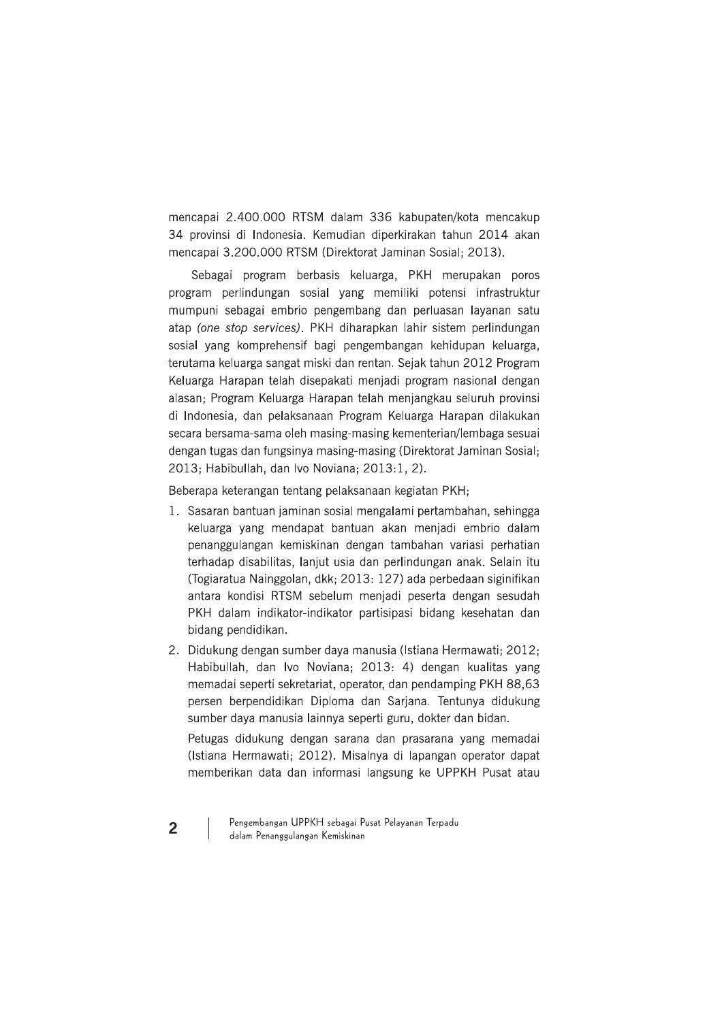mencapai 2.400.000 RTSM dalam 336 kabupaten/kota mencakup 34 provinsi di Indonesia. Kemudian diperkirakan tahun 2014 akan mencapai 3.200.000 RTSM (Direktorat Jaminan Sosial; 2013).

Sebagai program berbasis keluarga, PKH merupakan poros program perlindungan sosial yang memiliki potensi infrastruktur mumpuni sebagai embrio pengembang dan perluasan layanan satu atap (one stop services). PKH diharapkan lahir sistem perlindungan sosial yang komprehensif bagi pengembangan kehidupan keluarga, terutama keluarga sangat miski dan rentan. Sejak tahun 2012 Program Keluarga Harapan telah disepakati menjadi program nasional dengan alasan; Program Keluarga Harapan telah menjangkau seluruh provinsi di Indonesia, dan pelaksanaan Program Keluarga Harapan dilakukan secara bersama-sama oleh masing-masing kementerian/lembaga sesuai dengan tugas dan fungsinya masing-masing (Direktorat Jaminan Sosial; 2013; Habibullah, dan Ivo Noviana; 2013:1, 2).

Beberapa keterangan tentang pelaksanaan kegiatan PKH;

- 1. Sasaran bantuan jaminan sosial mengalami pertambahan, sehingga keluarga yang mendapat bantuan akan menjadi embrio dalam penanggulangan kemiskinan dengan tambahan variasi perhatian terhadap disabilitas, lanjut usia dan perlindungan anak. Selain itu (Togiaratua Nainggolan, dkk; 2013; 127) ada perbedaan siginifikan antara kondisi RTSM sebelum menjadi peserta dengan sesudah PKH dalam indikator-indikator partisipasi bidang kesehatan dan bidang pendidikan.
- 2. Didukung dengan sumber daya manusia (Istiana Hermawati; 2012; Habibullah, dan Ivo Noviana; 2013: 4) dengan kualitas yang memadai seperti sekretariat, operator, dan pendamping PKH 88,63 persen berpendidikan Diploma dan Sarjana. Tentunya didukung sumber daya manusia lainnya seperti guru, dokter dan bidan.

Petugas didukung dengan sarana dan prasarana yang memadai (Istiana Hermawati; 2012). Misalnya di lapangan operator dapat memberikan data dan informasi langsung ke UPPKH Pusat atau

Pengembangan UPPKH sebagai Pusat Pelayanan Terpadu dalam Penanggulangan Kemiskinan

 $\overline{2}$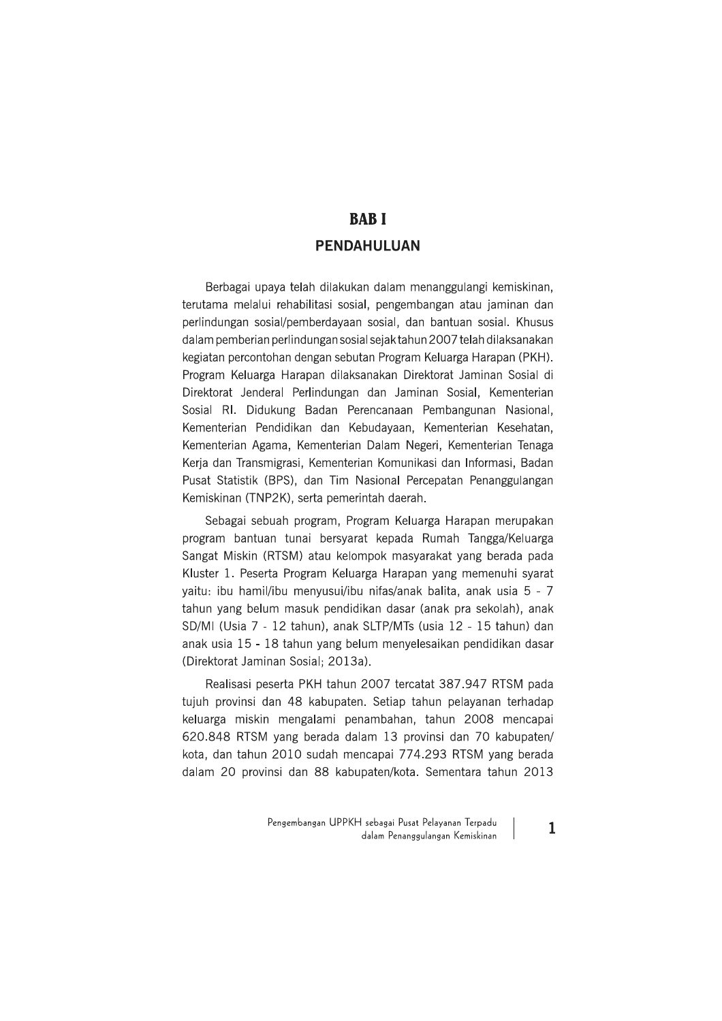# **BABI PENDAHULUAN**

Berbagai upaya telah dilakukan dalam menanggulangi kemiskinan, terutama melalui rehabilitasi sosial, pengembangan atau jaminan dan perlindungan sosial/pemberdayaan sosial, dan bantuan sosial. Khusus dalam pemberian perlindungan sosial sejak tahun 2007 telah dilaksanakan kegiatan percontohan dengan sebutan Program Keluarga Harapan (PKH). Program Keluarga Harapan dilaksanakan Direktorat Jaminan Sosial di Direktorat Jenderal Perlindungan dan Jaminan Sosial, Kementerian Sosial RI. Didukung Badan Perencanaan Pembangunan Nasional, Kementerian Pendidikan dan Kebudayaan, Kementerian Kesehatan, Kementerian Agama, Kementerian Dalam Negeri, Kementerian Tenaga Kerja dan Transmigrasi, Kementerian Komunikasi dan Informasi, Badan Pusat Statistik (BPS), dan Tim Nasional Percepatan Penanggulangan Kemiskinan (TNP2K), serta pemerintah daerah.

Sebagai sebuah program, Program Keluarga Harapan merupakan program bantuan tunai bersyarat kepada Rumah Tangga/Keluarga Sangat Miskin (RTSM) atau kelompok masyarakat yang berada pada Kluster 1. Peserta Program Keluarga Harapan yang memenuhi syarat yaitu: ibu hamil/ibu menyusui/ibu nifas/anak balita, anak usia 5 - 7 tahun yang belum masuk pendidikan dasar (anak pra sekolah), anak SD/MI (Usia 7 - 12 tahun), anak SLTP/MTs (usia 12 - 15 tahun) dan anak usia 15 - 18 tahun yang belum menyelesaikan pendidikan dasar (Direktorat Jaminan Sosial; 2013a).

Realisasi peserta PKH tahun 2007 tercatat 387.947 RTSM pada tujuh provinsi dan 48 kabupaten. Setiap tahun pelayanan terhadap keluarga miskin mengalami penambahan, tahun 2008 mencapai 620.848 RTSM yang berada dalam 13 provinsi dan 70 kabupaten/ kota, dan tahun 2010 sudah mencapai 774.293 RTSM yang berada dalam 20 provinsi dan 88 kabupaten/kota. Sementara tahun 2013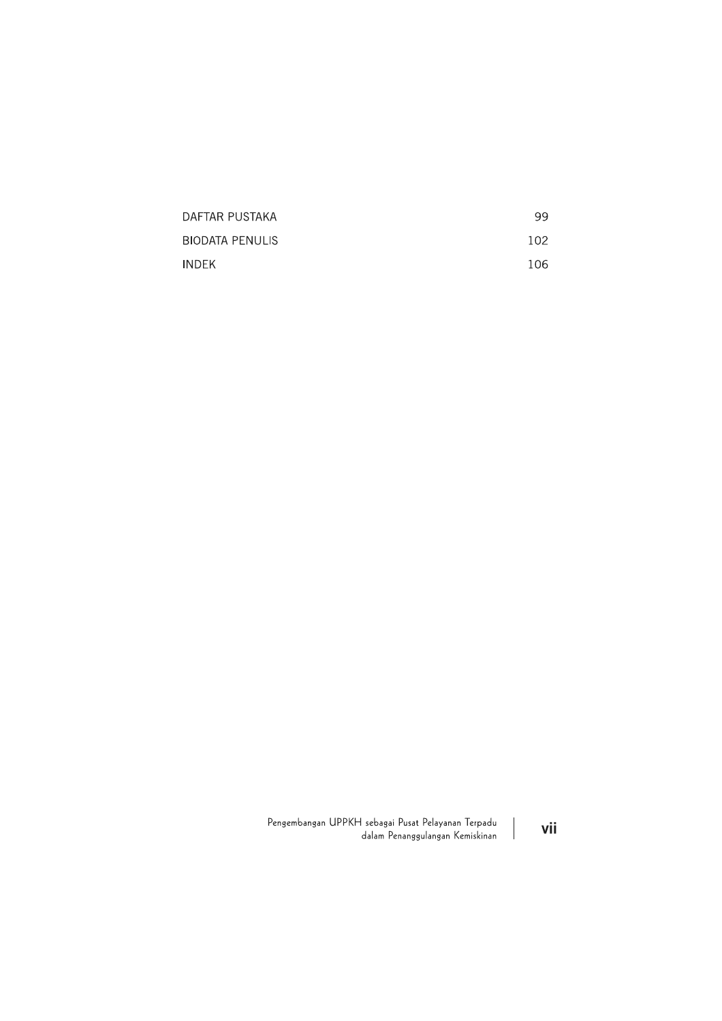| DAFTAR PUSTAKA         | 99  |
|------------------------|-----|
| <b>BIODATA PENULIS</b> | 102 |
| INDEK                  | 106 |

Pengembangan UPPKH sebagai Pusat Pelayanan Terpadu  $\begin{array}{c} \hline \end{array}$ dalam Penanggulangan Kemiskinan

vii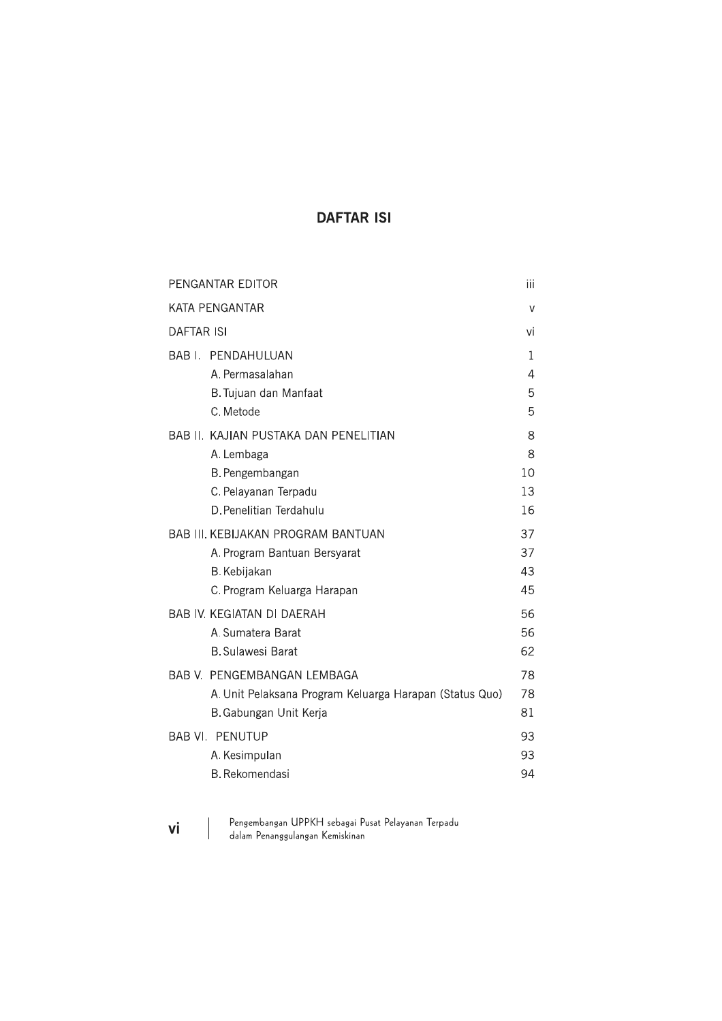# **DAFTAR ISI**

| PENGANTAR EDITOR                                        | iii    |
|---------------------------------------------------------|--------|
| KATA PENGANTAR                                          | $\vee$ |
| <b>DAFTAR ISI</b>                                       | vi     |
| <b>BAB I. PENDAHULUAN</b>                               | 1      |
| A. Permasalahan                                         | 4      |
| B. Tujuan dan Manfaat                                   | 5      |
| C. Metode                                               | 5      |
| BAB II. KAJIAN PUSTAKA DAN PENELITIAN                   | 8      |
| A. Lembaga                                              | 8      |
| B. Pengembangan                                         | 10     |
| C. Pelayanan Terpadu                                    | 13     |
| D. Penelitian Terdahulu                                 | 16     |
| <b>BAB III. KEBIJAKAN PROGRAM BANTUAN</b>               | 37     |
| A. Program Bantuan Bersyarat                            | 37     |
| B. Kebijakan                                            | 43     |
| C. Program Keluarga Harapan                             | 45     |
| <b>BAB IV. KEGIATAN DI DAERAH</b>                       | 56     |
| A. Sumatera Barat                                       | 56     |
| <b>B.</b> Sulawesi Barat                                | 62     |
| <b>BAB V. PENGEMBANGAN LEMBAGA</b>                      | 78     |
| A. Unit Pelaksana Program Keluarga Harapan (Status Quo) | 78     |
| B. Gabungan Unit Kerja                                  | 81     |
| <b>BAB VI. PENUTUP</b>                                  | 93     |
| A. Kesimpulan                                           | 93     |
| <b>B.</b> Rekomendasi                                   | 94     |
|                                                         |        |

- Pengembangan UPPKH sebagai Pusat Pelayanan Terpadu<br>dalam Penanggulangan Kemiskinan
- vi

 $\overline{\phantom{a}}$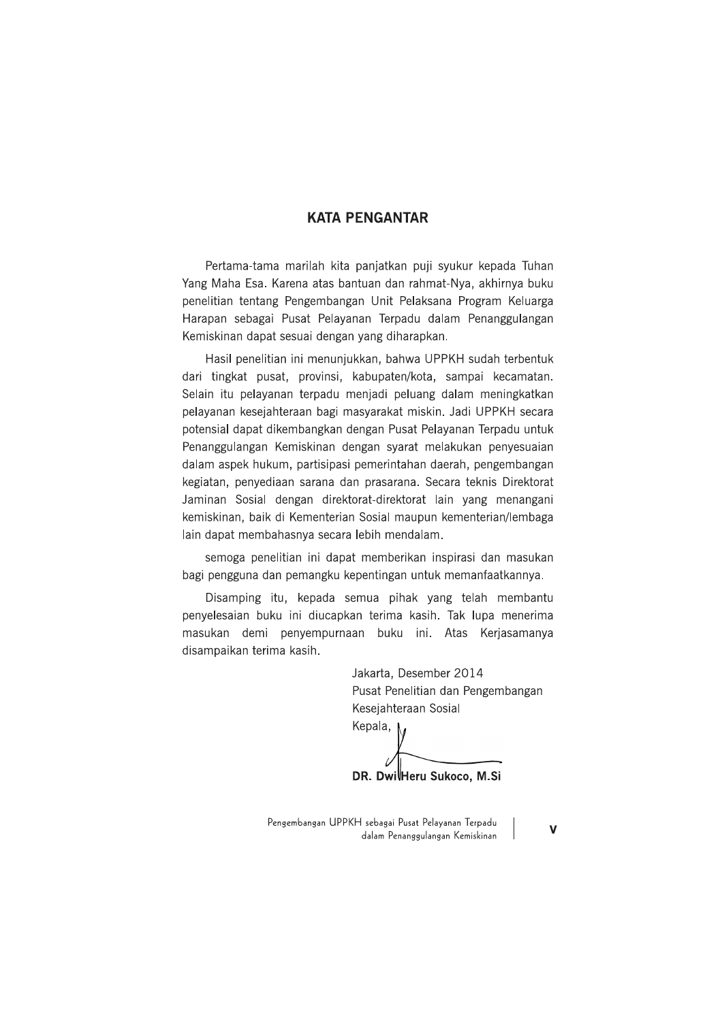### **KATA PENGANTAR**

Pertama-tama marilah kita panjatkan puji syukur kepada Tuhan Yang Maha Esa. Karena atas bantuan dan rahmat-Nya, akhirnya buku penelitian tentang Pengembangan Unit Pelaksana Program Keluarga Harapan sebagai Pusat Pelayanan Terpadu dalam Penanggulangan Kemiskinan dapat sesuai dengan yang diharapkan.

Hasil penelitian ini menunjukkan, bahwa UPPKH sudah terbentuk dari tingkat pusat, provinsi, kabupaten/kota, sampai kecamatan. Selain itu pelayanan terpadu menjadi peluang dalam meningkatkan pelayanan kesejahteraan bagi masyarakat miskin. Jadi UPPKH secara potensial dapat dikembangkan dengan Pusat Pelayanan Terpadu untuk Penanggulangan Kemiskinan dengan syarat melakukan penyesuaian dalam aspek hukum, partisipasi pemerintahan daerah, pengembangan kegiatan, penyediaan sarana dan prasarana. Secara teknis Direktorat Jaminan Sosial dengan direktorat-direktorat lain yang menangani kemiskinan, baik di Kementerian Sosial maupun kementerian/lembaga lain dapat membahasnya secara lebih mendalam.

semoga penelitian ini dapat memberikan inspirasi dan masukan bagi pengguna dan pemangku kepentingan untuk memanfaatkannya.

Disamping itu, kepada semua pihak yang telah membantu penyelesaian buku ini diucapkan terima kasih. Tak lupa menerima masukan demi penyempurnaan buku ini. Atas Kerjasamanya disampaikan terima kasih.

> Jakarta, Desember 2014 Pusat Penelitian dan Pengembangan Kesejahteraan Sosial Kepala, <sub>M</sub>

DR. DwilHeru Sukoco, M.Si

Pengembangan UPPKH sebagai Pusat Pelayanan Terpadu dalam Penanggulangan Kemiskinan

 $\mathbf v$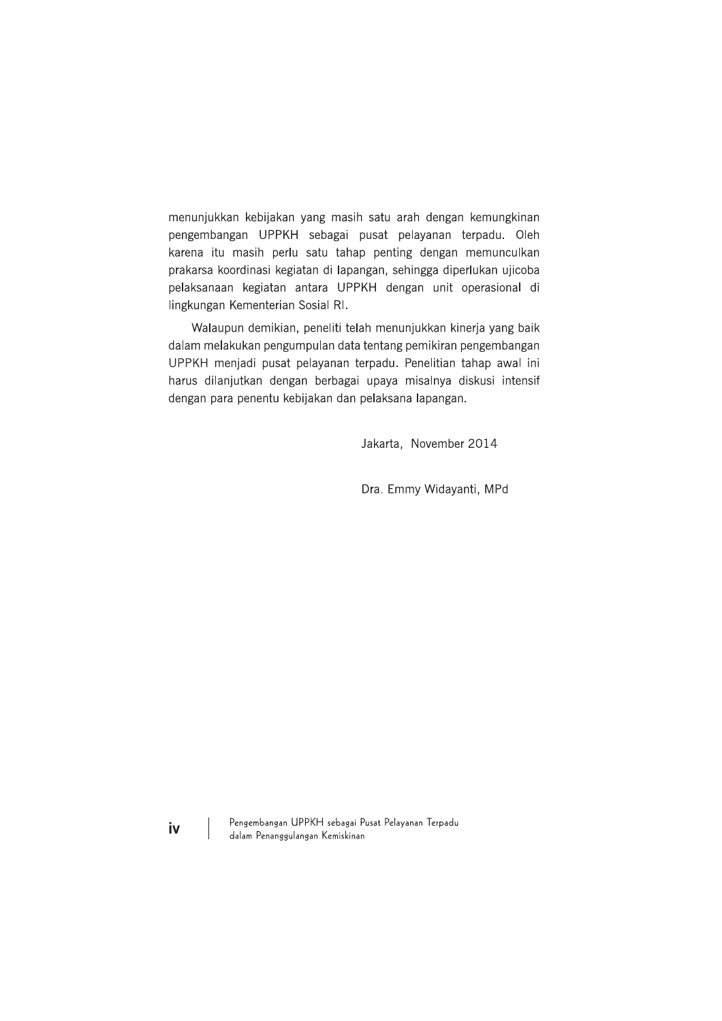menunjukkan kebijakan yang masih satu arah dengan kemungkinan pengembangan UPPKH sebagai pusat pelayanan terpadu. Oleh karena itu masih perlu satu tahap penting dengan memunculkan prakarsa koordinasi kegiatan di lapangan, sehingga diperlukan ujicoba pelaksanaan kegiatan antara UPPKH dengan unit operasional di lingkungan Kementerian Sosial RI.

Walaupun demikian, peneliti telah menunjukkan kinerja yang baik dalam melakukan pengumpulan data tentang pemikiran pengembangan UPPKH menjadi pusat pelayanan terpadu. Penelitian tahap awal ini harus dilanjutkan dengan berbagai upaya misalnya diskusi intensif dengan para penentu kebijakan dan pelaksana lapangan.

Jakarta, November 2014

Dra. Emmy Widayanti, MPd

Pengembangan UPPKH sebagai Pusat Pelayanan Terpadu dalam Penanggulangan Kemiskinan

iv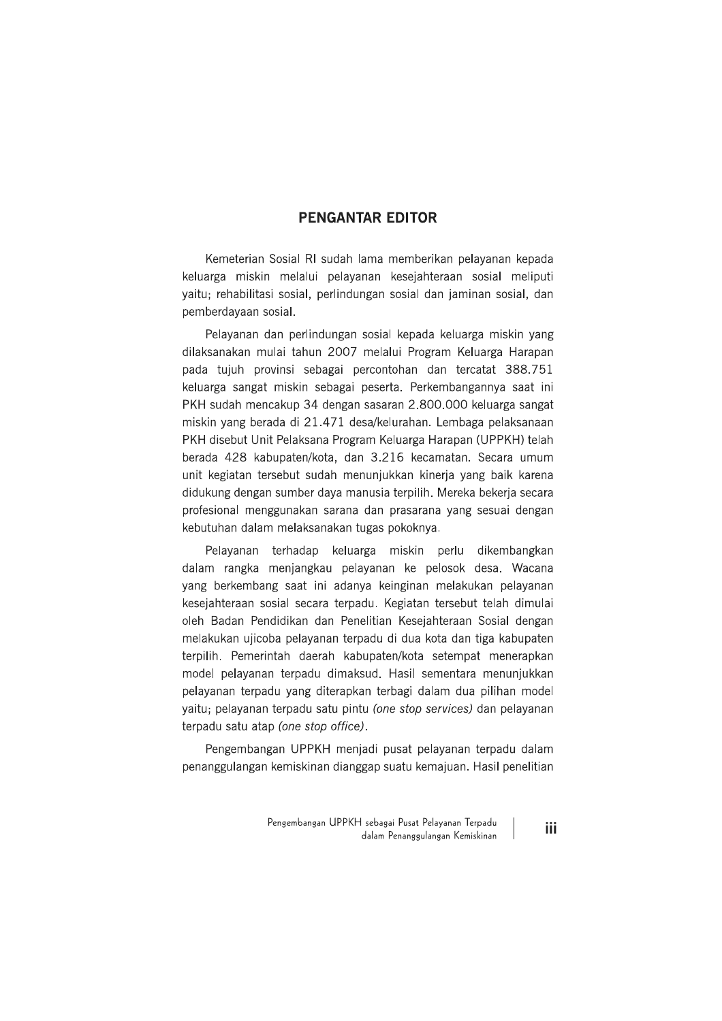## **PENGANTAR EDITOR**

Kemeterian Sosial RI sudah lama memberikan pelayanan kepada keluarga miskin melalui pelayanan kesejahteraan sosial meliputi yaitu; rehabilitasi sosial, perlindungan sosial dan jaminan sosial, dan pemberdayaan sosial.

Pelayanan dan perlindungan sosial kepada keluarga miskin yang dilaksanakan mulai tahun 2007 melalui Program Keluarga Harapan pada tujuh provinsi sebagai percontohan dan tercatat 388.751 keluarga sangat miskin sebagai peserta. Perkembangannya saat ini PKH sudah mencakup 34 dengan sasaran 2.800.000 keluarga sangat miskin yang berada di 21.471 desa/kelurahan. Lembaga pelaksanaan PKH disebut Unit Pelaksana Program Keluarga Harapan (UPPKH) telah berada 428 kabupaten/kota, dan 3.216 kecamatan. Secara umum unit kegiatan tersebut sudah menunjukkan kinerja yang baik karena didukung dengan sumber daya manusia terpilih. Mereka bekerja secara profesional menggunakan sarana dan prasarana yang sesuai dengan kebutuhan dalam melaksanakan tugas pokoknya.

Pelayanan terhadap keluarga miskin perlu dikembangkan dalam rangka menjangkau pelayanan ke pelosok desa. Wacana yang berkembang saat ini adanya keinginan melakukan pelayanan kesejahteraan sosial secara terpadu. Kegiatan tersebut telah dimulai oleh Badan Pendidikan dan Penelitian Kesejahteraan Sosial dengan melakukan ujicoba pelayanan terpadu di dua kota dan tiga kabupaten terpilih. Pemerintah daerah kabupaten/kota setempat menerapkan model pelavanan terpadu dimaksud. Hasil sementara menunjukkan pelayanan terpadu yang diterapkan terbagi dalam dua pilihan model yaitu; pelayanan terpadu satu pintu (one stop services) dan pelayanan terpadu satu atap (one stop office).

Pengembangan UPPKH menjadi pusat pelayanan terpadu dalam penanggulangan kemiskinan dianggap suatu kemajuan. Hasil penelitian

iii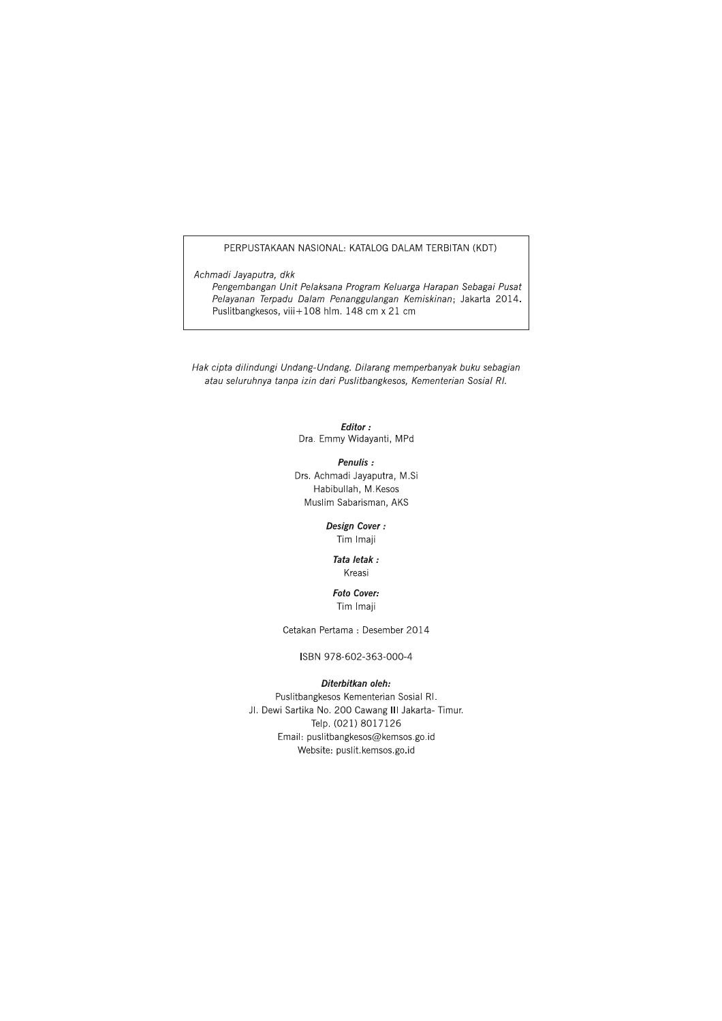#### PERPUSTAKAAN NASIONAL: KATALOG DALAM TERBITAN (KDT)

Achmadi Jayaputra, dkk

Pengembangan Unit Pelaksana Program Keluarga Harapan Sebagai Pusat Pelayanan Terpadu Dalam Penanggulangan Kemiskinan; Jakarta 2014. Puslitbangkesos, viii+108 hlm. 148 cm x 21 cm

Hak cipta dilindungi Undang-Undang. Dilarang memperbanyak buku sebagian atau seluruhnya tanpa izin dari Puslitbangkesos, Kementerian Sosial RI.

> Editor: Dra. Emmy Widayanti, MPd

Penulis: Drs. Achmadi Jayaputra, M.Si

Habibullah, M.Kesos Muslim Sabarisman, AKS

> Design Cover: Tim Imaji

#### Tata letak : Kreasi

**Foto Cover:** Tim Imaii

Cetakan Pertama : Desember 2014

ISBN 978-602-363-000-4

#### Diterbitkan oleh:

Puslitbangkesos Kementerian Sosial RI. Jl. Dewi Sartika No. 200 Cawang III Jakarta- Timur. Telp. (021) 8017126 Email: puslitbangkesos@kemsos.go.id Website: puslit.kemsos.go.id